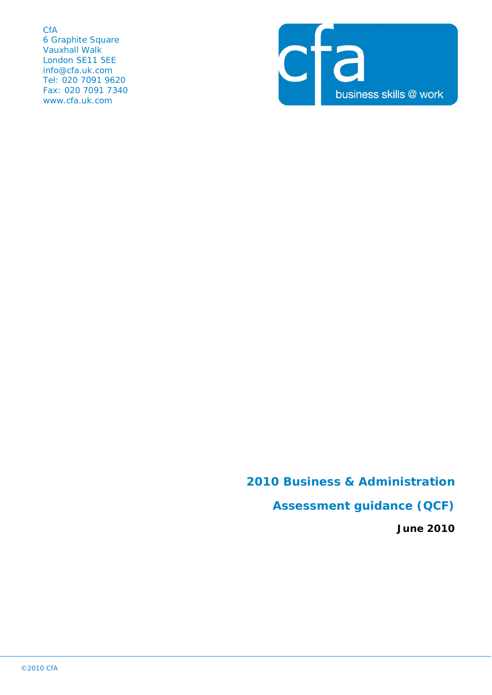**CfA** 6 Graphite Square Vauxhall Walk London SE11 5EE info@cfa.uk.com Tel: 020 7091 9620 Fax: 020 7091 7340 www.cfa.uk.com



# **2010 Business & Administration**

## **Assessment guidance (QCF)**

**June 2010**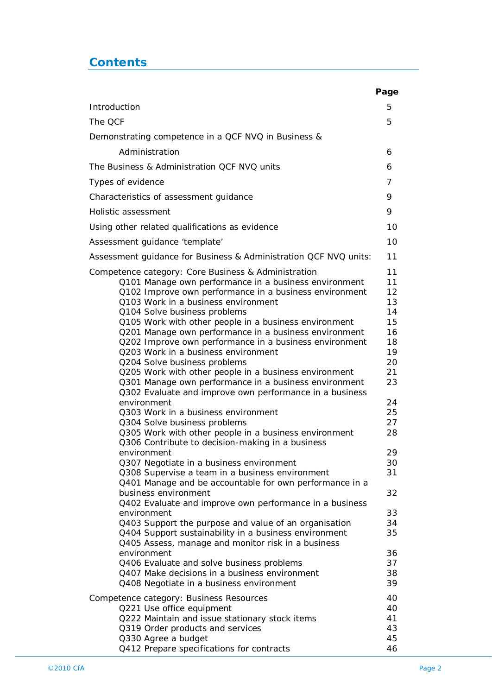## **Contents**

|                                                                                                            | Page     |
|------------------------------------------------------------------------------------------------------------|----------|
| Introduction                                                                                               | 5        |
| The QCF                                                                                                    | 5        |
| Demonstrating competence in a QCF NVQ in Business &                                                        |          |
| Administration                                                                                             | 6        |
| The Business & Administration QCF NVQ units                                                                | 6        |
| Types of evidence                                                                                          | 7        |
| Characteristics of assessment guidance                                                                     | 9        |
| Holistic assessment                                                                                        | 9        |
| Using other related qualifications as evidence                                                             | 10       |
| Assessment guidance 'template'                                                                             | 10       |
| Assessment guidance for Business & Administration QCF NVQ units:                                           | 11       |
| Competence category: Core Business & Administration                                                        | 11       |
| Q101 Manage own performance in a business environment                                                      | 11       |
| Q102 Improve own performance in a business environment                                                     | 12       |
| Q103 Work in a business environment                                                                        | 13       |
| Q104 Solve business problems                                                                               | 14       |
| Q105 Work with other people in a business environment                                                      | 15       |
| Q201 Manage own performance in a business environment                                                      | 16       |
| Q202 Improve own performance in a business environment                                                     | 18       |
| Q203 Work in a business environment                                                                        | 19       |
| Q204 Solve business problems<br>Q205 Work with other people in a business environment                      | 20<br>21 |
| Q301 Manage own performance in a business environment                                                      | 23       |
| Q302 Evaluate and improve own performance in a business                                                    |          |
| environment                                                                                                | 24       |
| 0303 Work in a business environment                                                                        | 25<br>27 |
| Q304 Solve business problems<br>Q305 Work with other people in a business environment                      | 28       |
| Q306 Contribute to decision-making in a business                                                           |          |
| environment                                                                                                | 29       |
| Q307 Negotiate in a business environment                                                                   | 30       |
| Q308 Supervise a team in a business environment<br>Q401 Manage and be accountable for own performance in a | 31       |
| business environment                                                                                       | 32       |
| Q402 Evaluate and improve own performance in a business                                                    |          |
| environment                                                                                                | 33       |
| Q403 Support the purpose and value of an organisation                                                      | 34       |
| Q404 Support sustainability in a business environment                                                      | 35       |
| Q405 Assess, manage and monitor risk in a business                                                         |          |
| environment                                                                                                | 36       |
| Q406 Evaluate and solve business problems                                                                  | 37       |
| Q407 Make decisions in a business environment<br>Q408 Negotiate in a business environment                  | 38<br>39 |
| Competence category: Business Resources                                                                    | 40       |
| Q221 Use office equipment                                                                                  | 40       |
| Q222 Maintain and issue stationary stock items                                                             | 41       |
| Q319 Order products and services                                                                           | 43       |
| Q330 Agree a budget                                                                                        | 45       |
| Q412 Prepare specifications for contracts                                                                  | 46       |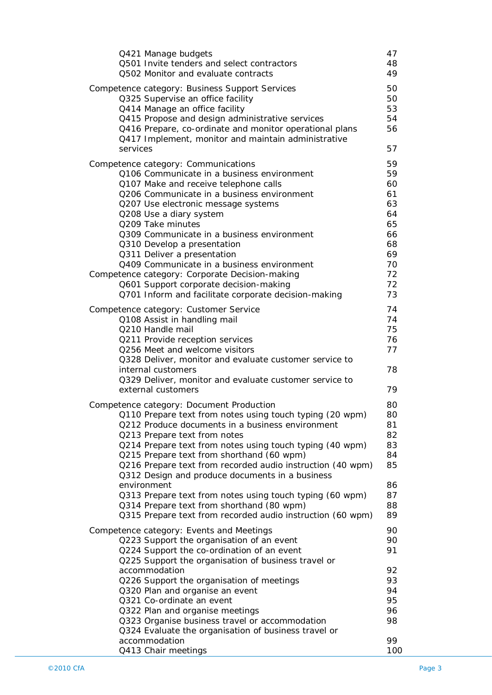| Q421 Manage budgets<br>Q501 Invite tenders and select contractors<br>Q502 Monitor and evaluate contracts                                                                                                                                                                                                                                                                                                                                                                                                                                                                                                 | 47<br>48<br>49                                                                   |
|----------------------------------------------------------------------------------------------------------------------------------------------------------------------------------------------------------------------------------------------------------------------------------------------------------------------------------------------------------------------------------------------------------------------------------------------------------------------------------------------------------------------------------------------------------------------------------------------------------|----------------------------------------------------------------------------------|
| Competence category: Business Support Services<br>Q325 Supervise an office facility<br>Q414 Manage an office facility<br>Q415 Propose and design administrative services<br>Q416 Prepare, co-ordinate and monitor operational plans<br>Q417 Implement, monitor and maintain administrative<br>services                                                                                                                                                                                                                                                                                                   | 50<br>50<br>53<br>54<br>56<br>57                                                 |
| Competence category: Communications<br>Q106 Communicate in a business environment<br>Q107 Make and receive telephone calls<br>Q206 Communicate in a business environment<br>Q207 Use electronic message systems<br>Q208 Use a diary system<br>Q209 Take minutes<br>Q309 Communicate in a business environment<br>Q310 Develop a presentation<br>Q311 Deliver a presentation<br>Q409 Communicate in a business environment<br>Competence category: Corporate Decision-making<br>Q601 Support corporate decision-making<br>Q701 Inform and facilitate corporate decision-making                            | 59<br>59<br>60<br>61<br>63<br>64<br>65<br>66<br>68<br>69<br>70<br>72<br>72<br>73 |
| Competence category: Customer Service<br>Q108 Assist in handling mail<br>Q210 Handle mail<br>Q211 Provide reception services<br>Q256 Meet and welcome visitors<br>Q328 Deliver, monitor and evaluate customer service to<br>internal customers<br>Q329 Deliver, monitor and evaluate customer service to<br>external customers                                                                                                                                                                                                                                                                           | 74<br>74<br>75<br>76<br>77<br>78<br>79                                           |
| Competence category: Document Production<br>Q110 Prepare text from notes using touch typing (20 wpm)<br>Q212 Produce documents in a business environment<br>Q213 Prepare text from notes<br>Q214 Prepare text from notes using touch typing (40 wpm)<br>Q215 Prepare text from shorthand (60 wpm)<br>Q216 Prepare text from recorded audio instruction (40 wpm)<br>Q312 Design and produce documents in a business<br>environment<br>Q313 Prepare text from notes using touch typing (60 wpm)<br>Q314 Prepare text from shorthand (80 wpm)<br>Q315 Prepare text from recorded audio instruction (60 wpm) | 80<br>80<br>81<br>82<br>83<br>84<br>85<br>86<br>87<br>88<br>89                   |
| Competence category: Events and Meetings<br>Q223 Support the organisation of an event<br>Q224 Support the co-ordination of an event<br>Q225 Support the organisation of business travel or<br>accommodation<br>Q226 Support the organisation of meetings<br>Q320 Plan and organise an event<br>Q321 Co-ordinate an event<br>Q322 Plan and organise meetings<br>Q323 Organise business travel or accommodation<br>Q324 Evaluate the organisation of business travel or<br>accommodation                                                                                                                   | 90<br>90<br>91<br>92<br>93<br>94<br>95<br>96<br>98<br>99                         |
| Q413 Chair meetings                                                                                                                                                                                                                                                                                                                                                                                                                                                                                                                                                                                      | 100                                                                              |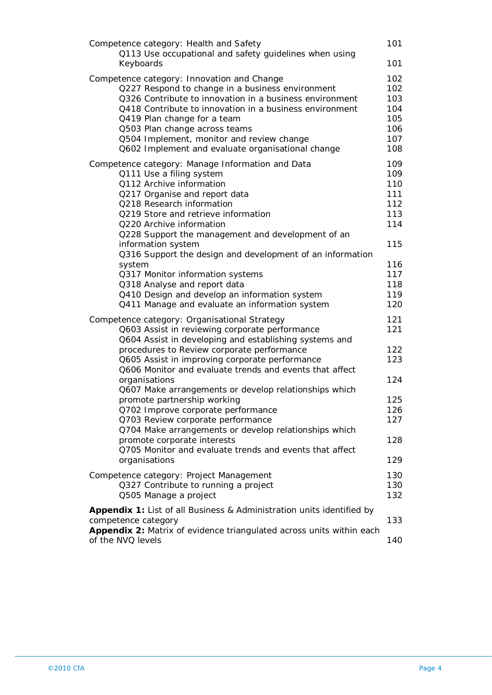| Competence category: Health and Safety                                | 101 |
|-----------------------------------------------------------------------|-----|
| Q113 Use occupational and safety guidelines when using                |     |
| Keyboards                                                             | 101 |
| Competence category: Innovation and Change                            | 102 |
| Q227 Respond to change in a business environment                      | 102 |
| Q326 Contribute to innovation in a business environment               | 103 |
| Q418 Contribute to innovation in a business environment               | 104 |
| Q419 Plan change for a team                                           | 105 |
| Q503 Plan change across teams                                         | 106 |
| Q504 Implement, monitor and review change                             | 107 |
| Q602 Implement and evaluate organisational change                     | 108 |
| Competence category: Manage Information and Data                      | 109 |
| Q111 Use a filing system                                              | 109 |
| Q112 Archive information                                              | 110 |
| Q217 Organise and report data                                         | 111 |
| Q218 Research information                                             | 112 |
| Q219 Store and retrieve information                                   | 113 |
| Q220 Archive information                                              | 114 |
| Q228 Support the management and development of an                     |     |
| information system                                                    | 115 |
| Q316 Support the design and development of an information             |     |
| system                                                                | 116 |
| Q317 Monitor information systems                                      | 117 |
| Q318 Analyse and report data                                          | 118 |
| Q410 Design and develop an information system                         | 119 |
| Q411 Manage and evaluate an information system                        | 120 |
| Competence category: Organisational Strategy                          | 121 |
| Q603 Assist in reviewing corporate performance                        | 121 |
| Q604 Assist in developing and establishing systems and                |     |
| procedures to Review corporate performance                            | 122 |
| Q605 Assist in improving corporate performance                        | 123 |
| Q606 Monitor and evaluate trends and events that affect               |     |
| organisations                                                         | 124 |
| Q607 Make arrangements or develop relationships which                 |     |
| promote partnership working                                           | 125 |
| Q702 Improve corporate performance                                    | 126 |
| Q703 Review corporate performance                                     | 127 |
| Q704 Make arrangements or develop relationships which                 |     |
| promote corporate interests                                           | 128 |
| Q705 Monitor and evaluate trends and events that affect               |     |
| organisations                                                         | 129 |
| Competence category: Project Management                               | 130 |
| Q327 Contribute to running a project                                  | 130 |
| Q505 Manage a project                                                 | 132 |
|                                                                       |     |
| Appendix 1: List of all Business & Administration units identified by |     |
| competence category                                                   | 133 |
| Appendix 2: Matrix of evidence triangulated across units within each  |     |
| of the NVQ levels                                                     | 140 |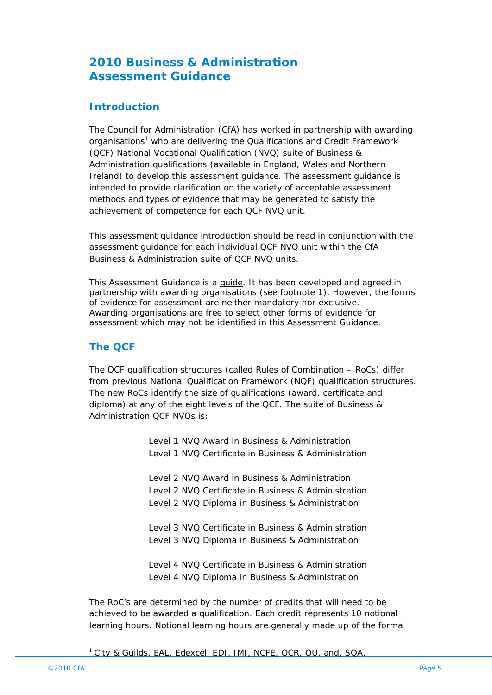## **2010 Business & Administration Assessment Guidance**

### **Introduction**

The Council for Administration (CfA) has worked in partnership with awarding organisations<sup>1</sup> who are delivering the Qualifications and Credit Framework (QCF) National Vocational Qualification (NVQ) suite of Business & Administration qualifications (available in England, Wales and Northern Ireland) to develop this assessment guidance. The assessment guidance is intended to provide clarification on the variety of acceptable assessment methods and types of evidence that may be generated to satisfy the achievement of competence for each QCF NVQ unit.

This assessment guidance introduction should be read in conjunction with the assessment guidance for each individual QCF NVQ unit within the CfA Business & Administration suite of QCF NVQ units.

This Assessment Guidance is a guide. It has been developed and agreed in partnership with awarding organisations (see footnote 1). However, the forms of evidence for assessment are neither mandatory nor exclusive. Awarding organisations are free to select other forms of evidence for assessment which may not be identified in this Assessment Guidance.

### **The QCF**

The QCF qualification structures (called Rules of Combination – RoCs) differ from previous National Qualification Framework (NQF) qualification structures. The new RoCs identify the size of qualifications (award, certificate and diploma) at any of the eight levels of the QCF. The suite of Business & Administration QCF NVQs is:

> Level 1 NVQ Award in Business & Administration Level 1 NVQ Certificate in Business & Administration

> Level 2 NVQ Award in Business & Administration Level 2 NVQ Certificate in Business & Administration

- Level 2 NVQ Diploma in Business & Administration
- Level 3 NVQ Certificate in Business & Administration Level 3 NVQ Diploma in Business & Administration

Level 4 NVQ Certificate in Business & Administration Level 4 NVQ Diploma in Business & Administration

The RoC's are determined by the number of credits that will need to be achieved to be awarded a qualification. Each credit represents 10 notional learning hours. Notional learning hours are generally made up of the formal

#### <sup>1</sup> City & Guilds, EAL, Edexcel, EDI, IMI, NCFE, OCR, OU, and, SQA.

 $\overline{a}$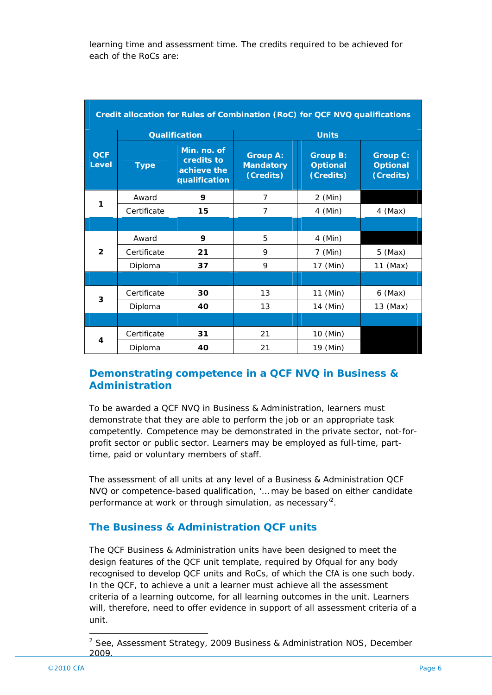learning time and assessment time. The credits required to be achieved for each of the RoCs are:

| Credit allocation for Rules of Combination (RoC) for QCF NVQ qualifications |             |                                                           |                                                  |                                                 |                                                 |  |
|-----------------------------------------------------------------------------|-------------|-----------------------------------------------------------|--------------------------------------------------|-------------------------------------------------|-------------------------------------------------|--|
|                                                                             |             | <b>Qualification</b>                                      | <b>Units</b>                                     |                                                 |                                                 |  |
| <b>QCF</b><br><b>Level</b>                                                  | <b>Type</b> | Min. no. of<br>credits to<br>achieve the<br>qualification | <b>Group A:</b><br><b>Mandatory</b><br>(Credits) | <b>Group B:</b><br><b>Optional</b><br>(Credits) | <b>Group C:</b><br><b>Optional</b><br>(Credits) |  |
| 1                                                                           | Award       | 9                                                         | 7                                                | 2 (Min)                                         |                                                 |  |
|                                                                             | Certificate | 15                                                        | $\overline{7}$                                   | 4 (Min)                                         | $4$ (Max)                                       |  |
|                                                                             |             |                                                           |                                                  |                                                 |                                                 |  |
|                                                                             | Award       | 9                                                         | 5                                                | $4$ (Min)                                       |                                                 |  |
| $\overline{2}$                                                              | Certificate | 21                                                        | 9                                                | 7 (Min)                                         | $5$ (Max)                                       |  |
|                                                                             | Diploma     | 37                                                        | 9                                                | 17 (Min)                                        | $11$ (Max)                                      |  |
|                                                                             |             |                                                           |                                                  |                                                 |                                                 |  |
|                                                                             | Certificate | 30                                                        | 13                                               | 11 (Min)                                        | $6$ (Max)                                       |  |
| 3                                                                           | Diploma     | 40                                                        | 13                                               | 14 (Min)                                        | 13 (Max)                                        |  |
|                                                                             |             |                                                           |                                                  |                                                 |                                                 |  |
|                                                                             | Certificate | 31                                                        | 21                                               | 10 (Min)                                        |                                                 |  |
| 4                                                                           | Diploma     | 40                                                        | 21                                               | 19 (Min)                                        |                                                 |  |

### **Demonstrating competence in a QCF NVQ in Business & Administration**

To be awarded a QCF NVQ in Business & Administration, learners must demonstrate that they are able to perform the job or an appropriate task competently. Competence may be demonstrated in the private sector, not-forprofit sector or public sector. Learners may be employed as full-time, parttime, paid or voluntary members of staff.

The assessment of all units at any level of a Business & Administration QCF NVQ or competence-based qualification, '… may be based on either candidate performance at work or through simulation, as necessary<sup>2</sup>.

### **The Business & Administration QCF units**

The QCF Business & Administration units have been designed to meet the design features of the QCF unit template, required by Ofqual for any body recognised to develop QCF units and RoCs, of which the CfA is one such body. In the QCF, to achieve a unit a learner must achieve all the assessment criteria of a learning outcome, for all learning outcomes in the unit. Learners will, therefore, need to offer evidence in support of all assessment criteria of a unit.

 $\overline{a}$ 

<sup>2</sup> See, Assessment Strategy, 2009 Business & Administration NOS, December 2009.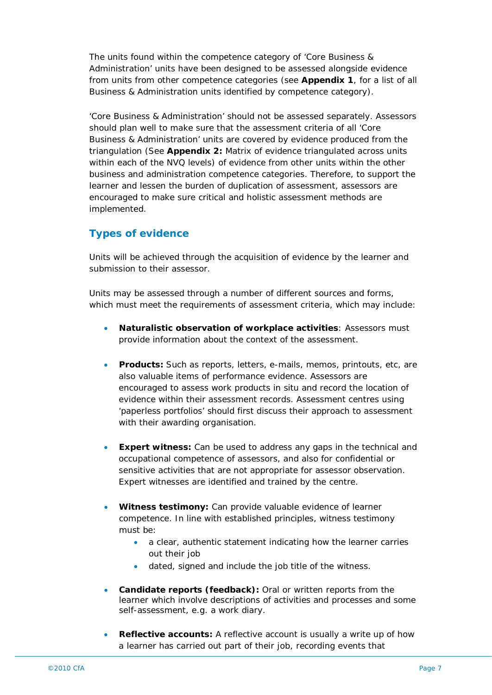The units found within the competence category of 'Core Business & Administration' units have been designed to be assessed alongside evidence from units from other competence categories (see **Appendix 1**, for a list of all Business & Administration units identified by competence category).

'Core Business & Administration' should not be assessed separately. Assessors should plan well to make sure that the assessment criteria of all 'Core Business & Administration' units are covered by evidence produced from the triangulation (See **Appendix 2:** Matrix of evidence triangulated across units within each of the NVQ levels) of evidence from other units within the other business and administration competence categories. Therefore, to support the learner and lessen the burden of duplication of assessment, assessors are encouraged to make sure critical and holistic assessment methods are implemented.

### **Types of evidence**

Units will be achieved through the acquisition of evidence by the learner and submission to their assessor.

Units may be assessed through a number of different sources and forms, which must meet the requirements of assessment criteria, which may include:

- **Naturalistic observation of workplace activities***:* Assessors must provide information about the context of the assessment.
- **Products***:* Such as reports, letters, e-mails, memos, printouts, etc, are also valuable items of performance evidence. Assessors are encouraged to assess work products in situ and record the location of evidence within their assessment records. Assessment centres using 'paperless portfolios' should first discuss their approach to assessment with their awarding organisation.
- **Expert witness:** Can be used to address any gaps in the technical and occupational competence of assessors, and also for confidential or sensitive activities that are not appropriate for assessor observation. Expert witnesses are identified and trained by the centre.
- **Witness testimony***:* Can provide valuable evidence of learner competence. In line with established principles, witness testimony must be:
	- a clear, authentic statement indicating how the learner carries out their job
	- dated, signed and include the job title of the witness.
- **Candidate reports (feedback***)***:** Oral or written reports from the learner which involve descriptions of activities and processes and some self-assessment, e.g. a work diary.
- **Reflective accounts:** A reflective account is usually a write up of how a learner has carried out part of their job, recording events that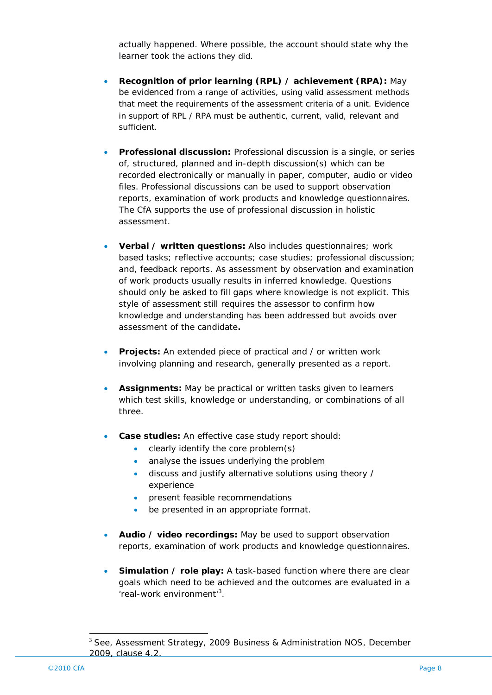actually happened. Where possible, the account should state why the learner took the actions they did.

- **Recognition of prior learning (RPL) / achievement (RPA***)***:** May be evidenced from a range of activities, using valid assessment methods that meet the requirements of the assessment criteria of a unit. Evidence in support of RPL / RPA must be authentic, current, valid, relevant and sufficient.
- **Professional discussion***:* Professional discussion is a single, or series of, structured, planned and in-depth discussion(s) which can be recorded electronically or manually in paper, computer, audio or video files. Professional discussions can be used to support observation reports, examination of work products and knowledge questionnaires. The CfA supports the use of professional discussion in holistic assessment.
- **Verbal / written questions***:* Also includes questionnaires; work based tasks; reflective accounts; case studies; professional discussion; and, feedback reports. As assessment by observation and examination of work products usually results in inferred knowledge. Questions should only be asked to fill gaps where knowledge is not explicit. This style of assessment still requires the assessor to confirm how knowledge and understanding has been addressed but avoids over assessment of the candidate**.**
- **Projects:** An extended piece of practical and / or written work involving planning and research, generally presented as a report.
- **Assignments:** May be practical or written tasks given to learners which test skills, knowledge or understanding, or combinations of all three.
- **Case studies:** An effective case study report should:
	- clearly identify the core problem(s)
	- analyse the issues underlying the problem
	- discuss and justify alternative solutions using theory / experience
	- **•** present feasible recommendations
	- be presented in an appropriate format.
- **Audio / video recordings***:* May be used to support observation reports, examination of work products and knowledge questionnaires.
- **Simulation / role play:** A task-based function where there are clear goals which need to be achieved and the outcomes are evaluated in a 'real-work environment'<sup>3</sup>.

 $\overline{a}$ 

<sup>&</sup>lt;sup>3</sup> See, Assessment Strategy, 2009 Business & Administration NOS, December 2009, clause 4.2.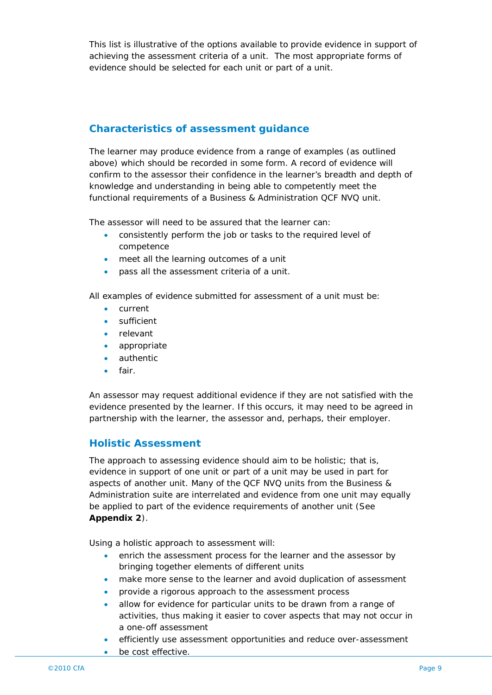This list is illustrative of the options available to provide evidence in support of achieving the assessment criteria of a unit. The most appropriate forms of evidence should be selected for each unit or part of a unit.

## **Characteristics of assessment guidance**

The learner may produce evidence from a range of examples (as outlined above) which should be recorded in some form. A record of evidence will confirm to the assessor their confidence in the learner's breadth and depth of knowledge and understanding in being able to competently meet the functional requirements of a Business & Administration QCF NVQ unit.

The assessor will need to be assured that the learner can:

- consistently perform the job or tasks to the required level of competence
- meet all the learning outcomes of a unit
- pass all the assessment criteria of a unit.

All examples of evidence submitted for assessment of a unit must be:

- current
- sufficient
- relevant
- appropriate
- authentic
- fair.

An assessor may request additional evidence if they are not satisfied with the evidence presented by the learner. If this occurs, it may need to be agreed in partnership with the learner, the assessor and, perhaps, their employer.

### **Holistic Assessment**

The approach to assessing evidence should aim to be holistic; that is, evidence in support of one unit or part of a unit may be used in part for aspects of another unit. Many of the QCF NVQ units from the Business & Administration suite are interrelated and evidence from one unit may equally be applied to part of the evidence requirements of another unit (See **Appendix 2**).

Using a holistic approach to assessment will:

- enrich the assessment process for the learner and the assessor by bringing together elements of different units
- make more sense to the learner and avoid duplication of assessment
- provide a rigorous approach to the assessment process
- allow for evidence for particular units to be drawn from a range of activities, thus making it easier to cover aspects that may not occur in a one-off assessment
- efficiently use assessment opportunities and reduce over-assessment
- be cost effective.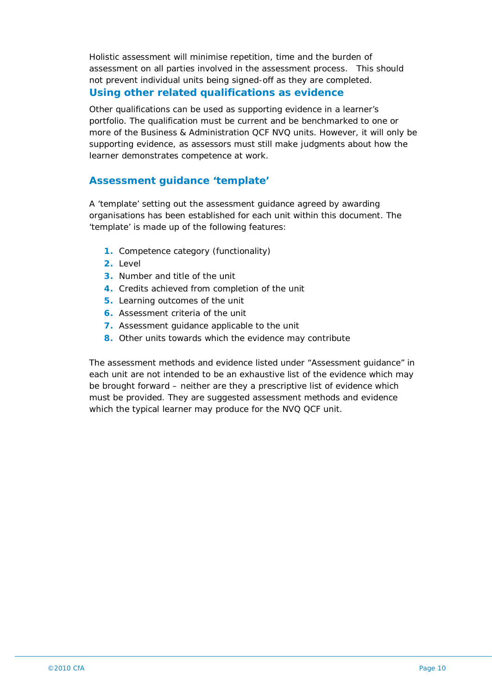Holistic assessment will minimise repetition, time and the burden of assessment on all parties involved in the assessment process. This should not prevent individual units being signed-off as they are completed. **Using other related qualifications as evidence**

Other qualifications can be used as supporting evidence in a learner's portfolio. The qualification must be current and be benchmarked to one or more of the Business & Administration QCF NVQ units. However, it will only be supporting evidence, as assessors must still make judgments about how the learner demonstrates competence at work.

#### **Assessment guidance 'template'**

A 'template' setting out the assessment guidance agreed by awarding organisations has been established for each unit within this document. The 'template' is made up of the following features:

- **1.** Competence category (functionality)
- **2.** Level
- **3.** Number and title of the unit
- **4.** Credits achieved from completion of the unit
- **5.** Learning outcomes of the unit
- **6.** Assessment criteria of the unit
- **7.** Assessment guidance applicable to the unit
- **8.** Other units towards which the evidence may contribute

The assessment methods and evidence listed under "Assessment guidance" in each unit are not intended to be an exhaustive list of the evidence which may be brought forward – neither are they a prescriptive list of evidence which must be provided. They are suggested assessment methods and evidence which the typical learner may produce for the NVQ QCF unit.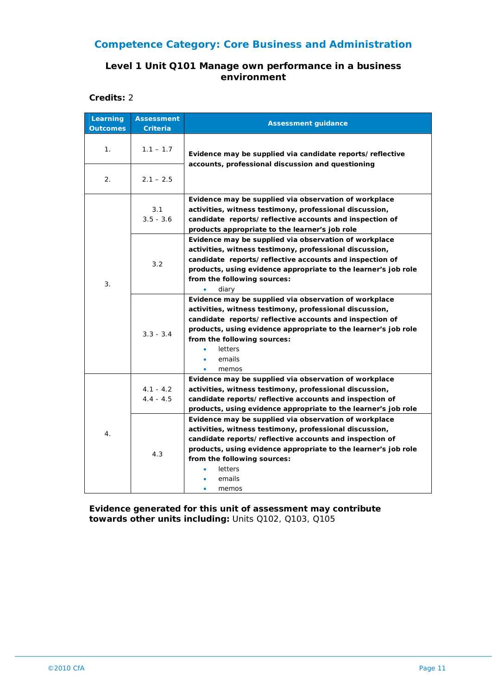#### **Level 1 Unit Q101 Manage own performance in a business environment**

**Credits:** 2

| Learning<br><b>Outcomes</b> | <b>Assessment</b><br><b>Criteria</b> | <b>Assessment guidance</b>                                                                                                                                                                                                                                                                                      |
|-----------------------------|--------------------------------------|-----------------------------------------------------------------------------------------------------------------------------------------------------------------------------------------------------------------------------------------------------------------------------------------------------------------|
| 1.                          | $1.1 - 1.7$                          | Evidence may be supplied via candidate reports/reflective                                                                                                                                                                                                                                                       |
| 2.                          | $2.1 - 2.5$                          | accounts, professional discussion and questioning                                                                                                                                                                                                                                                               |
|                             | 3.1<br>$3.5 - 3.6$                   | Evidence may be supplied via observation of workplace<br>activities, witness testimony, professional discussion,<br>candidate reports/reflective accounts and inspection of<br>products appropriate to the learner's job role                                                                                   |
| 3.                          | 3.2                                  | Evidence may be supplied via observation of workplace<br>activities, witness testimony, professional discussion,<br>candidate reports/reflective accounts and inspection of<br>products, using evidence appropriate to the learner's job role<br>from the following sources:<br>diary                           |
|                             | $3.3 - 3.4$                          | Evidence may be supplied via observation of workplace<br>activities, witness testimony, professional discussion,<br>candidate reports/reflective accounts and inspection of<br>products, using evidence appropriate to the learner's job role<br>from the following sources:<br>letters<br>emails<br>memos<br>۰ |
|                             | $4.1 - 4.2$<br>$4.4 - 4.5$           | Evidence may be supplied via observation of workplace<br>activities, witness testimony, professional discussion,<br>candidate reports/reflective accounts and inspection of<br>products, using evidence appropriate to the learner's job role                                                                   |
| 4.                          | 4.3                                  | Evidence may be supplied via observation of workplace<br>activities, witness testimony, professional discussion,<br>candidate reports/reflective accounts and inspection of<br>products, using evidence appropriate to the learner's job role<br>from the following sources:<br>letters<br>emails<br>memos      |

**Evidence generated for this unit of assessment may contribute towards other units including:** Units Q102, Q103, Q105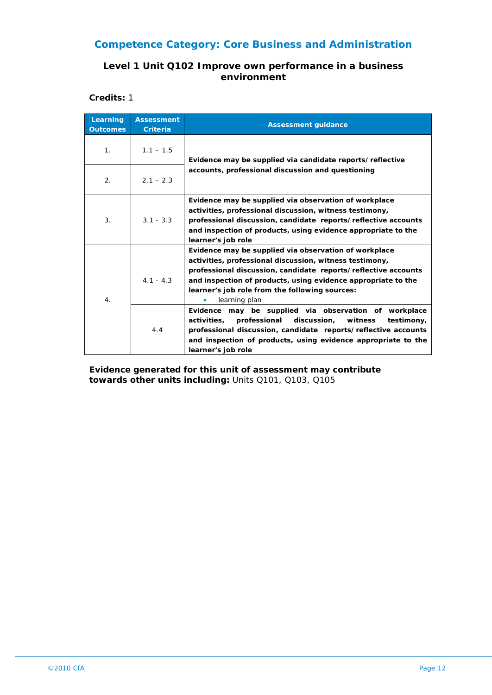#### **Level 1 Unit Q102 Improve own performance in a business environment**

**Credits:** 1

| Learning<br><b>Outcomes</b> | <b>Assessment</b><br><b>Criteria</b> | <b>Assessment guidance</b>                                                                                                                                                                                                                                                                                                                                                                                                                                                                                                                                                                     |
|-----------------------------|--------------------------------------|------------------------------------------------------------------------------------------------------------------------------------------------------------------------------------------------------------------------------------------------------------------------------------------------------------------------------------------------------------------------------------------------------------------------------------------------------------------------------------------------------------------------------------------------------------------------------------------------|
| 1 <sub>1</sub>              | $1.1 - 1.5$                          | Evidence may be supplied via candidate reports/reflective                                                                                                                                                                                                                                                                                                                                                                                                                                                                                                                                      |
| 2.                          | $2.1 - 2.3$                          | accounts, professional discussion and questioning                                                                                                                                                                                                                                                                                                                                                                                                                                                                                                                                              |
| 3.                          | $3.1 - 3.3$                          | Evidence may be supplied via observation of workplace<br>activities, professional discussion, witness testimony,<br>professional discussion, candidate reports/reflective accounts<br>and inspection of products, using evidence appropriate to the<br>learner's job role                                                                                                                                                                                                                                                                                                                      |
| 4.                          | $4.1 - 4.3$<br>4.4                   | Evidence may be supplied via observation of workplace<br>activities, professional discussion, witness testimony,<br>professional discussion, candidate reports/reflective accounts<br>and inspection of products, using evidence appropriate to the<br>learner's job role from the following sources:<br>learning plan<br>٠<br>Evidence may be supplied via observation of workplace<br>professional<br>discussion,<br>activities,<br>witness<br>testimony,<br>professional discussion, candidate reports/reflective accounts<br>and inspection of products, using evidence appropriate to the |

**Evidence generated for this unit of assessment may contribute towards other units including:** Units Q101, Q103, Q105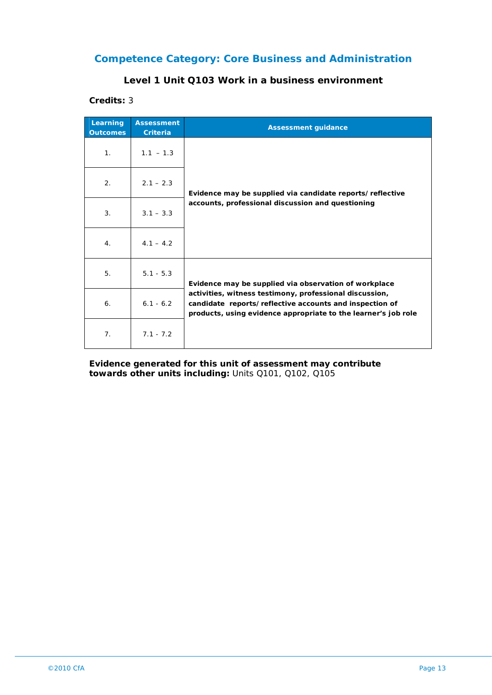#### **Level 1 Unit Q103 Work in a business environment**

#### **Credits:** 3

| Learning<br><b>Outcomes</b> | <b>Assessment</b><br><b>Criteria</b> | <b>Assessment guidance</b>                                                                                                                                                                                                                    |
|-----------------------------|--------------------------------------|-----------------------------------------------------------------------------------------------------------------------------------------------------------------------------------------------------------------------------------------------|
| 1 <sub>1</sub>              | $1.1 - 1.3$                          | Evidence may be supplied via candidate reports/reflective<br>accounts, professional discussion and questioning                                                                                                                                |
| 2.                          | $2.1 - 2.3$                          |                                                                                                                                                                                                                                               |
| 3.                          | $3.1 - 3.3$                          |                                                                                                                                                                                                                                               |
| 4.                          | $4.1 - 4.2$                          |                                                                                                                                                                                                                                               |
| 5.                          | $5.1 - 5.3$                          | Evidence may be supplied via observation of workplace<br>activities, witness testimony, professional discussion,<br>candidate reports/reflective accounts and inspection of<br>products, using evidence appropriate to the learner's job role |
| 6.                          | $6.1 - 6.2$                          |                                                                                                                                                                                                                                               |
| 7 <sub>1</sub>              | $7.1 - 7.2$                          |                                                                                                                                                                                                                                               |

**Evidence generated for this unit of assessment may contribute towards other units including:** Units Q101, Q102, Q105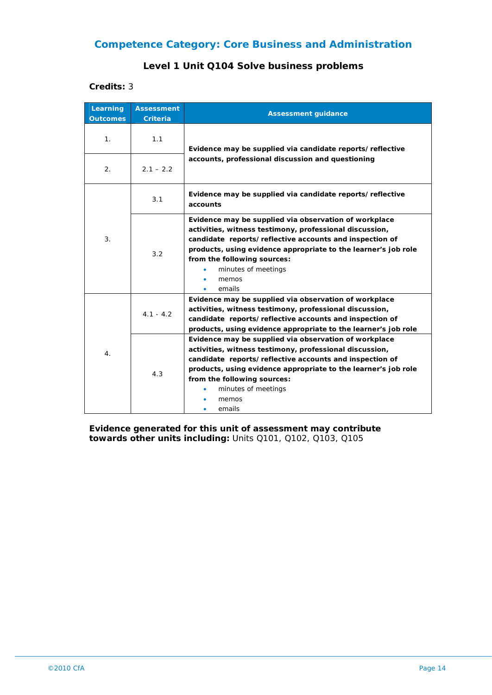## **Level 1 Unit Q104 Solve business problems**

#### **Credits:** 3

| Learning<br><b>Outcomes</b> | <b>Assessment</b><br><b>Criteria</b> | <b>Assessment guidance</b>                                                                                                                                                                                                                                                                                             |
|-----------------------------|--------------------------------------|------------------------------------------------------------------------------------------------------------------------------------------------------------------------------------------------------------------------------------------------------------------------------------------------------------------------|
| 1.                          | 1.1                                  | Evidence may be supplied via candidate reports/reflective                                                                                                                                                                                                                                                              |
| 2.                          | $2.1 - 2.2$                          | accounts, professional discussion and questioning                                                                                                                                                                                                                                                                      |
|                             | 3.1                                  | Evidence may be supplied via candidate reports/reflective<br>accounts                                                                                                                                                                                                                                                  |
| 3.                          | 3.2                                  | Evidence may be supplied via observation of workplace<br>activities, witness testimony, professional discussion,<br>candidate reports/reflective accounts and inspection of<br>products, using evidence appropriate to the learner's job role<br>from the following sources:<br>minutes of meetings<br>memos<br>emails |
| 4.                          | $4.1 - 4.2$                          | Evidence may be supplied via observation of workplace<br>activities, witness testimony, professional discussion,<br>candidate reports/reflective accounts and inspection of<br>products, using evidence appropriate to the learner's job role                                                                          |
|                             | 4.3                                  | Evidence may be supplied via observation of workplace<br>activities, witness testimony, professional discussion,<br>candidate reports/reflective accounts and inspection of<br>products, using evidence appropriate to the learner's job role<br>from the following sources:<br>minutes of meetings<br>memos<br>emails |

**Evidence generated for this unit of assessment may contribute towards other units including:** Units Q101, Q102, Q103, Q105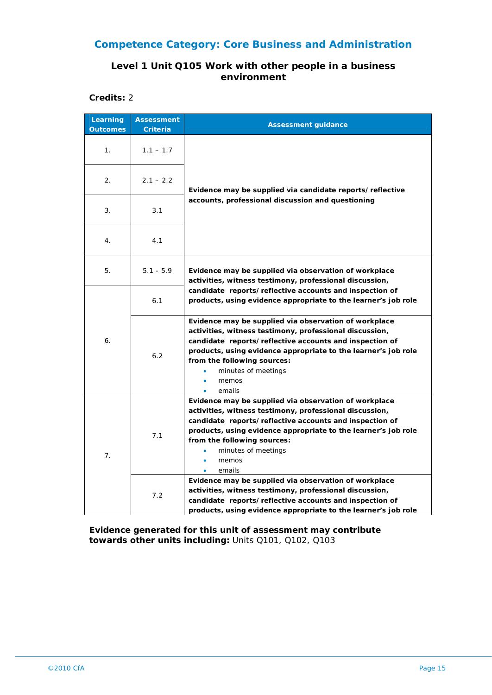#### **Level 1 Unit Q105 Work with other people in a business environment**

**Credits:** 2

| Learning<br><b>Outcomes</b>                                                     | <b>Assessment</b><br><b>Criteria</b>                                                                                                                                                                                                                    | <b>Assessment guidance</b>                                                                                                                                                                                                                                                                                                                                                      |  |
|---------------------------------------------------------------------------------|---------------------------------------------------------------------------------------------------------------------------------------------------------------------------------------------------------------------------------------------------------|---------------------------------------------------------------------------------------------------------------------------------------------------------------------------------------------------------------------------------------------------------------------------------------------------------------------------------------------------------------------------------|--|
| 1.                                                                              | $1.1 - 1.7$                                                                                                                                                                                                                                             |                                                                                                                                                                                                                                                                                                                                                                                 |  |
| 2.                                                                              | $2.1 - 2.2$                                                                                                                                                                                                                                             | Evidence may be supplied via candidate reports/reflective                                                                                                                                                                                                                                                                                                                       |  |
| 3.                                                                              | 3.1                                                                                                                                                                                                                                                     | accounts, professional discussion and questioning                                                                                                                                                                                                                                                                                                                               |  |
| 4.                                                                              | 4.1                                                                                                                                                                                                                                                     |                                                                                                                                                                                                                                                                                                                                                                                 |  |
| 5.                                                                              | $5.1 - 5.9$                                                                                                                                                                                                                                             | Evidence may be supplied via observation of workplace<br>activities, witness testimony, professional discussion,                                                                                                                                                                                                                                                                |  |
| 6.1<br>6.<br>6.2<br>from the following sources:<br>minutes of meetings<br>memos |                                                                                                                                                                                                                                                         | candidate reports/reflective accounts and inspection of<br>products, using evidence appropriate to the learner's job role                                                                                                                                                                                                                                                       |  |
|                                                                                 | Evidence may be supplied via observation of workplace<br>activities, witness testimony, professional discussion,<br>candidate reports/reflective accounts and inspection of<br>products, using evidence appropriate to the learner's job role<br>emails |                                                                                                                                                                                                                                                                                                                                                                                 |  |
| 7.                                                                              | 7.1                                                                                                                                                                                                                                                     | Evidence may be supplied via observation of workplace<br>activities, witness testimony, professional discussion,<br>candidate reports/reflective accounts and inspection of<br>products, using evidence appropriate to the learner's job role<br>from the following sources:<br>minutes of meetings<br>memos<br>emails<br>Evidence may be supplied via observation of workplace |  |
|                                                                                 | 7.2                                                                                                                                                                                                                                                     | activities, witness testimony, professional discussion,<br>candidate reports/reflective accounts and inspection of<br>products, using evidence appropriate to the learner's job role                                                                                                                                                                                            |  |

**Evidence generated for this unit of assessment may contribute towards other units including:** Units Q101, Q102, Q103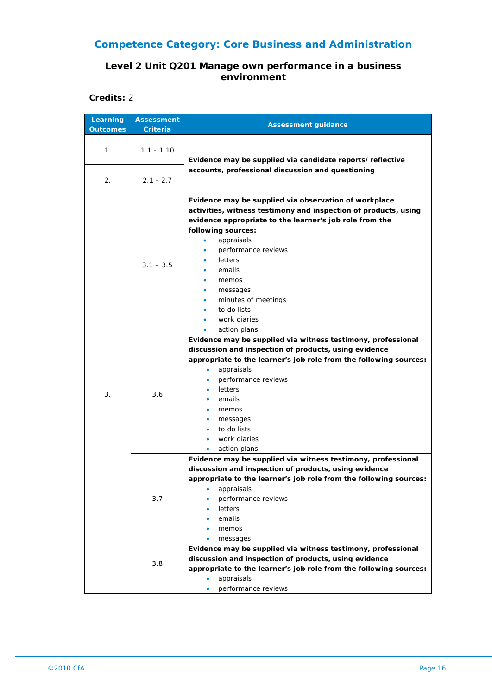#### **Level 2 Unit Q201 Manage own performance in a business environment**

**Credits:** 2

| Learning<br><b>Outcomes</b> | <b>Assessment</b><br>Criteria | <b>Assessment guidance</b>                                                                                                                                                                                                                                                                                                                                                    |
|-----------------------------|-------------------------------|-------------------------------------------------------------------------------------------------------------------------------------------------------------------------------------------------------------------------------------------------------------------------------------------------------------------------------------------------------------------------------|
| 1.                          | $1.1 - 1.10$                  | Evidence may be supplied via candidate reports/reflective                                                                                                                                                                                                                                                                                                                     |
| 2.                          | $2.1 - 2.7$                   | accounts, professional discussion and questioning                                                                                                                                                                                                                                                                                                                             |
|                             | $3.1 - 3.5$                   | Evidence may be supplied via observation of workplace<br>activities, witness testimony and inspection of products, using<br>evidence appropriate to the learner's job role from the<br>following sources:<br>appraisals<br>٠<br>performance reviews<br>۰<br>letters<br>emails<br>memos<br>messages<br>minutes of meetings<br>to do lists<br>work diaries<br>action plans<br>٠ |
| 3.                          | 3.6                           | Evidence may be supplied via witness testimony, professional<br>discussion and inspection of products, using evidence<br>appropriate to the learner's job role from the following sources:<br>appraisals<br>$\bullet$<br>performance reviews<br>letters<br>emails<br>memos<br>messages<br>to do lists<br>work diaries<br>action plans<br>۰                                    |
|                             | 3.7                           | Evidence may be supplied via witness testimony, professional<br>discussion and inspection of products, using evidence<br>appropriate to the learner's job role from the following sources:<br>appraisals<br>performance reviews<br>letters<br>emails<br>memos<br>messages<br>Evidence may be supplied via witness testimony, professional                                     |
|                             | 3.8                           | discussion and inspection of products, using evidence<br>appropriate to the learner's job role from the following sources:<br>appraisals<br>performance reviews                                                                                                                                                                                                               |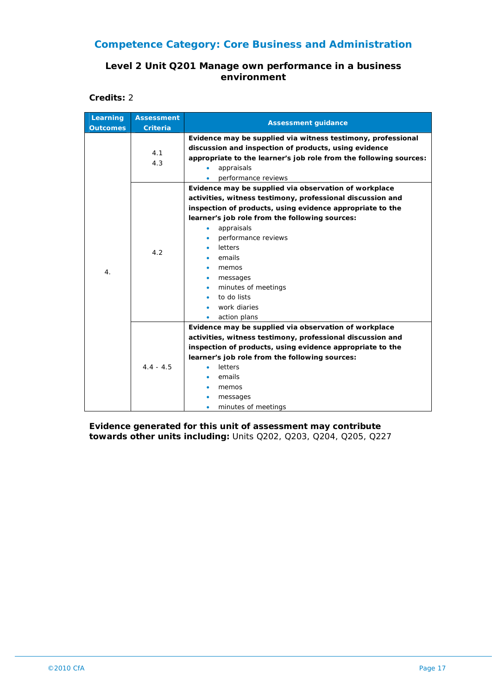#### **Level 2 Unit Q201 Manage own performance in a business environment**

**Credits:** 2

| Learning<br><b>Outcomes</b> | <b>Assessment</b><br><b>Criteria</b> | <b>Assessment guidance</b>                                                                                                                                                                                                                                                                                                                                                                |
|-----------------------------|--------------------------------------|-------------------------------------------------------------------------------------------------------------------------------------------------------------------------------------------------------------------------------------------------------------------------------------------------------------------------------------------------------------------------------------------|
|                             | 4.1<br>4.3                           | Evidence may be supplied via witness testimony, professional<br>discussion and inspection of products, using evidence<br>appropriate to the learner's job role from the following sources:<br>appraisals<br>٠<br>performance reviews                                                                                                                                                      |
| 4.                          | 4.2                                  | Evidence may be supplied via observation of workplace<br>activities, witness testimony, professional discussion and<br>inspection of products, using evidence appropriate to the<br>learner's job role from the following sources:<br>appraisals<br>$\bullet$<br>performance reviews<br>letters<br>emails<br>memos<br>messages<br>۰<br>minutes of meetings<br>to do lists<br>work diaries |
|                             | $4.4 - 4.5$                          | action plans<br>٠<br>Evidence may be supplied via observation of workplace<br>activities, witness testimony, professional discussion and<br>inspection of products, using evidence appropriate to the<br>learner's job role from the following sources:<br>letters<br>٠<br>emails<br>memos<br>messages<br>minutes of meetings                                                             |

**Evidence generated for this unit of assessment may contribute towards other units including:** Units Q202, Q203, Q204, Q205, Q227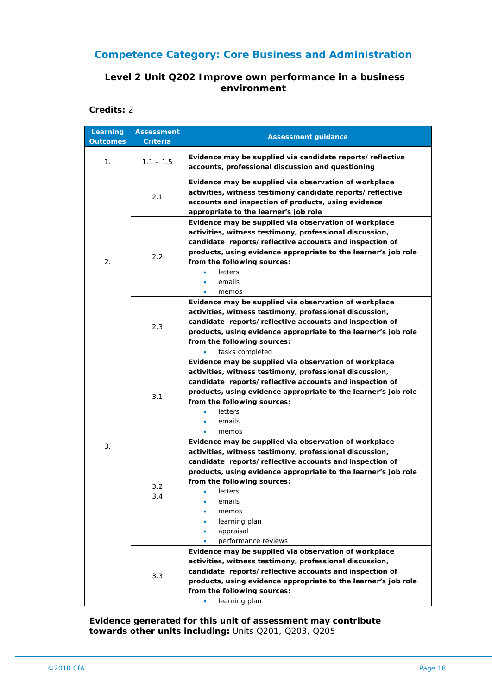### **Level 2 Unit Q202 Improve own performance in a business environment**

#### **Credits:** 2

| Learning<br><b>Outcomes</b> | <b>Assessment</b><br>Criteria | <b>Assessment guidance</b>                                                                                                                                                                                                                                                                                                                                      |
|-----------------------------|-------------------------------|-----------------------------------------------------------------------------------------------------------------------------------------------------------------------------------------------------------------------------------------------------------------------------------------------------------------------------------------------------------------|
| 1.                          | $1.1 - 1.5$                   | Evidence may be supplied via candidate reports/reflective<br>accounts, professional discussion and questioning                                                                                                                                                                                                                                                  |
|                             | 2.1                           | Evidence may be supplied via observation of workplace<br>activities, witness testimony candidate reports/reflective<br>accounts and inspection of products, using evidence<br>appropriate to the learner's job role                                                                                                                                             |
| 2.                          | 2.2                           | Evidence may be supplied via observation of workplace<br>activities, witness testimony, professional discussion,<br>candidate reports/reflective accounts and inspection of<br>products, using evidence appropriate to the learner's job role<br>from the following sources:<br>letters<br>emails<br>memos                                                      |
|                             | 2.3                           | Evidence may be supplied via observation of workplace<br>activities, witness testimony, professional discussion,<br>candidate reports/reflective accounts and inspection of<br>products, using evidence appropriate to the learner's job role<br>from the following sources:<br>tasks completed<br>۰                                                            |
|                             | 3.1                           | Evidence may be supplied via observation of workplace<br>activities, witness testimony, professional discussion,<br>candidate reports/reflective accounts and inspection of<br>products, using evidence appropriate to the learner's job role<br>from the following sources:<br>letters<br>emails<br>memos<br>٠                                                 |
| 3.                          | 3.2<br>3.4                    | Evidence may be supplied via observation of workplace<br>activities, witness testimony, professional discussion,<br>candidate reports/reflective accounts and inspection of<br>products, using evidence appropriate to the learner's job role<br>from the following sources:<br>letters<br>emails<br>memos<br>learning plan<br>appraisal<br>performance reviews |
|                             | 3.3                           | Evidence may be supplied via observation of workplace<br>activities, witness testimony, professional discussion,<br>candidate reports/reflective accounts and inspection of<br>products, using evidence appropriate to the learner's job role<br>from the following sources:<br>learning plan<br>۰                                                              |

**Evidence generated for this unit of assessment may contribute towards other units including:** Units Q201, Q203, Q205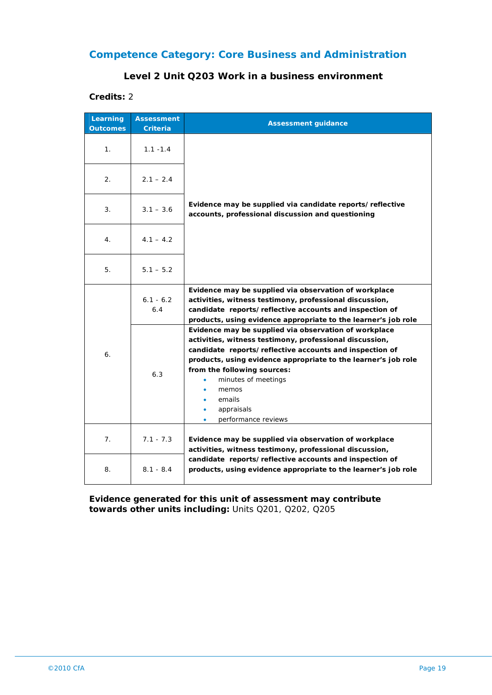#### **Level 2 Unit Q203 Work in a business environment**

#### **Credits:** 2

| Learning<br><b>Outcomes</b> | <b>Assessment</b><br><b>Criteria</b> | <b>Assessment guidance</b>                                                                                                                                                                                                                                                                                                                                            |
|-----------------------------|--------------------------------------|-----------------------------------------------------------------------------------------------------------------------------------------------------------------------------------------------------------------------------------------------------------------------------------------------------------------------------------------------------------------------|
| 1.                          | $1.1 - 1.4$                          |                                                                                                                                                                                                                                                                                                                                                                       |
| 2.                          | $2.1 - 2.4$                          |                                                                                                                                                                                                                                                                                                                                                                       |
| 3.                          | $3.1 - 3.6$                          | Evidence may be supplied via candidate reports/reflective<br>accounts, professional discussion and questioning                                                                                                                                                                                                                                                        |
| 4.                          | $4.1 - 4.2$                          |                                                                                                                                                                                                                                                                                                                                                                       |
| 5.                          | $5.1 - 5.2$                          |                                                                                                                                                                                                                                                                                                                                                                       |
| 6.                          | $6.1 - 6.2$<br>6.4                   | Evidence may be supplied via observation of workplace<br>activities, witness testimony, professional discussion,<br>candidate reports/reflective accounts and inspection of<br>products, using evidence appropriate to the learner's job role                                                                                                                         |
|                             | 6.3                                  | Evidence may be supplied via observation of workplace<br>activities, witness testimony, professional discussion,<br>candidate reports/reflective accounts and inspection of<br>products, using evidence appropriate to the learner's job role<br>from the following sources:<br>minutes of meetings<br>memos<br>emails<br>appraisals<br>۰<br>performance reviews<br>٠ |
| 7.                          | $7.1 - 7.3$                          | Evidence may be supplied via observation of workplace<br>activities, witness testimony, professional discussion,                                                                                                                                                                                                                                                      |
| 8.                          | $8.1 - 8.4$                          | candidate reports/reflective accounts and inspection of<br>products, using evidence appropriate to the learner's job role                                                                                                                                                                                                                                             |

**Evidence generated for this unit of assessment may contribute towards other units including:** Units Q201, Q202, Q205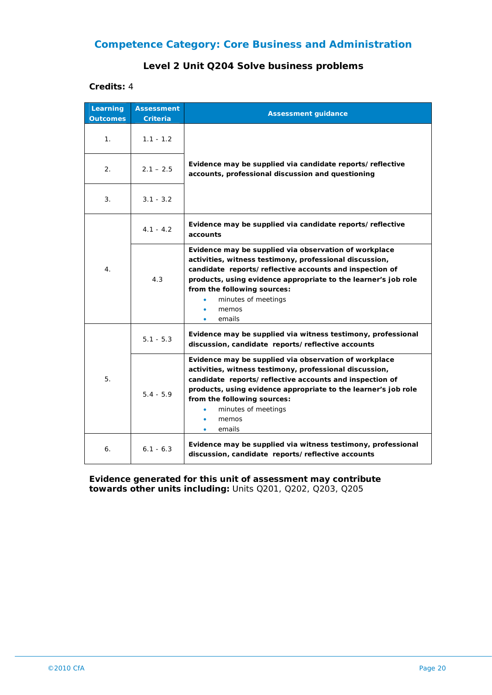#### **Level 2 Unit Q204 Solve business problems**

#### **Credits:** 4

| Learning<br><b>Outcomes</b> | <b>Assessment</b><br><b>Criteria</b> | <b>Assessment guidance</b>                                                                                                                                                                                                                                                                                             |
|-----------------------------|--------------------------------------|------------------------------------------------------------------------------------------------------------------------------------------------------------------------------------------------------------------------------------------------------------------------------------------------------------------------|
| 1.                          | $1.1 - 1.2$                          |                                                                                                                                                                                                                                                                                                                        |
| 2.                          | $2.1 - 2.5$                          | Evidence may be supplied via candidate reports/reflective<br>accounts, professional discussion and questioning                                                                                                                                                                                                         |
| 3.                          | $3.1 - 3.2$                          |                                                                                                                                                                                                                                                                                                                        |
| 4.                          | $4.1 - 4.2$                          | Evidence may be supplied via candidate reports/reflective<br>accounts                                                                                                                                                                                                                                                  |
|                             | 4.3                                  | Evidence may be supplied via observation of workplace<br>activities, witness testimony, professional discussion,<br>candidate reports/reflective accounts and inspection of<br>products, using evidence appropriate to the learner's job role<br>from the following sources:<br>minutes of meetings<br>memos<br>emails |
| 5.                          | $5.1 - 5.3$                          | Evidence may be supplied via witness testimony, professional<br>discussion, candidate reports/reflective accounts                                                                                                                                                                                                      |
|                             | $5.4 - 5.9$                          | Evidence may be supplied via observation of workplace<br>activities, witness testimony, professional discussion,<br>candidate reports/reflective accounts and inspection of<br>products, using evidence appropriate to the learner's job role<br>from the following sources:<br>minutes of meetings<br>memos<br>emails |
| 6.                          | $6.1 - 6.3$                          | Evidence may be supplied via witness testimony, professional<br>discussion, candidate reports/reflective accounts                                                                                                                                                                                                      |

**Evidence generated for this unit of assessment may contribute towards other units including:** Units Q201, Q202, Q203, Q205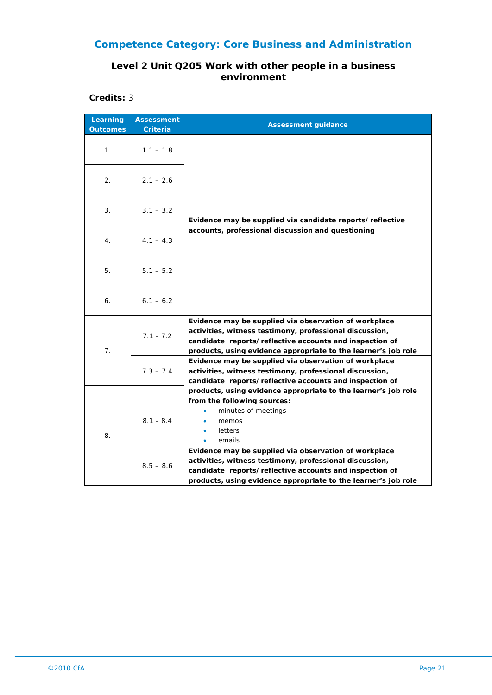#### **Level 2 Unit Q205 Work with other people in a business environment**

**Credits:** 3

| Learning<br><b>Outcomes</b> | <b>Assessment</b><br>Criteria | <b>Assessment guidance</b>                                                                                                                                                                                                                    |
|-----------------------------|-------------------------------|-----------------------------------------------------------------------------------------------------------------------------------------------------------------------------------------------------------------------------------------------|
| 1 <sub>1</sub>              | $1.1 - 1.8$                   |                                                                                                                                                                                                                                               |
| 2.                          | $2.1 - 2.6$                   |                                                                                                                                                                                                                                               |
| 3.                          | $3.1 - 3.2$                   | Evidence may be supplied via candidate reports/reflective                                                                                                                                                                                     |
| 4.                          | $4.1 - 4.3$                   | accounts, professional discussion and questioning                                                                                                                                                                                             |
| 5.                          | $5.1 - 5.2$                   |                                                                                                                                                                                                                                               |
| 6.                          | $6.1 - 6.2$                   |                                                                                                                                                                                                                                               |
| 7.                          | $7.1 - 7.2$                   | Evidence may be supplied via observation of workplace<br>activities, witness testimony, professional discussion,<br>candidate reports/reflective accounts and inspection of<br>products, using evidence appropriate to the learner's job role |
|                             | $7.3 - 7.4$                   | Evidence may be supplied via observation of workplace<br>activities, witness testimony, professional discussion,<br>candidate reports/reflective accounts and inspection of                                                                   |
| 8.                          | $8.1 - 8.4$                   | products, using evidence appropriate to the learner's job role<br>from the following sources:<br>minutes of meetings<br>$\bullet$<br>memos<br>٠<br>letters<br>٠<br>emails<br>٠                                                                |
|                             | $8.5 - 8.6$                   | Evidence may be supplied via observation of workplace<br>activities, witness testimony, professional discussion,<br>candidate reports/reflective accounts and inspection of<br>products, using evidence appropriate to the learner's job role |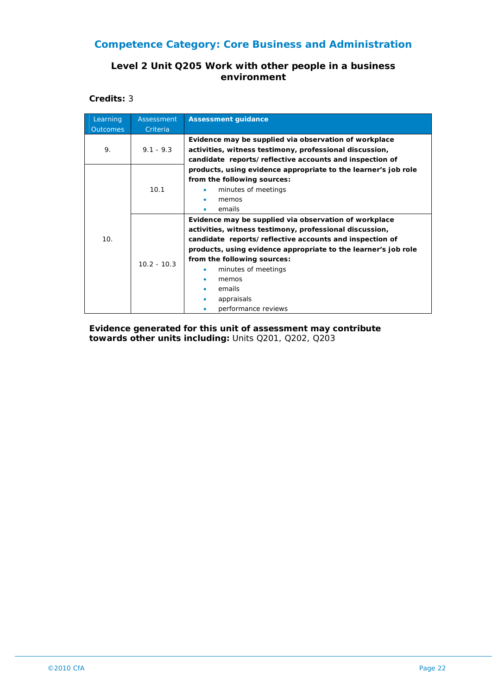### **Level 2 Unit Q205 Work with other people in a business environment**

**Credits:** 3

| Learning        | Assessment    | <b>Assessment guidance</b>                                     |
|-----------------|---------------|----------------------------------------------------------------|
| <b>Outcomes</b> | Criteria      |                                                                |
|                 |               | Evidence may be supplied via observation of workplace          |
| 9.              | $9.1 - 9.3$   | activities, witness testimony, professional discussion,        |
|                 |               | candidate reports/reflective accounts and inspection of        |
|                 |               | products, using evidence appropriate to the learner's job role |
|                 |               | from the following sources:                                    |
|                 | 10.1          | minutes of meetings                                            |
|                 |               | memos                                                          |
|                 |               | emails                                                         |
|                 | $10.2 - 10.3$ | Evidence may be supplied via observation of workplace          |
|                 |               | activities, witness testimony, professional discussion,        |
| 10.             |               | candidate reports/reflective accounts and inspection of        |
|                 |               | products, using evidence appropriate to the learner's job role |
|                 |               | from the following sources:                                    |
|                 |               | minutes of meetings                                            |
|                 |               | memos                                                          |
|                 |               | emails                                                         |
|                 |               | appraisals                                                     |
|                 |               | performance reviews                                            |

**Evidence generated for this unit of assessment may contribute towards other units including:** Units Q201, Q202, Q203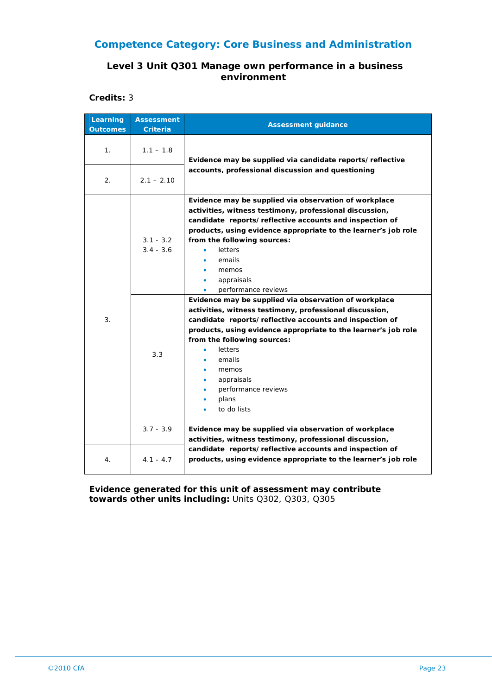#### **Level 3 Unit Q301 Manage own performance in a business environment**

**Credits:** 3

| Learning<br><b>Outcomes</b> | <b>Assessment</b><br><b>Criteria</b> | <b>Assessment guidance</b>                                                                                                                                                                                                                                                                                                                                                                |
|-----------------------------|--------------------------------------|-------------------------------------------------------------------------------------------------------------------------------------------------------------------------------------------------------------------------------------------------------------------------------------------------------------------------------------------------------------------------------------------|
| 1.                          | $1.1 - 1.8$                          | Evidence may be supplied via candidate reports/reflective<br>accounts, professional discussion and questioning                                                                                                                                                                                                                                                                            |
| 2.                          | $2.1 - 2.10$                         |                                                                                                                                                                                                                                                                                                                                                                                           |
| 3.                          | $3.1 - 3.2$<br>$3.4 - 3.6$           | Evidence may be supplied via observation of workplace<br>activities, witness testimony, professional discussion,<br>candidate reports/reflective accounts and inspection of<br>products, using evidence appropriate to the learner's job role<br>from the following sources:<br>letters<br>emails<br>memos<br>appraisals<br>performance reviews                                           |
|                             | 3.3                                  | Evidence may be supplied via observation of workplace<br>activities, witness testimony, professional discussion,<br>candidate reports/reflective accounts and inspection of<br>products, using evidence appropriate to the learner's job role<br>from the following sources:<br>letters<br>emails<br>memos<br>appraisals<br>performance reviews<br>plans<br>$\bullet$<br>to do lists<br>۰ |
|                             | $3.7 - 3.9$                          | Evidence may be supplied via observation of workplace<br>activities, witness testimony, professional discussion,                                                                                                                                                                                                                                                                          |
| 4 <sup>1</sup>              | $4.1 - 4.7$                          | candidate reports/reflective accounts and inspection of<br>products, using evidence appropriate to the learner's job role                                                                                                                                                                                                                                                                 |

**Evidence generated for this unit of assessment may contribute towards other units including:** Units Q302, Q303, Q305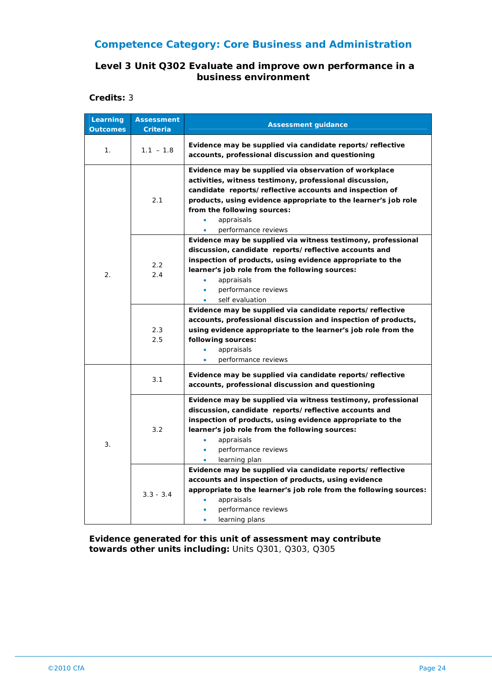#### **Level 3 Unit Q302 Evaluate and improve own performance in a business environment**

**Credits:** 3

| Learning<br><b>Outcomes</b> | <b>Assessment</b><br>Criteria | <b>Assessment guidance</b>                                                                                                                                                                                                                                                                                                                  |
|-----------------------------|-------------------------------|---------------------------------------------------------------------------------------------------------------------------------------------------------------------------------------------------------------------------------------------------------------------------------------------------------------------------------------------|
| 1.                          | $1.1 - 1.8$                   | Evidence may be supplied via candidate reports/reflective<br>accounts, professional discussion and questioning                                                                                                                                                                                                                              |
| $\overline{2}$ .            | 2.1                           | Evidence may be supplied via observation of workplace<br>activities, witness testimony, professional discussion,<br>candidate reports/reflective accounts and inspection of<br>products, using evidence appropriate to the learner's job role<br>from the following sources:<br>appraisals<br>$\bullet$<br>performance reviews<br>$\bullet$ |
|                             | 2.2<br>2.4                    | Evidence may be supplied via witness testimony, professional<br>discussion, candidate reports/reflective accounts and<br>inspection of products, using evidence appropriate to the<br>learner's job role from the following sources:<br>appraisals<br>$\bullet$<br>performance reviews<br>$\bullet$<br>self evaluation                      |
|                             | 2.3<br>2.5                    | Evidence may be supplied via candidate reports/reflective<br>accounts, professional discussion and inspection of products,<br>using evidence appropriate to the learner's job role from the<br>following sources:<br>appraisals<br>۰<br>performance reviews                                                                                 |
| 3.                          | 3.1                           | Evidence may be supplied via candidate reports/reflective<br>accounts, professional discussion and questioning                                                                                                                                                                                                                              |
|                             | 3.2                           | Evidence may be supplied via witness testimony, professional<br>discussion, candidate reports/reflective accounts and<br>inspection of products, using evidence appropriate to the<br>learner's job role from the following sources:<br>appraisals<br>$\bullet$<br>performance reviews<br>$\bullet$<br>learning plan                        |
|                             | $3.3 - 3.4$                   | Evidence may be supplied via candidate reports/reflective<br>accounts and inspection of products, using evidence<br>appropriate to the learner's job role from the following sources:<br>appraisals<br>performance reviews<br>learning plans                                                                                                |

**Evidence generated for this unit of assessment may contribute towards other units including:** Units Q301, Q303, Q305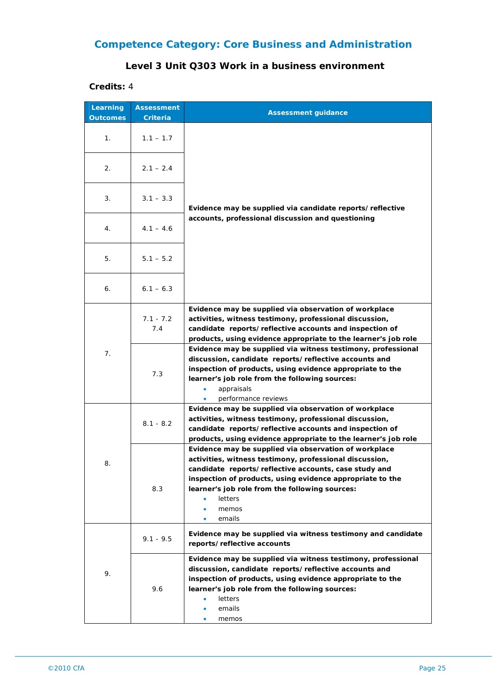## **Level 3 Unit Q303 Work in a business environment**

**Credits:** 4

| Learning<br><b>Outcomes</b> | <b>Assessment</b><br>Criteria | <b>Assessment guidance</b>                                                                                                                                                                                                                                                                                                              |
|-----------------------------|-------------------------------|-----------------------------------------------------------------------------------------------------------------------------------------------------------------------------------------------------------------------------------------------------------------------------------------------------------------------------------------|
| 1.                          | $1.1 - 1.7$                   |                                                                                                                                                                                                                                                                                                                                         |
| 2.                          | $2.1 - 2.4$                   |                                                                                                                                                                                                                                                                                                                                         |
| 3.                          | $3.1 - 3.3$                   | Evidence may be supplied via candidate reports/reflective                                                                                                                                                                                                                                                                               |
| 4.                          | $4.1 - 4.6$                   | accounts, professional discussion and questioning                                                                                                                                                                                                                                                                                       |
| 5.                          | $5.1 - 5.2$                   |                                                                                                                                                                                                                                                                                                                                         |
| 6.                          | $6.1 - 6.3$                   |                                                                                                                                                                                                                                                                                                                                         |
| 7.                          | $7.1 - 7.2$<br>7.4            | Evidence may be supplied via observation of workplace<br>activities, witness testimony, professional discussion,<br>candidate reports/reflective accounts and inspection of<br>products, using evidence appropriate to the learner's job role                                                                                           |
|                             | 7.3                           | Evidence may be supplied via witness testimony, professional<br>discussion, candidate reports/reflective accounts and<br>inspection of products, using evidence appropriate to the<br>learner's job role from the following sources:<br>appraisals<br>performance reviews                                                               |
| 8.                          | $8.1 - 8.2$                   | Evidence may be supplied via observation of workplace<br>activities, witness testimony, professional discussion,<br>candidate reports/reflective accounts and inspection of<br>products, using evidence appropriate to the learner's job role                                                                                           |
|                             | 8.3                           | Evidence may be supplied via observation of workplace<br>activities, witness testimony, professional discussion,<br>candidate reports/reflective accounts, case study and<br>inspection of products, using evidence appropriate to the<br>learner's job role from the following sources:<br><b>letters</b><br>memos<br>۰<br>emails<br>۰ |
| 9.                          | $9.1 - 9.5$                   | Evidence may be supplied via witness testimony and candidate<br>reports/reflective accounts                                                                                                                                                                                                                                             |
|                             | 9.6                           | Evidence may be supplied via witness testimony, professional<br>discussion, candidate reports/reflective accounts and<br>inspection of products, using evidence appropriate to the<br>learner's job role from the following sources:<br><b>letters</b><br>emails<br>٠<br>memos<br>۰                                                     |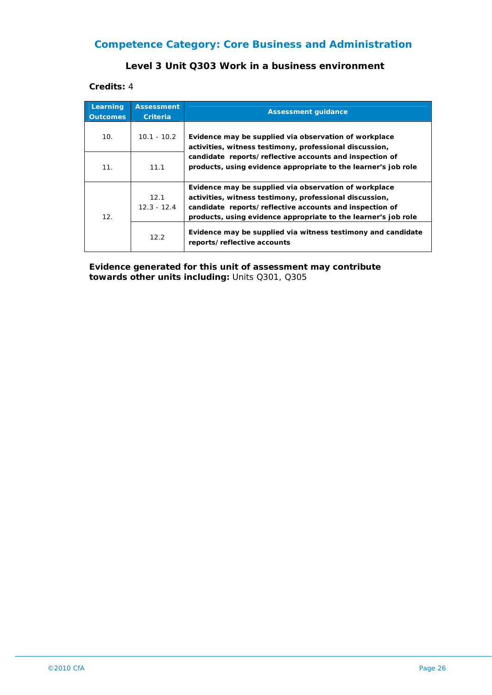#### **Level 3 Unit Q303 Work in a business environment**

**Credits:** 4

| Learning<br><b>Outcomes</b> | <b>Assessment</b><br><b>Criteria</b> | <b>Assessment quidance</b>                                                                                                                                                                                                                    |
|-----------------------------|--------------------------------------|-----------------------------------------------------------------------------------------------------------------------------------------------------------------------------------------------------------------------------------------------|
| 10.                         | $10.1 - 10.2$                        | Evidence may be supplied via observation of workplace<br>activities, witness testimony, professional discussion,<br>candidate reports/reflective accounts and inspection of<br>products, using evidence appropriate to the learner's job role |
| 11.                         | 11.1                                 |                                                                                                                                                                                                                                               |
| 12.                         | 12.1<br>$12.3 - 12.4$                | Evidence may be supplied via observation of workplace<br>activities, witness testimony, professional discussion,<br>candidate reports/reflective accounts and inspection of<br>products, using evidence appropriate to the learner's job role |
|                             | 12.2                                 | Evidence may be supplied via witness testimony and candidate<br>reports/reflective accounts                                                                                                                                                   |

**Evidence generated for this unit of assessment may contribute towards other units including:** Units Q301, Q305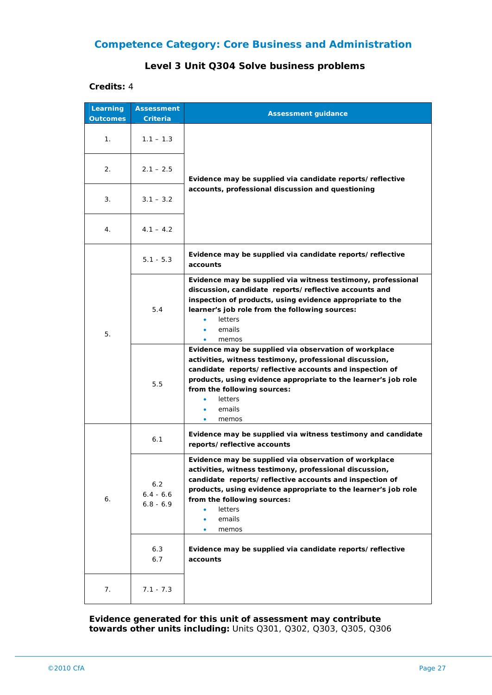#### **Level 3 Unit Q304 Solve business problems**

#### **Credits:** 4

| Learning        | <b>Assessment</b>                 | <b>Assessment guidance</b>                                                                                                                                                                                                                                                                                           |
|-----------------|-----------------------------------|----------------------------------------------------------------------------------------------------------------------------------------------------------------------------------------------------------------------------------------------------------------------------------------------------------------------|
| <b>Outcomes</b> | Criteria                          |                                                                                                                                                                                                                                                                                                                      |
| 1.              | $1.1 - 1.3$                       | Evidence may be supplied via candidate reports/reflective<br>accounts, professional discussion and questioning                                                                                                                                                                                                       |
| 2.              | $2.1 - 2.5$                       |                                                                                                                                                                                                                                                                                                                      |
| 3.              | $3.1 - 3.2$                       |                                                                                                                                                                                                                                                                                                                      |
| 4.              | $4.1 - 4.2$                       |                                                                                                                                                                                                                                                                                                                      |
|                 | $5.1 - 5.3$                       | Evidence may be supplied via candidate reports/reflective<br>accounts                                                                                                                                                                                                                                                |
| 5.              | 5.4                               | Evidence may be supplied via witness testimony, professional<br>discussion, candidate reports/reflective accounts and<br>inspection of products, using evidence appropriate to the<br>learner's job role from the following sources:<br>letters<br>٠<br>emails<br>٠<br>memos                                         |
|                 | 5.5                               | Evidence may be supplied via observation of workplace<br>activities, witness testimony, professional discussion,<br>candidate reports/reflective accounts and inspection of<br>products, using evidence appropriate to the learner's job role<br>from the following sources:<br>letters<br>emails<br>٠<br>memos<br>۰ |
| 6.              | 6.1                               | Evidence may be supplied via witness testimony and candidate<br>reports/reflective accounts                                                                                                                                                                                                                          |
|                 | 6.2<br>$6.4 - 6.6$<br>$6.8 - 6.9$ | Evidence may be supplied via observation of workplace<br>activities, witness testimony, professional discussion,<br>candidate reports/reflective accounts and inspection of<br>products, using evidence appropriate to the learner's job role<br>from the following sources:<br>letters<br>emails<br>memos           |
|                 | 6.3<br>6.7                        | Evidence may be supplied via candidate reports/reflective<br>accounts                                                                                                                                                                                                                                                |
| 7.              | 7.1 - 7.3                         |                                                                                                                                                                                                                                                                                                                      |

**Evidence generated for this unit of assessment may contribute towards other units including:** Units Q301, Q302, Q303, Q305, Q306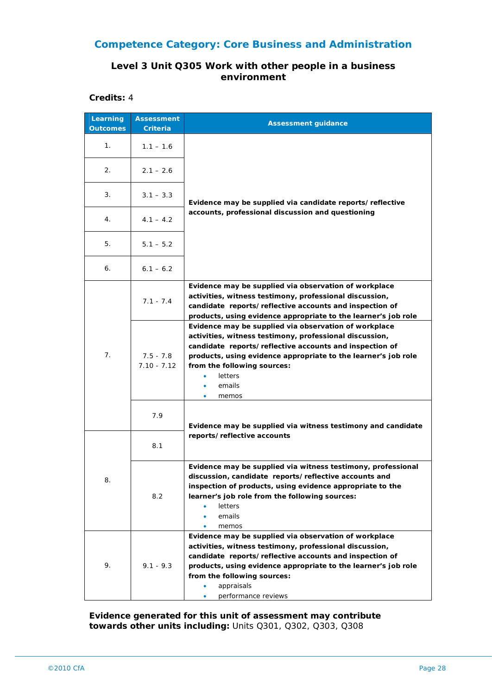#### **Level 3 Unit Q305 Work with other people in a business environment**

**Credits:** 4

| Learning<br><b>Outcomes</b> | <b>Assessment</b><br>Criteria | <b>Assessment guidance</b>                                                                                                                                                                                                                                                                                           |
|-----------------------------|-------------------------------|----------------------------------------------------------------------------------------------------------------------------------------------------------------------------------------------------------------------------------------------------------------------------------------------------------------------|
| 1 <sub>1</sub>              | $1.1 - 1.6$                   |                                                                                                                                                                                                                                                                                                                      |
| 2.                          | $2.1 - 2.6$                   |                                                                                                                                                                                                                                                                                                                      |
| 3.                          | $3.1 - 3.3$                   | Evidence may be supplied via candidate reports/reflective                                                                                                                                                                                                                                                            |
| 4.                          | $4.1 - 4.2$                   | accounts, professional discussion and questioning                                                                                                                                                                                                                                                                    |
| 5.                          | $5.1 - 5.2$                   |                                                                                                                                                                                                                                                                                                                      |
| 6.                          | $6.1 - 6.2$                   |                                                                                                                                                                                                                                                                                                                      |
| 7.                          | $7.1 - 7.4$                   | Evidence may be supplied via observation of workplace<br>activities, witness testimony, professional discussion,<br>candidate reports/reflective accounts and inspection of<br>products, using evidence appropriate to the learner's job role                                                                        |
|                             | $7.5 - 7.8$<br>$7.10 - 7.12$  | Evidence may be supplied via observation of workplace<br>activities, witness testimony, professional discussion,<br>candidate reports/reflective accounts and inspection of<br>products, using evidence appropriate to the learner's job role<br>from the following sources:<br>letters<br>emails<br>۰<br>memos<br>۰ |
|                             | 7.9                           | Evidence may be supplied via witness testimony and candidate                                                                                                                                                                                                                                                         |
|                             | 8.1                           | reports/reflective accounts                                                                                                                                                                                                                                                                                          |
| 8                           | 8.2                           | Evidence may be supplied via witness testimony, professional<br>discussion, candidate reports/reflective accounts and<br>inspection of products, using evidence appropriate to the<br>learner's job role from the following sources:<br>letters<br>٠<br>emails<br>٠<br>memos<br>۰                                    |
| 9.                          | $9.1 - 9.3$                   | Evidence may be supplied via observation of workplace<br>activities, witness testimony, professional discussion,<br>candidate reports/reflective accounts and inspection of<br>products, using evidence appropriate to the learner's job role<br>from the following sources:<br>appraisals<br>performance reviews    |

**Evidence generated for this unit of assessment may contribute towards other units including:** Units Q301, Q302, Q303, Q308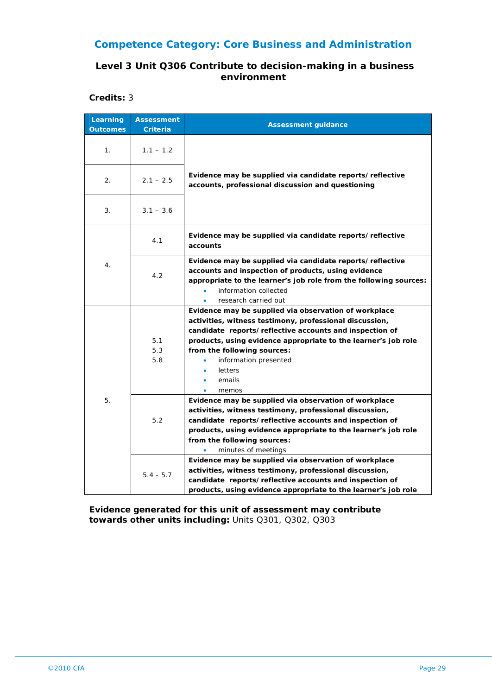### **Level 3 Unit Q306 Contribute to decision-making in a business environment**

**Credits:** 3

| Learning<br><b>Outcomes</b> | <b>Assessment</b><br><b>Criteria</b> | <b>Assessment guidance</b>                                                                                                                                                                                                                                                                                                                                                                                              |
|-----------------------------|--------------------------------------|-------------------------------------------------------------------------------------------------------------------------------------------------------------------------------------------------------------------------------------------------------------------------------------------------------------------------------------------------------------------------------------------------------------------------|
| 1.                          | $1.1 - 1.2$                          |                                                                                                                                                                                                                                                                                                                                                                                                                         |
| 2.                          | $2.1 - 2.5$                          | Evidence may be supplied via candidate reports/reflective<br>accounts, professional discussion and questioning                                                                                                                                                                                                                                                                                                          |
| 3.                          | $3.1 - 3.6$                          |                                                                                                                                                                                                                                                                                                                                                                                                                         |
| 4.                          | 4.1                                  | Evidence may be supplied via candidate reports/reflective<br>accounts                                                                                                                                                                                                                                                                                                                                                   |
|                             | 4.2                                  | Evidence may be supplied via candidate reports/reflective<br>accounts and inspection of products, using evidence<br>appropriate to the learner's job role from the following sources:<br>information collected<br>research carried out                                                                                                                                                                                  |
|                             | 5.1<br>5.3<br>5.8                    | Evidence may be supplied via observation of workplace<br>activities, witness testimony, professional discussion,<br>candidate reports/reflective accounts and inspection of<br>products, using evidence appropriate to the learner's job role<br>from the following sources:<br>information presented<br>letters<br>emails<br>٠<br>memos<br>$\bullet$                                                                   |
| 5.                          | 5.2                                  | Evidence may be supplied via observation of workplace<br>activities, witness testimony, professional discussion,<br>candidate reports/reflective accounts and inspection of<br>products, using evidence appropriate to the learner's job role<br>from the following sources:<br>minutes of meetings<br>Evidence may be supplied via observation of workplace<br>activities, witness testimony, professional discussion, |
|                             | $5.4 - 5.7$                          | candidate reports/reflective accounts and inspection of<br>products, using evidence appropriate to the learner's job role                                                                                                                                                                                                                                                                                               |

**Evidence generated for this unit of assessment may contribute towards other units including:** Units Q301, Q302, Q303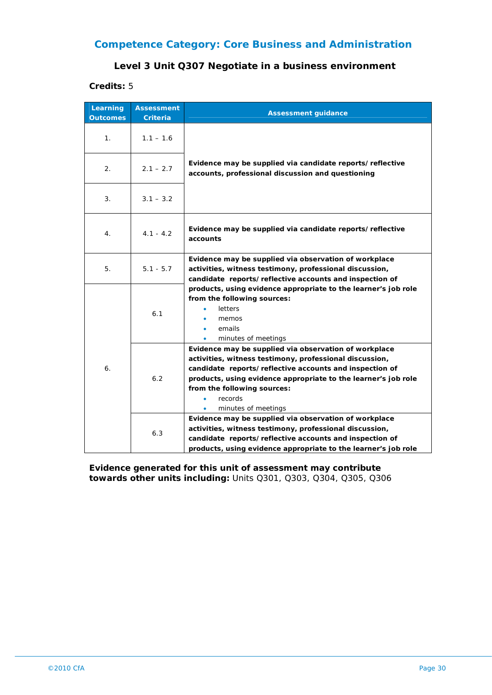#### **Level 3 Unit Q307 Negotiate in a business environment**

#### **Credits:** 5

| Learning<br><b>Outcomes</b> | <b>Assessment</b><br><b>Criteria</b> | <b>Assessment guidance</b>                                                                                                                                                                                                                                                                                                                                                                                                              |
|-----------------------------|--------------------------------------|-----------------------------------------------------------------------------------------------------------------------------------------------------------------------------------------------------------------------------------------------------------------------------------------------------------------------------------------------------------------------------------------------------------------------------------------|
| 1 <sub>1</sub>              | $1.1 - 1.6$                          | Evidence may be supplied via candidate reports/reflective<br>accounts, professional discussion and questioning                                                                                                                                                                                                                                                                                                                          |
| 2.                          | $2.1 - 2.7$                          |                                                                                                                                                                                                                                                                                                                                                                                                                                         |
| 3.                          | $3.1 - 3.2$                          |                                                                                                                                                                                                                                                                                                                                                                                                                                         |
| 4.                          | $4.1 - 4.2$                          | Evidence may be supplied via candidate reports/reflective<br>accounts                                                                                                                                                                                                                                                                                                                                                                   |
| 5.                          | $5.1 - 5.7$                          | Evidence may be supplied via observation of workplace<br>activities, witness testimony, professional discussion,<br>candidate reports/reflective accounts and inspection of                                                                                                                                                                                                                                                             |
| 6.                          | 6.1                                  | products, using evidence appropriate to the learner's job role<br>from the following sources:<br><b>letters</b><br>memos<br>emails<br>٠<br>minutes of meetings                                                                                                                                                                                                                                                                          |
|                             | 6.2                                  | Evidence may be supplied via observation of workplace<br>activities, witness testimony, professional discussion,<br>candidate reports/reflective accounts and inspection of<br>products, using evidence appropriate to the learner's job role<br>from the following sources:<br>records<br>minutes of meetings<br>٠<br>Evidence may be supplied via observation of workplace<br>activities, witness testimony, professional discussion, |
|                             | 6.3                                  | candidate reports/reflective accounts and inspection of<br>products, using evidence appropriate to the learner's job role                                                                                                                                                                                                                                                                                                               |

**Evidence generated for this unit of assessment may contribute towards other units including:** Units Q301, Q303, Q304, Q305, Q306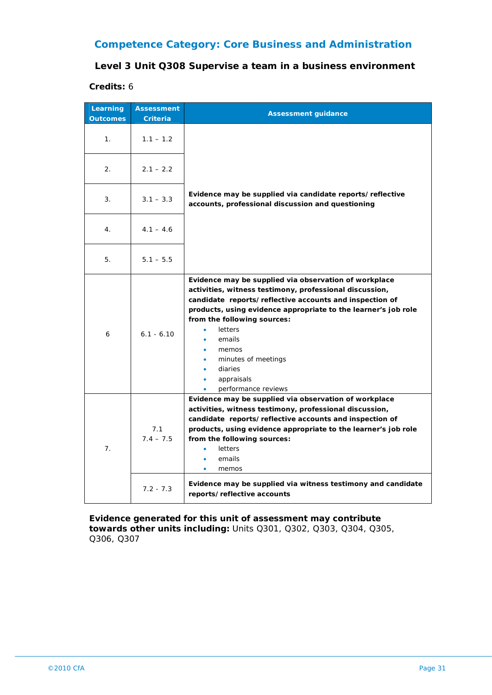#### **Level 3 Unit Q308 Supervise a team in a business environment**

#### **Credits:** 6

| Learning<br><b>Outcomes</b> | <b>Assessment</b><br><b>Criteria</b> | <b>Assessment guidance</b>                                                                                                                                                                                                                                                                                                                                                                                |
|-----------------------------|--------------------------------------|-----------------------------------------------------------------------------------------------------------------------------------------------------------------------------------------------------------------------------------------------------------------------------------------------------------------------------------------------------------------------------------------------------------|
| 1.                          | $1.1 - 1.2$                          |                                                                                                                                                                                                                                                                                                                                                                                                           |
| 2.                          | $2.1 - 2.2$                          |                                                                                                                                                                                                                                                                                                                                                                                                           |
| 3.                          | $3.1 - 3.3$                          | Evidence may be supplied via candidate reports/reflective<br>accounts, professional discussion and questioning                                                                                                                                                                                                                                                                                            |
| 4.                          | $4.1 - 4.6$                          |                                                                                                                                                                                                                                                                                                                                                                                                           |
| 5.                          | $5.1 - 5.5$                          |                                                                                                                                                                                                                                                                                                                                                                                                           |
| 6                           | $6.1 - 6.10$                         | Evidence may be supplied via observation of workplace<br>activities, witness testimony, professional discussion,<br>candidate reports/reflective accounts and inspection of<br>products, using evidence appropriate to the learner's job role<br>from the following sources:<br>letters<br>emails<br>memos<br>minutes of meetings<br>diaries<br>appraisals<br>performance reviews                         |
| 7 <sub>1</sub>              | 7.1<br>$7.4 - 7.5$<br>$7.2 - 7.3$    | Evidence may be supplied via observation of workplace<br>activities, witness testimony, professional discussion,<br>candidate reports/reflective accounts and inspection of<br>products, using evidence appropriate to the learner's job role<br>from the following sources:<br>letters<br>emails<br>memos<br>Evidence may be supplied via witness testimony and candidate<br>reports/reflective accounts |

**Evidence generated for this unit of assessment may contribute towards other units including:** Units Q301, Q302, Q303, Q304, Q305, Q306, Q307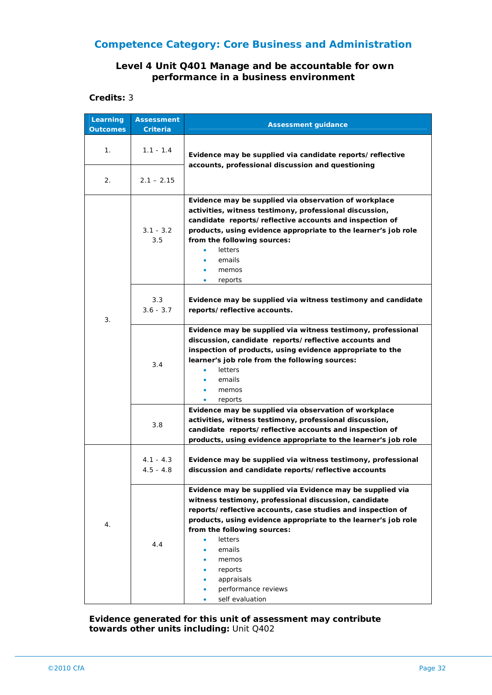#### **Level 4 Unit Q401 Manage and be accountable for own performance in a business environment**

#### **Credits:** 3

| Learning<br><b>Outcomes</b> | <b>Assessment</b><br>Criteria | <b>Assessment guidance</b>                                                                                                                                                                                                                                                                                                                                                          |
|-----------------------------|-------------------------------|-------------------------------------------------------------------------------------------------------------------------------------------------------------------------------------------------------------------------------------------------------------------------------------------------------------------------------------------------------------------------------------|
| 1.                          | $1.1 - 1.4$                   | Evidence may be supplied via candidate reports/reflective<br>accounts, professional discussion and questioning                                                                                                                                                                                                                                                                      |
| 2.                          | $2.1 - 2.15$                  |                                                                                                                                                                                                                                                                                                                                                                                     |
| 3.                          | $3.1 - 3.2$<br>3.5            | Evidence may be supplied via observation of workplace<br>activities, witness testimony, professional discussion,<br>candidate reports/reflective accounts and inspection of<br>products, using evidence appropriate to the learner's job role<br>from the following sources:<br>letters<br>emails<br>memos<br>reports<br>$\bullet$                                                  |
|                             | 3.3<br>$3.6 - 3.7$            | Evidence may be supplied via witness testimony and candidate<br>reports/reflective accounts.                                                                                                                                                                                                                                                                                        |
|                             | 3.4                           | Evidence may be supplied via witness testimony, professional<br>discussion, candidate reports/reflective accounts and<br>inspection of products, using evidence appropriate to the<br>learner's job role from the following sources:<br><b>letters</b><br>$\bullet$<br>emails<br>٠<br>memos<br>٠<br>reports<br>۰                                                                    |
|                             | 3.8                           | Evidence may be supplied via observation of workplace<br>activities, witness testimony, professional discussion,<br>candidate reports/reflective accounts and inspection of<br>products, using evidence appropriate to the learner's job role                                                                                                                                       |
| 4.                          | $4.1 - 4.3$<br>$4.5 - 4.8$    | Evidence may be supplied via witness testimony, professional<br>discussion and candidate reports/reflective accounts                                                                                                                                                                                                                                                                |
|                             | 4.4                           | Evidence may be supplied via Evidence may be supplied via<br>witness testimony, professional discussion, candidate<br>reports/reflective accounts, case studies and inspection of<br>products, using evidence appropriate to the learner's job role<br>from the following sources:<br>letters<br>emails<br>memos<br>reports<br>appraisals<br>performance reviews<br>self evaluation |

**Evidence generated for this unit of assessment may contribute towards other units including:** Unit Q402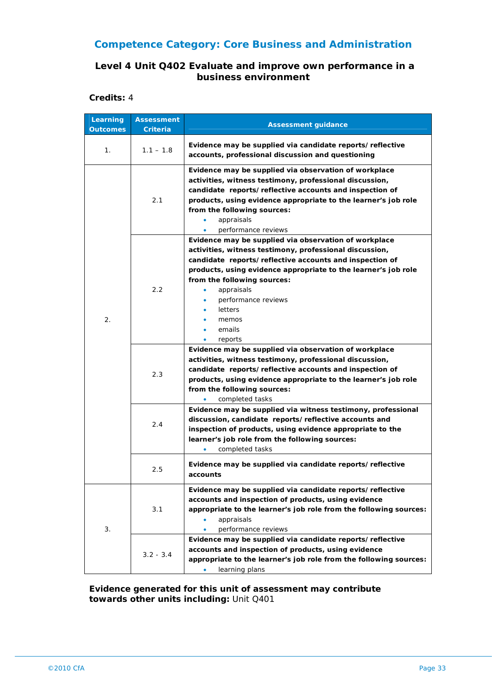#### **Level 4 Unit Q402 Evaluate and improve own performance in a business environment**

**Credits:** 4

| Learning<br><b>Outcomes</b> | <b>Assessment</b><br><b>Criteria</b> | <b>Assessment guidance</b>                                                                                                                                                                                                                                                                                                                                           |
|-----------------------------|--------------------------------------|----------------------------------------------------------------------------------------------------------------------------------------------------------------------------------------------------------------------------------------------------------------------------------------------------------------------------------------------------------------------|
| 1 <sub>1</sub>              | $1.1 - 1.8$                          | Evidence may be supplied via candidate reports/reflective<br>accounts, professional discussion and questioning                                                                                                                                                                                                                                                       |
| $\overline{2}$ .            | 2.1                                  | Evidence may be supplied via observation of workplace<br>activities, witness testimony, professional discussion,<br>candidate reports/reflective accounts and inspection of<br>products, using evidence appropriate to the learner's job role<br>from the following sources:<br>appraisals<br>۰<br>performance reviews<br>$\bullet$                                  |
|                             | 2.2                                  | Evidence may be supplied via observation of workplace<br>activities, witness testimony, professional discussion,<br>candidate reports/reflective accounts and inspection of<br>products, using evidence appropriate to the learner's job role<br>from the following sources:<br>appraisals<br>۰<br>performance reviews<br>letters<br>memos<br>emails<br>reports<br>٠ |
|                             | 2.3                                  | Evidence may be supplied via observation of workplace<br>activities, witness testimony, professional discussion,<br>candidate reports/reflective accounts and inspection of<br>products, using evidence appropriate to the learner's job role<br>from the following sources:<br>completed tasks<br>۰                                                                 |
|                             | 2.4                                  | Evidence may be supplied via witness testimony, professional<br>discussion, candidate reports/reflective accounts and<br>inspection of products, using evidence appropriate to the<br>learner's job role from the following sources:<br>completed tasks<br>٠                                                                                                         |
|                             | 2.5                                  | Evidence may be supplied via candidate reports/reflective<br>accounts                                                                                                                                                                                                                                                                                                |
| 3.                          | 3.1                                  | Evidence may be supplied via candidate reports/reflective<br>accounts and inspection of products, using evidence<br>appropriate to the learner's job role from the following sources:<br>appraisals<br>performance reviews                                                                                                                                           |
|                             | $3.2 - 3.4$                          | Evidence may be supplied via candidate reports/reflective<br>accounts and inspection of products, using evidence<br>appropriate to the learner's job role from the following sources:<br>learning plans                                                                                                                                                              |

**Evidence generated for this unit of assessment may contribute towards other units including:** Unit Q401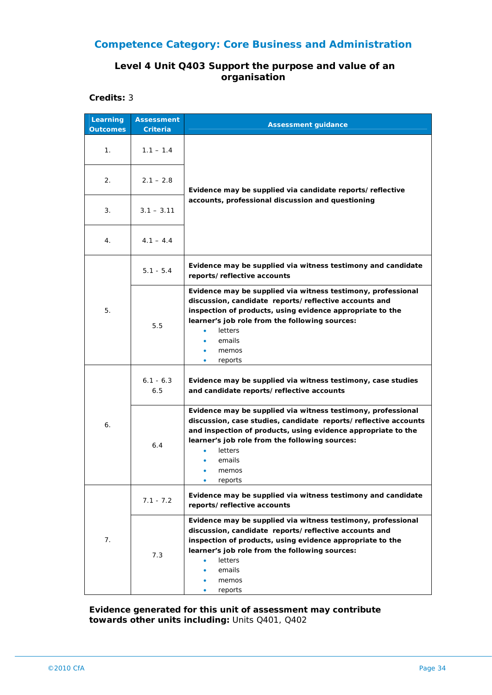#### **Level 4 Unit Q403 Support the purpose and value of an organisation**

**Credits:** 3

| Learning<br><b>Outcomes</b> | <b>Assessment</b><br>Criteria | <b>Assessment guidance</b>                                                                                                                                                                                                                                                                              |
|-----------------------------|-------------------------------|---------------------------------------------------------------------------------------------------------------------------------------------------------------------------------------------------------------------------------------------------------------------------------------------------------|
| 1.                          | $1.1 - 1.4$                   | Evidence may be supplied via candidate reports/reflective<br>accounts, professional discussion and questioning                                                                                                                                                                                          |
| 2.                          | $2.1 - 2.8$                   |                                                                                                                                                                                                                                                                                                         |
| 3.                          | $3.1 - 3.11$                  |                                                                                                                                                                                                                                                                                                         |
| 4.                          | $4.1 - 4.4$                   |                                                                                                                                                                                                                                                                                                         |
|                             | $5.1 - 5.4$                   | Evidence may be supplied via witness testimony and candidate<br>reports/reflective accounts                                                                                                                                                                                                             |
| 5.                          | 5.5                           | Evidence may be supplied via witness testimony, professional<br>discussion, candidate reports/reflective accounts and<br>inspection of products, using evidence appropriate to the<br>learner's job role from the following sources:<br>letters<br>emails<br>memos<br>۰<br>reports<br>۰                 |
| 6.                          | $6.1 - 6.3$<br>6.5            | Evidence may be supplied via witness testimony, case studies<br>and candidate reports/reflective accounts                                                                                                                                                                                               |
|                             | 6.4                           | Evidence may be supplied via witness testimony, professional<br>discussion, case studies, candidate reports/reflective accounts<br>and inspection of products, using evidence appropriate to the<br>learner's job role from the following sources:<br><b>letters</b><br>۰<br>emails<br>memos<br>reports |
| 7.                          | $7.1 - 7.2$                   | Evidence may be supplied via witness testimony and candidate<br>reports/reflective accounts                                                                                                                                                                                                             |
|                             | 7.3                           | Evidence may be supplied via witness testimony, professional<br>discussion, candidate reports/reflective accounts and<br>inspection of products, using evidence appropriate to the<br>learner's job role from the following sources:<br><b>letters</b><br>٠<br>emails<br>memos<br>reports               |

**Evidence generated for this unit of assessment may contribute towards other units including:** Units Q401, Q402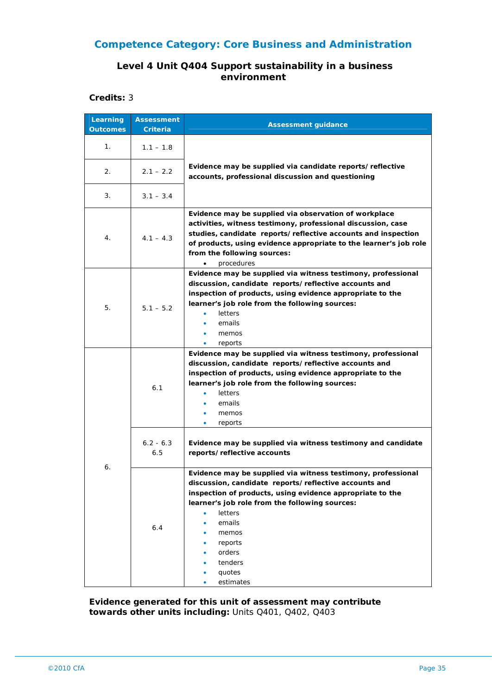#### **Level 4 Unit Q404 Support sustainability in a business environment**

#### **Credits:** 3

| Learning<br><b>Outcomes</b> | <b>Assessment</b><br>Criteria | <b>Assessment guidance</b>                                                                                                                                                                                                                                                                                                                                           |
|-----------------------------|-------------------------------|----------------------------------------------------------------------------------------------------------------------------------------------------------------------------------------------------------------------------------------------------------------------------------------------------------------------------------------------------------------------|
| 1.                          | $1.1 - 1.8$                   |                                                                                                                                                                                                                                                                                                                                                                      |
| 2.                          | $2.1 - 2.2$                   | Evidence may be supplied via candidate reports/reflective<br>accounts, professional discussion and questioning                                                                                                                                                                                                                                                       |
| 3.                          | $3.1 - 3.4$                   |                                                                                                                                                                                                                                                                                                                                                                      |
| 4.                          | $4.1 - 4.3$                   | Evidence may be supplied via observation of workplace<br>activities, witness testimony, professional discussion, case<br>studies, candidate reports/reflective accounts and inspection<br>of products, using evidence appropriate to the learner's job role<br>from the following sources:<br>procedures<br>$\bullet$                                                |
| 5.                          | $5.1 - 5.2$                   | Evidence may be supplied via witness testimony, professional<br>discussion, candidate reports/reflective accounts and<br>inspection of products, using evidence appropriate to the<br>learner's job role from the following sources:<br>letters<br>emails<br>memos<br>reports<br>$\bullet$                                                                           |
| 6.                          | 6.1<br>$6.2 - 6.3$            | Evidence may be supplied via witness testimony, professional<br>discussion, candidate reports/reflective accounts and<br>inspection of products, using evidence appropriate to the<br>learner's job role from the following sources:<br>letters<br>emails<br>memos<br>۰<br>reports<br>۰<br>Evidence may be supplied via witness testimony and candidate              |
|                             | 6.5<br>6.4                    | reports/reflective accounts<br>Evidence may be supplied via witness testimony, professional<br>discussion, candidate reports/reflective accounts and<br>inspection of products, using evidence appropriate to the<br>learner's job role from the following sources:<br><b>letters</b><br>emails<br>۰<br>memos<br>reports<br>orders<br>tenders<br>quotes<br>estimates |

**Evidence generated for this unit of assessment may contribute towards other units including:** Units Q401, Q402, Q403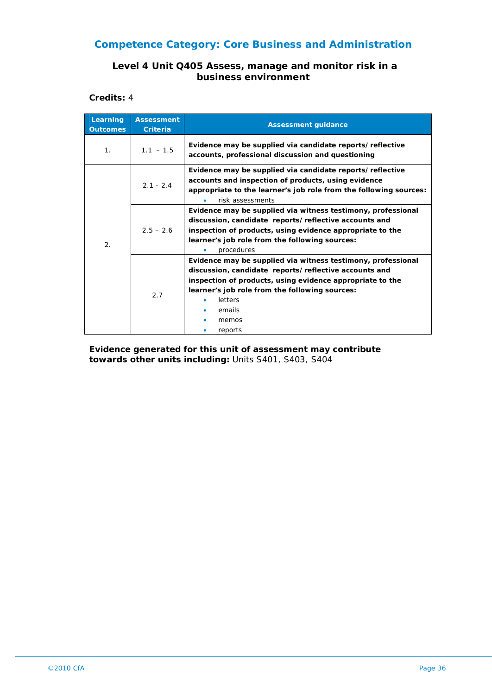#### **Level 4 Unit Q405 Assess, manage and monitor risk in a business environment**

**Credits:** 4

| Learning<br><b>Outcomes</b> | <b>Assessment</b><br><b>Criteria</b> | <b>Assessment guidance</b>                                                                                                                                                                                                                                                    |
|-----------------------------|--------------------------------------|-------------------------------------------------------------------------------------------------------------------------------------------------------------------------------------------------------------------------------------------------------------------------------|
| 1.                          | $1.1 - 1.5$                          | Evidence may be supplied via candidate reports/reflective<br>accounts, professional discussion and questioning                                                                                                                                                                |
| 2.                          | $2.1 - 2.4$                          | Evidence may be supplied via candidate reports/reflective<br>accounts and inspection of products, using evidence<br>appropriate to the learner's job role from the following sources:<br>risk assessments                                                                     |
|                             | $2.5 - 2.6$                          | Evidence may be supplied via witness testimony, professional<br>discussion, candidate reports/reflective accounts and<br>inspection of products, using evidence appropriate to the<br>learner's job role from the following sources:<br>procedures                            |
|                             | 2.7                                  | Evidence may be supplied via witness testimony, professional<br>discussion, candidate reports/reflective accounts and<br>inspection of products, using evidence appropriate to the<br>learner's job role from the following sources:<br>letters<br>emails<br>memos<br>reports |

**Evidence generated for this unit of assessment may contribute towards other units including:** Units S401, S403, S404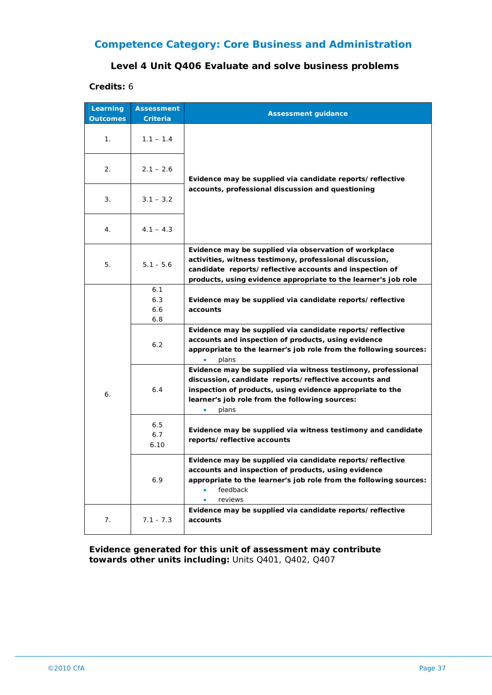# **Competence Category: Core Business and Administration**

#### **Level 4 Unit Q406 Evaluate and solve business problems**

#### **Credits:** 6

| Learning<br><b>Outcomes</b> | <b>Assessment</b><br><b>Criteria</b> | <b>Assessment guidance</b>                                                                                                                                                                                                                                 |
|-----------------------------|--------------------------------------|------------------------------------------------------------------------------------------------------------------------------------------------------------------------------------------------------------------------------------------------------------|
| 1.                          | $1.1 - 1.4$                          | Evidence may be supplied via candidate reports/reflective                                                                                                                                                                                                  |
| 2.                          | $2.1 - 2.6$                          |                                                                                                                                                                                                                                                            |
| 3.                          | $3.1 - 3.2$                          | accounts, professional discussion and questioning                                                                                                                                                                                                          |
| 4.                          | $4.1 - 4.3$                          |                                                                                                                                                                                                                                                            |
| 5.                          | $5.1 - 5.6$                          | Evidence may be supplied via observation of workplace<br>activities, witness testimony, professional discussion,<br>candidate reports/reflective accounts and inspection of<br>products, using evidence appropriate to the learner's job role              |
| 6.                          | 6.1<br>6.3<br>6.6<br>6.8             | Evidence may be supplied via candidate reports/reflective<br>accounts                                                                                                                                                                                      |
|                             | 6.2                                  | Evidence may be supplied via candidate reports/reflective<br>accounts and inspection of products, using evidence<br>appropriate to the learner's job role from the following sources:<br>plans                                                             |
|                             | 6.4                                  | Evidence may be supplied via witness testimony, professional<br>discussion, candidate reports/reflective accounts and<br>inspection of products, using evidence appropriate to the<br>learner's job role from the following sources:<br>plans<br>$\bullet$ |
|                             | 6.5<br>6.7<br>6.10                   | Evidence may be supplied via witness testimony and candidate<br>reports/reflective accounts                                                                                                                                                                |
|                             | 6.9                                  | Evidence may be supplied via candidate reports/reflective<br>accounts and inspection of products, using evidence<br>appropriate to the learner's job role from the following sources:<br>feedback<br>٠<br>reviews                                          |
| 7.                          | $7.1 - 7.3$                          | Evidence may be supplied via candidate reports/reflective<br>accounts                                                                                                                                                                                      |

**Evidence generated for this unit of assessment may contribute towards other units including:** Units Q401, Q402, Q407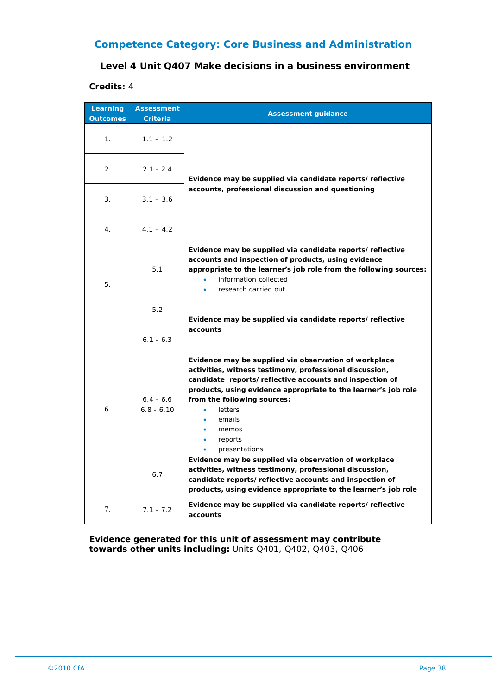## **Competence Category: Core Business and Administration**

#### **Level 4 Unit Q407 Make decisions in a business environment**

#### **Credits:** 4

| Learning<br><b>Outcomes</b> | <b>Assessment</b><br><b>Criteria</b> | <b>Assessment guidance</b>                                                                                                                                                                                                                                                                                                                                                                                                                                 |
|-----------------------------|--------------------------------------|------------------------------------------------------------------------------------------------------------------------------------------------------------------------------------------------------------------------------------------------------------------------------------------------------------------------------------------------------------------------------------------------------------------------------------------------------------|
| $\mathbf{1}$ .              | $1.1 - 1.2$                          | Evidence may be supplied via candidate reports/reflective                                                                                                                                                                                                                                                                                                                                                                                                  |
| 2.                          | $2.1 - 2.4$                          |                                                                                                                                                                                                                                                                                                                                                                                                                                                            |
| 3.                          | $3.1 - 3.6$                          | accounts, professional discussion and questioning                                                                                                                                                                                                                                                                                                                                                                                                          |
| 4.                          | $4.1 - 4.2$                          |                                                                                                                                                                                                                                                                                                                                                                                                                                                            |
| 5.                          | 5.1                                  | Evidence may be supplied via candidate reports/reflective<br>accounts and inspection of products, using evidence<br>appropriate to the learner's job role from the following sources:<br>information collected<br>$\bullet$<br>research carried out<br>$\bullet$                                                                                                                                                                                           |
|                             | 5.2                                  | Evidence may be supplied via candidate reports/reflective                                                                                                                                                                                                                                                                                                                                                                                                  |
| 6.                          | $6.1 - 6.3$                          | accounts                                                                                                                                                                                                                                                                                                                                                                                                                                                   |
|                             | $6.4 - 6.6$<br>$6.8 - 6.10$          | Evidence may be supplied via observation of workplace<br>activities, witness testimony, professional discussion,<br>candidate reports/reflective accounts and inspection of<br>products, using evidence appropriate to the learner's job role<br>from the following sources:<br>letters<br>emails<br>memos<br>reports<br>presentations<br>Evidence may be supplied via observation of workplace<br>activities, witness testimony, professional discussion, |
|                             | 6.7                                  | candidate reports/reflective accounts and inspection of<br>products, using evidence appropriate to the learner's job role                                                                                                                                                                                                                                                                                                                                  |
| 7.                          | $7.1 - 7.2$                          | Evidence may be supplied via candidate reports/reflective<br>accounts                                                                                                                                                                                                                                                                                                                                                                                      |

**Evidence generated for this unit of assessment may contribute towards other units including:** Units Q401, Q402, Q403, Q406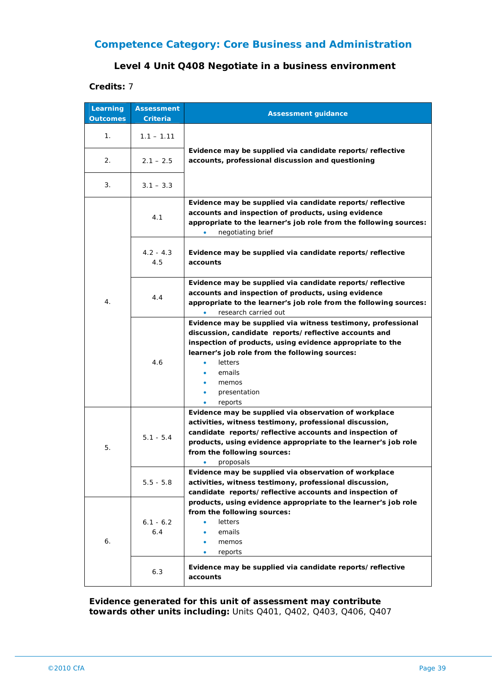## **Competence Category: Core Business and Administration**

#### **Level 4 Unit Q408 Negotiate in a business environment**

**Credits:** 7

| Learning<br><b>Outcomes</b> | <b>Assessment</b><br><b>Criteria</b> | <b>Assessment guidance</b>                                                                                                                                                                                                                                                                    |
|-----------------------------|--------------------------------------|-----------------------------------------------------------------------------------------------------------------------------------------------------------------------------------------------------------------------------------------------------------------------------------------------|
| 1.                          | $1.1 - 1.11$                         | Evidence may be supplied via candidate reports/reflective<br>accounts, professional discussion and questioning                                                                                                                                                                                |
| 2.                          | $2.1 - 2.5$                          |                                                                                                                                                                                                                                                                                               |
| 3.                          | $3.1 - 3.3$                          |                                                                                                                                                                                                                                                                                               |
|                             | 4.1                                  | Evidence may be supplied via candidate reports/reflective<br>accounts and inspection of products, using evidence<br>appropriate to the learner's job role from the following sources:<br>negotiating brief<br>۰                                                                               |
|                             | $4.2 - 4.3$<br>4.5                   | Evidence may be supplied via candidate reports/reflective<br>accounts                                                                                                                                                                                                                         |
| 4.                          | 4.4                                  | Evidence may be supplied via candidate reports/reflective<br>accounts and inspection of products, using evidence<br>appropriate to the learner's job role from the following sources:<br>research carried out<br>۰                                                                            |
|                             | 4.6                                  | Evidence may be supplied via witness testimony, professional<br>discussion, candidate reports/reflective accounts and<br>inspection of products, using evidence appropriate to the<br>learner's job role from the following sources:<br>letters<br>emails<br>memos<br>presentation<br>reports |
| 5.                          | $5.1 - 5.4$                          | Evidence may be supplied via observation of workplace<br>activities, witness testimony, professional discussion,<br>candidate reports/reflective accounts and inspection of<br>products, using evidence appropriate to the learner's job role<br>from the following sources:<br>proposals     |
|                             | $5.5 - 5.8$                          | Evidence may be supplied via observation of workplace<br>activities, witness testimony, professional discussion,<br>candidate reports/reflective accounts and inspection of                                                                                                                   |
| 6.                          | $6.1 - 6.2$<br>6.4                   | products, using evidence appropriate to the learner's job role<br>from the following sources:<br><b>letters</b><br>٠<br>emails<br>٠<br>memos<br>٠<br>reports<br>$\bullet$                                                                                                                     |
|                             | 6.3                                  | Evidence may be supplied via candidate reports/reflective<br>accounts                                                                                                                                                                                                                         |

**Evidence generated for this unit of assessment may contribute towards other units including:** Units Q401, Q402, Q403, Q406, Q407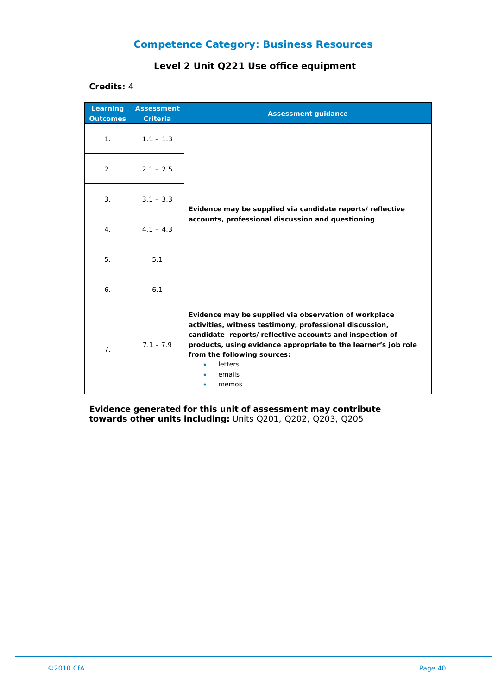### **Level 2 Unit Q221 Use office equipment**

**Credits:** 4

| Learning<br><b>Outcomes</b> | <b>Assessment</b><br><b>Criteria</b> | <b>Assessment guidance</b>                                                                                                                                                                                                                                                                                 |
|-----------------------------|--------------------------------------|------------------------------------------------------------------------------------------------------------------------------------------------------------------------------------------------------------------------------------------------------------------------------------------------------------|
| 1.                          | $1.1 - 1.3$                          |                                                                                                                                                                                                                                                                                                            |
| 2.                          | $2.1 - 2.5$                          |                                                                                                                                                                                                                                                                                                            |
| 3.                          | $3.1 - 3.3$                          | Evidence may be supplied via candidate reports/reflective<br>accounts, professional discussion and questioning                                                                                                                                                                                             |
| 4.                          | $4.1 - 4.3$                          |                                                                                                                                                                                                                                                                                                            |
| 5.                          | 5.1                                  |                                                                                                                                                                                                                                                                                                            |
| 6.                          | 6.1                                  |                                                                                                                                                                                                                                                                                                            |
| 7 <sub>1</sub>              | $7.1 - 7.9$                          | Evidence may be supplied via observation of workplace<br>activities, witness testimony, professional discussion,<br>candidate reports/reflective accounts and inspection of<br>products, using evidence appropriate to the learner's job role<br>from the following sources:<br>letters<br>emails<br>memos |

**Evidence generated for this unit of assessment may contribute towards other units including:** Units Q201, Q202, Q203, Q205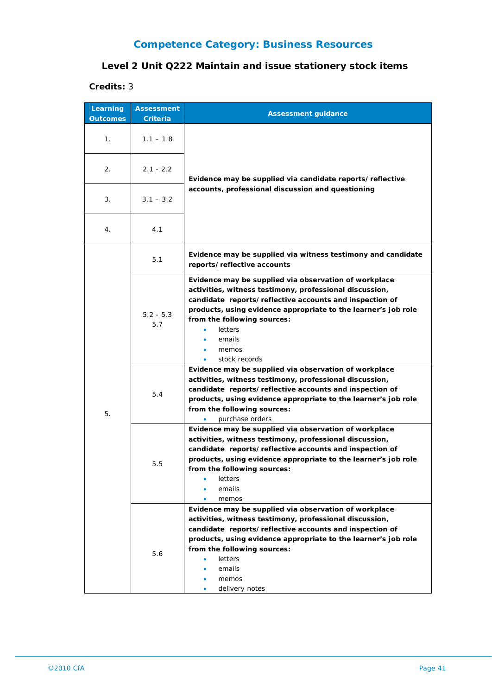## **Level 2 Unit Q222 Maintain and issue stationery stock items**

| Learning<br><b>Outcomes</b> | <b>Assessment</b><br>Criteria | <b>Assessment guidance</b>                                                                                                                                                                                                                                                                                                       |
|-----------------------------|-------------------------------|----------------------------------------------------------------------------------------------------------------------------------------------------------------------------------------------------------------------------------------------------------------------------------------------------------------------------------|
|                             |                               |                                                                                                                                                                                                                                                                                                                                  |
| 1 <sub>1</sub>              | $1.1 - 1.8$                   |                                                                                                                                                                                                                                                                                                                                  |
| 2.                          | $2.1 - 2.2$                   | Evidence may be supplied via candidate reports/reflective                                                                                                                                                                                                                                                                        |
| 3.                          | $3.1 - 3.2$                   | accounts, professional discussion and questioning                                                                                                                                                                                                                                                                                |
| 4.                          | 4.1                           |                                                                                                                                                                                                                                                                                                                                  |
|                             | 5.1                           | Evidence may be supplied via witness testimony and candidate<br>reports/reflective accounts                                                                                                                                                                                                                                      |
| 5.                          | $5.2 - 5.3$<br>5.7            | Evidence may be supplied via observation of workplace<br>activities, witness testimony, professional discussion,<br>candidate reports/reflective accounts and inspection of<br>products, using evidence appropriate to the learner's job role<br>from the following sources:<br>letters<br>٠<br>emails<br>memos<br>stock records |
|                             | 5.4                           | Evidence may be supplied via observation of workplace<br>activities, witness testimony, professional discussion,<br>candidate reports/reflective accounts and inspection of<br>products, using evidence appropriate to the learner's job role<br>from the following sources:<br>purchase orders                                  |
|                             | 5.5                           | Evidence may be supplied via observation of workplace<br>activities, witness testimony, professional discussion,<br>candidate reports/reflective accounts and inspection of<br>products, using evidence appropriate to the learner's job role<br>from the following sources:<br>letters<br>emails<br>memos                       |
|                             | 5.6                           | Evidence may be supplied via observation of workplace<br>activities, witness testimony, professional discussion,<br>candidate reports/reflective accounts and inspection of<br>products, using evidence appropriate to the learner's job role<br>from the following sources:<br>letters<br>emails<br>memos<br>delivery notes     |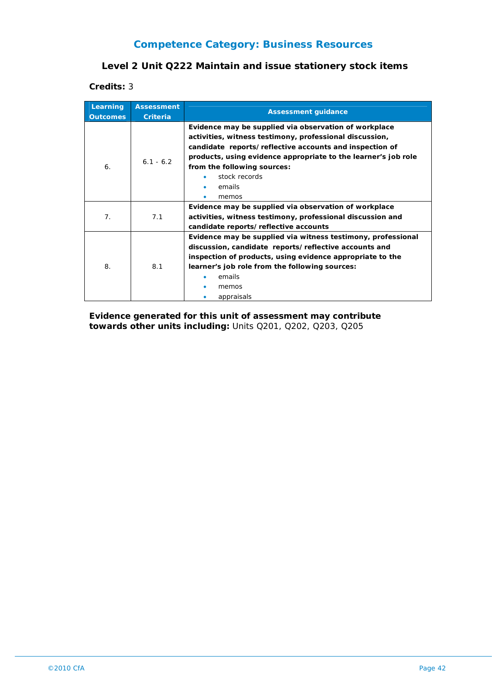## **Level 2 Unit Q222 Maintain and issue stationery stock items**

**Credits:** 3

| Learning<br><b>Outcomes</b> | <b>Assessment</b><br><b>Criteria</b> | <b>Assessment guidance</b>                                     |
|-----------------------------|--------------------------------------|----------------------------------------------------------------|
|                             |                                      | Evidence may be supplied via observation of workplace          |
|                             |                                      | activities, witness testimony, professional discussion,        |
|                             |                                      | candidate reports/reflective accounts and inspection of        |
|                             | $6.1 - 6.2$                          | products, using evidence appropriate to the learner's job role |
| 6.                          |                                      | from the following sources:                                    |
|                             |                                      | stock records                                                  |
|                             |                                      | emails                                                         |
|                             |                                      | memos                                                          |
|                             |                                      | Evidence may be supplied via observation of workplace          |
| 7 <sub>1</sub>              | 7.1                                  | activities, witness testimony, professional discussion and     |
|                             |                                      | candidate reports/reflective accounts                          |
|                             |                                      | Evidence may be supplied via witness testimony, professional   |
|                             | 8.1                                  | discussion, candidate reports/reflective accounts and          |
| 8.                          |                                      | inspection of products, using evidence appropriate to the      |
|                             |                                      | learner's job role from the following sources:                 |
|                             |                                      | emails                                                         |
|                             |                                      | memos                                                          |
|                             |                                      | appraisals                                                     |

**Evidence generated for this unit of assessment may contribute towards other units including:** Units Q201, Q202, Q203, Q205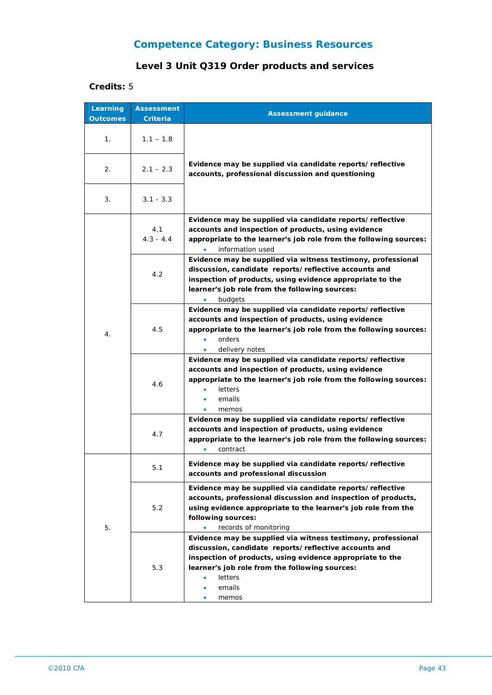## **Level 3 Unit Q319 Order products and services**

| Learning<br><b>Outcomes</b> | <b>Assessment</b><br><b>Criteria</b> | <b>Assessment guidance</b>                                                                                                                                                                                                                                              |
|-----------------------------|--------------------------------------|-------------------------------------------------------------------------------------------------------------------------------------------------------------------------------------------------------------------------------------------------------------------------|
| 1.                          | $1.1 - 1.8$                          |                                                                                                                                                                                                                                                                         |
| 2.                          | $2.1 - 2.3$                          | Evidence may be supplied via candidate reports/reflective<br>accounts, professional discussion and questioning                                                                                                                                                          |
| 3.                          | $3.1 - 3.3$                          |                                                                                                                                                                                                                                                                         |
| 4.                          | 4.1<br>$4.3 - 4.4$                   | Evidence may be supplied via candidate reports/reflective<br>accounts and inspection of products, using evidence<br>appropriate to the learner's job role from the following sources:<br>information used                                                               |
|                             | 4.2                                  | Evidence may be supplied via witness testimony, professional<br>discussion, candidate reports/reflective accounts and<br>inspection of products, using evidence appropriate to the<br>learner's job role from the following sources:<br>budgets                         |
|                             | 4.5                                  | Evidence may be supplied via candidate reports/reflective<br>accounts and inspection of products, using evidence<br>appropriate to the learner's job role from the following sources:<br>orders<br>delivery notes                                                       |
|                             | 4.6                                  | Evidence may be supplied via candidate reports/reflective<br>accounts and inspection of products, using evidence<br>appropriate to the learner's job role from the following sources:<br>letters<br>emails<br>memos                                                     |
|                             | 4.7                                  | Evidence may be supplied via candidate reports/reflective<br>accounts and inspection of products, using evidence<br>appropriate to the learner's job role from the following sources:<br>contract                                                                       |
|                             | 5.1                                  | Evidence may be supplied via candidate reports/reflective<br>accounts and professional discussion                                                                                                                                                                       |
| 5.                          | 5.2                                  | Evidence may be supplied via candidate reports/reflective<br>accounts, professional discussion and inspection of products,<br>using evidence appropriate to the learner's job role from the<br>following sources:<br>records of monitoring<br>$\bullet$                 |
|                             | 5.3                                  | Evidence may be supplied via witness testimony, professional<br>discussion, candidate reports/reflective accounts and<br>inspection of products, using evidence appropriate to the<br>learner's job role from the following sources:<br>letters<br>٠<br>emails<br>memos |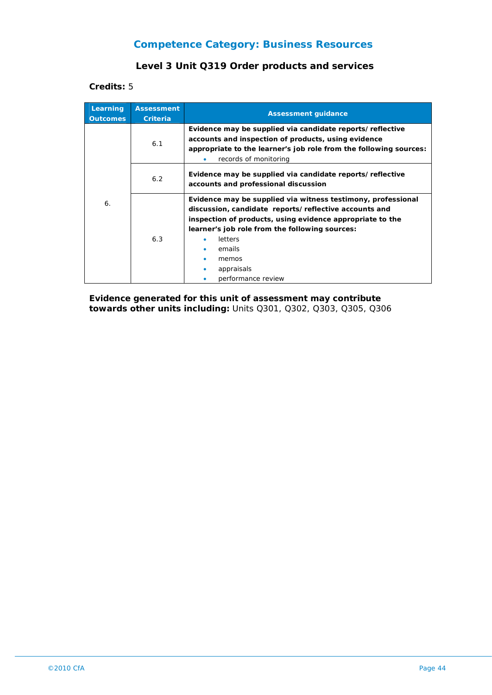## **Level 3 Unit Q319 Order products and services**

**Credits:** 5

| Learning<br><b>Outcomes</b> | <b>Assessment</b><br><b>Criteria</b> | <b>Assessment guidance</b>                                                                                                                                                                                                                                                                             |
|-----------------------------|--------------------------------------|--------------------------------------------------------------------------------------------------------------------------------------------------------------------------------------------------------------------------------------------------------------------------------------------------------|
|                             | 6.1                                  | Evidence may be supplied via candidate reports/reflective<br>accounts and inspection of products, using evidence<br>appropriate to the learner's job role from the following sources:<br>records of monitoring                                                                                         |
|                             | 6.2                                  | Evidence may be supplied via candidate reports/reflective<br>accounts and professional discussion                                                                                                                                                                                                      |
| 6.                          | 6.3                                  | Evidence may be supplied via witness testimony, professional<br>discussion, candidate reports/reflective accounts and<br>inspection of products, using evidence appropriate to the<br>learner's job role from the following sources:<br>letters<br>emails<br>memos<br>appraisals<br>performance review |

**Evidence generated for this unit of assessment may contribute towards other units including:** Units Q301, Q302, Q303, Q305, Q306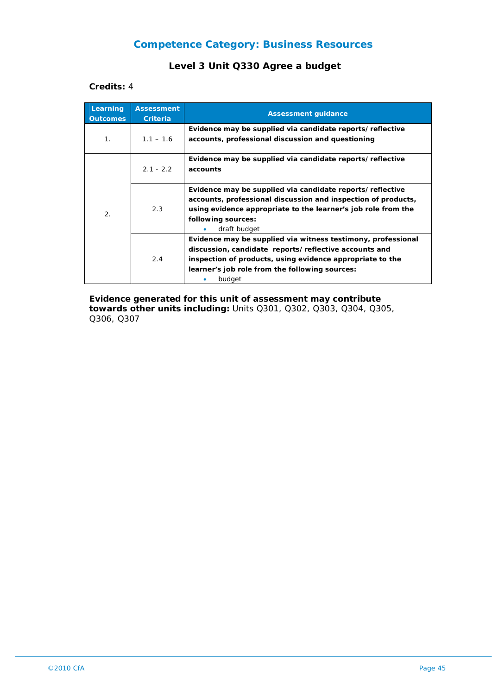## **Level 3 Unit Q330 Agree a budget**

#### **Credits:** 4

| Learning<br><b>Outcomes</b> | <b>Assessment</b><br><b>Criteria</b> | <b>Assessment guidance</b>                                                                                                                                                                                                                     |
|-----------------------------|--------------------------------------|------------------------------------------------------------------------------------------------------------------------------------------------------------------------------------------------------------------------------------------------|
| 1 <sub>1</sub>              | $1.1 - 1.6$                          | Evidence may be supplied via candidate reports/reflective<br>accounts, professional discussion and questioning                                                                                                                                 |
| 2.                          | $2.1 - 2.2$                          | Evidence may be supplied via candidate reports/reflective<br>accounts                                                                                                                                                                          |
|                             | 2.3                                  | Evidence may be supplied via candidate reports/reflective<br>accounts, professional discussion and inspection of products,<br>using evidence appropriate to the learner's job role from the<br>following sources:<br>draft budget              |
|                             | 2.4                                  | Evidence may be supplied via witness testimony, professional<br>discussion, candidate reports/reflective accounts and<br>inspection of products, using evidence appropriate to the<br>learner's job role from the following sources:<br>budget |

**Evidence generated for this unit of assessment may contribute towards other units including:** Units Q301, Q302, Q303, Q304, Q305, Q306, Q307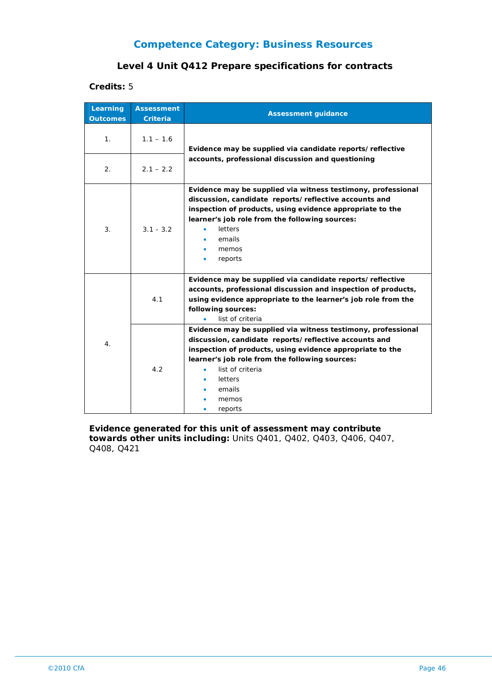#### **Level 4 Unit Q412 Prepare specifications for contracts**

**Credits:** 5

| Learning<br><b>Outcomes</b> | <b>Assessment</b><br><b>Criteria</b> | <b>Assessment guidance</b>                                                                                                                                                                                                                                                                             |
|-----------------------------|--------------------------------------|--------------------------------------------------------------------------------------------------------------------------------------------------------------------------------------------------------------------------------------------------------------------------------------------------------|
| 1.                          | $1.1 - 1.6$                          | Evidence may be supplied via candidate reports/reflective<br>accounts, professional discussion and questioning                                                                                                                                                                                         |
| 2.                          | $2.1 - 2.2$                          |                                                                                                                                                                                                                                                                                                        |
| 3.                          | $3.1 - 3.2$                          | Evidence may be supplied via witness testimony, professional<br>discussion, candidate reports/reflective accounts and<br>inspection of products, using evidence appropriate to the<br>learner's job role from the following sources:<br>letters<br>٠<br>emails<br>memos<br>reports                     |
| 4.                          | 4.1                                  | Evidence may be supplied via candidate reports/reflective<br>accounts, professional discussion and inspection of products,<br>using evidence appropriate to the learner's job role from the<br>following sources:<br>list of criteria                                                                  |
|                             | 4.2                                  | Evidence may be supplied via witness testimony, professional<br>discussion, candidate reports/reflective accounts and<br>inspection of products, using evidence appropriate to the<br>learner's job role from the following sources:<br>list of criteria<br>٠<br>letters<br>emails<br>memos<br>reports |

**Evidence generated for this unit of assessment may contribute towards other units including:** Units Q401, Q402, Q403, Q406, Q407, Q408, Q421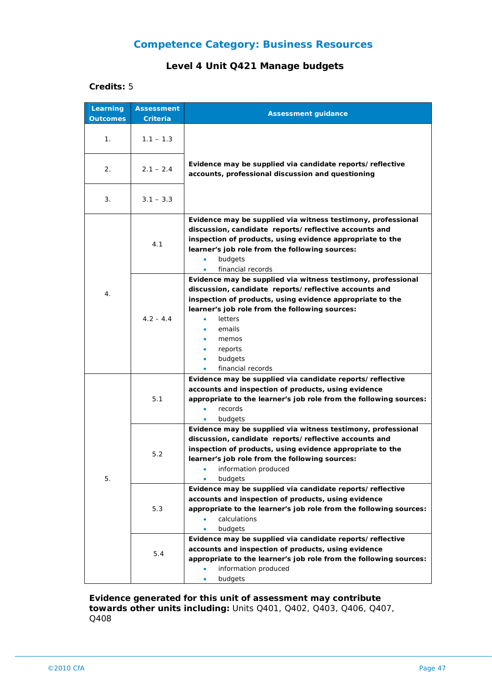#### **Level 4 Unit Q421 Manage budgets**

#### **Credits:** 5

| Learning<br><b>Outcomes</b> | <b>Assessment</b><br>Criteria | <b>Assessment guidance</b>                                                                                                                                                                                                                                                                                    |
|-----------------------------|-------------------------------|---------------------------------------------------------------------------------------------------------------------------------------------------------------------------------------------------------------------------------------------------------------------------------------------------------------|
| 1.                          | $1.1 - 1.3$                   |                                                                                                                                                                                                                                                                                                               |
| 2.                          | $2.1 - 2.4$                   | Evidence may be supplied via candidate reports/reflective<br>accounts, professional discussion and questioning                                                                                                                                                                                                |
| 3.                          | $3.1 - 3.3$                   |                                                                                                                                                                                                                                                                                                               |
| 4.                          | 4.1                           | Evidence may be supplied via witness testimony, professional<br>discussion, candidate reports/reflective accounts and<br>inspection of products, using evidence appropriate to the<br>learner's job role from the following sources:<br>budgets<br>$\bullet$<br>financial records<br>$\bullet$                |
|                             | $4.2 - 4.4$                   | Evidence may be supplied via witness testimony, professional<br>discussion, candidate reports/reflective accounts and<br>inspection of products, using evidence appropriate to the<br>learner's job role from the following sources:<br>letters<br>emails<br>memos<br>reports<br>budgets<br>financial records |
| 5.                          | 5.1                           | Evidence may be supplied via candidate reports/reflective<br>accounts and inspection of products, using evidence<br>appropriate to the learner's job role from the following sources:<br>records<br>budgets                                                                                                   |
|                             | 5.2                           | Evidence may be supplied via witness testimony, professional<br>discussion, candidate reports/reflective accounts and<br>inspection of products, using evidence appropriate to the<br>learner's job role from the following sources:<br>information produced<br>budgets<br>۰                                  |
|                             | 5.3                           | Evidence may be supplied via candidate reports/reflective<br>accounts and inspection of products, using evidence<br>appropriate to the learner's job role from the following sources:<br>calculations<br>budgets                                                                                              |
|                             | 5.4                           | Evidence may be supplied via candidate reports/reflective<br>accounts and inspection of products, using evidence<br>appropriate to the learner's job role from the following sources:<br>information produced<br>budgets                                                                                      |

**Evidence generated for this unit of assessment may contribute towards other units including:** Units Q401, Q402, Q403, Q406, Q407, Q408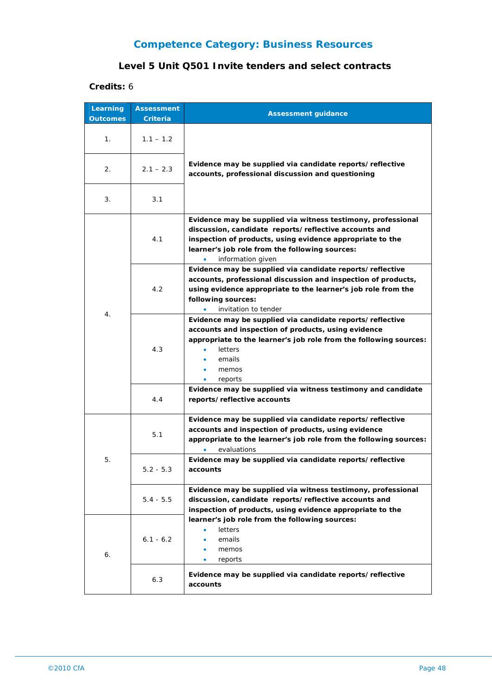## **Level 5 Unit Q501 Invite tenders and select contracts**

| Learning<br><b>Outcomes</b> | <b>Assessment</b><br><b>Criteria</b> | <b>Assessment guidance</b>                                                                                                                                                                                                                                |
|-----------------------------|--------------------------------------|-----------------------------------------------------------------------------------------------------------------------------------------------------------------------------------------------------------------------------------------------------------|
| 1.                          | $1.1 - 1.2$                          |                                                                                                                                                                                                                                                           |
| 2.                          | $2.1 - 2.3$                          | Evidence may be supplied via candidate reports/reflective<br>accounts, professional discussion and questioning                                                                                                                                            |
| 3.                          | 3.1                                  |                                                                                                                                                                                                                                                           |
|                             | 4.1                                  | Evidence may be supplied via witness testimony, professional<br>discussion, candidate reports/reflective accounts and<br>inspection of products, using evidence appropriate to the<br>learner's job role from the following sources:<br>information given |
|                             | 4.2                                  | Evidence may be supplied via candidate reports/reflective<br>accounts, professional discussion and inspection of products,<br>using evidence appropriate to the learner's job role from the<br>following sources:<br>invitation to tender                 |
| 4.                          | 4.3                                  | Evidence may be supplied via candidate reports/reflective<br>accounts and inspection of products, using evidence<br>appropriate to the learner's job role from the following sources:<br>letters<br>emails<br>memos<br>reports                            |
|                             | 4.4                                  | Evidence may be supplied via witness testimony and candidate<br>reports/reflective accounts                                                                                                                                                               |
|                             | 5.1                                  | Evidence may be supplied via candidate reports/reflective<br>accounts and inspection of products, using evidence<br>appropriate to the learner's job role from the following sources:<br>evaluations                                                      |
| 5.                          | $5.2 - 5.3$                          | Evidence may be supplied via candidate reports/reflective<br>accounts                                                                                                                                                                                     |
|                             | $5.4 - 5.5$                          | Evidence may be supplied via witness testimony, professional<br>discussion, candidate reports/reflective accounts and<br>inspection of products, using evidence appropriate to the                                                                        |
| 6.                          | $6.1 - 6.2$                          | learner's job role from the following sources:<br><b>letters</b><br>emails<br>memos<br>reports                                                                                                                                                            |
|                             | 6.3                                  | Evidence may be supplied via candidate reports/reflective<br>accounts                                                                                                                                                                                     |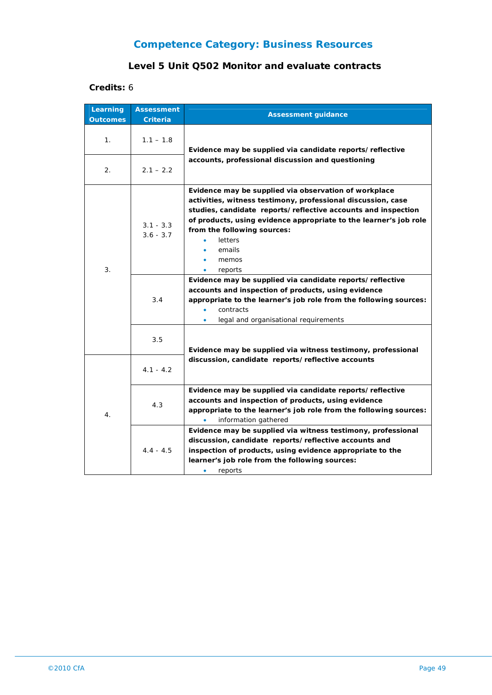## **Level 5 Unit Q502 Monitor and evaluate contracts**

| Learning<br><b>Outcomes</b> | <b>Assessment</b><br>Criteria     | <b>Assessment guidance</b>                                                                                                                                                                                                                                                                                                                                                                                                                                                                                                                                                                                                |
|-----------------------------|-----------------------------------|---------------------------------------------------------------------------------------------------------------------------------------------------------------------------------------------------------------------------------------------------------------------------------------------------------------------------------------------------------------------------------------------------------------------------------------------------------------------------------------------------------------------------------------------------------------------------------------------------------------------------|
| 1.                          | $1.1 - 1.8$                       | Evidence may be supplied via candidate reports/reflective<br>accounts, professional discussion and questioning                                                                                                                                                                                                                                                                                                                                                                                                                                                                                                            |
| 2.                          | $2.1 - 2.2$                       |                                                                                                                                                                                                                                                                                                                                                                                                                                                                                                                                                                                                                           |
| 3.                          | $3.1 - 3.3$<br>$3.6 - 3.7$<br>3.4 | Evidence may be supplied via observation of workplace<br>activities, witness testimony, professional discussion, case<br>studies, candidate reports/reflective accounts and inspection<br>of products, using evidence appropriate to the learner's job role<br>from the following sources:<br>letters<br>emails<br>memos<br>reports<br>$\bullet$<br>Evidence may be supplied via candidate reports/reflective<br>accounts and inspection of products, using evidence<br>appropriate to the learner's job role from the following sources:<br>contracts<br>$\bullet$<br>legal and organisational requirements<br>$\bullet$ |
|                             | 3.5<br>$4.1 - 4.2$                | Evidence may be supplied via witness testimony, professional<br>discussion, candidate reports/reflective accounts                                                                                                                                                                                                                                                                                                                                                                                                                                                                                                         |
| 4.                          | 4.3                               | Evidence may be supplied via candidate reports/reflective<br>accounts and inspection of products, using evidence<br>appropriate to the learner's job role from the following sources:<br>$\bullet$<br>information gathered                                                                                                                                                                                                                                                                                                                                                                                                |
|                             | $4.4 - 4.5$                       | Evidence may be supplied via witness testimony, professional<br>discussion, candidate reports/reflective accounts and<br>inspection of products, using evidence appropriate to the<br>learner's job role from the following sources:<br>$\bullet$<br>reports                                                                                                                                                                                                                                                                                                                                                              |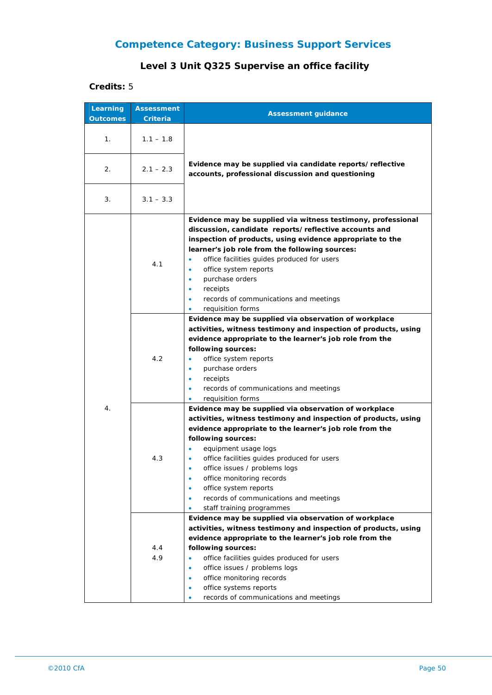## **Level 3 Unit Q325 Supervise an office facility**

| Learning        | <b>Assessment</b> |                                                                                                                                                                                                                                                                                                                                                                                                                                                                                                                                                     |
|-----------------|-------------------|-----------------------------------------------------------------------------------------------------------------------------------------------------------------------------------------------------------------------------------------------------------------------------------------------------------------------------------------------------------------------------------------------------------------------------------------------------------------------------------------------------------------------------------------------------|
| <b>Outcomes</b> | Criteria          | <b>Assessment guidance</b>                                                                                                                                                                                                                                                                                                                                                                                                                                                                                                                          |
| 1.              | $1.1 - 1.8$       |                                                                                                                                                                                                                                                                                                                                                                                                                                                                                                                                                     |
| 2.              | $2.1 - 2.3$       | Evidence may be supplied via candidate reports/reflective<br>accounts, professional discussion and questioning                                                                                                                                                                                                                                                                                                                                                                                                                                      |
| 3.              | $3.1 - 3.3$       |                                                                                                                                                                                                                                                                                                                                                                                                                                                                                                                                                     |
| 4.              | 4.1               | Evidence may be supplied via witness testimony, professional<br>discussion, candidate reports/reflective accounts and<br>inspection of products, using evidence appropriate to the<br>learner's job role from the following sources:<br>office facilities guides produced for users<br>office system reports<br>٠<br>purchase orders<br>٠<br>receipts<br>$\bullet$<br>records of communications and meetings<br>$\bullet$<br>requisition forms<br>۰                                                                                                 |
|                 | 4.2               | Evidence may be supplied via observation of workplace<br>activities, witness testimony and inspection of products, using<br>evidence appropriate to the learner's job role from the<br>following sources:<br>office system reports<br>٠<br>purchase orders<br>٠<br>receipts<br>$\bullet$<br>records of communications and meetings<br>$\bullet$<br>requisition forms                                                                                                                                                                                |
|                 | 4.3               | Evidence may be supplied via observation of workplace<br>activities, witness testimony and inspection of products, using<br>evidence appropriate to the learner's job role from the<br>following sources:<br>equipment usage logs<br>office facilities guides produced for users<br>office issues / problems logs<br>٠<br>office monitoring records<br>$\bullet$<br>office system reports<br>$\bullet$<br>records of communications and meetings<br>$\bullet$<br>staff training programmes<br>Evidence may be supplied via observation of workplace |
|                 | 4.4<br>4.9        | activities, witness testimony and inspection of products, using<br>evidence appropriate to the learner's job role from the<br>following sources:<br>office facilities guides produced for users<br>$\bullet$<br>office issues / problems logs<br>٠<br>office monitoring records<br>۰<br>office systems reports<br>$\bullet$<br>records of communications and meetings<br>٠                                                                                                                                                                          |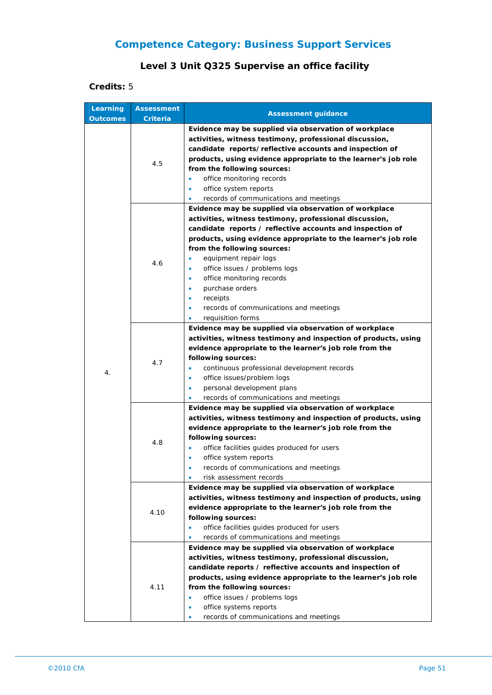## **Level 3 Unit Q325 Supervise an office facility**

| Learning<br><b>Outcomes</b> | <b>Assessment</b><br>Criteria | <b>Assessment guidance</b>                                                                                                                                                                                                                                                                                                                                                                                                                                                              |
|-----------------------------|-------------------------------|-----------------------------------------------------------------------------------------------------------------------------------------------------------------------------------------------------------------------------------------------------------------------------------------------------------------------------------------------------------------------------------------------------------------------------------------------------------------------------------------|
| 4.                          | 4.5                           | Evidence may be supplied via observation of workplace<br>activities, witness testimony, professional discussion,<br>candidate reports/reflective accounts and inspection of<br>products, using evidence appropriate to the learner's job role<br>from the following sources:<br>office monitoring records<br>۰<br>office system reports<br>۰<br>records of communications and meetings                                                                                                  |
|                             | 4.6                           | Evidence may be supplied via observation of workplace<br>activities, witness testimony, professional discussion,<br>candidate reports / reflective accounts and inspection of<br>products, using evidence appropriate to the learner's job role<br>from the following sources:<br>equipment repair logs<br>office issues / problems logs<br>٠<br>office monitoring records<br>٠<br>purchase orders<br>receipts<br>٠<br>records of communications and meetings<br>٠<br>requisition forms |
|                             | 4.7                           | Evidence may be supplied via observation of workplace<br>activities, witness testimony and inspection of products, using<br>evidence appropriate to the learner's job role from the<br>following sources:<br>continuous professional development records<br>$\bullet$<br>office issues/problem logs<br>۰<br>personal development plans<br>$\bullet$<br>records of communications and meetings                                                                                           |
|                             | 4.8                           | Evidence may be supplied via observation of workplace<br>activities, witness testimony and inspection of products, using<br>evidence appropriate to the learner's job role from the<br>following sources:<br>office facilities quides produced for users<br>۰<br>office system reports<br>۰<br>records of communications and meetings<br>$\bullet$<br>risk assessment records                                                                                                           |
|                             | 4.10                          | Evidence may be supplied via observation of workplace<br>activities, witness testimony and inspection of products, using<br>evidence appropriate to the learner's job role from the<br>following sources:<br>office facilities guides produced for users<br>records of communications and meetings                                                                                                                                                                                      |
|                             | 4.11                          | Evidence may be supplied via observation of workplace<br>activities, witness testimony, professional discussion,<br>candidate reports / reflective accounts and inspection of<br>products, using evidence appropriate to the learner's job role<br>from the following sources:<br>office issues / problems logs<br>$\bullet$<br>office systems reports<br>۰<br>records of communications and meetings                                                                                   |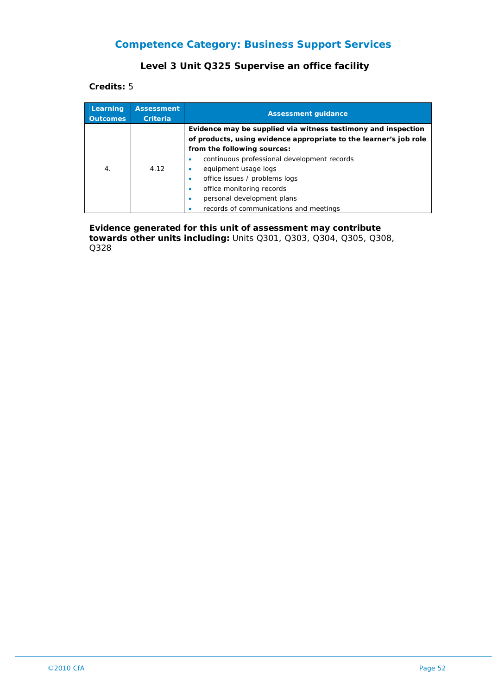#### **Level 3 Unit Q325 Supervise an office facility**

**Credits:** 5

| Learning<br><b>Outcomes</b> | <b>Assessment</b><br>Criteria | <b>Assessment guidance</b>                                        |
|-----------------------------|-------------------------------|-------------------------------------------------------------------|
|                             |                               | Evidence may be supplied via witness testimony and inspection     |
|                             |                               | of products, using evidence appropriate to the learner's job role |
| $\overline{4}$ .            | 4.12                          | from the following sources:                                       |
|                             |                               | continuous professional development records                       |
|                             |                               | equipment usage logs                                              |
|                             |                               | office issues / problems logs                                     |
|                             |                               | office monitoring records                                         |
|                             |                               | personal development plans                                        |
|                             |                               | records of communications and meetings                            |

**Evidence generated for this unit of assessment may contribute towards other units including:** Units Q301, Q303, Q304, Q305, Q308, Q328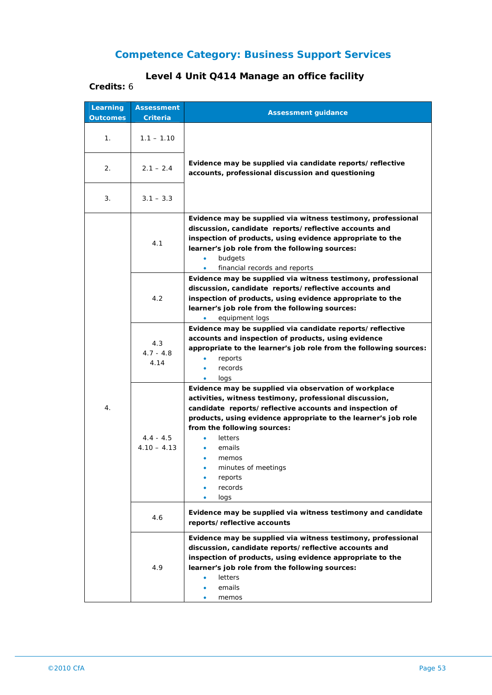# **Level 4 Unit Q414 Manage an office facility**

| Learning<br><b>Outcomes</b> | <b>Assessment</b><br>Criteria | <b>Assessment guidance</b>                                                                                                                                                                                                                                                                                                                                              |
|-----------------------------|-------------------------------|-------------------------------------------------------------------------------------------------------------------------------------------------------------------------------------------------------------------------------------------------------------------------------------------------------------------------------------------------------------------------|
| 1.                          | $1.1 - 1.10$                  |                                                                                                                                                                                                                                                                                                                                                                         |
| 2.                          | $2.1 - 2.4$                   | Evidence may be supplied via candidate reports/reflective<br>accounts, professional discussion and questioning                                                                                                                                                                                                                                                          |
| 3.                          | $3.1 - 3.3$                   |                                                                                                                                                                                                                                                                                                                                                                         |
| 4.                          | 4.1                           | Evidence may be supplied via witness testimony, professional<br>discussion, candidate reports/reflective accounts and<br>inspection of products, using evidence appropriate to the<br>learner's job role from the following sources:<br>$\bullet$<br>budgets<br>financial records and reports<br>$\bullet$                                                              |
|                             | 4.2                           | Evidence may be supplied via witness testimony, professional<br>discussion, candidate reports/reflective accounts and<br>inspection of products, using evidence appropriate to the<br>learner's job role from the following sources:<br>equipment logs                                                                                                                  |
|                             | 4.3<br>$4.7 - 4.8$<br>4.14    | Evidence may be supplied via candidate reports/reflective<br>accounts and inspection of products, using evidence<br>appropriate to the learner's job role from the following sources:<br>reports<br>$\bullet$<br>records<br>$\bullet$                                                                                                                                   |
|                             | $4.4 - 4.5$<br>$4.10 - 4.13$  | logs<br>Evidence may be supplied via observation of workplace<br>activities, witness testimony, professional discussion,<br>candidate reports/reflective accounts and inspection of<br>products, using evidence appropriate to the learner's job role<br>from the following sources:<br>letters<br>emails<br>memos<br>minutes of meetings<br>reports<br>records<br>logs |
|                             | 4.6                           | Evidence may be supplied via witness testimony and candidate<br>reports/reflective accounts                                                                                                                                                                                                                                                                             |
|                             | 4.9                           | Evidence may be supplied via witness testimony, professional<br>discussion, candidate reports/reflective accounts and<br>inspection of products, using evidence appropriate to the<br>learner's job role from the following sources:<br><b>letters</b><br>emails<br>memos                                                                                               |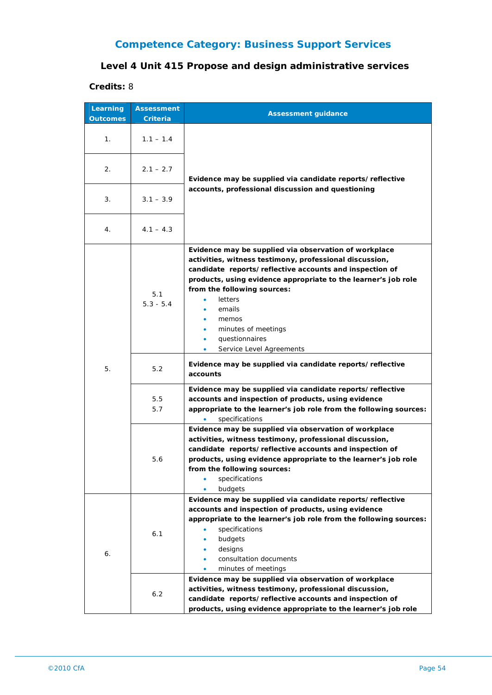## **Level 4 Unit 415 Propose and design administrative services**

| Learning        | <b>Assessment</b>  | <b>Assessment guidance</b>                                                                                                                                                                                                                                                                                                                                                                                     |
|-----------------|--------------------|----------------------------------------------------------------------------------------------------------------------------------------------------------------------------------------------------------------------------------------------------------------------------------------------------------------------------------------------------------------------------------------------------------------|
| <b>Outcomes</b> | Criteria           |                                                                                                                                                                                                                                                                                                                                                                                                                |
| 1.              | $1.1 - 1.4$        |                                                                                                                                                                                                                                                                                                                                                                                                                |
| 2.              | $2.1 - 2.7$        | Evidence may be supplied via candidate reports/reflective                                                                                                                                                                                                                                                                                                                                                      |
| 3.              | $3.1 - 3.9$        | accounts, professional discussion and questioning                                                                                                                                                                                                                                                                                                                                                              |
| 4.              | $4.1 - 4.3$        |                                                                                                                                                                                                                                                                                                                                                                                                                |
|                 | 5.1<br>$5.3 - 5.4$ | Evidence may be supplied via observation of workplace<br>activities, witness testimony, professional discussion,<br>candidate reports/reflective accounts and inspection of<br>products, using evidence appropriate to the learner's job role<br>from the following sources:<br>letters<br>emails<br>memos<br>minutes of meetings<br>۰<br>questionnaires<br>$\bullet$<br>Service Level Agreements<br>$\bullet$ |
| 5.              | 5.2                | Evidence may be supplied via candidate reports/reflective<br>accounts                                                                                                                                                                                                                                                                                                                                          |
|                 | 5.5<br>5.7         | Evidence may be supplied via candidate reports/reflective<br>accounts and inspection of products, using evidence<br>appropriate to the learner's job role from the following sources:<br>specifications                                                                                                                                                                                                        |
|                 | 5.6                | Evidence may be supplied via observation of workplace<br>activities, witness testimony, professional discussion,<br>candidate reports/reflective accounts and inspection of<br>products, using evidence appropriate to the learner's job role<br>from the following sources:<br>specifications<br>budgets                                                                                                      |
| 6.              | 6.1                | Evidence may be supplied via candidate reports/reflective<br>accounts and inspection of products, using evidence<br>appropriate to the learner's job role from the following sources:<br>specifications<br>budgets<br>designs<br>consultation documents<br>minutes of meetings                                                                                                                                 |
|                 | 6.2                | Evidence may be supplied via observation of workplace<br>activities, witness testimony, professional discussion,<br>candidate reports/reflective accounts and inspection of<br>products, using evidence appropriate to the learner's job role                                                                                                                                                                  |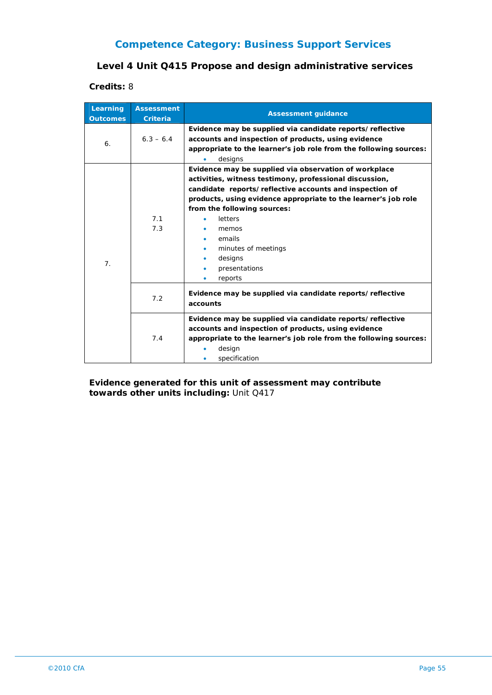### **Level 4 Unit Q415 Propose and design administrative services**

#### **Credits:** 8

| Learning<br><b>Outcomes</b> | <b>Assessment</b><br><b>Criteria</b> | <b>Assessment guidance</b>                                                                                                                                                                                                                                                                                                                                                      |
|-----------------------------|--------------------------------------|---------------------------------------------------------------------------------------------------------------------------------------------------------------------------------------------------------------------------------------------------------------------------------------------------------------------------------------------------------------------------------|
| 6.                          | $6.3 - 6.4$                          | Evidence may be supplied via candidate reports/reflective<br>accounts and inspection of products, using evidence<br>appropriate to the learner's job role from the following sources:<br>designs<br>۰                                                                                                                                                                           |
| 7 <sub>1</sub>              | 7.1<br>7.3                           | Evidence may be supplied via observation of workplace<br>activities, witness testimony, professional discussion,<br>candidate reports/reflective accounts and inspection of<br>products, using evidence appropriate to the learner's job role<br>from the following sources:<br><b>letters</b><br>memos<br>emails<br>minutes of meetings<br>designs<br>presentations<br>reports |
|                             | 7.2                                  | Evidence may be supplied via candidate reports/reflective<br>accounts                                                                                                                                                                                                                                                                                                           |
|                             | 7.4                                  | Evidence may be supplied via candidate reports/reflective<br>accounts and inspection of products, using evidence<br>appropriate to the learner's job role from the following sources:<br>design<br>specification                                                                                                                                                                |

#### **Evidence generated for this unit of assessment may contribute towards other units including:** Unit Q417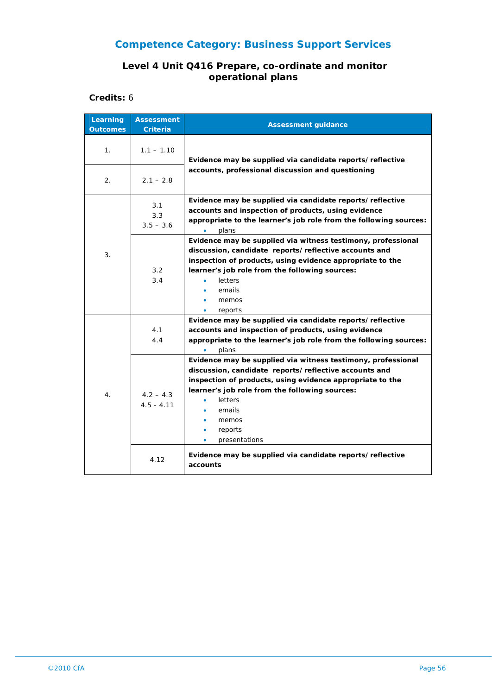#### **Level 4 Unit Q416 Prepare, co-ordinate and monitor operational plans**

| Learning<br><b>Outcomes</b> | <b>Assessment</b><br><b>Criteria</b> | <b>Assessment guidance</b>                                                                                                                                                                                                                                                                                                                 |
|-----------------------------|--------------------------------------|--------------------------------------------------------------------------------------------------------------------------------------------------------------------------------------------------------------------------------------------------------------------------------------------------------------------------------------------|
| 1 <sub>1</sub>              | $1.1 - 1.10$                         | Evidence may be supplied via candidate reports/reflective<br>accounts, professional discussion and questioning                                                                                                                                                                                                                             |
| 2.                          | $2.1 - 2.8$                          |                                                                                                                                                                                                                                                                                                                                            |
| 3.                          | 3.1<br>3.3<br>$3.5 - 3.6$            | Evidence may be supplied via candidate reports/reflective<br>accounts and inspection of products, using evidence<br>appropriate to the learner's job role from the following sources:<br>plans<br>$\bullet$                                                                                                                                |
|                             | 3.2<br>3.4                           | Evidence may be supplied via witness testimony, professional<br>discussion, candidate reports/reflective accounts and<br>inspection of products, using evidence appropriate to the<br>learner's job role from the following sources:<br>letters<br>$\bullet$<br>emails<br>memos<br>reports                                                 |
| 4.                          | 4.1<br>4.4                           | Evidence may be supplied via candidate reports/reflective<br>accounts and inspection of products, using evidence<br>appropriate to the learner's job role from the following sources:<br>plans                                                                                                                                             |
|                             | $4.2 - 4.3$<br>$4.5 - 4.11$          | Evidence may be supplied via witness testimony, professional<br>discussion, candidate reports/reflective accounts and<br>inspection of products, using evidence appropriate to the<br>learner's job role from the following sources:<br>letters<br>$\bullet$<br>emails<br>memos<br>٠<br>reports<br>$\bullet$<br>presentations<br>$\bullet$ |
|                             | 4.12                                 | Evidence may be supplied via candidate reports/reflective<br>accounts                                                                                                                                                                                                                                                                      |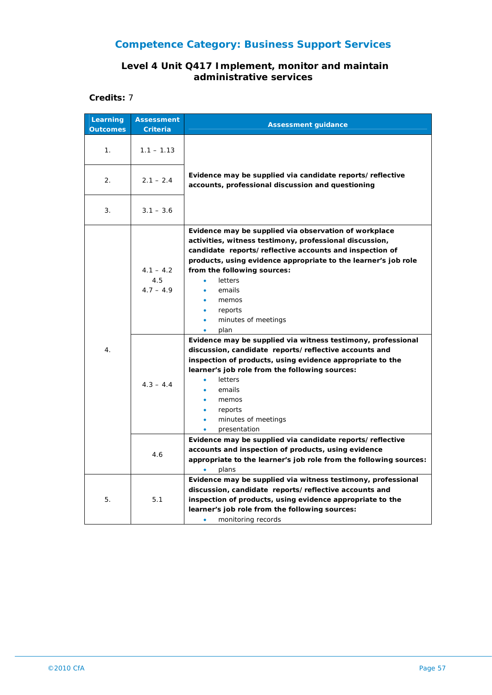#### **Level 4 Unit Q417 Implement, monitor and maintain administrative services**

| Learning<br><b>Outcomes</b> | <b>Assessment</b><br><b>Criteria</b> | <b>Assessment guidance</b>                                                                                                                                                                                                                                                                                                                                                                  |
|-----------------------------|--------------------------------------|---------------------------------------------------------------------------------------------------------------------------------------------------------------------------------------------------------------------------------------------------------------------------------------------------------------------------------------------------------------------------------------------|
| 1 <sub>1</sub>              | $1.1 - 1.13$                         |                                                                                                                                                                                                                                                                                                                                                                                             |
| 2.                          | $2.1 - 2.4$                          | Evidence may be supplied via candidate reports/reflective<br>accounts, professional discussion and questioning                                                                                                                                                                                                                                                                              |
| 3.                          | $3.1 - 3.6$                          |                                                                                                                                                                                                                                                                                                                                                                                             |
| 4.                          | $4.1 - 4.2$<br>4.5<br>$4.7 - 4.9$    | Evidence may be supplied via observation of workplace<br>activities, witness testimony, professional discussion,<br>candidate reports/reflective accounts and inspection of<br>products, using evidence appropriate to the learner's job role<br>from the following sources:<br>letters<br>$\bullet$<br>emails<br>memos<br>reports<br>minutes of meetings<br>$\bullet$<br>plan<br>$\bullet$ |
|                             | $4.3 - 4.4$                          | Evidence may be supplied via witness testimony, professional<br>discussion, candidate reports/reflective accounts and<br>inspection of products, using evidence appropriate to the<br>learner's job role from the following sources:<br>letters<br>$\bullet$<br>emails<br>memos<br>reports<br>minutes of meetings<br>$\bullet$<br>presentation<br>$\bullet$                                 |
|                             | 4.6                                  | Evidence may be supplied via candidate reports/reflective<br>accounts and inspection of products, using evidence<br>appropriate to the learner's job role from the following sources:<br>plans                                                                                                                                                                                              |
| 5.                          | 5.1                                  | Evidence may be supplied via witness testimony, professional<br>discussion, candidate reports/reflective accounts and<br>inspection of products, using evidence appropriate to the<br>learner's job role from the following sources:<br>monitoring records                                                                                                                                  |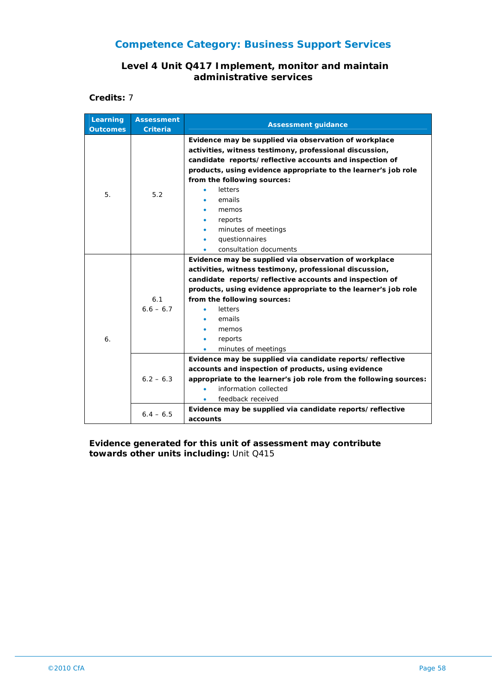#### **Level 4 Unit Q417 Implement, monitor and maintain administrative services**

**Credits:** 7

| Learning<br><b>Outcomes</b> | <b>Assessment</b><br><b>Criteria</b> | <b>Assessment guidance</b>                                        |
|-----------------------------|--------------------------------------|-------------------------------------------------------------------|
|                             |                                      | Evidence may be supplied via observation of workplace             |
|                             |                                      | activities, witness testimony, professional discussion,           |
|                             |                                      | candidate reports/reflective accounts and inspection of           |
|                             |                                      | products, using evidence appropriate to the learner's job role    |
|                             |                                      | from the following sources:                                       |
| 5.                          | 5.2                                  | letters                                                           |
|                             |                                      | emails                                                            |
|                             |                                      | memos                                                             |
|                             |                                      | reports                                                           |
|                             |                                      | minutes of meetings                                               |
|                             |                                      | questionnaires                                                    |
|                             |                                      | consultation documents                                            |
|                             |                                      | Evidence may be supplied via observation of workplace             |
|                             |                                      | activities, witness testimony, professional discussion,           |
|                             |                                      | candidate reports/reflective accounts and inspection of           |
|                             |                                      | products, using evidence appropriate to the learner's job role    |
|                             | 6.1                                  | from the following sources:                                       |
|                             | $6.6 - 6.7$                          | letters                                                           |
|                             |                                      | emails                                                            |
|                             |                                      | memos                                                             |
| 6.                          |                                      | reports                                                           |
|                             |                                      | minutes of meetings                                               |
|                             |                                      | Evidence may be supplied via candidate reports/reflective         |
|                             |                                      | accounts and inspection of products, using evidence               |
|                             | $6.2 - 6.3$                          | appropriate to the learner's job role from the following sources: |
|                             |                                      | information collected                                             |
|                             |                                      | feedback received                                                 |
|                             | $6.4 - 6.5$                          | Evidence may be supplied via candidate reports/reflective         |
|                             |                                      | accounts                                                          |

#### **Evidence generated for this unit of assessment may contribute towards other units including:** Unit Q415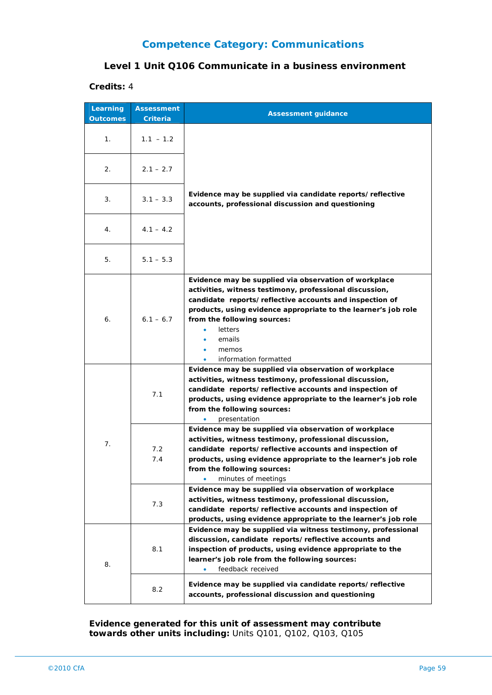#### **Level 1 Unit Q106 Communicate in a business environment**

#### **Credits:** 4

| Learning<br><b>Outcomes</b> | <b>Assessment</b><br>Criteria | <b>Assessment guidance</b>                                                                                                                                                                                                                                                                                                          |
|-----------------------------|-------------------------------|-------------------------------------------------------------------------------------------------------------------------------------------------------------------------------------------------------------------------------------------------------------------------------------------------------------------------------------|
| 1.                          | $1.1 - 1.2$                   |                                                                                                                                                                                                                                                                                                                                     |
| 2.                          | $2.1 - 2.7$                   |                                                                                                                                                                                                                                                                                                                                     |
| 3.                          | $3.1 - 3.3$                   | Evidence may be supplied via candidate reports/reflective<br>accounts, professional discussion and questioning                                                                                                                                                                                                                      |
| 4.                          | $4.1 - 4.2$                   |                                                                                                                                                                                                                                                                                                                                     |
| 5.                          | $5.1 - 5.3$                   |                                                                                                                                                                                                                                                                                                                                     |
| 6.                          | $6.1 - 6.7$                   | Evidence may be supplied via observation of workplace<br>activities, witness testimony, professional discussion,<br>candidate reports/reflective accounts and inspection of<br>products, using evidence appropriate to the learner's job role<br>from the following sources:<br>letters<br>emails<br>memos<br>information formatted |
| 7.                          | 7.1                           | Evidence may be supplied via observation of workplace<br>activities, witness testimony, professional discussion,<br>candidate reports/reflective accounts and inspection of<br>products, using evidence appropriate to the learner's job role<br>from the following sources:<br>presentation                                        |
|                             | 7.2<br>7.4                    | Evidence may be supplied via observation of workplace<br>activities, witness testimony, professional discussion,<br>candidate reports/reflective accounts and inspection of<br>products, using evidence appropriate to the learner's job role<br>from the following sources:<br>minutes of meetings<br>٠                            |
|                             | 7.3                           | Evidence may be supplied via observation of workplace<br>activities, witness testimony, professional discussion,<br>candidate reports/reflective accounts and inspection of<br>products, using evidence appropriate to the learner's job role                                                                                       |
| 8.                          | 8.1                           | Evidence may be supplied via witness testimony, professional<br>discussion, candidate reports/reflective accounts and<br>inspection of products, using evidence appropriate to the<br>learner's job role from the following sources:<br>feedback received                                                                           |
|                             | 8.2                           | Evidence may be supplied via candidate reports/reflective<br>accounts, professional discussion and questioning                                                                                                                                                                                                                      |

**Evidence generated for this unit of assessment may contribute towards other units including:** Units Q101, Q102, Q103, Q105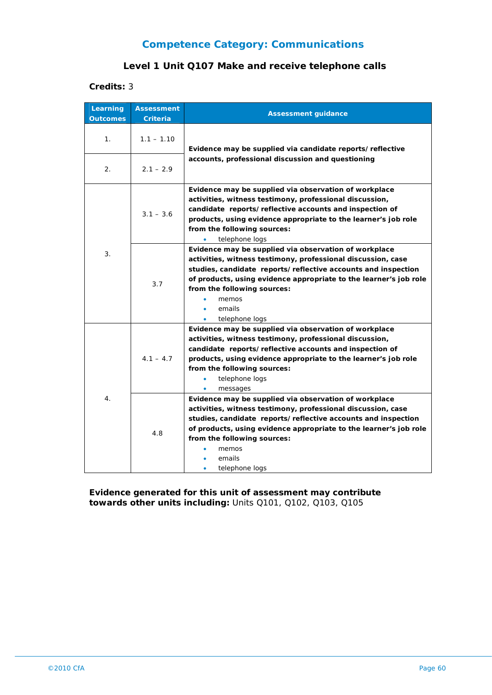#### **Level 1 Unit Q107 Make and receive telephone calls**

#### **Credits:** 3

| Learning<br><b>Outcomes</b> | <b>Assessment</b><br>Criteria | <b>Assessment guidance</b>                                                                                                                                                                                                                                                                                                           |
|-----------------------------|-------------------------------|--------------------------------------------------------------------------------------------------------------------------------------------------------------------------------------------------------------------------------------------------------------------------------------------------------------------------------------|
| 1.                          | $1.1 - 1.10$                  | Evidence may be supplied via candidate reports/reflective<br>accounts, professional discussion and questioning                                                                                                                                                                                                                       |
| 2.                          | $2.1 - 2.9$                   |                                                                                                                                                                                                                                                                                                                                      |
| 3.                          | $3.1 - 3.6$                   | Evidence may be supplied via observation of workplace<br>activities, witness testimony, professional discussion,<br>candidate reports/reflective accounts and inspection of<br>products, using evidence appropriate to the learner's job role<br>from the following sources:<br>telephone logs                                       |
|                             | 3.7                           | Evidence may be supplied via observation of workplace<br>activities, witness testimony, professional discussion, case<br>studies, candidate reports/reflective accounts and inspection<br>of products, using evidence appropriate to the learner's job role<br>from the following sources:<br>memos<br>emails<br>telephone logs      |
| 4.                          | $4.1 - 4.7$                   | Evidence may be supplied via observation of workplace<br>activities, witness testimony, professional discussion,<br>candidate reports/reflective accounts and inspection of<br>products, using evidence appropriate to the learner's job role<br>from the following sources:<br>telephone logs<br>messages                           |
|                             | 4.8                           | Evidence may be supplied via observation of workplace<br>activities, witness testimony, professional discussion, case<br>studies, candidate reports/reflective accounts and inspection<br>of products, using evidence appropriate to the learner's job role<br>from the following sources:<br>memos<br>emails<br>telephone logs<br>٠ |

**Evidence generated for this unit of assessment may contribute towards other units including:** Units Q101, Q102, Q103, Q105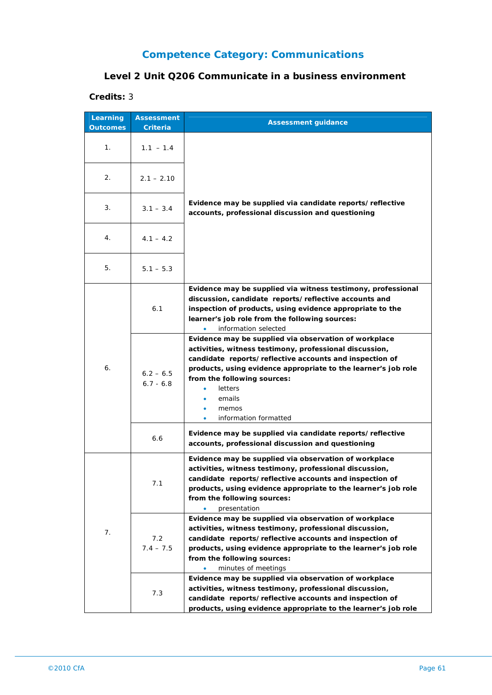## **Level 2 Unit Q206 Communicate in a business environment**

| Learning<br><b>Outcomes</b> | <b>Assessment</b><br>Criteria | <b>Assessment guidance</b>                                                                                                                                                                                                                                                                                                               |
|-----------------------------|-------------------------------|------------------------------------------------------------------------------------------------------------------------------------------------------------------------------------------------------------------------------------------------------------------------------------------------------------------------------------------|
| 1.                          | $1.1 - 1.4$                   |                                                                                                                                                                                                                                                                                                                                          |
| 2.                          | $2.1 - 2.10$                  |                                                                                                                                                                                                                                                                                                                                          |
| 3.                          | $3.1 - 3.4$                   | Evidence may be supplied via candidate reports/reflective<br>accounts, professional discussion and questioning                                                                                                                                                                                                                           |
| 4.                          | $4.1 - 4.2$                   |                                                                                                                                                                                                                                                                                                                                          |
| 5.                          | $5.1 - 5.3$                   |                                                                                                                                                                                                                                                                                                                                          |
| 6.                          | 6.1                           | Evidence may be supplied via witness testimony, professional<br>discussion, candidate reports/reflective accounts and<br>inspection of products, using evidence appropriate to the<br>learner's job role from the following sources:<br>information selected                                                                             |
|                             | $6.2 - 6.5$<br>$6.7 - 6.8$    | Evidence may be supplied via observation of workplace<br>activities, witness testimony, professional discussion,<br>candidate reports/reflective accounts and inspection of<br>products, using evidence appropriate to the learner's job role<br>from the following sources:<br>letters<br>emails<br>memos<br>information formatted<br>۰ |
|                             | 6.6                           | Evidence may be supplied via candidate reports/reflective<br>accounts, professional discussion and questioning                                                                                                                                                                                                                           |
| 7.                          | 1.1                           | Evidence may be supplied via observation of workplace<br>activities, witness testimony, professional discussion,<br>candidate reports/reflective accounts and inspection of<br>products, using evidence appropriate to the learner's job role<br>from the following sources:<br>presentation                                             |
|                             | 7.2<br>$7.4 - 7.5$            | Evidence may be supplied via observation of workplace<br>activities, witness testimony, professional discussion,<br>candidate reports/reflective accounts and inspection of<br>products, using evidence appropriate to the learner's job role<br>from the following sources:<br>minutes of meetings                                      |
|                             | 7.3                           | Evidence may be supplied via observation of workplace<br>activities, witness testimony, professional discussion,<br>candidate reports/reflective accounts and inspection of<br>products, using evidence appropriate to the learner's job role                                                                                            |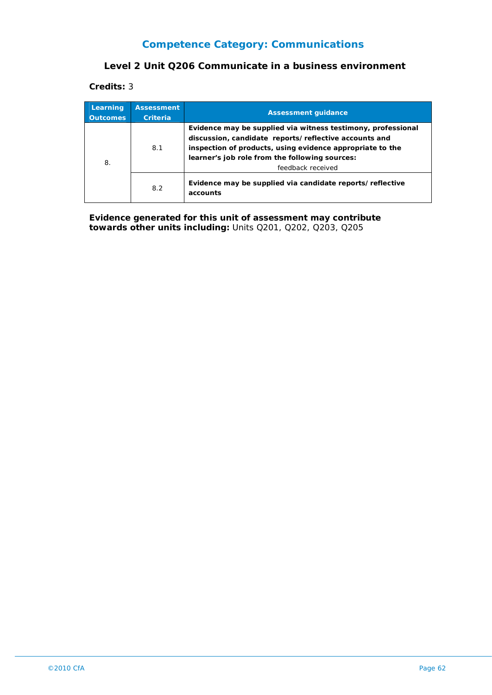#### **Level 2 Unit Q206 Communicate in a business environment**

**Credits:** 3

| Learning<br><b>Outcomes</b> | <b>Assessment</b><br><b>Criteria</b> | <b>Assessment guidance</b>                                                                                                                                                                                                                                |
|-----------------------------|--------------------------------------|-----------------------------------------------------------------------------------------------------------------------------------------------------------------------------------------------------------------------------------------------------------|
| 8.                          | 8.1                                  | Evidence may be supplied via witness testimony, professional<br>discussion, candidate reports/reflective accounts and<br>inspection of products, using evidence appropriate to the<br>learner's job role from the following sources:<br>feedback received |
|                             | 8.2                                  | Evidence may be supplied via candidate reports/reflective<br>accounts                                                                                                                                                                                     |

**Evidence generated for this unit of assessment may contribute towards other units including:** Units Q201, Q202, Q203, Q205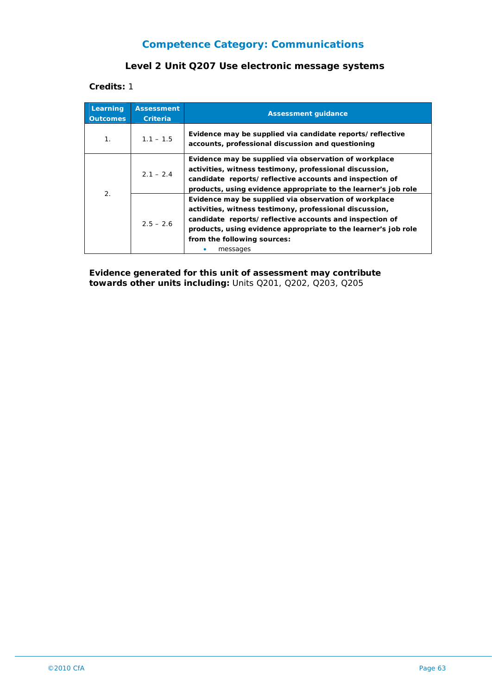#### **Level 2 Unit Q207 Use electronic message systems**

**Credits:** 1

| Learning<br><b>Outcomes</b> | <b>Assessment</b><br>Criteria | <b>Assessment quidance</b>                                                                                                                                                                                                                                                               |
|-----------------------------|-------------------------------|------------------------------------------------------------------------------------------------------------------------------------------------------------------------------------------------------------------------------------------------------------------------------------------|
| $\mathbf{1}$ .              | $1.1 - 1.5$                   | Evidence may be supplied via candidate reports/reflective<br>accounts, professional discussion and questioning                                                                                                                                                                           |
| 2.                          | $2.1 - 2.4$                   | Evidence may be supplied via observation of workplace<br>activities, witness testimony, professional discussion,<br>candidate reports/reflective accounts and inspection of<br>products, using evidence appropriate to the learner's job role                                            |
|                             | $2.5 - 2.6$                   | Evidence may be supplied via observation of workplace<br>activities, witness testimony, professional discussion,<br>candidate reports/reflective accounts and inspection of<br>products, using evidence appropriate to the learner's job role<br>from the following sources:<br>messages |

**Evidence generated for this unit of assessment may contribute towards other units including:** Units Q201, Q202, Q203, Q205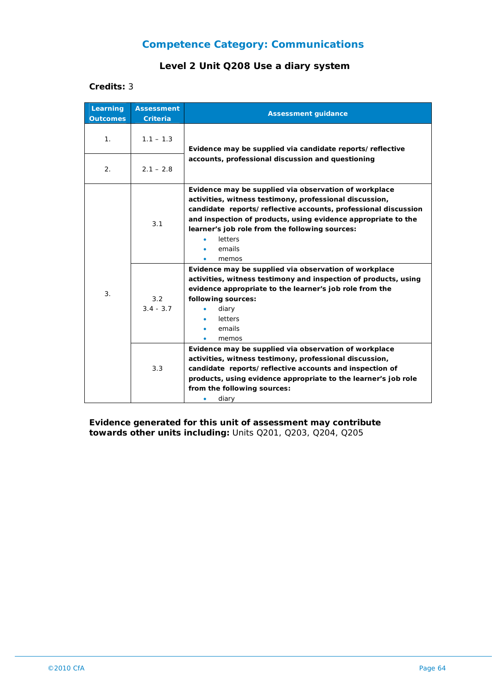## **Level 2 Unit Q208 Use a diary system**

#### **Credits:** 3

| Learning<br><b>Outcomes</b> | <b>Assessment</b><br><b>Criteria</b> | <b>Assessment guidance</b>                                                                                                                                                                                                                                                                                                          |
|-----------------------------|--------------------------------------|-------------------------------------------------------------------------------------------------------------------------------------------------------------------------------------------------------------------------------------------------------------------------------------------------------------------------------------|
| 1 <sub>1</sub>              | $1.1 - 1.3$                          | Evidence may be supplied via candidate reports/reflective                                                                                                                                                                                                                                                                           |
| 2.                          | $2.1 - 2.8$                          | accounts, professional discussion and questioning                                                                                                                                                                                                                                                                                   |
| 3.                          | 3.1                                  | Evidence may be supplied via observation of workplace<br>activities, witness testimony, professional discussion,<br>candidate reports/reflective accounts, professional discussion<br>and inspection of products, using evidence appropriate to the<br>learner's job role from the following sources:<br>letters<br>emails<br>memos |
|                             | 3.2<br>$3.4 - 3.7$                   | Evidence may be supplied via observation of workplace<br>activities, witness testimony and inspection of products, using<br>evidence appropriate to the learner's job role from the<br>following sources:<br>diary<br>letters<br>emails<br>memos                                                                                    |
|                             | 3.3                                  | Evidence may be supplied via observation of workplace<br>activities, witness testimony, professional discussion,<br>candidate reports/reflective accounts and inspection of<br>products, using evidence appropriate to the learner's job role<br>from the following sources:<br>diary                                               |

**Evidence generated for this unit of assessment may contribute towards other units including:** Units Q201, Q203, Q204, Q205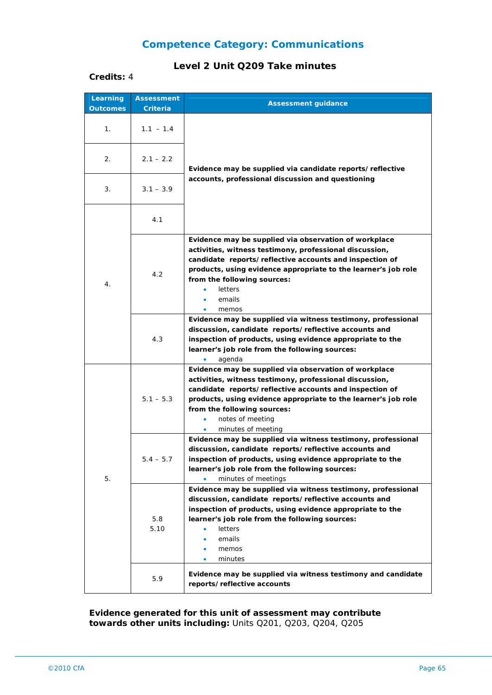#### **Level 2 Unit Q209 Take minutes**

| Credits: 4 |  |
|------------|--|
|            |  |

| Learning<br><b>Outcomes</b> | <b>Assessment</b><br>Criteria | <b>Assessment guidance</b>                                                                                                                                                                                                                                                                                                               |
|-----------------------------|-------------------------------|------------------------------------------------------------------------------------------------------------------------------------------------------------------------------------------------------------------------------------------------------------------------------------------------------------------------------------------|
| 1.                          | $1.1 - 1.4$                   |                                                                                                                                                                                                                                                                                                                                          |
| 2.                          | $2.1 - 2.2$                   | Evidence may be supplied via candidate reports/reflective                                                                                                                                                                                                                                                                                |
| 3.                          | $3.1 - 3.9$                   | accounts, professional discussion and questioning                                                                                                                                                                                                                                                                                        |
|                             | 4.1                           |                                                                                                                                                                                                                                                                                                                                          |
| 4.                          | 4.2                           | Evidence may be supplied via observation of workplace<br>activities, witness testimony, professional discussion,<br>candidate reports/reflective accounts and inspection of<br>products, using evidence appropriate to the learner's job role<br>from the following sources:<br>letters<br>emails<br>memos<br>۰                          |
|                             | 4.3                           | Evidence may be supplied via witness testimony, professional<br>discussion, candidate reports/reflective accounts and<br>inspection of products, using evidence appropriate to the<br>learner's job role from the following sources:<br>agenda<br>$\bullet$                                                                              |
| 5.                          | $5.1 - 5.3$                   | Evidence may be supplied via observation of workplace<br>activities, witness testimony, professional discussion,<br>candidate reports/reflective accounts and inspection of<br>products, using evidence appropriate to the learner's job role<br>from the following sources:<br>notes of meeting<br>۰<br>minutes of meeting<br>$\bullet$ |
|                             | $5.4 - 5.7$                   | Evidence may be supplied via witness testimony, professional<br>discussion, candidate reports/reflective accounts and<br>inspection of products, using evidence appropriate to the<br>learner's job role from the following sources:<br>minutes of meetings                                                                              |
|                             | 5.8<br>5.10                   | Evidence may be supplied via witness testimony, professional<br>discussion, candidate reports/reflective accounts and<br>inspection of products, using evidence appropriate to the<br>learner's job role from the following sources:<br><b>letters</b><br>emails<br>memos<br>minutes                                                     |
|                             | 5.9                           | Evidence may be supplied via witness testimony and candidate<br>reports/reflective accounts                                                                                                                                                                                                                                              |

**Evidence generated for this unit of assessment may contribute towards other units including:** Units Q201, Q203, Q204, Q205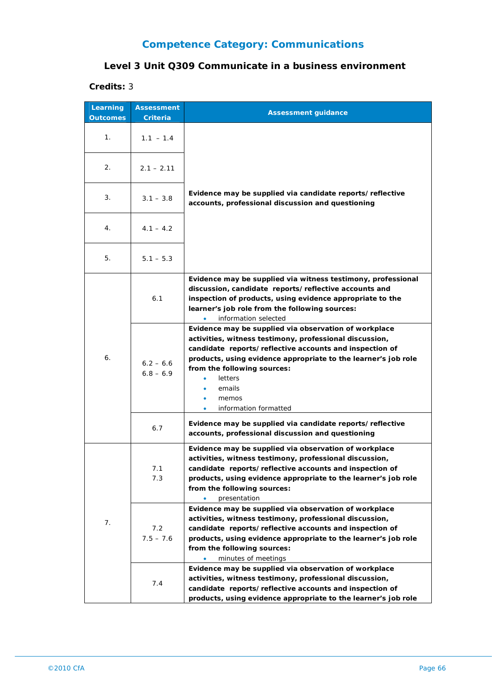## **Level 3 Unit Q309 Communicate in a business environment**

| Learning<br><b>Outcomes</b> | <b>Assessment</b><br>Criteria | <b>Assessment guidance</b>                                                                                                                                                                                                                                                                                                          |
|-----------------------------|-------------------------------|-------------------------------------------------------------------------------------------------------------------------------------------------------------------------------------------------------------------------------------------------------------------------------------------------------------------------------------|
| 1.                          | $1.1 - 1.4$                   |                                                                                                                                                                                                                                                                                                                                     |
| 2.                          | $2.1 - 2.11$                  |                                                                                                                                                                                                                                                                                                                                     |
| 3.                          | $3.1 - 3.8$                   | Evidence may be supplied via candidate reports/reflective<br>accounts, professional discussion and questioning                                                                                                                                                                                                                      |
| 4.                          | $4.1 - 4.2$                   |                                                                                                                                                                                                                                                                                                                                     |
| 5.                          | $5.1 - 5.3$                   |                                                                                                                                                                                                                                                                                                                                     |
| 6.                          | 6.1                           | Evidence may be supplied via witness testimony, professional<br>discussion, candidate reports/reflective accounts and<br>inspection of products, using evidence appropriate to the<br>learner's job role from the following sources:<br>information selected                                                                        |
|                             | $6.2 - 6.6$<br>$6.8 - 6.9$    | Evidence may be supplied via observation of workplace<br>activities, witness testimony, professional discussion,<br>candidate reports/reflective accounts and inspection of<br>products, using evidence appropriate to the learner's job role<br>from the following sources:<br>letters<br>emails<br>memos<br>information formatted |
|                             | 6.7                           | Evidence may be supplied via candidate reports/reflective<br>accounts, professional discussion and questioning                                                                                                                                                                                                                      |
| 7.                          | 7.1<br>7.3                    | Evidence may be supplied via observation of workplace<br>activities, witness testimony, professional discussion,<br>candidate reports/reflective accounts and inspection of<br>products, using evidence appropriate to the learner's job role<br>from the following sources:<br>presentation                                        |
|                             | 7.2<br>$7.5 - 7.6$            | Evidence may be supplied via observation of workplace<br>activities, witness testimony, professional discussion,<br>candidate reports/reflective accounts and inspection of<br>products, using evidence appropriate to the learner's job role<br>from the following sources:<br>minutes of meetings                                 |
|                             | 7.4                           | Evidence may be supplied via observation of workplace<br>activities, witness testimony, professional discussion,<br>candidate reports/reflective accounts and inspection of<br>products, using evidence appropriate to the learner's job role                                                                                       |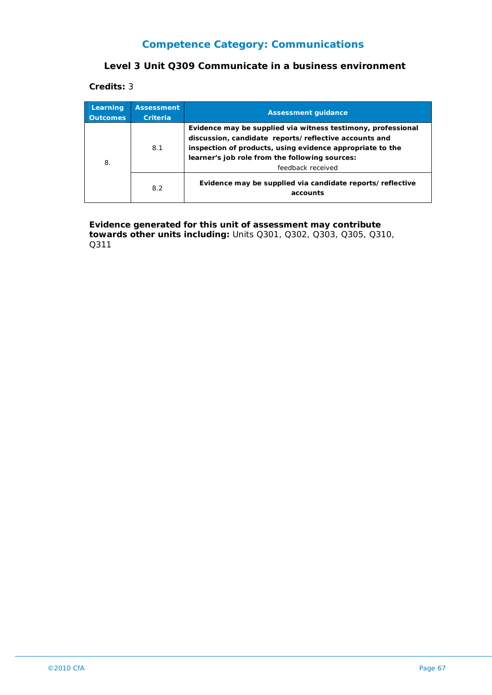#### **Level 3 Unit Q309 Communicate in a business environment**

**Credits:** 3

| Learning<br><b>Outcomes</b> | <b>Assessment</b><br><b>Criteria</b> | <b>Assessment quidance</b>                                                                                                                                                                                                                                |
|-----------------------------|--------------------------------------|-----------------------------------------------------------------------------------------------------------------------------------------------------------------------------------------------------------------------------------------------------------|
| 8.                          | 8.1                                  | Evidence may be supplied via witness testimony, professional<br>discussion, candidate reports/reflective accounts and<br>inspection of products, using evidence appropriate to the<br>learner's job role from the following sources:<br>feedback received |
|                             | 8.2                                  | Evidence may be supplied via candidate reports/reflective<br>accounts                                                                                                                                                                                     |

**Evidence generated for this unit of assessment may contribute towards other units including:** Units Q301, Q302, Q303, Q305, Q310, Q311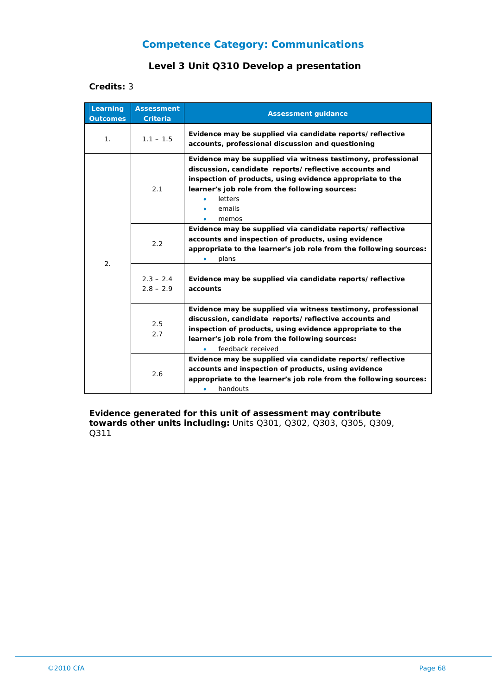### **Level 3 Unit Q310 Develop a presentation**

#### **Credits:** 3

| Learning<br><b>Outcomes</b> | <b>Assessment</b><br>Criteria | <b>Assessment guidance</b>                                                                                                                                                                                                                                         |
|-----------------------------|-------------------------------|--------------------------------------------------------------------------------------------------------------------------------------------------------------------------------------------------------------------------------------------------------------------|
| 1 <sub>1</sub>              | $1.1 - 1.5$                   | Evidence may be supplied via candidate reports/reflective<br>accounts, professional discussion and questioning                                                                                                                                                     |
| 2.                          | 2.1                           | Evidence may be supplied via witness testimony, professional<br>discussion, candidate reports/reflective accounts and<br>inspection of products, using evidence appropriate to the<br>learner's job role from the following sources:<br>letters<br>emails<br>memos |
|                             | 2.2                           | Evidence may be supplied via candidate reports/reflective<br>accounts and inspection of products, using evidence<br>appropriate to the learner's job role from the following sources:<br>plans                                                                     |
|                             | $2.3 - 2.4$<br>$2.8 - 2.9$    | Evidence may be supplied via candidate reports/reflective<br>accounts                                                                                                                                                                                              |
|                             | 2.5<br>2.7                    | Evidence may be supplied via witness testimony, professional<br>discussion, candidate reports/reflective accounts and<br>inspection of products, using evidence appropriate to the<br>learner's job role from the following sources:<br>feedback received          |
|                             | 2.6                           | Evidence may be supplied via candidate reports/reflective<br>accounts and inspection of products, using evidence<br>appropriate to the learner's job role from the following sources:<br>handouts<br>٠                                                             |

**Evidence generated for this unit of assessment may contribute towards other units including:** Units Q301, Q302, Q303, Q305, Q309, Q311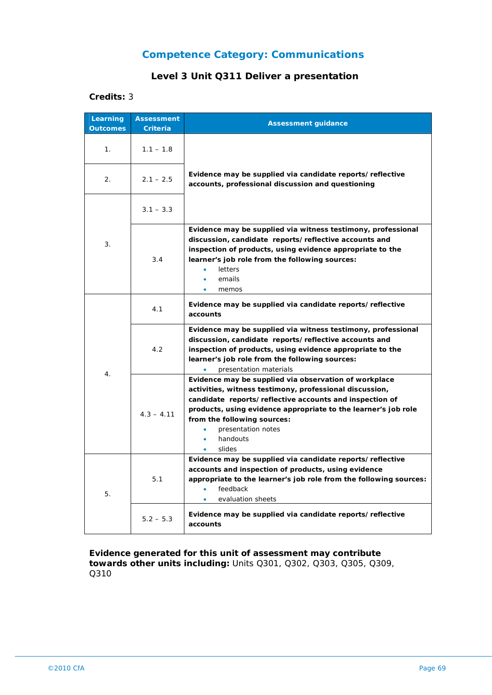## **Level 3 Unit Q311 Deliver a presentation**

#### **Credits:** 3

| Learning<br><b>Outcomes</b> | <b>Assessment</b><br><b>Criteria</b> | <b>Assessment guidance</b>                                                                                                                                                                                                                                                                                                    |
|-----------------------------|--------------------------------------|-------------------------------------------------------------------------------------------------------------------------------------------------------------------------------------------------------------------------------------------------------------------------------------------------------------------------------|
| 1.                          | $1.1 - 1.8$                          | Evidence may be supplied via candidate reports/reflective<br>accounts, professional discussion and questioning                                                                                                                                                                                                                |
| 2.                          | $2.1 - 2.5$                          |                                                                                                                                                                                                                                                                                                                               |
| 3.                          | $3.1 - 3.3$                          |                                                                                                                                                                                                                                                                                                                               |
|                             | 3.4                                  | Evidence may be supplied via witness testimony, professional<br>discussion, candidate reports/reflective accounts and<br>inspection of products, using evidence appropriate to the<br>learner's job role from the following sources:<br>letters<br>emails<br>memos<br>٠                                                       |
| 4.                          | 4.1                                  | Evidence may be supplied via candidate reports/reflective<br>accounts                                                                                                                                                                                                                                                         |
|                             | 4.2                                  | Evidence may be supplied via witness testimony, professional<br>discussion, candidate reports/reflective accounts and<br>inspection of products, using evidence appropriate to the<br>learner's job role from the following sources:<br>presentation materials                                                                |
|                             | $4.3 - 4.11$                         | Evidence may be supplied via observation of workplace<br>activities, witness testimony, professional discussion,<br>candidate reports/reflective accounts and inspection of<br>products, using evidence appropriate to the learner's job role<br>from the following sources:<br>presentation notes<br>٠<br>handouts<br>slides |
| 5.                          | 5.1                                  | Evidence may be supplied via candidate reports/reflective<br>accounts and inspection of products, using evidence<br>appropriate to the learner's job role from the following sources:<br>feedback<br>evaluation sheets                                                                                                        |
|                             | $5.2 - 5.3$                          | Evidence may be supplied via candidate reports/reflective<br>accounts                                                                                                                                                                                                                                                         |

#### **Evidence generated for this unit of assessment may contribute towards other units including:** Units Q301, Q302, Q303, Q305, Q309, Q310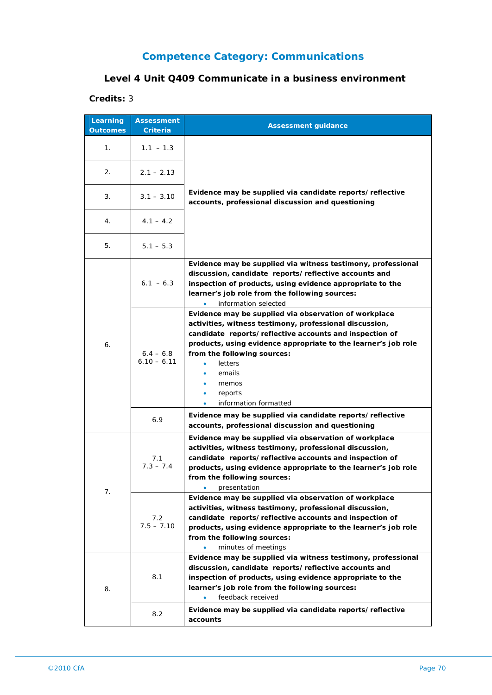## **Level 4 Unit Q409 Communicate in a business environment**

| Learning<br><b>Outcomes</b> | <b>Assessment</b><br>Criteria | <b>Assessment guidance</b>                                                                                                                                                                                                                                                                                                                            |
|-----------------------------|-------------------------------|-------------------------------------------------------------------------------------------------------------------------------------------------------------------------------------------------------------------------------------------------------------------------------------------------------------------------------------------------------|
| 1 <sub>1</sub>              | $1.1 - 1.3$                   |                                                                                                                                                                                                                                                                                                                                                       |
| 2.                          | $2.1 - 2.13$                  |                                                                                                                                                                                                                                                                                                                                                       |
| 3.                          | $3.1 - 3.10$                  | Evidence may be supplied via candidate reports/reflective<br>accounts, professional discussion and questioning                                                                                                                                                                                                                                        |
| 4.                          | $4.1 - 4.2$                   |                                                                                                                                                                                                                                                                                                                                                       |
| 5.                          | $5.1 - 5.3$                   |                                                                                                                                                                                                                                                                                                                                                       |
| 6.                          | $6.1 - 6.3$                   | Evidence may be supplied via witness testimony, professional<br>discussion, candidate reports/reflective accounts and<br>inspection of products, using evidence appropriate to the<br>learner's job role from the following sources:<br>information selected                                                                                          |
|                             | $6.4 - 6.8$<br>$6.10 - 6.11$  | Evidence may be supplied via observation of workplace<br>activities, witness testimony, professional discussion,<br>candidate reports/reflective accounts and inspection of<br>products, using evidence appropriate to the learner's job role<br>from the following sources:<br><b>letters</b><br>emails<br>memos<br>reports<br>information formatted |
|                             | 6.9                           | Evidence may be supplied via candidate reports/reflective<br>accounts, professional discussion and questioning                                                                                                                                                                                                                                        |
| 7.                          | 7.1<br>$7.3 - 7.4$            | Evidence may be supplied via observation of workplace<br>activities, witness testimony, professional discussion,<br>candidate reports/reflective accounts and inspection of<br>products, using evidence appropriate to the learner's job role<br>from the following sources:<br>٠<br>presentation                                                     |
|                             | 7.2<br>$7.5 - 7.10$           | Evidence may be supplied via observation of workplace<br>activities, witness testimony, professional discussion,<br>candidate reports/reflective accounts and inspection of<br>products, using evidence appropriate to the learner's job role<br>from the following sources:<br>minutes of meetings                                                   |
| 8.                          | 8.1                           | Evidence may be supplied via witness testimony, professional<br>discussion, candidate reports/reflective accounts and<br>inspection of products, using evidence appropriate to the<br>learner's job role from the following sources:<br>feedback received<br>۰                                                                                        |
|                             | 8.2                           | Evidence may be supplied via candidate reports/reflective<br>accounts                                                                                                                                                                                                                                                                                 |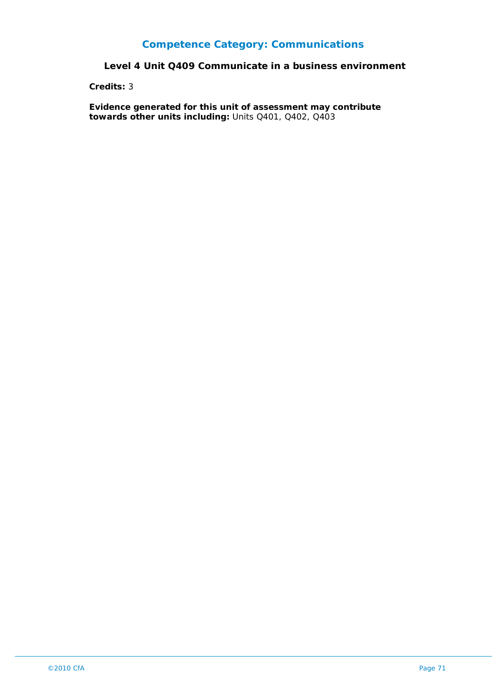#### **Level 4 Unit Q409 Communicate in a business environment**

**Credits:** 3

**Evidence generated for this unit of assessment may contribute towards other units including:** Units Q401, Q402, Q403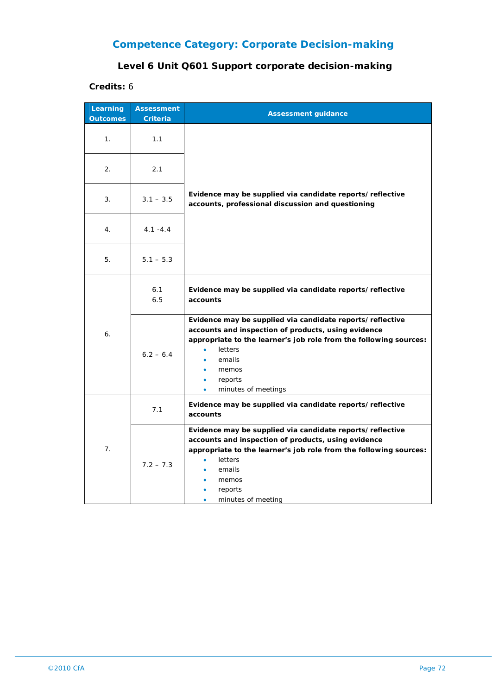# **Competence Category: Corporate Decision-making**

## **Level 6 Unit Q601 Support corporate decision-making**

| Learning<br><b>Outcomes</b> | <b>Assessment</b><br><b>Criteria</b> | <b>Assessment guidance</b>                                                                                                                                                                                                                                                      |
|-----------------------------|--------------------------------------|---------------------------------------------------------------------------------------------------------------------------------------------------------------------------------------------------------------------------------------------------------------------------------|
| 1 <sub>1</sub>              | 1.1                                  |                                                                                                                                                                                                                                                                                 |
| 2.                          | 2.1                                  |                                                                                                                                                                                                                                                                                 |
| 3.                          | $3.1 - 3.5$                          | Evidence may be supplied via candidate reports/reflective<br>accounts, professional discussion and questioning                                                                                                                                                                  |
| 4.                          | $4.1 - 4.4$                          |                                                                                                                                                                                                                                                                                 |
| 5.                          | $5.1 - 5.3$                          |                                                                                                                                                                                                                                                                                 |
|                             | 6.1<br>6.5                           | Evidence may be supplied via candidate reports/reflective<br>accounts                                                                                                                                                                                                           |
| 6.                          | $6.2 - 6.4$                          | Evidence may be supplied via candidate reports/reflective<br>accounts and inspection of products, using evidence<br>appropriate to the learner's job role from the following sources:<br>letters<br>emails<br>memos<br>reports<br>$\bullet$<br>minutes of meetings<br>$\bullet$ |
| 7.                          | 7.1                                  | Evidence may be supplied via candidate reports/reflective<br>accounts                                                                                                                                                                                                           |
|                             | $7.2 - 7.3$                          | Evidence may be supplied via candidate reports/reflective<br>accounts and inspection of products, using evidence<br>appropriate to the learner's job role from the following sources:<br>letters<br>٠<br>emails<br>memos<br>reports<br>minutes of meeting                       |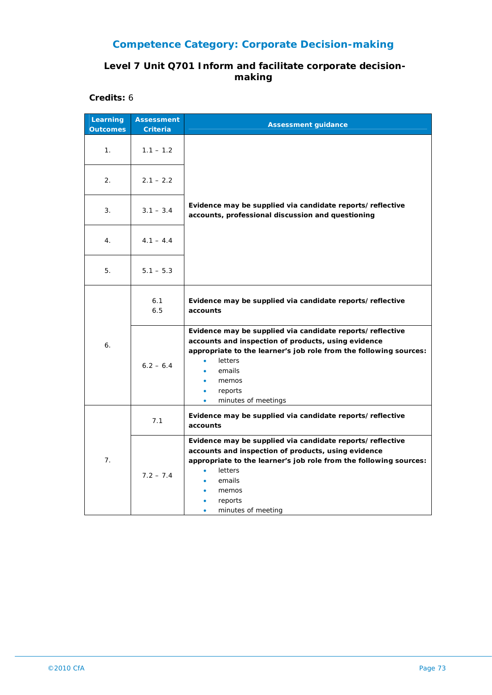# **Competence Category: Corporate Decision-making**

### **Level 7 Unit Q701 Inform and facilitate corporate decisionmaking**

**Credits:** 6

| Learning<br><b>Outcomes</b> | <b>Assessment</b><br><b>Criteria</b> | <b>Assessment guidance</b>                                                                                                                                                                                                                                                                   |
|-----------------------------|--------------------------------------|----------------------------------------------------------------------------------------------------------------------------------------------------------------------------------------------------------------------------------------------------------------------------------------------|
| 1.                          | $1.1 - 1.2$                          |                                                                                                                                                                                                                                                                                              |
| 2.                          | $2.1 - 2.2$                          |                                                                                                                                                                                                                                                                                              |
| 3.                          | $3.1 - 3.4$                          | Evidence may be supplied via candidate reports/reflective<br>accounts, professional discussion and questioning                                                                                                                                                                               |
| 4.                          | $4.1 - 4.4$                          |                                                                                                                                                                                                                                                                                              |
| 5.                          | $5.1 - 5.3$                          |                                                                                                                                                                                                                                                                                              |
| 6.                          | 6.1<br>6.5                           | Evidence may be supplied via candidate reports/reflective<br>accounts                                                                                                                                                                                                                        |
|                             | $6.2 - 6.4$                          | Evidence may be supplied via candidate reports/reflective<br>accounts and inspection of products, using evidence<br>appropriate to the learner's job role from the following sources:<br>letters<br>$\bullet$<br>emails<br>memos<br>reports<br>$\bullet$<br>minutes of meetings<br>$\bullet$ |
| 7.                          | 7.1                                  | Evidence may be supplied via candidate reports/reflective<br>accounts                                                                                                                                                                                                                        |
|                             | $7.2 - 7.4$                          | Evidence may be supplied via candidate reports/reflective<br>accounts and inspection of products, using evidence<br>appropriate to the learner's job role from the following sources:<br>letters<br>emails<br>memos<br>reports<br>minutes of meeting                                         |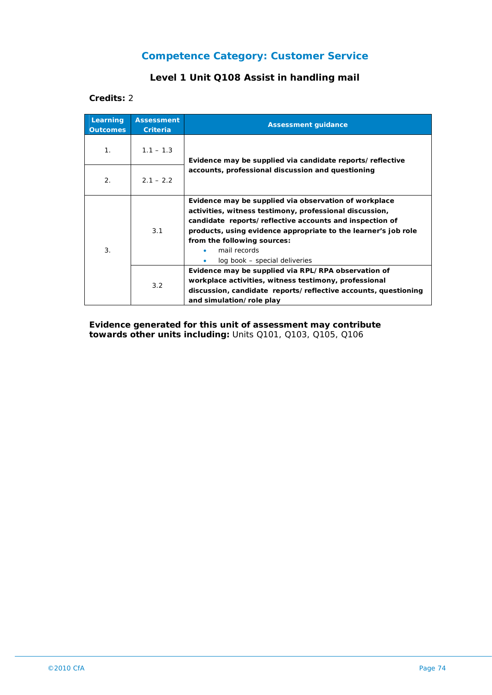### **Level 1 Unit Q108 Assist in handling mail**

#### **Credits:** 2

| Learning<br><b>Outcomes</b> | <b>Assessment</b><br><b>Criteria</b> | <b>Assessment guidance</b>                                                                                                                                                                                                                                                                                                    |
|-----------------------------|--------------------------------------|-------------------------------------------------------------------------------------------------------------------------------------------------------------------------------------------------------------------------------------------------------------------------------------------------------------------------------|
| $\mathbf{1}$ .              | $1.1 - 1.3$                          | Evidence may be supplied via candidate reports/reflective<br>accounts, professional discussion and questioning                                                                                                                                                                                                                |
| 2.                          | $2.1 - 2.2$                          |                                                                                                                                                                                                                                                                                                                               |
| 3.                          | 3.1                                  | Evidence may be supplied via observation of workplace<br>activities, witness testimony, professional discussion,<br>candidate reports/reflective accounts and inspection of<br>products, using evidence appropriate to the learner's job role<br>from the following sources:<br>mail records<br>log book – special deliveries |
|                             | 3.2                                  | Evidence may be supplied via RPL/RPA observation of<br>workplace activities, witness testimony, professional<br>discussion, candidate reports/reflective accounts, questioning<br>and simulation/role play                                                                                                                    |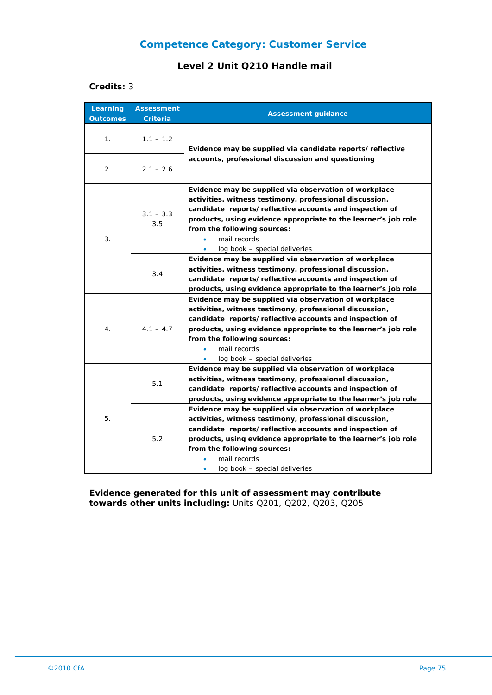#### **Level 2 Unit Q210 Handle mail**

#### **Credits:** 3

| Learning<br><b>Outcomes</b> | <b>Assessment</b><br>Criteria | <b>Assessment guidance</b>                                                                                                                                                                                                                                                                                                                 |
|-----------------------------|-------------------------------|--------------------------------------------------------------------------------------------------------------------------------------------------------------------------------------------------------------------------------------------------------------------------------------------------------------------------------------------|
| 1.                          | $1.1 - 1.2$                   | Evidence may be supplied via candidate reports/reflective<br>accounts, professional discussion and questioning                                                                                                                                                                                                                             |
| 2.                          | $2.1 - 2.6$                   |                                                                                                                                                                                                                                                                                                                                            |
| 3.                          | $3.1 - 3.3$<br>3.5            | Evidence may be supplied via observation of workplace<br>activities, witness testimony, professional discussion,<br>candidate reports/reflective accounts and inspection of<br>products, using evidence appropriate to the learner's job role<br>from the following sources:<br>mail records<br>$\bullet$<br>log book - special deliveries |
|                             | 3.4                           | Evidence may be supplied via observation of workplace<br>activities, witness testimony, professional discussion,<br>candidate reports/reflective accounts and inspection of<br>products, using evidence appropriate to the learner's job role                                                                                              |
| 4.                          | $4.1 - 4.7$                   | Evidence may be supplied via observation of workplace<br>activities, witness testimony, professional discussion,<br>candidate reports/reflective accounts and inspection of<br>products, using evidence appropriate to the learner's job role<br>from the following sources:<br>mail records<br>$\bullet$<br>log book – special deliveries |
| 5.                          | 5.1                           | Evidence may be supplied via observation of workplace<br>activities, witness testimony, professional discussion,<br>candidate reports/reflective accounts and inspection of<br>products, using evidence appropriate to the learner's job role                                                                                              |
|                             | 5.2                           | Evidence may be supplied via observation of workplace<br>activities, witness testimony, professional discussion,<br>candidate reports/reflective accounts and inspection of<br>products, using evidence appropriate to the learner's job role<br>from the following sources:<br>mail records<br>log book - special deliveries<br>٠         |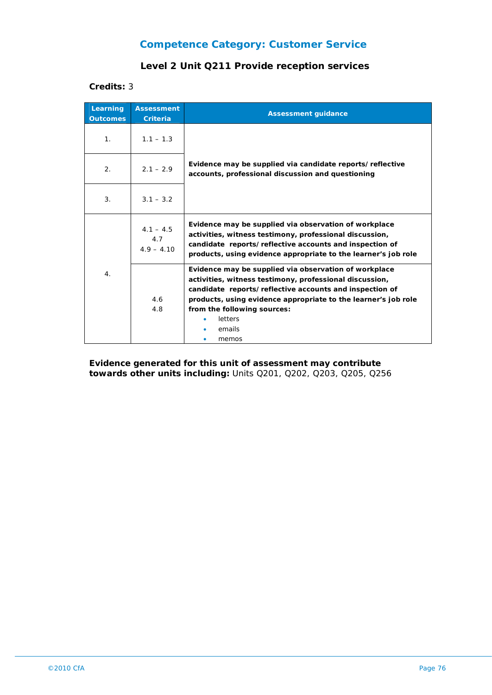### **Level 2 Unit Q211 Provide reception services**

#### **Credits:** 3

| Learning<br><b>Outcomes</b> | <b>Assessment</b><br><b>Criteria</b> | <b>Assessment guidance</b>                                                                                                                                                                                                                                                                                 |
|-----------------------------|--------------------------------------|------------------------------------------------------------------------------------------------------------------------------------------------------------------------------------------------------------------------------------------------------------------------------------------------------------|
| 1 <sub>1</sub>              | $1.1 - 1.3$                          |                                                                                                                                                                                                                                                                                                            |
| 2.                          | $2.1 - 2.9$                          | Evidence may be supplied via candidate reports/reflective<br>accounts, professional discussion and questioning                                                                                                                                                                                             |
| 3.                          | $3.1 - 3.2$                          |                                                                                                                                                                                                                                                                                                            |
| 4 <sub>1</sub>              | $4.1 - 4.5$<br>4.7<br>$4.9 - 4.10$   | Evidence may be supplied via observation of workplace<br>activities, witness testimony, professional discussion,<br>candidate reports/reflective accounts and inspection of<br>products, using evidence appropriate to the learner's job role                                                              |
|                             | 4.6<br>4.8                           | Evidence may be supplied via observation of workplace<br>activities, witness testimony, professional discussion,<br>candidate reports/reflective accounts and inspection of<br>products, using evidence appropriate to the learner's job role<br>from the following sources:<br>letters<br>emails<br>memos |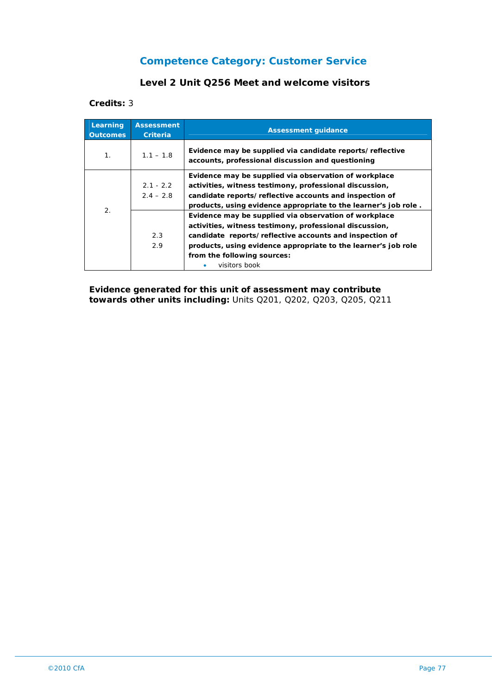### **Level 2 Unit Q256 Meet and welcome visitors**

#### **Credits:** 3

| Learning<br><b>Outcomes</b> | <b>Assessment</b><br>Criteria | <b>Assessment quidance</b>                                                                                                                                                                                                                                                   |
|-----------------------------|-------------------------------|------------------------------------------------------------------------------------------------------------------------------------------------------------------------------------------------------------------------------------------------------------------------------|
| 1.                          | $1.1 - 1.8$                   | Evidence may be supplied via candidate reports/reflective<br>accounts, professional discussion and questioning                                                                                                                                                               |
| 2.                          | $2.1 - 2.2$<br>$2.4 - 2.8$    | Evidence may be supplied via observation of workplace<br>activities, witness testimony, professional discussion,<br>candidate reports/reflective accounts and inspection of<br>products, using evidence appropriate to the learner's job role.                               |
|                             | 2.3<br>2.9                    | Evidence may be supplied via observation of workplace<br>activities, witness testimony, professional discussion,<br>candidate reports/reflective accounts and inspection of<br>products, using evidence appropriate to the learner's job role<br>from the following sources: |
|                             |                               | visitors book                                                                                                                                                                                                                                                                |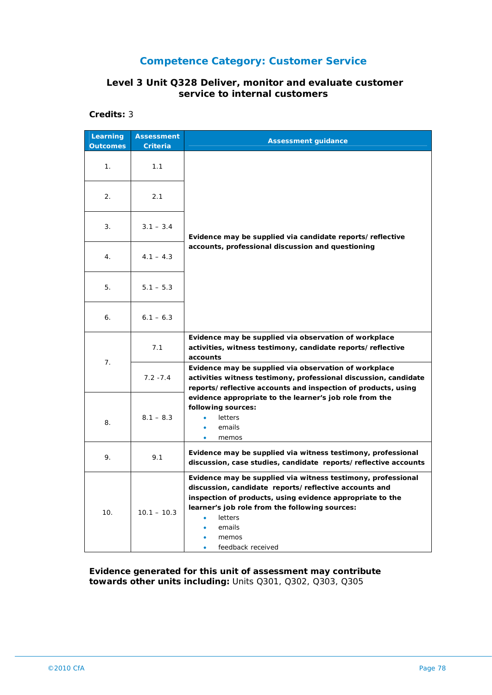### **Level 3 Unit Q328 Deliver, monitor and evaluate customer service to internal customers**

### **Credits:** 3

| Learning<br><b>Outcomes</b> | <b>Assessment</b><br>Criteria | <b>Assessment guidance</b>                                                                                                                                                                                                                                                              |
|-----------------------------|-------------------------------|-----------------------------------------------------------------------------------------------------------------------------------------------------------------------------------------------------------------------------------------------------------------------------------------|
| 1.                          | 1.1                           |                                                                                                                                                                                                                                                                                         |
| 2.                          | 2.1                           |                                                                                                                                                                                                                                                                                         |
| 3.                          | $3.1 - 3.4$                   | Evidence may be supplied via candidate reports/reflective                                                                                                                                                                                                                               |
| 4.                          | $4.1 - 4.3$                   | accounts, professional discussion and questioning                                                                                                                                                                                                                                       |
| 5.                          | $5.1 - 5.3$                   |                                                                                                                                                                                                                                                                                         |
| 6.                          | $6.1 - 6.3$                   |                                                                                                                                                                                                                                                                                         |
|                             | 7.1                           | Evidence may be supplied via observation of workplace<br>activities, witness testimony, candidate reports/reflective<br>accounts                                                                                                                                                        |
| 7.                          | $7.2 - 7.4$                   | Evidence may be supplied via observation of workplace<br>activities witness testimony, professional discussion, candidate<br>reports/reflective accounts and inspection of products, using                                                                                              |
| 8.                          | $8.1 - 8.3$                   | evidence appropriate to the learner's job role from the<br>following sources:<br>letters<br>emails<br>memos<br>$\bullet$                                                                                                                                                                |
| 9.                          | 9.1                           | Evidence may be supplied via witness testimony, professional<br>discussion, case studies, candidate reports/reflective accounts                                                                                                                                                         |
| 10.                         | $10.1 - 10.3$                 | Evidence may be supplied via witness testimony, professional<br>discussion, candidate reports/reflective accounts and<br>inspection of products, using evidence appropriate to the<br>learner's job role from the following sources:<br>letters<br>emails<br>memos<br>feedback received |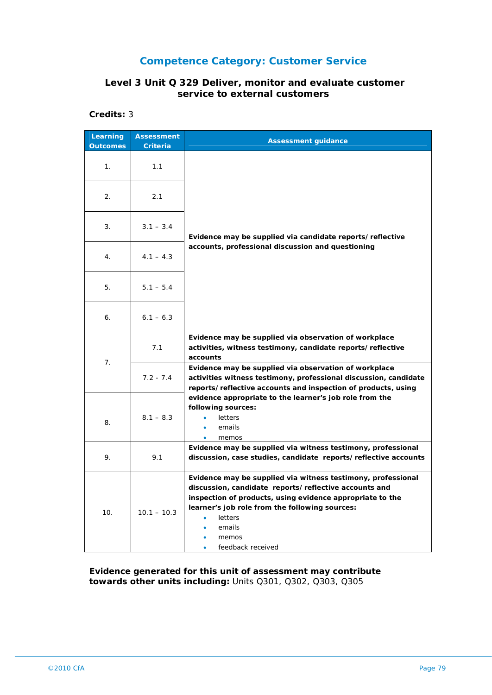### **Level 3 Unit Q 329 Deliver, monitor and evaluate customer service to external customers**

**Credits:** 3

| Learning<br><b>Outcomes</b> | <b>Assessment</b><br>Criteria | <b>Assessment guidance</b>                                                                                                                                                                                                                                                              |
|-----------------------------|-------------------------------|-----------------------------------------------------------------------------------------------------------------------------------------------------------------------------------------------------------------------------------------------------------------------------------------|
| 1.                          | 1.1                           |                                                                                                                                                                                                                                                                                         |
| 2.                          | 2.1                           |                                                                                                                                                                                                                                                                                         |
| 3.                          | $3.1 - 3.4$                   | Evidence may be supplied via candidate reports/reflective                                                                                                                                                                                                                               |
| 4.                          | $4.1 - 4.3$                   | accounts, professional discussion and questioning                                                                                                                                                                                                                                       |
| 5.                          | $5.1 - 5.4$                   |                                                                                                                                                                                                                                                                                         |
| 6.                          | $6.1 - 6.3$                   |                                                                                                                                                                                                                                                                                         |
| 7 <sub>1</sub>              | 7.1                           | Evidence may be supplied via observation of workplace<br>activities, witness testimony, candidate reports/reflective<br>accounts                                                                                                                                                        |
|                             | $7.2 - 7.4$                   | Evidence may be supplied via observation of workplace<br>activities witness testimony, professional discussion, candidate<br>reports/reflective accounts and inspection of products, using                                                                                              |
| 8.                          | $8.1 - 8.3$                   | evidence appropriate to the learner's job role from the<br>following sources:<br>letters<br>emails<br>memos                                                                                                                                                                             |
| 9.                          | 9.1                           | Evidence may be supplied via witness testimony, professional<br>discussion, case studies, candidate reports/reflective accounts                                                                                                                                                         |
| 10.                         | $10.1 - 10.3$                 | Evidence may be supplied via witness testimony, professional<br>discussion, candidate reports/reflective accounts and<br>inspection of products, using evidence appropriate to the<br>learner's job role from the following sources:<br>letters<br>emails<br>memos<br>feedback received |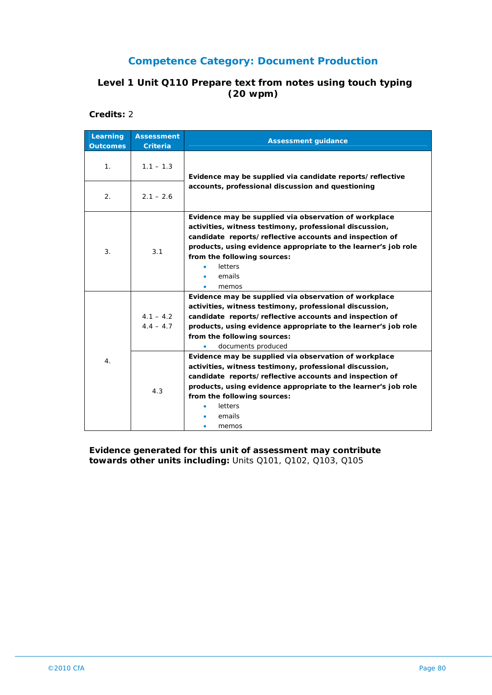### **Level 1 Unit Q110 Prepare text from notes using touch typing (20 wpm)**

**Credits:** 2

| Learning<br><b>Outcomes</b> | <b>Assessment</b><br><b>Criteria</b> | <b>Assessment guidance</b>                                                                                                                                                                                                                                                                                 |
|-----------------------------|--------------------------------------|------------------------------------------------------------------------------------------------------------------------------------------------------------------------------------------------------------------------------------------------------------------------------------------------------------|
| 1 <sub>1</sub>              | $1.1 - 1.3$                          | Evidence may be supplied via candidate reports/reflective                                                                                                                                                                                                                                                  |
| 2.                          | $2.1 - 2.6$                          | accounts, professional discussion and questioning                                                                                                                                                                                                                                                          |
| 3.                          | 3.1                                  | Evidence may be supplied via observation of workplace<br>activities, witness testimony, professional discussion,<br>candidate reports/reflective accounts and inspection of<br>products, using evidence appropriate to the learner's job role<br>from the following sources:<br>letters<br>emails<br>memos |
| 4.                          | $4.1 - 4.2$<br>$4.4 - 4.7$           | Evidence may be supplied via observation of workplace<br>activities, witness testimony, professional discussion,<br>candidate reports/reflective accounts and inspection of<br>products, using evidence appropriate to the learner's job role<br>from the following sources:<br>documents produced         |
|                             | 4.3                                  | Evidence may be supplied via observation of workplace<br>activities, witness testimony, professional discussion,<br>candidate reports/reflective accounts and inspection of<br>products, using evidence appropriate to the learner's job role<br>from the following sources:<br>letters<br>emails<br>memos |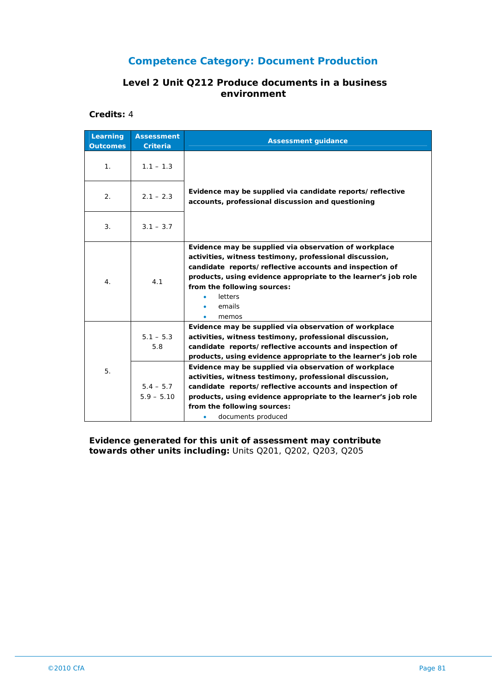#### **Level 2 Unit Q212 Produce documents in a business environment**

**Credits:** 4

| Learning<br><b>Outcomes</b> | <b>Assessment</b><br><b>Criteria</b> | <b>Assessment guidance</b>                                                                                                                                                                                                                                                                                 |
|-----------------------------|--------------------------------------|------------------------------------------------------------------------------------------------------------------------------------------------------------------------------------------------------------------------------------------------------------------------------------------------------------|
| 1.                          | $1.1 - 1.3$                          |                                                                                                                                                                                                                                                                                                            |
| 2.                          | $2.1 - 2.3$                          | Evidence may be supplied via candidate reports/reflective<br>accounts, professional discussion and questioning                                                                                                                                                                                             |
| 3.                          | $3.1 - 3.7$                          |                                                                                                                                                                                                                                                                                                            |
| 4.                          | 4.1                                  | Evidence may be supplied via observation of workplace<br>activities, witness testimony, professional discussion,<br>candidate reports/reflective accounts and inspection of<br>products, using evidence appropriate to the learner's job role<br>from the following sources:<br>letters<br>emails<br>memos |
| 5.                          | $5.1 - 5.3$<br>5.8                   | Evidence may be supplied via observation of workplace<br>activities, witness testimony, professional discussion,<br>candidate reports/reflective accounts and inspection of<br>products, using evidence appropriate to the learner's job role                                                              |
|                             | $5.4 - 5.7$<br>$5.9 - 5.10$          | Evidence may be supplied via observation of workplace<br>activities, witness testimony, professional discussion,<br>candidate reports/reflective accounts and inspection of<br>products, using evidence appropriate to the learner's job role<br>from the following sources:<br>documents produced         |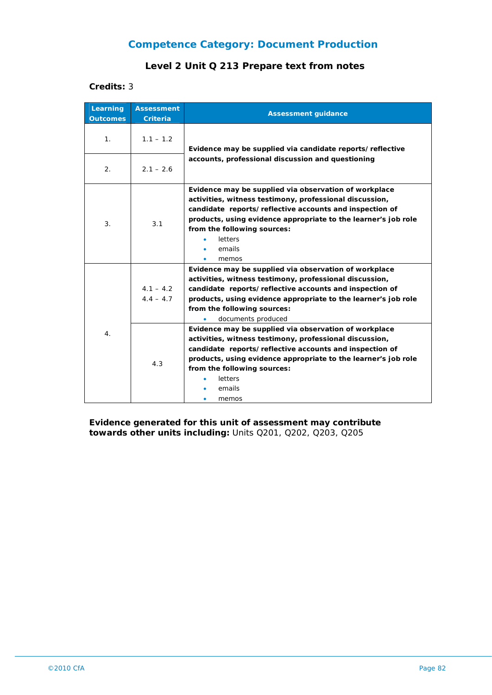### **Level 2 Unit Q 213 Prepare text from notes**

#### **Credits:** 3

| Learning<br><b>Outcomes</b> | <b>Assessment</b><br><b>Criteria</b> | <b>Assessment guidance</b>                                                                                                                                                                                                                                                                                        |
|-----------------------------|--------------------------------------|-------------------------------------------------------------------------------------------------------------------------------------------------------------------------------------------------------------------------------------------------------------------------------------------------------------------|
| 1.                          | $1.1 - 1.2$                          | Evidence may be supplied via candidate reports/reflective                                                                                                                                                                                                                                                         |
| 2.                          | $2.1 - 2.6$                          | accounts, professional discussion and questioning                                                                                                                                                                                                                                                                 |
| 3.                          | 3.1                                  | Evidence may be supplied via observation of workplace<br>activities, witness testimony, professional discussion,<br>candidate reports/reflective accounts and inspection of<br>products, using evidence appropriate to the learner's job role<br>from the following sources:<br>letters<br>emails<br>memos        |
|                             | $4.1 - 4.2$<br>$4.4 - 4.7$           | Evidence may be supplied via observation of workplace<br>activities, witness testimony, professional discussion,<br>candidate reports/reflective accounts and inspection of<br>products, using evidence appropriate to the learner's job role<br>from the following sources:<br>documents produced                |
| 4 <sub>1</sub>              | 4.3                                  | Evidence may be supplied via observation of workplace<br>activities, witness testimony, professional discussion,<br>candidate reports/reflective accounts and inspection of<br>products, using evidence appropriate to the learner's job role<br>from the following sources:<br><b>letters</b><br>emails<br>memos |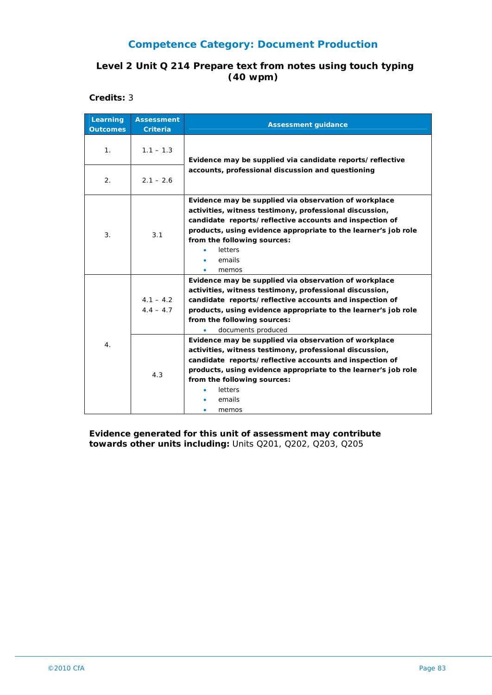### **Level 2 Unit Q 214 Prepare text from notes using touch typing (40 wpm)**

**Credits:** 3

| Learning<br><b>Outcomes</b> | <b>Assessment</b><br><b>Criteria</b> | <b>Assessment guidance</b>                                                                                                                                                                                                                                                                                                                                                                                                                                                                                                                                                                              |
|-----------------------------|--------------------------------------|---------------------------------------------------------------------------------------------------------------------------------------------------------------------------------------------------------------------------------------------------------------------------------------------------------------------------------------------------------------------------------------------------------------------------------------------------------------------------------------------------------------------------------------------------------------------------------------------------------|
| 1 <sub>1</sub>              | $1.1 - 1.3$                          | Evidence may be supplied via candidate reports/reflective                                                                                                                                                                                                                                                                                                                                                                                                                                                                                                                                               |
| 2.                          | $2.1 - 2.6$                          | accounts, professional discussion and questioning                                                                                                                                                                                                                                                                                                                                                                                                                                                                                                                                                       |
| 3.                          | 3.1                                  | Evidence may be supplied via observation of workplace<br>activities, witness testimony, professional discussion,<br>candidate reports/reflective accounts and inspection of<br>products, using evidence appropriate to the learner's job role<br>from the following sources:<br>letters<br>emails<br>memos                                                                                                                                                                                                                                                                                              |
| 4.                          | $4.1 - 4.2$<br>$4.4 - 4.7$<br>4.3    | Evidence may be supplied via observation of workplace<br>activities, witness testimony, professional discussion,<br>candidate reports/reflective accounts and inspection of<br>products, using evidence appropriate to the learner's job role<br>from the following sources:<br>documents produced<br>Evidence may be supplied via observation of workplace<br>activities, witness testimony, professional discussion,<br>candidate reports/reflective accounts and inspection of<br>products, using evidence appropriate to the learner's job role<br>from the following sources:<br>letters<br>emails |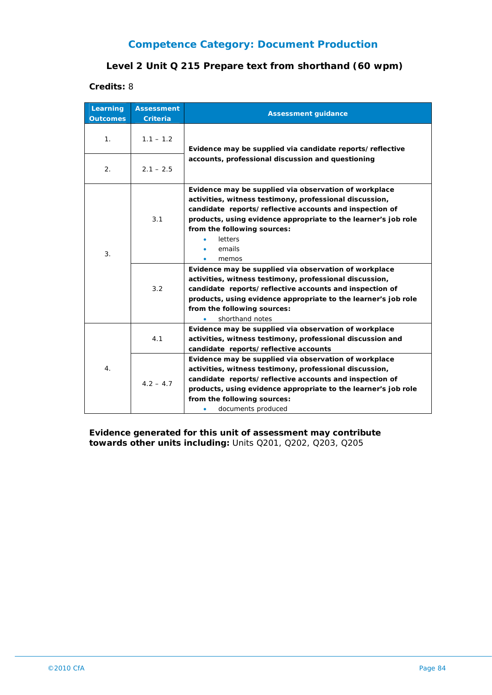### **Level 2 Unit Q 215 Prepare text from shorthand (60 wpm)**

**Credits:** 8

| Learning<br><b>Outcomes</b> | <b>Assessment</b><br><b>Criteria</b> | <b>Assessment guidance</b>                                                                                                                                                                                                                                                                                                                                                                                                                                                                                                                                                                                    |
|-----------------------------|--------------------------------------|---------------------------------------------------------------------------------------------------------------------------------------------------------------------------------------------------------------------------------------------------------------------------------------------------------------------------------------------------------------------------------------------------------------------------------------------------------------------------------------------------------------------------------------------------------------------------------------------------------------|
| 1.                          | $1.1 - 1.2$                          | Evidence may be supplied via candidate reports/reflective                                                                                                                                                                                                                                                                                                                                                                                                                                                                                                                                                     |
| $\overline{2}$ .            | $2.1 - 2.5$                          | accounts, professional discussion and questioning                                                                                                                                                                                                                                                                                                                                                                                                                                                                                                                                                             |
| 3.                          | 3.1<br>3.2                           | Evidence may be supplied via observation of workplace<br>activities, witness testimony, professional discussion,<br>candidate reports/reflective accounts and inspection of<br>products, using evidence appropriate to the learner's job role<br>from the following sources:<br>letters<br>emails<br>memos<br>Evidence may be supplied via observation of workplace<br>activities, witness testimony, professional discussion,<br>candidate reports/reflective accounts and inspection of<br>products, using evidence appropriate to the learner's job role<br>from the following sources:<br>shorthand notes |
| $\overline{4}$ .            | 4.1                                  | Evidence may be supplied via observation of workplace<br>activities, witness testimony, professional discussion and<br>candidate reports/reflective accounts                                                                                                                                                                                                                                                                                                                                                                                                                                                  |
|                             | $4.2 - 4.7$                          | Evidence may be supplied via observation of workplace<br>activities, witness testimony, professional discussion,<br>candidate reports/reflective accounts and inspection of<br>products, using evidence appropriate to the learner's job role<br>from the following sources:<br>documents produced<br>۰                                                                                                                                                                                                                                                                                                       |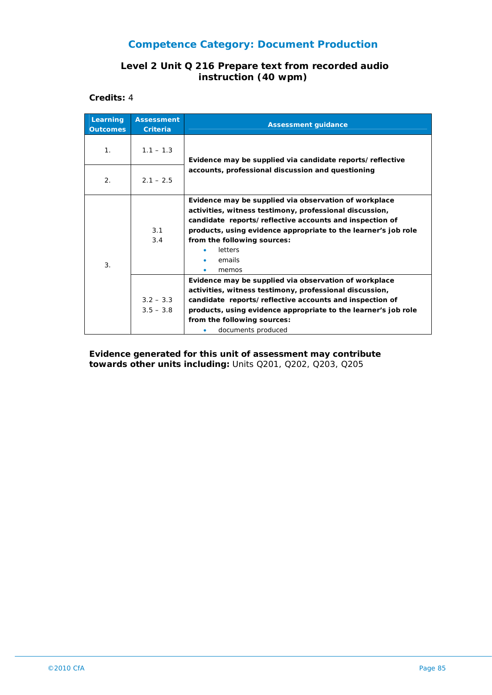#### **Level 2 Unit Q 216 Prepare text from recorded audio instruction (40 wpm)**

**Credits:** 4

| Learning<br><b>Outcomes</b> | <b>Assessment</b><br><b>Criteria</b> | <b>Assessment guidance</b>                                                                                                                                                                                                                                                                                 |
|-----------------------------|--------------------------------------|------------------------------------------------------------------------------------------------------------------------------------------------------------------------------------------------------------------------------------------------------------------------------------------------------------|
| 1 <sub>1</sub>              | $1.1 - 1.3$                          | Evidence may be supplied via candidate reports/reflective<br>accounts, professional discussion and questioning                                                                                                                                                                                             |
| 2.                          | $2.1 - 2.5$                          |                                                                                                                                                                                                                                                                                                            |
| 3.                          | 3.1<br>3.4                           | Evidence may be supplied via observation of workplace<br>activities, witness testimony, professional discussion,<br>candidate reports/reflective accounts and inspection of<br>products, using evidence appropriate to the learner's job role<br>from the following sources:<br>letters<br>emails<br>memos |
|                             | $3.2 - 3.3$<br>$3.5 - 3.8$           | Evidence may be supplied via observation of workplace<br>activities, witness testimony, professional discussion,<br>candidate reports/reflective accounts and inspection of<br>products, using evidence appropriate to the learner's job role<br>from the following sources:<br>documents produced         |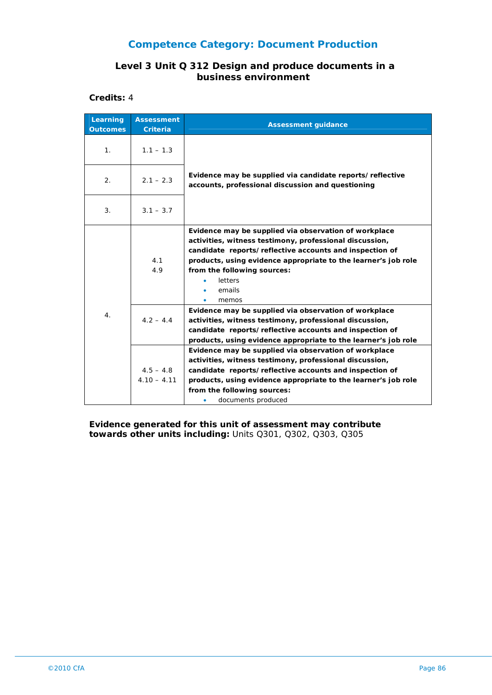#### **Level 3 Unit Q 312 Design and produce documents in a business environment**

**Credits:** 4

| Learning<br><b>Outcomes</b> | <b>Assessment</b><br><b>Criteria</b> | <b>Assessment guidance</b>                                                                                                                                                                                                                                                                                 |
|-----------------------------|--------------------------------------|------------------------------------------------------------------------------------------------------------------------------------------------------------------------------------------------------------------------------------------------------------------------------------------------------------|
| 1 <sub>1</sub>              | $1.1 - 1.3$                          |                                                                                                                                                                                                                                                                                                            |
| 2.                          | $2.1 - 2.3$                          | Evidence may be supplied via candidate reports/reflective<br>accounts, professional discussion and questioning                                                                                                                                                                                             |
| 3.                          | $3.1 - 3.7$                          |                                                                                                                                                                                                                                                                                                            |
| 4.                          | 4.1<br>4.9                           | Evidence may be supplied via observation of workplace<br>activities, witness testimony, professional discussion,<br>candidate reports/reflective accounts and inspection of<br>products, using evidence appropriate to the learner's job role<br>from the following sources:<br>letters<br>emails<br>memos |
|                             | $4.2 - 4.4$                          | Evidence may be supplied via observation of workplace<br>activities, witness testimony, professional discussion,<br>candidate reports/reflective accounts and inspection of<br>products, using evidence appropriate to the learner's job role                                                              |
|                             | $4.5 - 4.8$<br>$4.10 - 4.11$         | Evidence may be supplied via observation of workplace<br>activities, witness testimony, professional discussion,<br>candidate reports/reflective accounts and inspection of<br>products, using evidence appropriate to the learner's job role<br>from the following sources:<br>documents produced         |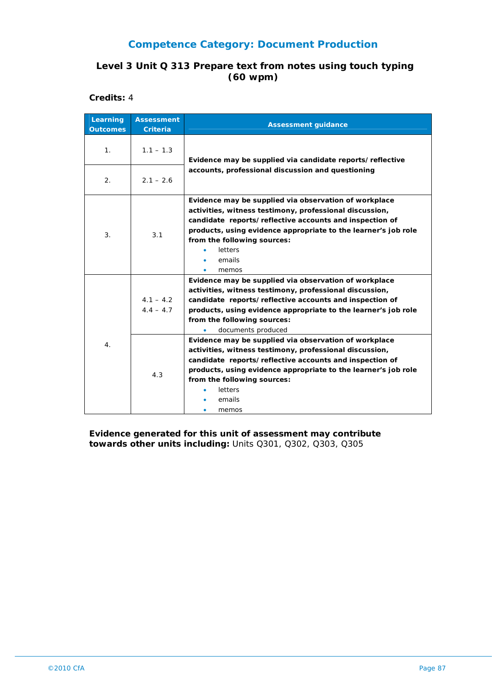### **Level 3 Unit Q 313 Prepare text from notes using touch typing (60 wpm)**

**Credits:** 4

| Learning<br><b>Outcomes</b> | <b>Assessment</b><br><b>Criteria</b> | <b>Assessment guidance</b>                                                                                                                                                                                                                                                                                                                                                                                                                                                                                                                                                                    |
|-----------------------------|--------------------------------------|-----------------------------------------------------------------------------------------------------------------------------------------------------------------------------------------------------------------------------------------------------------------------------------------------------------------------------------------------------------------------------------------------------------------------------------------------------------------------------------------------------------------------------------------------------------------------------------------------|
| 1 <sub>1</sub>              | $1.1 - 1.3$                          | Evidence may be supplied via candidate reports/reflective                                                                                                                                                                                                                                                                                                                                                                                                                                                                                                                                     |
| 2.                          | $2.1 - 2.6$                          | accounts, professional discussion and questioning                                                                                                                                                                                                                                                                                                                                                                                                                                                                                                                                             |
| 3.                          | 3.1                                  | Evidence may be supplied via observation of workplace<br>activities, witness testimony, professional discussion,<br>candidate reports/reflective accounts and inspection of<br>products, using evidence appropriate to the learner's job role<br>from the following sources:<br>letters<br>emails<br>memos                                                                                                                                                                                                                                                                                    |
| 4.                          | $4.1 - 4.2$<br>$4.4 - 4.7$<br>4.3    | Evidence may be supplied via observation of workplace<br>activities, witness testimony, professional discussion,<br>candidate reports/reflective accounts and inspection of<br>products, using evidence appropriate to the learner's job role<br>from the following sources:<br>documents produced<br>Evidence may be supplied via observation of workplace<br>activities, witness testimony, professional discussion,<br>candidate reports/reflective accounts and inspection of<br>products, using evidence appropriate to the learner's job role<br>from the following sources:<br>letters |
|                             |                                      | emails<br>memos                                                                                                                                                                                                                                                                                                                                                                                                                                                                                                                                                                               |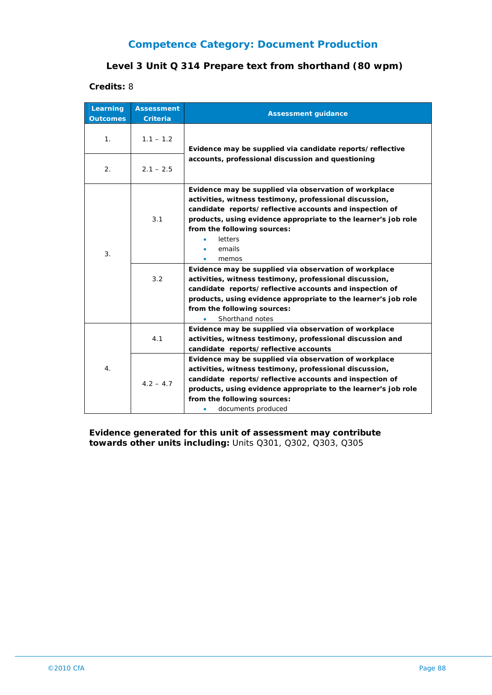### **Level 3 Unit Q 314 Prepare text from shorthand (80 wpm)**

**Credits:** 8

| Learning<br><b>Outcomes</b> | <b>Assessment</b><br><b>Criteria</b> | <b>Assessment guidance</b>                                                                                                                                                                                                                                                                                                                                                                                                                                                                                                                                                                                    |
|-----------------------------|--------------------------------------|---------------------------------------------------------------------------------------------------------------------------------------------------------------------------------------------------------------------------------------------------------------------------------------------------------------------------------------------------------------------------------------------------------------------------------------------------------------------------------------------------------------------------------------------------------------------------------------------------------------|
| 1.                          | $1.1 - 1.2$                          | Evidence may be supplied via candidate reports/reflective                                                                                                                                                                                                                                                                                                                                                                                                                                                                                                                                                     |
| $\overline{2}$ .            | $2.1 - 2.5$                          | accounts, professional discussion and questioning                                                                                                                                                                                                                                                                                                                                                                                                                                                                                                                                                             |
| 3.                          | 3.1<br>3.2                           | Evidence may be supplied via observation of workplace<br>activities, witness testimony, professional discussion,<br>candidate reports/reflective accounts and inspection of<br>products, using evidence appropriate to the learner's job role<br>from the following sources:<br>letters<br>emails<br>memos<br>Evidence may be supplied via observation of workplace<br>activities, witness testimony, professional discussion,<br>candidate reports/reflective accounts and inspection of<br>products, using evidence appropriate to the learner's job role<br>from the following sources:<br>Shorthand notes |
|                             | 4.1                                  | Evidence may be supplied via observation of workplace<br>activities, witness testimony, professional discussion and<br>candidate reports/reflective accounts<br>Evidence may be supplied via observation of workplace                                                                                                                                                                                                                                                                                                                                                                                         |
| $\overline{4}$ .            | $4.2 - 4.7$                          | activities, witness testimony, professional discussion,<br>candidate reports/reflective accounts and inspection of<br>products, using evidence appropriate to the learner's job role<br>from the following sources:<br>documents produced<br>۰                                                                                                                                                                                                                                                                                                                                                                |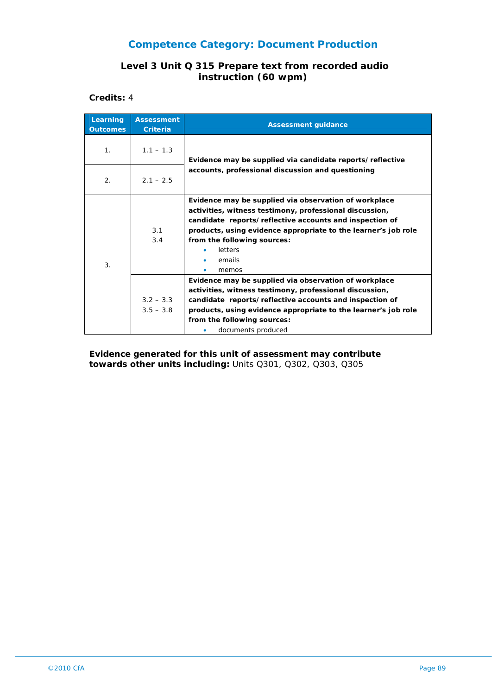#### **Level 3 Unit Q 315 Prepare text from recorded audio instruction (60 wpm)**

**Credits:** 4

| Learning<br><b>Outcomes</b> | <b>Assessment</b><br><b>Criteria</b> | <b>Assessment guidance</b>                                                                                                                                                                                                                                                                                 |
|-----------------------------|--------------------------------------|------------------------------------------------------------------------------------------------------------------------------------------------------------------------------------------------------------------------------------------------------------------------------------------------------------|
| 1 <sub>1</sub>              | $1.1 - 1.3$                          | Evidence may be supplied via candidate reports/reflective                                                                                                                                                                                                                                                  |
| 2.                          | $2.1 - 2.5$                          | accounts, professional discussion and questioning                                                                                                                                                                                                                                                          |
| 3.                          | 3.1<br>3.4                           | Evidence may be supplied via observation of workplace<br>activities, witness testimony, professional discussion,<br>candidate reports/reflective accounts and inspection of<br>products, using evidence appropriate to the learner's job role<br>from the following sources:<br>letters<br>emails<br>memos |
|                             | $3.2 - 3.3$<br>$3.5 - 3.8$           | Evidence may be supplied via observation of workplace<br>activities, witness testimony, professional discussion,<br>candidate reports/reflective accounts and inspection of<br>products, using evidence appropriate to the learner's job role<br>from the following sources:<br>documents produced         |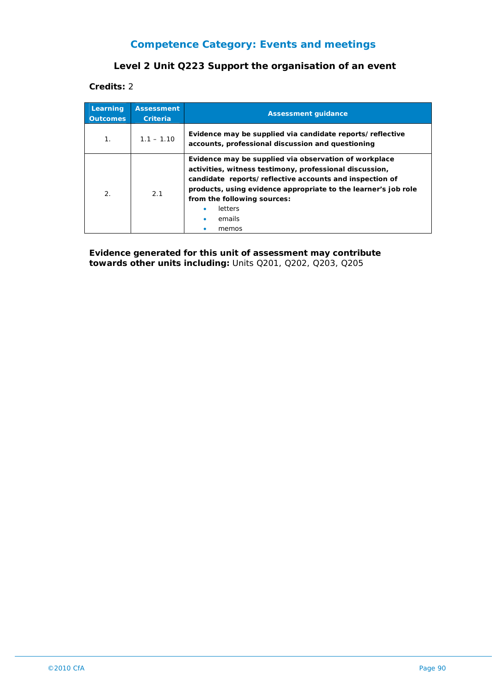### **Level 2 Unit Q223 Support the organisation of an event**

**Credits:** 2

| Learning<br><b>Outcomes</b> | <b>Assessment</b><br><b>Criteria</b> | <b>Assessment guidance</b>                                                                                                                                                                                                                                                                                                  |
|-----------------------------|--------------------------------------|-----------------------------------------------------------------------------------------------------------------------------------------------------------------------------------------------------------------------------------------------------------------------------------------------------------------------------|
| 1 <sub>1</sub>              | $1.1 - 1.10$                         | Evidence may be supplied via candidate reports/reflective<br>accounts, professional discussion and questioning                                                                                                                                                                                                              |
| 2.                          | 2.1                                  | Evidence may be supplied via observation of workplace<br>activities, witness testimony, professional discussion,<br>candidate reports/reflective accounts and inspection of<br>products, using evidence appropriate to the learner's job role<br>from the following sources:<br><b>letters</b><br>٠<br>emails<br>٠<br>memos |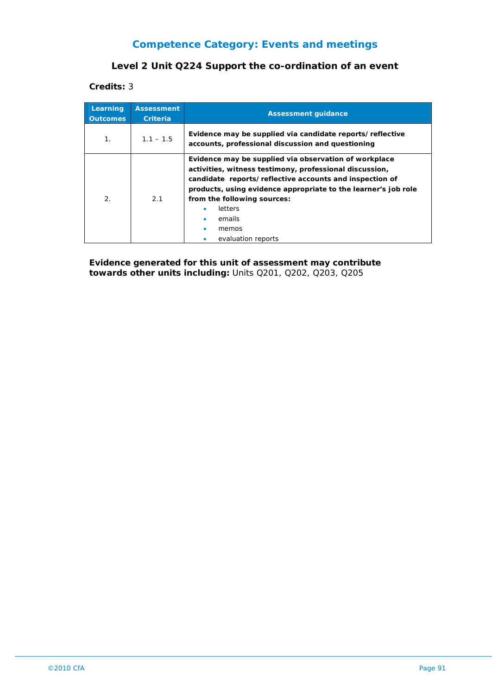### **Level 2 Unit Q224 Support the co-ordination of an event**

**Credits:** 3

| Learning<br><b>Outcomes</b> | <b>Assessment</b><br>Criteria | <b>Assessment guidance</b>                                                                                                                                                                                                                                                                                                              |
|-----------------------------|-------------------------------|-----------------------------------------------------------------------------------------------------------------------------------------------------------------------------------------------------------------------------------------------------------------------------------------------------------------------------------------|
| $\mathbf{1}$ .              | $1.1 - 1.5$                   | Evidence may be supplied via candidate reports/reflective<br>accounts, professional discussion and questioning                                                                                                                                                                                                                          |
| $\mathcal{P}_{\cdot}$       | 2.1                           | Evidence may be supplied via observation of workplace<br>activities, witness testimony, professional discussion,<br>candidate reports/reflective accounts and inspection of<br>products, using evidence appropriate to the learner's job role<br>from the following sources:<br><b>letters</b><br>emails<br>memos<br>evaluation reports |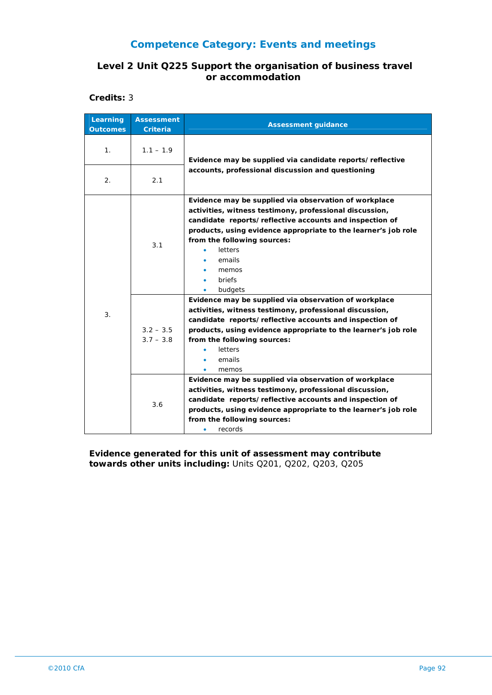#### **Level 2 Unit Q225 Support the organisation of business travel or accommodation**

**Credits:** 3

| Learning<br><b>Outcomes</b> | <b>Assessment</b><br><b>Criteria</b> | <b>Assessment guidance</b>                                                                                                                                                                                                                                                                                                      |
|-----------------------------|--------------------------------------|---------------------------------------------------------------------------------------------------------------------------------------------------------------------------------------------------------------------------------------------------------------------------------------------------------------------------------|
| 1.                          | $1.1 - 1.9$                          | Evidence may be supplied via candidate reports/reflective                                                                                                                                                                                                                                                                       |
| 2.                          | 2.1                                  | accounts, professional discussion and questioning                                                                                                                                                                                                                                                                               |
| 3.                          | 3.1                                  | Evidence may be supplied via observation of workplace<br>activities, witness testimony, professional discussion,<br>candidate reports/reflective accounts and inspection of<br>products, using evidence appropriate to the learner's job role<br>from the following sources:<br>letters<br>emails<br>memos<br>briefs<br>budgets |
|                             | $3.2 - 3.5$<br>$3.7 - 3.8$           | Evidence may be supplied via observation of workplace<br>activities, witness testimony, professional discussion,<br>candidate reports/reflective accounts and inspection of<br>products, using evidence appropriate to the learner's job role<br>from the following sources:<br>letters<br>emails<br>٠<br>memos                 |
|                             | 3.6                                  | Evidence may be supplied via observation of workplace<br>activities, witness testimony, professional discussion,<br>candidate reports/reflective accounts and inspection of<br>products, using evidence appropriate to the learner's job role<br>from the following sources:<br>records<br>٠                                    |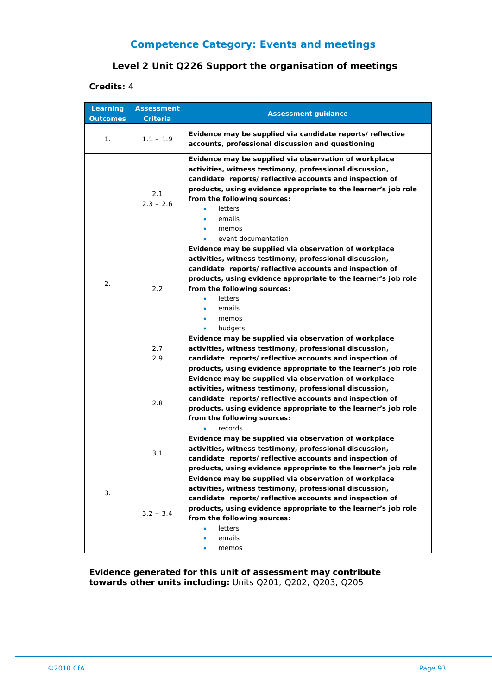### **Level 2 Unit Q226 Support the organisation of meetings**

#### **Credits:** 4

| Learning<br><b>Outcomes</b> | <b>Assessment</b><br>Criteria | <b>Assessment guidance</b>                                                                                                                                                                                                                                                                                                        |
|-----------------------------|-------------------------------|-----------------------------------------------------------------------------------------------------------------------------------------------------------------------------------------------------------------------------------------------------------------------------------------------------------------------------------|
| 1.                          | $1.1 - 1.9$                   | Evidence may be supplied via candidate reports/reflective<br>accounts, professional discussion and questioning                                                                                                                                                                                                                    |
| 2.                          | 2.1<br>$2.3 - 2.6$            | Evidence may be supplied via observation of workplace<br>activities, witness testimony, professional discussion,<br>candidate reports/reflective accounts and inspection of<br>products, using evidence appropriate to the learner's job role<br>from the following sources:<br>letters<br>emails<br>memos<br>event documentation |
|                             | 2.2                           | Evidence may be supplied via observation of workplace<br>activities, witness testimony, professional discussion,<br>candidate reports/reflective accounts and inspection of<br>products, using evidence appropriate to the learner's job role<br>from the following sources:<br>letters<br>emails<br>memos<br>budgets             |
|                             | 2.7<br>2.9                    | Evidence may be supplied via observation of workplace<br>activities, witness testimony, professional discussion,<br>candidate reports/reflective accounts and inspection of<br>products, using evidence appropriate to the learner's job role                                                                                     |
|                             | 2.8                           | Evidence may be supplied via observation of workplace<br>activities, witness testimony, professional discussion,<br>candidate reports/reflective accounts and inspection of<br>products, using evidence appropriate to the learner's job role<br>from the following sources:<br>records                                           |
|                             | 3.1                           | Evidence may be supplied via observation of workplace<br>activities, witness testimony, professional discussion,<br>candidate reports/reflective accounts and inspection of<br>products, using evidence appropriate to the learner's job role                                                                                     |
| 3.                          | $3.2 - 3.4$                   | Evidence may be supplied via observation of workplace<br>activities, witness testimony, professional discussion,<br>candidate reports/reflective accounts and inspection of<br>products, using evidence appropriate to the learner's job role<br>from the following sources:<br>letters<br>emails<br>memos                        |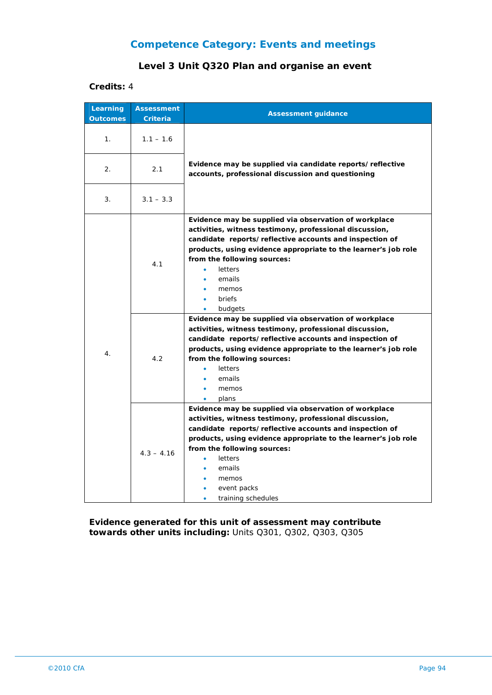### **Level 3 Unit Q320 Plan and organise an event**

#### **Credits:** 4

| Learning<br><b>Outcomes</b> | <b>Assessment</b><br><b>Criteria</b> | <b>Assessment guidance</b>                                                                                                                                                                                                                                                                                                                           |
|-----------------------------|--------------------------------------|------------------------------------------------------------------------------------------------------------------------------------------------------------------------------------------------------------------------------------------------------------------------------------------------------------------------------------------------------|
| 1 <sub>1</sub>              | $1.1 - 1.6$                          |                                                                                                                                                                                                                                                                                                                                                      |
| 2.                          | 2.1                                  | Evidence may be supplied via candidate reports/reflective<br>accounts, professional discussion and questioning                                                                                                                                                                                                                                       |
| 3.                          | $3.1 - 3.3$                          |                                                                                                                                                                                                                                                                                                                                                      |
| 4.                          | 4.1                                  | Evidence may be supplied via observation of workplace<br>activities, witness testimony, professional discussion,<br>candidate reports/reflective accounts and inspection of<br>products, using evidence appropriate to the learner's job role<br>from the following sources:<br>letters<br>emails<br>memos<br>briefs<br>budgets<br>$\bullet$         |
|                             | 4.2                                  | Evidence may be supplied via observation of workplace<br>activities, witness testimony, professional discussion,<br>candidate reports/reflective accounts and inspection of<br>products, using evidence appropriate to the learner's job role<br>from the following sources:<br>letters<br>emails<br>memos<br>$\bullet$<br>plans<br>٠                |
|                             | $4.3 - 4.16$                         | Evidence may be supplied via observation of workplace<br>activities, witness testimony, professional discussion,<br>candidate reports/reflective accounts and inspection of<br>products, using evidence appropriate to the learner's job role<br>from the following sources:<br>letters<br>٠<br>emails<br>memos<br>event packs<br>training schedules |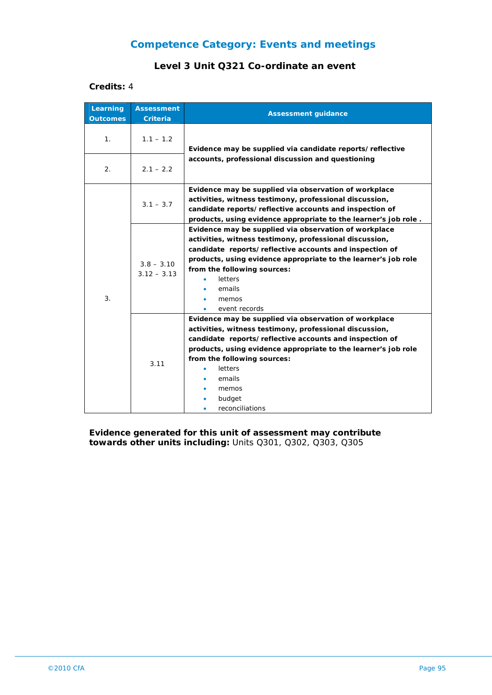### **Level 3 Unit Q321 Co-ordinate an event**

#### **Credits:** 4

| Learning<br><b>Outcomes</b> | <b>Assessment</b><br><b>Criteria</b> | <b>Assessment guidance</b>                                                                                                                                                                                                                                                                                                              |
|-----------------------------|--------------------------------------|-----------------------------------------------------------------------------------------------------------------------------------------------------------------------------------------------------------------------------------------------------------------------------------------------------------------------------------------|
| 1.                          | $1.1 - 1.2$                          | Evidence may be supplied via candidate reports/reflective                                                                                                                                                                                                                                                                               |
| 2.                          | $2.1 - 2.2$                          | accounts, professional discussion and questioning                                                                                                                                                                                                                                                                                       |
| 3.                          | $3.1 - 3.7$                          | Evidence may be supplied via observation of workplace<br>activities, witness testimony, professional discussion,<br>candidate reports/reflective accounts and inspection of<br>products, using evidence appropriate to the learner's job role.                                                                                          |
|                             | $3.8 - 3.10$<br>$3.12 - 3.13$        | Evidence may be supplied via observation of workplace<br>activities, witness testimony, professional discussion,<br>candidate reports/reflective accounts and inspection of<br>products, using evidence appropriate to the learner's job role<br>from the following sources:<br>letters<br>emails<br>memos<br>event records             |
|                             | 3.11                                 | Evidence may be supplied via observation of workplace<br>activities, witness testimony, professional discussion,<br>candidate reports/reflective accounts and inspection of<br>products, using evidence appropriate to the learner's job role<br>from the following sources:<br>letters<br>emails<br>memos<br>budget<br>reconciliations |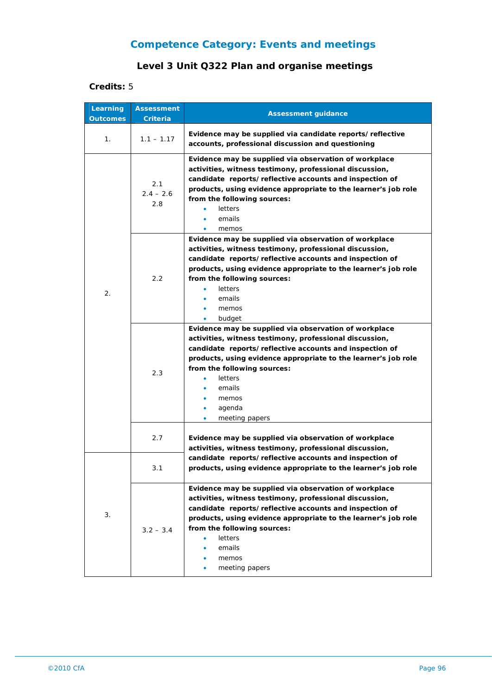### **Level 3 Unit Q322 Plan and organise meetings**

### **Credits:** 5

| Learning<br><b>Outcomes</b> | <b>Assessment</b><br>Criteria | <b>Assessment guidance</b>                                                                                                                                                                                                                                                                                                                                                   |
|-----------------------------|-------------------------------|------------------------------------------------------------------------------------------------------------------------------------------------------------------------------------------------------------------------------------------------------------------------------------------------------------------------------------------------------------------------------|
| 1.                          | $1.1 - 1.17$                  | Evidence may be supplied via candidate reports/reflective<br>accounts, professional discussion and questioning                                                                                                                                                                                                                                                               |
| 2.                          | 2.1<br>$2.4 - 2.6$<br>2.8     | Evidence may be supplied via observation of workplace<br>activities, witness testimony, professional discussion,<br>candidate reports/reflective accounts and inspection of<br>products, using evidence appropriate to the learner's job role<br>from the following sources:<br>letters<br>emails<br>٠<br>memos                                                              |
|                             | 2.2                           | Evidence may be supplied via observation of workplace<br>activities, witness testimony, professional discussion,<br>candidate reports/reflective accounts and inspection of<br>products, using evidence appropriate to the learner's job role<br>from the following sources:<br><b>letters</b><br>emails<br>memos<br>budget<br>۰                                             |
|                             | 2.3                           | Evidence may be supplied via observation of workplace<br>activities, witness testimony, professional discussion,<br>candidate reports/reflective accounts and inspection of<br>products, using evidence appropriate to the learner's job role<br>from the following sources:<br><b>letters</b><br>$\bullet$<br>emails<br>memos<br>agenda<br>۰<br>meeting papers<br>$\bullet$ |
|                             | 2.7                           | Evidence may be supplied via observation of workplace<br>activities, witness testimony, professional discussion,                                                                                                                                                                                                                                                             |
| 3.                          | 3.1                           | candidate reports/reflective accounts and inspection of<br>products, using evidence appropriate to the learner's job role                                                                                                                                                                                                                                                    |
|                             | $3.2 - 3.4$                   | Evidence may be supplied via observation of workplace<br>activities, witness testimony, professional discussion,<br>candidate reports/reflective accounts and inspection of<br>products, using evidence appropriate to the learner's job role<br>from the following sources:<br>letters<br>٠<br>emails<br>memos<br>meeting papers                                            |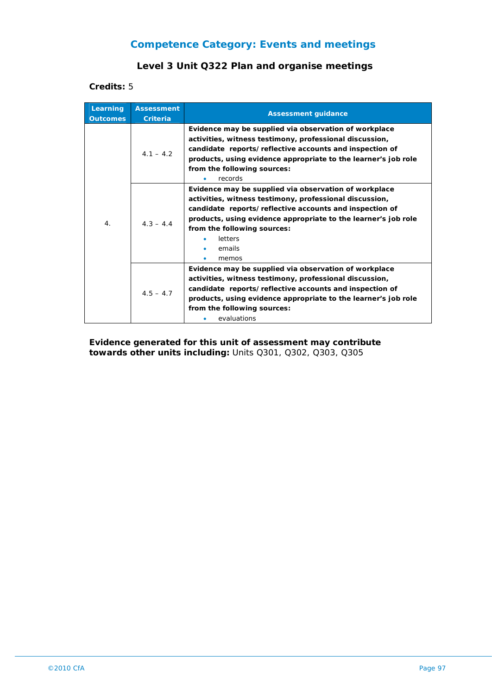### **Level 3 Unit Q322 Plan and organise meetings**

**Credits:** 5

| Learning<br><b>Outcomes</b> | <b>Assessment</b><br><b>Criteria</b> | <b>Assessment guidance</b>                                                                                                                                                                                                                                                                                 |
|-----------------------------|--------------------------------------|------------------------------------------------------------------------------------------------------------------------------------------------------------------------------------------------------------------------------------------------------------------------------------------------------------|
|                             | $4.1 - 4.2$                          | Evidence may be supplied via observation of workplace<br>activities, witness testimony, professional discussion,<br>candidate reports/reflective accounts and inspection of<br>products, using evidence appropriate to the learner's job role<br>from the following sources:<br>records                    |
| $\overline{4}$ .            | $4.3 - 4.4$                          | Evidence may be supplied via observation of workplace<br>activities, witness testimony, professional discussion,<br>candidate reports/reflective accounts and inspection of<br>products, using evidence appropriate to the learner's job role<br>from the following sources:<br>letters<br>emails<br>memos |
|                             | $4.5 - 4.7$                          | Evidence may be supplied via observation of workplace<br>activities, witness testimony, professional discussion,<br>candidate reports/reflective accounts and inspection of<br>products, using evidence appropriate to the learner's job role<br>from the following sources:<br>evaluations                |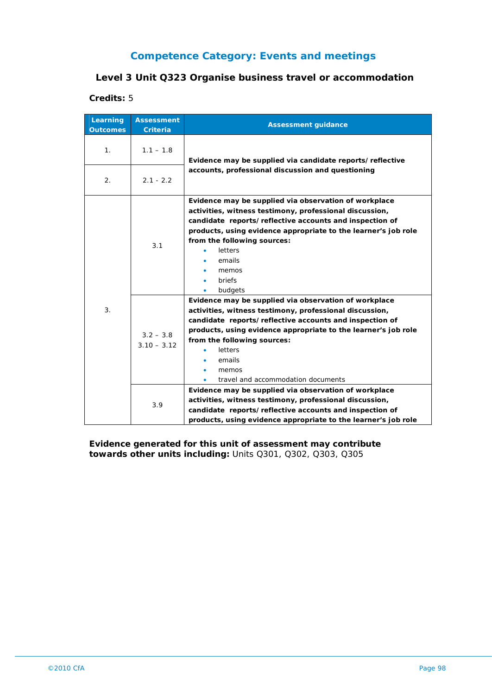### **Level 3 Unit Q323 Organise business travel or accommodation**

#### **Credits:** 5

| Learning<br><b>Outcomes</b> | <b>Assessment</b><br><b>Criteria</b> | <b>Assessment guidance</b>                                                                                                                                                                                                                                                                                                                       |
|-----------------------------|--------------------------------------|--------------------------------------------------------------------------------------------------------------------------------------------------------------------------------------------------------------------------------------------------------------------------------------------------------------------------------------------------|
| 1 <sub>1</sub>              | $1.1 - 1.8$                          | Evidence may be supplied via candidate reports/reflective                                                                                                                                                                                                                                                                                        |
| 2.                          | $2.1 - 2.2$                          | accounts, professional discussion and questioning                                                                                                                                                                                                                                                                                                |
| 3.                          | 3.1                                  | Evidence may be supplied via observation of workplace<br>activities, witness testimony, professional discussion,<br>candidate reports/reflective accounts and inspection of<br>products, using evidence appropriate to the learner's job role<br>from the following sources:<br>letters<br>emails<br>memos<br>briefs<br>budgets                  |
|                             | $3.2 - 3.8$<br>$3.10 - 3.12$         | Evidence may be supplied via observation of workplace<br>activities, witness testimony, professional discussion,<br>candidate reports/reflective accounts and inspection of<br>products, using evidence appropriate to the learner's job role<br>from the following sources:<br>letters<br>emails<br>memos<br>travel and accommodation documents |
|                             | 3.9                                  | Evidence may be supplied via observation of workplace<br>activities, witness testimony, professional discussion,<br>candidate reports/reflective accounts and inspection of<br>products, using evidence appropriate to the learner's job role                                                                                                    |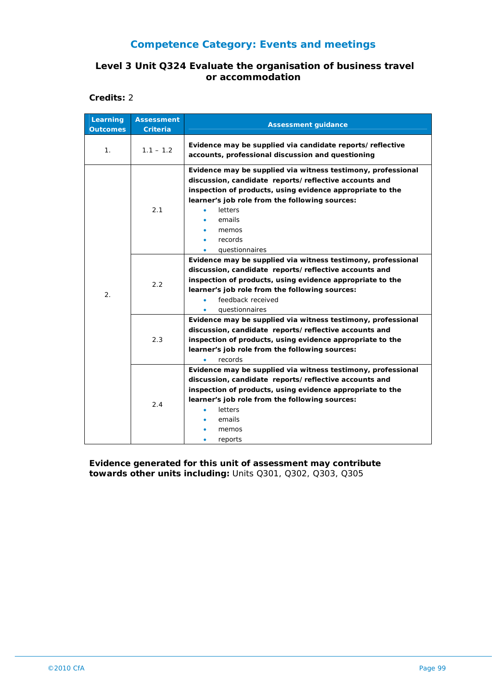### **Level 3 Unit Q324 Evaluate the organisation of business travel or accommodation**

**Credits:** 2

| Learning<br><b>Outcomes</b> | <b>Assessment</b><br><b>Criteria</b> | <b>Assessment guidance</b>                                                                                                                                                                                                                                                                                                                                                                                                                                                                                                                                                |
|-----------------------------|--------------------------------------|---------------------------------------------------------------------------------------------------------------------------------------------------------------------------------------------------------------------------------------------------------------------------------------------------------------------------------------------------------------------------------------------------------------------------------------------------------------------------------------------------------------------------------------------------------------------------|
| 1.                          | $1.1 - 1.2$                          | Evidence may be supplied via candidate reports/reflective<br>accounts, professional discussion and questioning                                                                                                                                                                                                                                                                                                                                                                                                                                                            |
| $\overline{2}$ .            | 2.1<br>2.2                           | Evidence may be supplied via witness testimony, professional<br>discussion, candidate reports/reflective accounts and<br>inspection of products, using evidence appropriate to the<br>learner's job role from the following sources:<br>letters<br>emails<br>memos<br>records<br>questionnaires<br>Evidence may be supplied via witness testimony, professional<br>discussion, candidate reports/reflective accounts and<br>inspection of products, using evidence appropriate to the<br>learner's job role from the following sources:<br>feedback received<br>$\bullet$ |
|                             | 2.3                                  | questionnaires<br>Evidence may be supplied via witness testimony, professional<br>discussion, candidate reports/reflective accounts and<br>inspection of products, using evidence appropriate to the<br>learner's job role from the following sources:<br>records                                                                                                                                                                                                                                                                                                         |
|                             | 2.4                                  | Evidence may be supplied via witness testimony, professional<br>discussion, candidate reports/reflective accounts and<br>inspection of products, using evidence appropriate to the<br>learner's job role from the following sources:<br><b>letters</b><br>emails<br>memos<br>reports                                                                                                                                                                                                                                                                                      |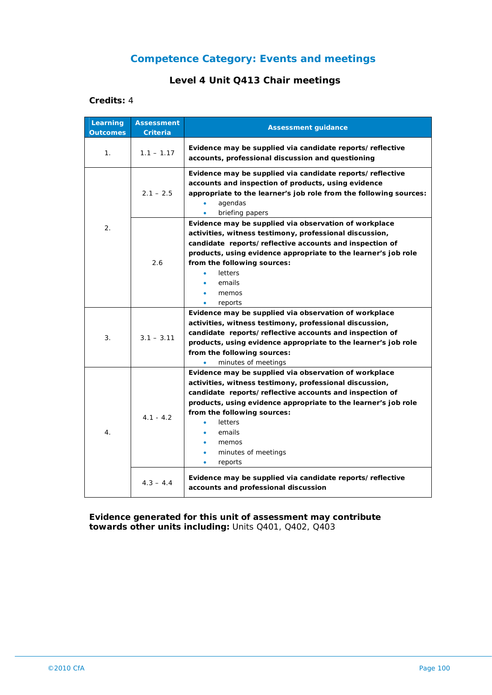### **Level 4 Unit Q413 Chair meetings**

#### **Credits:** 4

| Learning<br><b>Outcomes</b> | <b>Assessment</b><br><b>Criteria</b> | <b>Assessment guidance</b>                                                                                                                                                                                                                                                                                                                                             |
|-----------------------------|--------------------------------------|------------------------------------------------------------------------------------------------------------------------------------------------------------------------------------------------------------------------------------------------------------------------------------------------------------------------------------------------------------------------|
| 1.                          | $1.1 - 1.17$                         | Evidence may be supplied via candidate reports/reflective<br>accounts, professional discussion and questioning                                                                                                                                                                                                                                                         |
|                             | $2.1 - 2.5$                          | Evidence may be supplied via candidate reports/reflective<br>accounts and inspection of products, using evidence<br>appropriate to the learner's job role from the following sources:<br>agendas<br>briefing papers                                                                                                                                                    |
| 2.                          | 2.6                                  | Evidence may be supplied via observation of workplace<br>activities, witness testimony, professional discussion,<br>candidate reports/reflective accounts and inspection of<br>products, using evidence appropriate to the learner's job role<br>from the following sources:<br>letters<br>emails<br>memos<br>reports                                                  |
| 3.                          | $3.1 - 3.11$                         | Evidence may be supplied via observation of workplace<br>activities, witness testimony, professional discussion,<br>candidate reports/reflective accounts and inspection of<br>products, using evidence appropriate to the learner's job role<br>from the following sources:<br>minutes of meetings                                                                    |
| 4.                          | $4.1 - 4.2$                          | Evidence may be supplied via observation of workplace<br>activities, witness testimony, professional discussion,<br>candidate reports/reflective accounts and inspection of<br>products, using evidence appropriate to the learner's job role<br>from the following sources:<br>letters<br>emails<br>memos<br>minutes of meetings<br>$\bullet$<br>reports<br>$\bullet$ |
|                             | $4.3 - 4.4$                          | Evidence may be supplied via candidate reports/reflective<br>accounts and professional discussion                                                                                                                                                                                                                                                                      |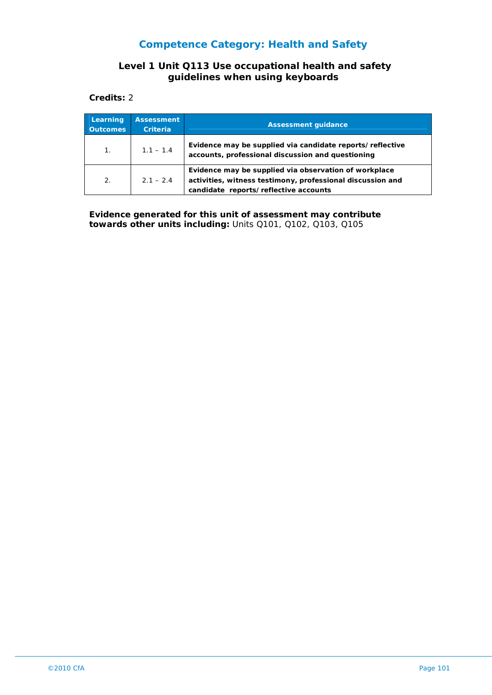### **Competence Category: Health and Safety**

#### **Level 1 Unit Q113 Use occupational health and safety guidelines when using keyboards**

**Credits:** 2

| Learning<br><b>Outcomes</b> | <b>Assessment</b><br><b>Criteria</b> | <b>Assessment quidance</b>                                                                                                                                   |
|-----------------------------|--------------------------------------|--------------------------------------------------------------------------------------------------------------------------------------------------------------|
| $1_{-}$                     | $1.1 - 1.4$                          | Evidence may be supplied via candidate reports/reflective<br>accounts, professional discussion and questioning                                               |
| 2.                          | $2.1 - 2.4$                          | Evidence may be supplied via observation of workplace<br>activities, witness testimony, professional discussion and<br>candidate reports/reflective accounts |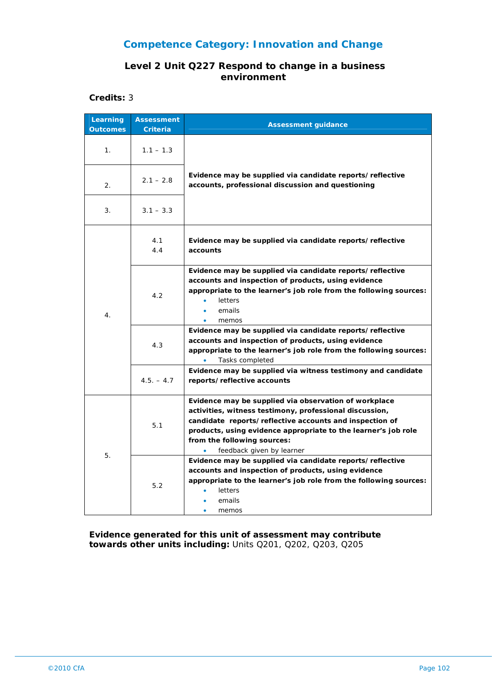### **Level 2 Unit Q227 Respond to change in a business environment**

**Credits:** 3

| Learning<br><b>Outcomes</b> | <b>Assessment</b><br>Criteria | <b>Assessment guidance</b>                                                                                                                                                                                                                                                                                |
|-----------------------------|-------------------------------|-----------------------------------------------------------------------------------------------------------------------------------------------------------------------------------------------------------------------------------------------------------------------------------------------------------|
| 1 <sub>1</sub>              | $1.1 - 1.3$                   |                                                                                                                                                                                                                                                                                                           |
| 2.                          | $2.1 - 2.8$                   | Evidence may be supplied via candidate reports/reflective<br>accounts, professional discussion and questioning                                                                                                                                                                                            |
| 3.                          | $3.1 - 3.3$                   |                                                                                                                                                                                                                                                                                                           |
| $\overline{4}$ .            | 4.1<br>4.4                    | Evidence may be supplied via candidate reports/reflective<br>accounts                                                                                                                                                                                                                                     |
|                             | 4.2                           | Evidence may be supplied via candidate reports/reflective<br>accounts and inspection of products, using evidence<br>appropriate to the learner's job role from the following sources:<br>letters<br>emails<br>memos                                                                                       |
|                             | 4.3                           | Evidence may be supplied via candidate reports/reflective<br>accounts and inspection of products, using evidence<br>appropriate to the learner's job role from the following sources:<br>Tasks completed<br>$\bullet$                                                                                     |
|                             | $4.5. - 4.7$                  | Evidence may be supplied via witness testimony and candidate<br>reports/reflective accounts                                                                                                                                                                                                               |
| 5.                          | 5.1                           | Evidence may be supplied via observation of workplace<br>activities, witness testimony, professional discussion,<br>candidate reports/reflective accounts and inspection of<br>products, using evidence appropriate to the learner's job role<br>from the following sources:<br>feedback given by learner |
|                             | 5.2                           | Evidence may be supplied via candidate reports/reflective<br>accounts and inspection of products, using evidence<br>appropriate to the learner's job role from the following sources:<br>letters<br>emails<br>memos                                                                                       |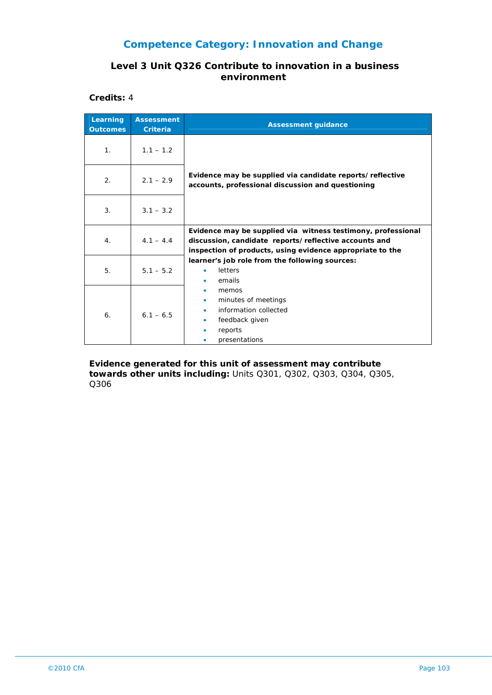#### **Level 3 Unit Q326 Contribute to innovation in a business environment**

**Credits:** 4

| Learning<br><b>Outcomes</b> | <b>Assessment</b><br><b>Criteria</b> | <b>Assessment guidance</b>                                                                                                                                                         |
|-----------------------------|--------------------------------------|------------------------------------------------------------------------------------------------------------------------------------------------------------------------------------|
| 1 <sub>1</sub>              | $1.1 - 1.2$                          |                                                                                                                                                                                    |
| 2.                          | $2.1 - 2.9$                          | Evidence may be supplied via candidate reports/reflective<br>accounts, professional discussion and questioning                                                                     |
| 3.                          | $3.1 - 3.2$                          |                                                                                                                                                                                    |
| 4.                          | $4.1 - 4.4$                          | Evidence may be supplied via witness testimony, professional<br>discussion, candidate reports/reflective accounts and<br>inspection of products, using evidence appropriate to the |
| 5.                          | $5.1 - 5.2$                          | learner's job role from the following sources:<br>letters<br>۰<br>emails                                                                                                           |
| 6.                          | $6.1 - 6.5$                          | memos<br>minutes of meetings<br>۰<br>information collected<br>feedback given<br>۰<br>reports<br>presentations                                                                      |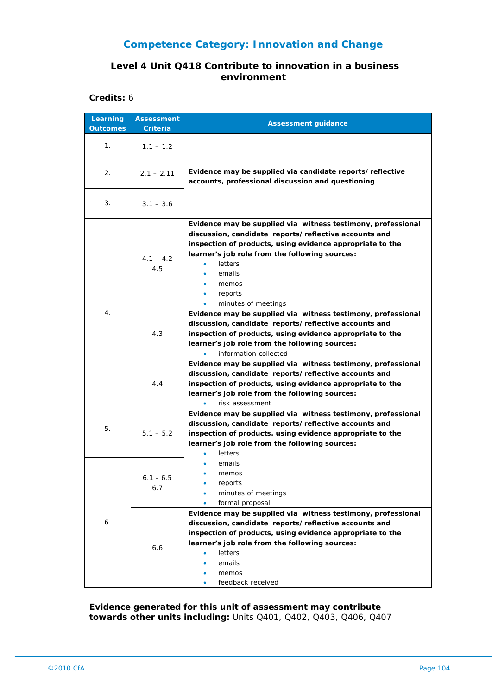#### **Level 4 Unit Q418 Contribute to innovation in a business environment**

**Credits:** 6

| Learning<br><b>Outcomes</b> | <b>Assessment</b><br>Criteria | <b>Assessment guidance</b>                                                                                                                                                                                                                                                                                                  |
|-----------------------------|-------------------------------|-----------------------------------------------------------------------------------------------------------------------------------------------------------------------------------------------------------------------------------------------------------------------------------------------------------------------------|
| 1.                          | $1.1 - 1.2$                   |                                                                                                                                                                                                                                                                                                                             |
| 2.                          | $2.1 - 2.11$                  | Evidence may be supplied via candidate reports/reflective<br>accounts, professional discussion and questioning                                                                                                                                                                                                              |
| 3.                          | $3.1 - 3.6$                   |                                                                                                                                                                                                                                                                                                                             |
|                             | $4.1 - 4.2$<br>4.5            | Evidence may be supplied via witness testimony, professional<br>discussion, candidate reports/reflective accounts and<br>inspection of products, using evidence appropriate to the<br>learner's job role from the following sources:<br>letters<br>٠<br>emails<br>memos<br>reports<br>$\bullet$<br>minutes of meetings<br>۰ |
| 4.                          | 4.3                           | Evidence may be supplied via witness testimony, professional<br>discussion, candidate reports/reflective accounts and<br>inspection of products, using evidence appropriate to the<br>learner's job role from the following sources:<br>information collected<br>۰                                                          |
|                             | 4.4                           | Evidence may be supplied via witness testimony, professional<br>discussion, candidate reports/reflective accounts and<br>inspection of products, using evidence appropriate to the<br>learner's job role from the following sources:<br>risk assessment                                                                     |
| 5.                          | $5.1 - 5.2$                   | Evidence may be supplied via witness testimony, professional<br>discussion, candidate reports/reflective accounts and<br>inspection of products, using evidence appropriate to the<br>learner's job role from the following sources:<br>letters                                                                             |
|                             | $6.1 - 6.5$<br>6.7            | emails<br>memos<br>reports<br>minutes of meetings<br>formal proposal                                                                                                                                                                                                                                                        |
| 6.                          | 6.6                           | Evidence may be supplied via witness testimony, professional<br>discussion, candidate reports/reflective accounts and<br>inspection of products, using evidence appropriate to the<br>learner's job role from the following sources:<br>letters<br>emails<br>memos<br>feedback received                                     |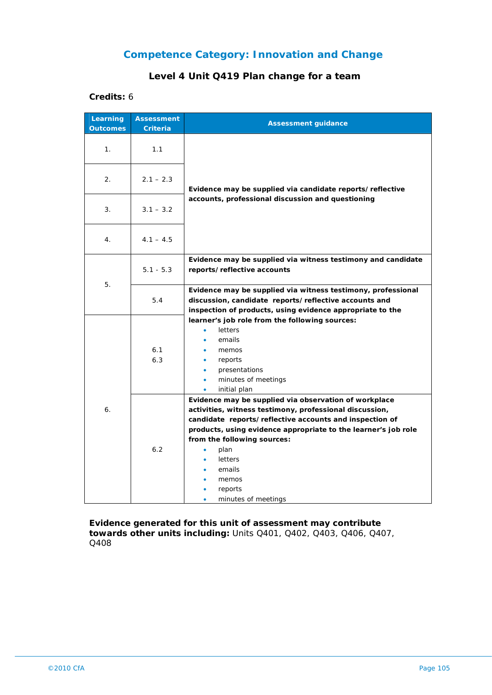### **Level 4 Unit Q419 Plan change for a team**

#### **Credits:** 6

| Learning<br><b>Outcomes</b> | <b>Assessment</b><br><b>Criteria</b> | <b>Assessment guidance</b>                                                                                                                                                                                                                                                                                                                                  |
|-----------------------------|--------------------------------------|-------------------------------------------------------------------------------------------------------------------------------------------------------------------------------------------------------------------------------------------------------------------------------------------------------------------------------------------------------------|
| 1.                          | 1.1                                  |                                                                                                                                                                                                                                                                                                                                                             |
| 2.                          | $2.1 - 2.3$                          | Evidence may be supplied via candidate reports/reflective                                                                                                                                                                                                                                                                                                   |
| 3.                          | $3.1 - 3.2$                          | accounts, professional discussion and questioning                                                                                                                                                                                                                                                                                                           |
| 4.                          | $4.1 - 4.5$                          |                                                                                                                                                                                                                                                                                                                                                             |
|                             | $5.1 - 5.3$                          | Evidence may be supplied via witness testimony and candidate<br>reports/reflective accounts                                                                                                                                                                                                                                                                 |
| 5.                          | 5.4                                  | Evidence may be supplied via witness testimony, professional<br>discussion, candidate reports/reflective accounts and<br>inspection of products, using evidence appropriate to the                                                                                                                                                                          |
|                             | 6.1<br>6.3                           | learner's job role from the following sources:<br><b>letters</b><br>٠<br>emails<br>memos<br>reports<br>٠<br>presentations<br>$\bullet$<br>minutes of meetings<br>٠<br>initial plan                                                                                                                                                                          |
| 6.                          | 6.2                                  | Evidence may be supplied via observation of workplace<br>activities, witness testimony, professional discussion,<br>candidate reports/reflective accounts and inspection of<br>products, using evidence appropriate to the learner's job role<br>from the following sources:<br>plan<br><b>letters</b><br>emails<br>memos<br>reports<br>minutes of meetings |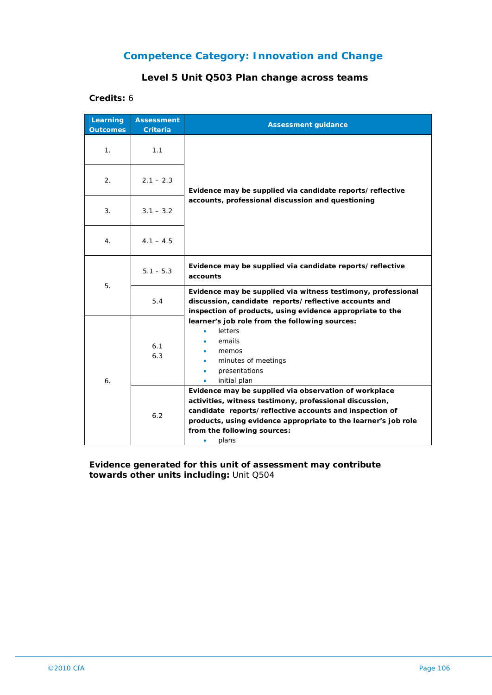## **Level 5 Unit Q503 Plan change across teams**

#### **Credits:** 6

| Learning<br><b>Outcomes</b> | <b>Assessment</b><br><b>Criteria</b> | <b>Assessment guidance</b>                                                                                                                                                                                                                                                                 |
|-----------------------------|--------------------------------------|--------------------------------------------------------------------------------------------------------------------------------------------------------------------------------------------------------------------------------------------------------------------------------------------|
| 1.                          | 1.1                                  | Evidence may be supplied via candidate reports/reflective<br>accounts, professional discussion and questioning                                                                                                                                                                             |
| 2.                          | $2.1 - 2.3$                          |                                                                                                                                                                                                                                                                                            |
| 3.                          | $3.1 - 3.2$                          |                                                                                                                                                                                                                                                                                            |
| 4.                          | $4.1 - 4.5$                          |                                                                                                                                                                                                                                                                                            |
| 5.                          | $5.1 - 5.3$                          | Evidence may be supplied via candidate reports/reflective<br>accounts                                                                                                                                                                                                                      |
|                             | 5.4                                  | Evidence may be supplied via witness testimony, professional<br>discussion, candidate reports/reflective accounts and<br>inspection of products, using evidence appropriate to the                                                                                                         |
| 6.                          | 6.1<br>6.3                           | learner's job role from the following sources:<br>letters<br>emails<br>memos<br>minutes of meetings<br>presentations<br>initial plan<br>٠                                                                                                                                                  |
|                             | 6.2                                  | Evidence may be supplied via observation of workplace<br>activities, witness testimony, professional discussion,<br>candidate reports/reflective accounts and inspection of<br>products, using evidence appropriate to the learner's job role<br>from the following sources:<br>plans<br>۰ |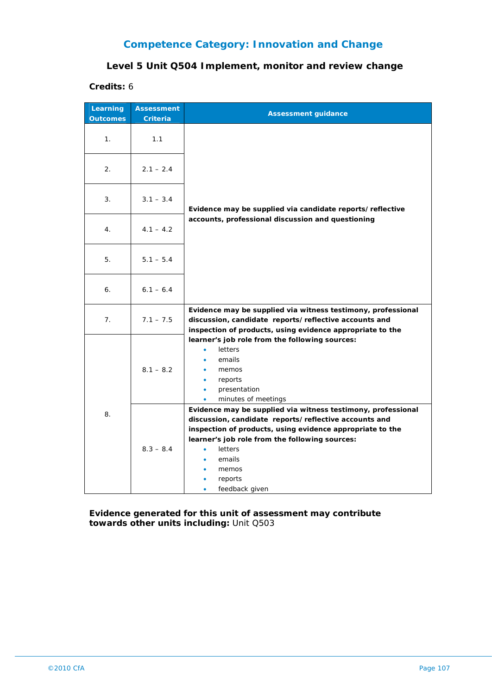#### **Level 5 Unit Q504 Implement, monitor and review change**

**Credits:** 6

| Learning<br><b>Outcomes</b> | <b>Assessment</b><br><b>Criteria</b> | <b>Assessment guidance</b>                                                                                                                                                                                                                                                                                          |
|-----------------------------|--------------------------------------|---------------------------------------------------------------------------------------------------------------------------------------------------------------------------------------------------------------------------------------------------------------------------------------------------------------------|
| 1 <sub>1</sub>              | 1.1                                  |                                                                                                                                                                                                                                                                                                                     |
| 2.                          | $2.1 - 2.4$                          |                                                                                                                                                                                                                                                                                                                     |
| 3.                          | $3.1 - 3.4$                          | Evidence may be supplied via candidate reports/reflective                                                                                                                                                                                                                                                           |
| 4.                          | $4.1 - 4.2$                          | accounts, professional discussion and questioning                                                                                                                                                                                                                                                                   |
| 5.                          | $5.1 - 5.4$                          |                                                                                                                                                                                                                                                                                                                     |
| 6.                          | $6.1 - 6.4$                          |                                                                                                                                                                                                                                                                                                                     |
| 7.                          | $7.1 - 7.5$                          | Evidence may be supplied via witness testimony, professional<br>discussion, candidate reports/reflective accounts and<br>inspection of products, using evidence appropriate to the                                                                                                                                  |
| 8.                          | $8.1 - 8.2$                          | learner's job role from the following sources:<br><b>letters</b><br>emails<br>memos<br>reports<br>$\bullet$<br>presentation<br>$\bullet$<br>minutes of meetings                                                                                                                                                     |
|                             | $8.3 - 8.4$                          | Evidence may be supplied via witness testimony, professional<br>discussion, candidate reports/reflective accounts and<br>inspection of products, using evidence appropriate to the<br>learner's job role from the following sources:<br><b>letters</b><br>$\bullet$<br>emails<br>memos<br>reports<br>feedback given |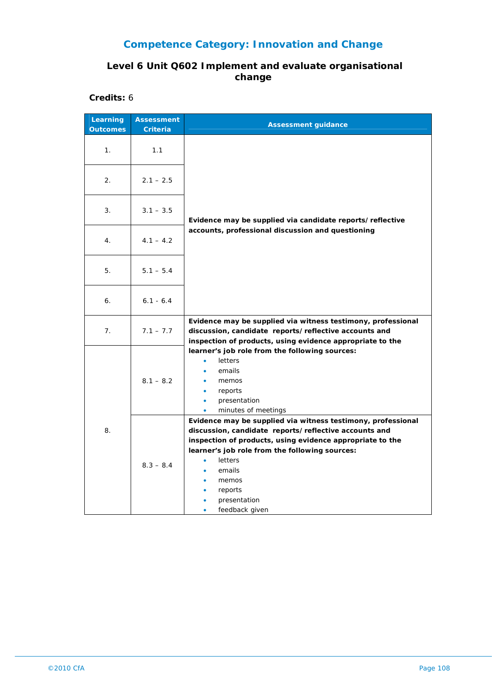### **Level 6 Unit Q602 Implement and evaluate organisational change**

**Credits:** 6

| Learning<br><b>Outcomes</b> | <b>Assessment</b><br><b>Criteria</b> | <b>Assessment guidance</b>                                                                                                                                                                                                                                                                                      |
|-----------------------------|--------------------------------------|-----------------------------------------------------------------------------------------------------------------------------------------------------------------------------------------------------------------------------------------------------------------------------------------------------------------|
| 1.                          | 1.1                                  |                                                                                                                                                                                                                                                                                                                 |
| 2.                          | $2.1 - 2.5$                          |                                                                                                                                                                                                                                                                                                                 |
| 3.                          | $3.1 - 3.5$                          | Evidence may be supplied via candidate reports/reflective                                                                                                                                                                                                                                                       |
| 4.                          | $4.1 - 4.2$                          | accounts, professional discussion and questioning                                                                                                                                                                                                                                                               |
| 5.                          | $5.1 - 5.4$                          |                                                                                                                                                                                                                                                                                                                 |
| 6.                          | $6.1 - 6.4$                          |                                                                                                                                                                                                                                                                                                                 |
| 7.                          | $7.1 - 7.7$                          | Evidence may be supplied via witness testimony, professional<br>discussion, candidate reports/reflective accounts and<br>inspection of products, using evidence appropriate to the                                                                                                                              |
| 8.                          | $8.1 - 8.2$                          | learner's job role from the following sources:<br>letters<br>$\bullet$<br>emails<br>memos<br>reports<br>$\bullet$<br>$\bullet$<br>presentation<br>minutes of meetings<br>$\bullet$                                                                                                                              |
|                             | $8.3 - 8.4$                          | Evidence may be supplied via witness testimony, professional<br>discussion, candidate reports/reflective accounts and<br>inspection of products, using evidence appropriate to the<br>learner's job role from the following sources:<br>letters<br>emails<br>memos<br>reports<br>presentation<br>feedback given |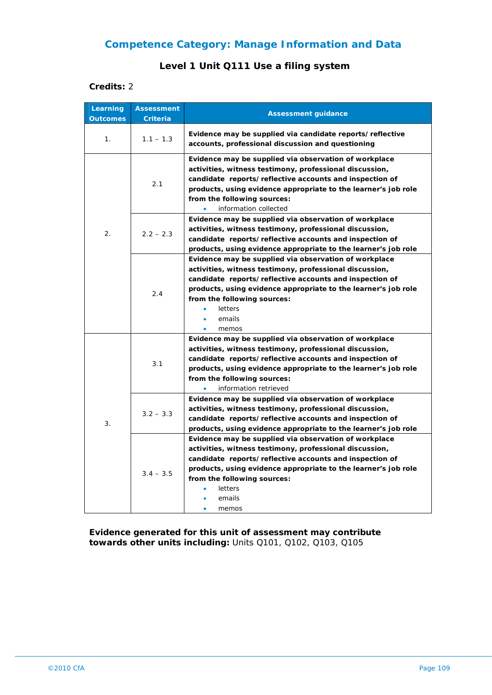### **Level 1 Unit Q111 Use a filing system**

#### **Credits:** 2

| Learning<br><b>Outcomes</b> | <b>Assessment</b><br><b>Criteria</b> | <b>Assessment guidance</b>                                                                                                                                                                                                                                                                                                        |
|-----------------------------|--------------------------------------|-----------------------------------------------------------------------------------------------------------------------------------------------------------------------------------------------------------------------------------------------------------------------------------------------------------------------------------|
| 1.                          | $1.1 - 1.3$                          | Evidence may be supplied via candidate reports/reflective<br>accounts, professional discussion and questioning                                                                                                                                                                                                                    |
|                             | 2.1                                  | Evidence may be supplied via observation of workplace<br>activities, witness testimony, professional discussion,<br>candidate reports/reflective accounts and inspection of<br>products, using evidence appropriate to the learner's job role<br>from the following sources:<br>information collected<br>$\bullet$                |
| 2.                          | $2.2 - 2.3$                          | Evidence may be supplied via observation of workplace<br>activities, witness testimony, professional discussion,<br>candidate reports/reflective accounts and inspection of<br>products, using evidence appropriate to the learner's job role                                                                                     |
|                             | 2.4                                  | Evidence may be supplied via observation of workplace<br>activities, witness testimony, professional discussion,<br>candidate reports/reflective accounts and inspection of<br>products, using evidence appropriate to the learner's job role<br>from the following sources:<br>letters<br>٠<br>emails<br>٠<br>memos<br>$\bullet$ |
| 3.                          | 3.1                                  | Evidence may be supplied via observation of workplace<br>activities, witness testimony, professional discussion,<br>candidate reports/reflective accounts and inspection of<br>products, using evidence appropriate to the learner's job role<br>from the following sources:<br>information retrieved                             |
|                             | $3.2 - 3.3$                          | Evidence may be supplied via observation of workplace<br>activities, witness testimony, professional discussion,<br>candidate reports/reflective accounts and inspection of<br>products, using evidence appropriate to the learner's job role                                                                                     |
|                             | $3.4 - 3.5$                          | Evidence may be supplied via observation of workplace<br>activities, witness testimony, professional discussion,<br>candidate reports/reflective accounts and inspection of<br>products, using evidence appropriate to the learner's job role<br>from the following sources:<br>letters<br>emails<br>memos                        |

**Evidence generated for this unit of assessment may contribute towards other units including:** Units Q101, Q102, Q103, Q105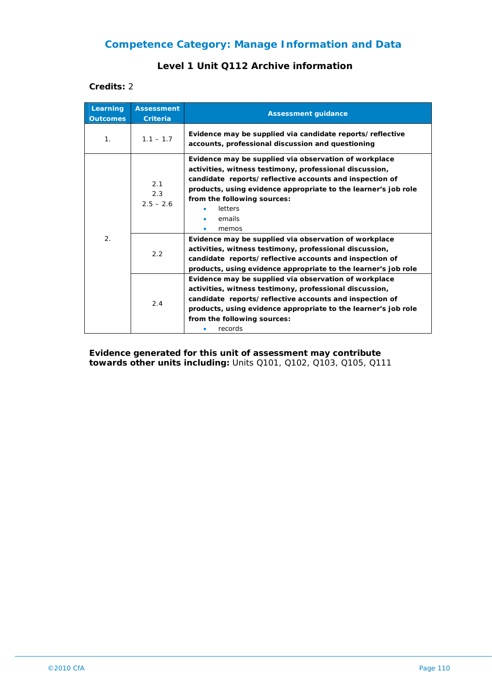#### **Level 1 Unit Q112 Archive information**

#### **Credits:** 2

| Learning<br><b>Outcomes</b> | <b>Assessment</b><br><b>Criteria</b> | <b>Assessment guidance</b>                                                                                                                                                                                                                                                                                 |
|-----------------------------|--------------------------------------|------------------------------------------------------------------------------------------------------------------------------------------------------------------------------------------------------------------------------------------------------------------------------------------------------------|
| 1 <sub>1</sub>              | $1.1 - 1.7$                          | Evidence may be supplied via candidate reports/reflective<br>accounts, professional discussion and questioning                                                                                                                                                                                             |
| 2.                          | 2.1<br>2.3<br>$2.5 - 2.6$            | Evidence may be supplied via observation of workplace<br>activities, witness testimony, professional discussion,<br>candidate reports/reflective accounts and inspection of<br>products, using evidence appropriate to the learner's job role<br>from the following sources:<br>letters<br>emails<br>memos |
|                             | 2.2                                  | Evidence may be supplied via observation of workplace<br>activities, witness testimony, professional discussion,<br>candidate reports/reflective accounts and inspection of<br>products, using evidence appropriate to the learner's job role                                                              |
|                             | 2.4                                  | Evidence may be supplied via observation of workplace<br>activities, witness testimony, professional discussion,<br>candidate reports/reflective accounts and inspection of<br>products, using evidence appropriate to the learner's job role<br>from the following sources:<br>records                    |

**Evidence generated for this unit of assessment may contribute towards other units including:** Units Q101, Q102, Q103, Q105, Q111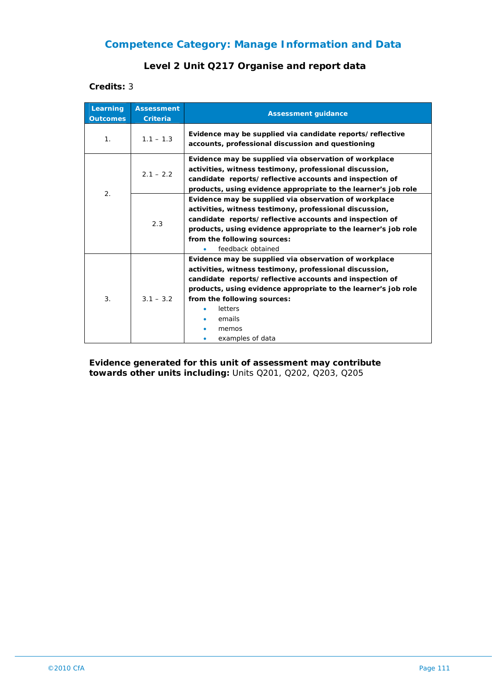### **Level 2 Unit Q217 Organise and report data**

**Credits:** 3

| Learning<br><b>Outcomes</b> | <b>Assessment</b><br><b>Criteria</b> | <b>Assessment guidance</b>                                                                                                                                                                                                                                                                                                     |
|-----------------------------|--------------------------------------|--------------------------------------------------------------------------------------------------------------------------------------------------------------------------------------------------------------------------------------------------------------------------------------------------------------------------------|
| 1 <sub>1</sub>              | $1.1 - 1.3$                          | Evidence may be supplied via candidate reports/reflective<br>accounts, professional discussion and questioning                                                                                                                                                                                                                 |
| 2.                          | $2.1 - 2.2$                          | Evidence may be supplied via observation of workplace<br>activities, witness testimony, professional discussion,<br>candidate reports/reflective accounts and inspection of<br>products, using evidence appropriate to the learner's job role                                                                                  |
|                             | 2.3                                  | Evidence may be supplied via observation of workplace<br>activities, witness testimony, professional discussion,<br>candidate reports/reflective accounts and inspection of<br>products, using evidence appropriate to the learner's job role<br>from the following sources:<br>feedback obtained                              |
| 3.                          | $3.1 - 3.2$                          | Evidence may be supplied via observation of workplace<br>activities, witness testimony, professional discussion,<br>candidate reports/reflective accounts and inspection of<br>products, using evidence appropriate to the learner's job role<br>from the following sources:<br>letters<br>emails<br>memos<br>examples of data |

**Evidence generated for this unit of assessment may contribute towards other units including:** Units Q201, Q202, Q203, Q205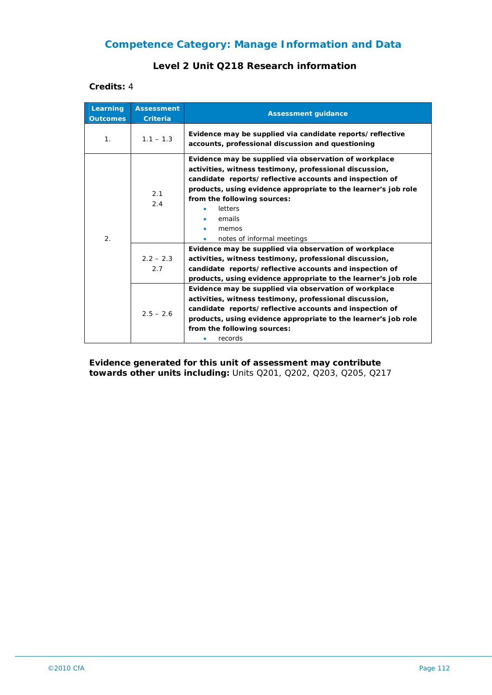#### **Level 2 Unit Q218 Research information**

**Credits:** 4

| Learning<br><b>Outcomes</b> | <b>Assessment</b><br><b>Criteria</b> | <b>Assessment guidance</b>                                                                                                                                                                                                                                                                                                                    |
|-----------------------------|--------------------------------------|-----------------------------------------------------------------------------------------------------------------------------------------------------------------------------------------------------------------------------------------------------------------------------------------------------------------------------------------------|
| 1 <sub>1</sub>              | $1.1 - 1.3$                          | Evidence may be supplied via candidate reports/reflective<br>accounts, professional discussion and questioning                                                                                                                                                                                                                                |
| 2.                          | 2.1<br>2.4                           | Evidence may be supplied via observation of workplace<br>activities, witness testimony, professional discussion,<br>candidate reports/reflective accounts and inspection of<br>products, using evidence appropriate to the learner's job role<br>from the following sources:<br>letters<br>emails<br>memos<br>notes of informal meetings<br>۰ |
|                             | $2.2 - 2.3$<br>2.7                   | Evidence may be supplied via observation of workplace<br>activities, witness testimony, professional discussion,<br>candidate reports/reflective accounts and inspection of<br>products, using evidence appropriate to the learner's job role                                                                                                 |
|                             | $2.5 - 2.6$                          | Evidence may be supplied via observation of workplace<br>activities, witness testimony, professional discussion,<br>candidate reports/reflective accounts and inspection of<br>products, using evidence appropriate to the learner's job role<br>from the following sources:<br>records                                                       |

**Evidence generated for this unit of assessment may contribute towards other units including:** Units Q201, Q202, Q203, Q205, Q217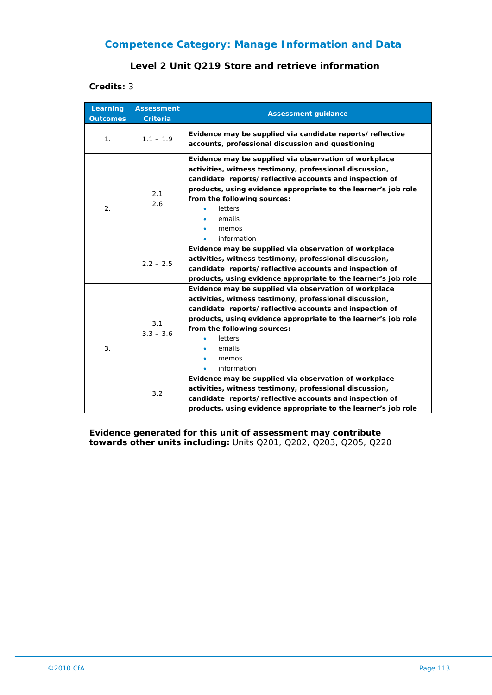#### **Level 2 Unit Q219 Store and retrieve information**

**Credits:** 3

| Learning<br><b>Outcomes</b> | <b>Assessment</b><br><b>Criteria</b> | <b>Assessment guidance</b>                                                                                                                                                                                                                                                                                                |
|-----------------------------|--------------------------------------|---------------------------------------------------------------------------------------------------------------------------------------------------------------------------------------------------------------------------------------------------------------------------------------------------------------------------|
| 1.                          | $1.1 - 1.9$                          | Evidence may be supplied via candidate reports/reflective<br>accounts, professional discussion and questioning                                                                                                                                                                                                            |
| 2.                          | 2.1<br>2.6                           | Evidence may be supplied via observation of workplace<br>activities, witness testimony, professional discussion,<br>candidate reports/reflective accounts and inspection of<br>products, using evidence appropriate to the learner's job role<br>from the following sources:<br>letters<br>emails<br>memos<br>information |
|                             | $2.2 - 2.5$                          | Evidence may be supplied via observation of workplace<br>activities, witness testimony, professional discussion,<br>candidate reports/reflective accounts and inspection of<br>products, using evidence appropriate to the learner's job role                                                                             |
| 3.                          | 3.1<br>$3.3 - 3.6$                   | Evidence may be supplied via observation of workplace<br>activities, witness testimony, professional discussion,<br>candidate reports/reflective accounts and inspection of<br>products, using evidence appropriate to the learner's job role<br>from the following sources:<br>letters<br>emails<br>memos<br>information |
|                             | 3.2                                  | Evidence may be supplied via observation of workplace<br>activities, witness testimony, professional discussion,<br>candidate reports/reflective accounts and inspection of<br>products, using evidence appropriate to the learner's job role                                                                             |

**Evidence generated for this unit of assessment may contribute towards other units including:** Units Q201, Q202, Q203, Q205, Q220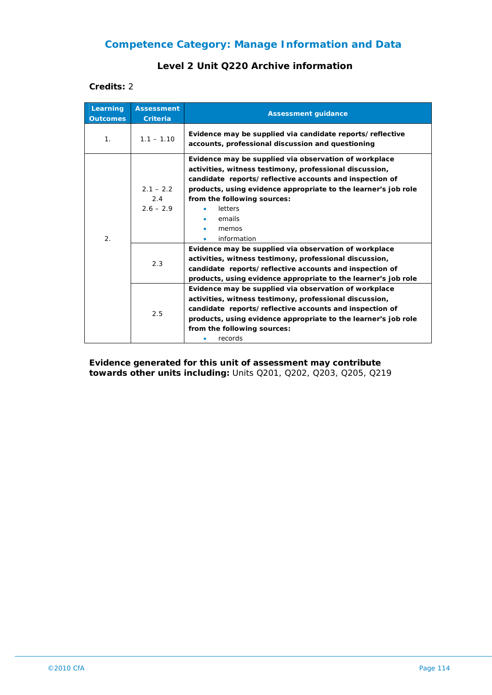#### **Level 2 Unit Q220 Archive information**

#### **Credits:** 2

| Learning<br><b>Outcomes</b> | <b>Assessment</b><br><b>Criteria</b> | <b>Assessment guidance</b>                                                                                                                                                                                                                                                                                                     |
|-----------------------------|--------------------------------------|--------------------------------------------------------------------------------------------------------------------------------------------------------------------------------------------------------------------------------------------------------------------------------------------------------------------------------|
| 1 <sub>1</sub>              | $1.1 - 1.10$                         | Evidence may be supplied via candidate reports/reflective<br>accounts, professional discussion and questioning                                                                                                                                                                                                                 |
| 2.                          | $2.1 - 2.2$<br>2.4<br>$2.6 - 2.9$    | Evidence may be supplied via observation of workplace<br>activities, witness testimony, professional discussion,<br>candidate reports/reflective accounts and inspection of<br>products, using evidence appropriate to the learner's job role<br>from the following sources:<br>letters<br>emails<br>memos<br>information<br>۰ |
|                             | 2.3                                  | Evidence may be supplied via observation of workplace<br>activities, witness testimony, professional discussion,<br>candidate reports/reflective accounts and inspection of<br>products, using evidence appropriate to the learner's job role                                                                                  |
|                             | 2.5                                  | Evidence may be supplied via observation of workplace<br>activities, witness testimony, professional discussion,<br>candidate reports/reflective accounts and inspection of<br>products, using evidence appropriate to the learner's job role<br>from the following sources:<br>records                                        |

**Evidence generated for this unit of assessment may contribute towards other units including:** Units Q201, Q202, Q203, Q205, Q219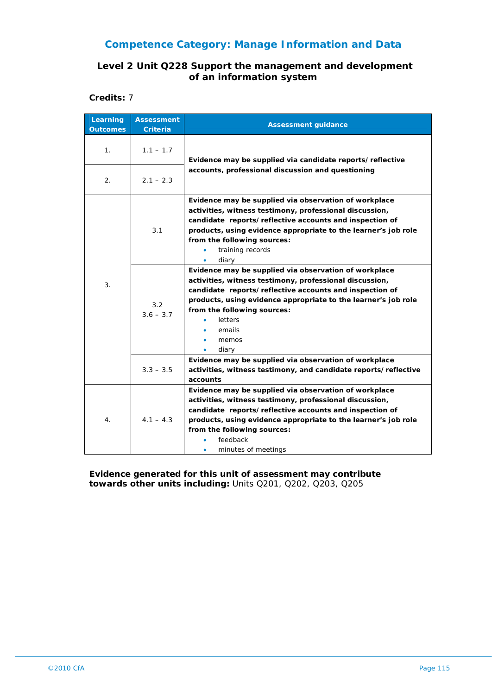#### **Level 2 Unit Q228 Support the management and development of an information system**

**Credits:** 7

| Learning<br><b>Outcomes</b> | <b>Assessment</b><br>Criteria | <b>Assessment guidance</b>                                                                                                                                                                                                                                                                                          |
|-----------------------------|-------------------------------|---------------------------------------------------------------------------------------------------------------------------------------------------------------------------------------------------------------------------------------------------------------------------------------------------------------------|
| 1.                          | $1.1 - 1.7$                   | Evidence may be supplied via candidate reports/reflective                                                                                                                                                                                                                                                           |
| 2.                          | $2.1 - 2.3$                   | accounts, professional discussion and questioning                                                                                                                                                                                                                                                                   |
| 3.                          | 3.1                           | Evidence may be supplied via observation of workplace<br>activities, witness testimony, professional discussion,<br>candidate reports/reflective accounts and inspection of<br>products, using evidence appropriate to the learner's job role<br>from the following sources:<br>training records<br>diary<br>٠      |
|                             | 3.2<br>$3.6 - 3.7$            | Evidence may be supplied via observation of workplace<br>activities, witness testimony, professional discussion,<br>candidate reports/reflective accounts and inspection of<br>products, using evidence appropriate to the learner's job role<br>from the following sources:<br>letters<br>emails<br>memos<br>diary |
|                             | $3.3 - 3.5$                   | Evidence may be supplied via observation of workplace<br>activities, witness testimony, and candidate reports/reflective<br>accounts                                                                                                                                                                                |
| 4.                          | $4.1 - 4.3$                   | Evidence may be supplied via observation of workplace<br>activities, witness testimony, professional discussion,<br>candidate reports/reflective accounts and inspection of<br>products, using evidence appropriate to the learner's job role<br>from the following sources:<br>feedback<br>minutes of meetings     |

**Evidence generated for this unit of assessment may contribute towards other units including:** Units Q201, Q202, Q203, Q205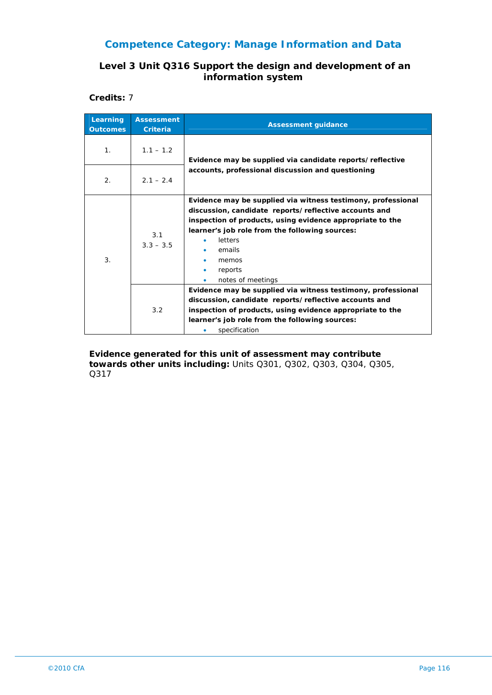#### **Level 3 Unit Q316 Support the design and development of an information system**

**Credits:** 7

| Learning<br><b>Outcomes</b> | <b>Assessment</b><br><b>Criteria</b> | <b>Assessment guidance</b>                                                                                                                                                                                                                                                                                      |
|-----------------------------|--------------------------------------|-----------------------------------------------------------------------------------------------------------------------------------------------------------------------------------------------------------------------------------------------------------------------------------------------------------------|
| 1 <sub>1</sub>              | $1.1 - 1.2$                          | Evidence may be supplied via candidate reports/reflective                                                                                                                                                                                                                                                       |
| 2.                          | $2.1 - 2.4$                          | accounts, professional discussion and questioning                                                                                                                                                                                                                                                               |
| 3.                          | 3.1<br>$3.3 - 3.5$                   | Evidence may be supplied via witness testimony, professional<br>discussion, candidate reports/reflective accounts and<br>inspection of products, using evidence appropriate to the<br>learner's job role from the following sources:<br>letters<br>emails<br>memos<br>reports<br>notes of meetings<br>$\bullet$ |
|                             | 3.2                                  | Evidence may be supplied via witness testimony, professional<br>discussion, candidate reports/reflective accounts and<br>inspection of products, using evidence appropriate to the<br>learner's job role from the following sources:<br>specification                                                           |

**Evidence generated for this unit of assessment may contribute towards other units including:** Units Q301, Q302, Q303, Q304, Q305, Q317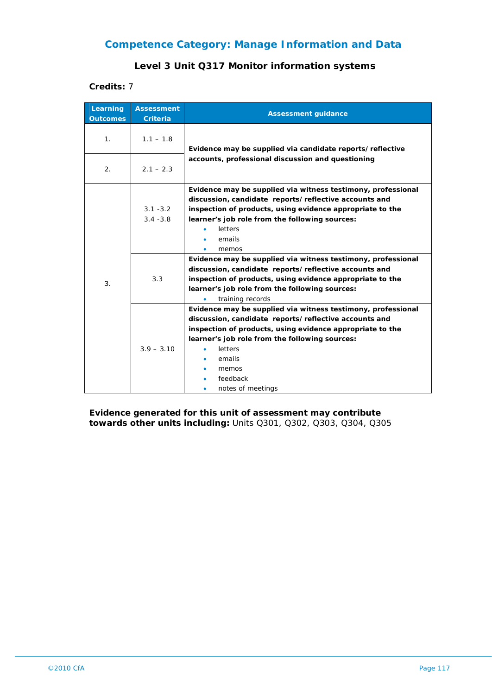#### **Level 3 Unit Q317 Monitor information systems**

**Credits:** 7

| Learning<br><b>Outcomes</b> | <b>Assessment</b><br><b>Criteria</b> | <b>Assessment guidance</b>                                                                                                                                                                                                                                                                          |
|-----------------------------|--------------------------------------|-----------------------------------------------------------------------------------------------------------------------------------------------------------------------------------------------------------------------------------------------------------------------------------------------------|
| 1 <sub>1</sub>              | $1.1 - 1.8$                          | Evidence may be supplied via candidate reports/reflective                                                                                                                                                                                                                                           |
| 2.                          | $2.1 - 2.3$                          | accounts, professional discussion and questioning                                                                                                                                                                                                                                                   |
| 3.                          | $3.1 - 3.2$<br>$3.4 - 3.8$           | Evidence may be supplied via witness testimony, professional<br>discussion, candidate reports/reflective accounts and<br>inspection of products, using evidence appropriate to the<br>learner's job role from the following sources:<br>letters<br>emails<br>memos                                  |
|                             | 3.3                                  | Evidence may be supplied via witness testimony, professional<br>discussion, candidate reports/reflective accounts and<br>inspection of products, using evidence appropriate to the<br>learner's job role from the following sources:<br>training records                                            |
|                             | $3.9 - 3.10$                         | Evidence may be supplied via witness testimony, professional<br>discussion, candidate reports/reflective accounts and<br>inspection of products, using evidence appropriate to the<br>learner's job role from the following sources:<br>letters<br>emails<br>memos<br>feedback<br>notes of meetings |

**Evidence generated for this unit of assessment may contribute towards other units including:** Units Q301, Q302, Q303, Q304, Q305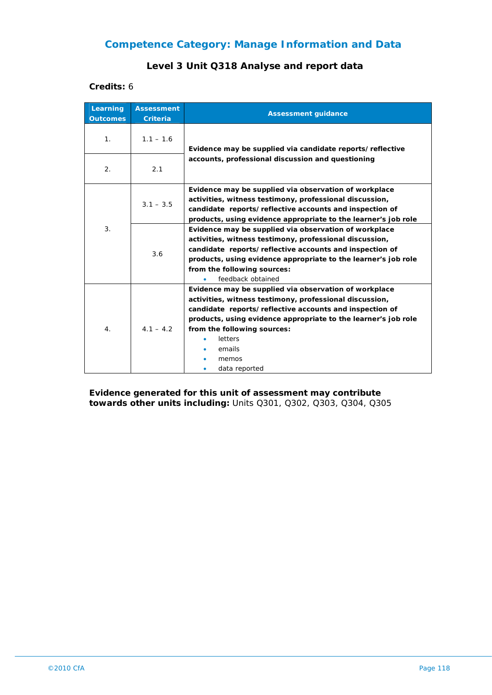### **Level 3 Unit Q318 Analyse and report data**

**Credits:** 6

| Learning<br><b>Outcomes</b> | <b>Assessment</b><br><b>Criteria</b> | <b>Assessment guidance</b>                                                                                                                                                                                                                                                                                                  |
|-----------------------------|--------------------------------------|-----------------------------------------------------------------------------------------------------------------------------------------------------------------------------------------------------------------------------------------------------------------------------------------------------------------------------|
| 1 <sub>1</sub>              | $1.1 - 1.6$                          | Evidence may be supplied via candidate reports/reflective                                                                                                                                                                                                                                                                   |
| 2.                          | 2.1                                  | accounts, professional discussion and questioning                                                                                                                                                                                                                                                                           |
| 3.                          | $3.1 - 3.5$                          | Evidence may be supplied via observation of workplace<br>activities, witness testimony, professional discussion,<br>candidate reports/reflective accounts and inspection of<br>products, using evidence appropriate to the learner's job role                                                                               |
|                             | 3.6                                  | Evidence may be supplied via observation of workplace<br>activities, witness testimony, professional discussion,<br>candidate reports/reflective accounts and inspection of<br>products, using evidence appropriate to the learner's job role<br>from the following sources:<br>feedback obtained                           |
| 4.                          | $4.1 - 4.2$                          | Evidence may be supplied via observation of workplace<br>activities, witness testimony, professional discussion,<br>candidate reports/reflective accounts and inspection of<br>products, using evidence appropriate to the learner's job role<br>from the following sources:<br>letters<br>emails<br>memos<br>data reported |

**Evidence generated for this unit of assessment may contribute towards other units including:** Units Q301, Q302, Q303, Q304, Q305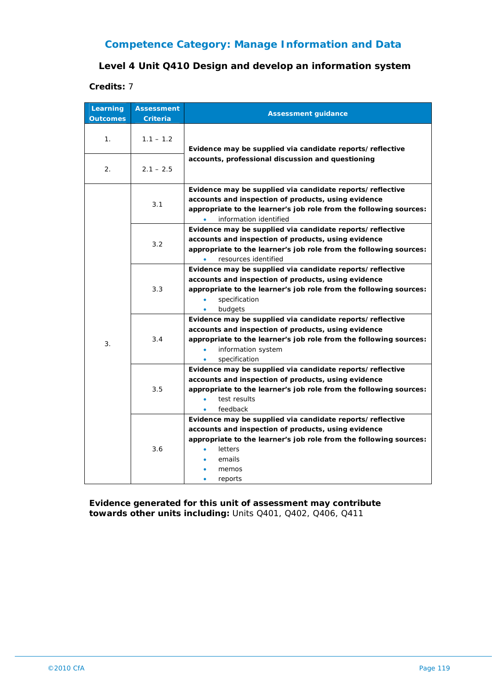#### **Level 4 Unit Q410 Design and develop an information system**

#### **Credits:** 7

| Learning<br><b>Outcomes</b> | <b>Assessment</b><br><b>Criteria</b> | <b>Assessment guidance</b>                                                                                                                                                                                                                             |
|-----------------------------|--------------------------------------|--------------------------------------------------------------------------------------------------------------------------------------------------------------------------------------------------------------------------------------------------------|
| 1.                          | $1.1 - 1.2$                          | Evidence may be supplied via candidate reports/reflective<br>accounts, professional discussion and questioning                                                                                                                                         |
| 2.                          | $2.1 - 2.5$                          |                                                                                                                                                                                                                                                        |
|                             | 3.1                                  | Evidence may be supplied via candidate reports/reflective<br>accounts and inspection of products, using evidence<br>appropriate to the learner's job role from the following sources:<br>information identified                                        |
|                             | 3.2                                  | Evidence may be supplied via candidate reports/reflective<br>accounts and inspection of products, using evidence<br>appropriate to the learner's job role from the following sources:<br>resources identified                                          |
| 3.                          | 3.3                                  | Evidence may be supplied via candidate reports/reflective<br>accounts and inspection of products, using evidence<br>appropriate to the learner's job role from the following sources:<br>specification<br>budgets<br>۰                                 |
|                             | 3.4                                  | Evidence may be supplied via candidate reports/reflective<br>accounts and inspection of products, using evidence<br>appropriate to the learner's job role from the following sources:<br>information system<br>$\bullet$<br>specification<br>$\bullet$ |
|                             | 3.5                                  | Evidence may be supplied via candidate reports/reflective<br>accounts and inspection of products, using evidence<br>appropriate to the learner's job role from the following sources:<br>test results<br>$\bullet$<br>feedback<br>$\bullet$            |
|                             | 3.6                                  | Evidence may be supplied via candidate reports/reflective<br>accounts and inspection of products, using evidence<br>appropriate to the learner's job role from the following sources:<br>letters<br>$\bullet$<br>emails<br>memos<br>reports            |

**Evidence generated for this unit of assessment may contribute towards other units including:** Units Q401, Q402, Q406, Q411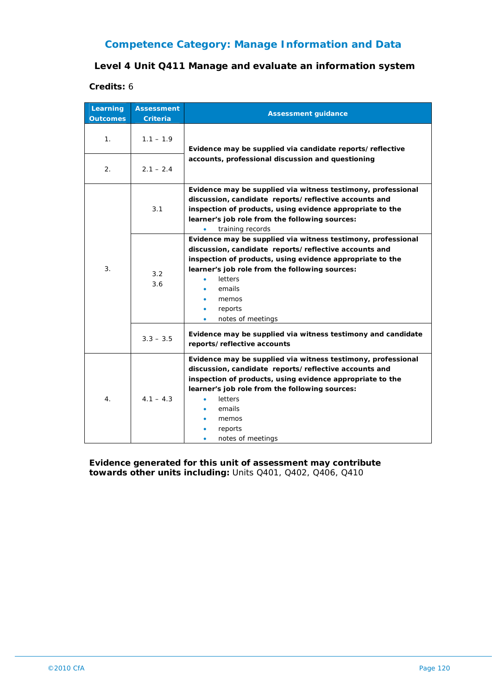#### **Level 4 Unit Q411 Manage and evaluate an information system**

#### **Credits:** 6

| Learning<br><b>Outcomes</b> | <b>Assessment</b><br><b>Criteria</b> | <b>Assessment guidance</b>                                                                                                                                                                                                                                                                                                   |
|-----------------------------|--------------------------------------|------------------------------------------------------------------------------------------------------------------------------------------------------------------------------------------------------------------------------------------------------------------------------------------------------------------------------|
| 1.                          | $1.1 - 1.9$                          | Evidence may be supplied via candidate reports/reflective                                                                                                                                                                                                                                                                    |
| $\overline{2}$ .            | $2.1 - 2.4$                          | accounts, professional discussion and questioning                                                                                                                                                                                                                                                                            |
| 3.                          | 3.1                                  | Evidence may be supplied via witness testimony, professional<br>discussion, candidate reports/reflective accounts and<br>inspection of products, using evidence appropriate to the<br>learner's job role from the following sources:<br>training records                                                                     |
|                             | 3.2<br>3.6                           | Evidence may be supplied via witness testimony, professional<br>discussion, candidate reports/reflective accounts and<br>inspection of products, using evidence appropriate to the<br>learner's job role from the following sources:<br>letters<br>emails<br>memos<br>reports<br>$\bullet$<br>notes of meetings<br>$\bullet$ |
|                             | $3.3 - 3.5$                          | Evidence may be supplied via witness testimony and candidate<br>reports/reflective accounts                                                                                                                                                                                                                                  |
| 4.                          | $4.1 - 4.3$                          | Evidence may be supplied via witness testimony, professional<br>discussion, candidate reports/reflective accounts and<br>inspection of products, using evidence appropriate to the<br>learner's job role from the following sources:<br>letters<br>emails<br>memos<br>reports<br>notes of meetings                           |

**Evidence generated for this unit of assessment may contribute towards other units including:** Units Q401, Q402, Q406, Q410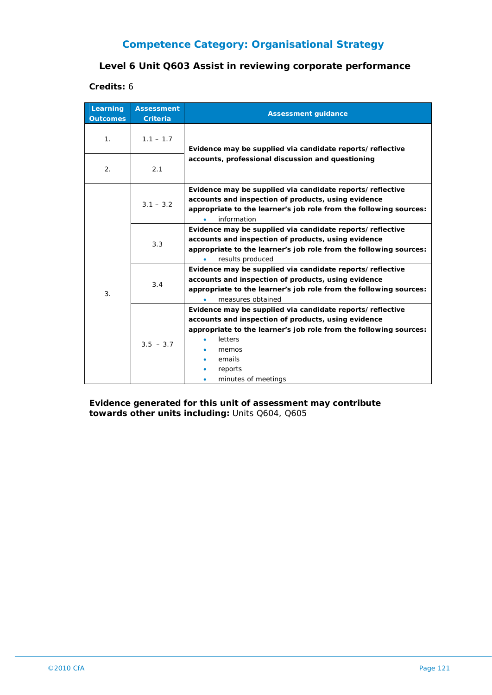## **Level 6 Unit Q603 Assist in reviewing corporate performance**

#### **Credits:** 6

| Learning<br><b>Outcomes</b> | <b>Assessment</b><br><b>Criteria</b> | <b>Assessment guidance</b>                                                                                                                                                                                                                            |
|-----------------------------|--------------------------------------|-------------------------------------------------------------------------------------------------------------------------------------------------------------------------------------------------------------------------------------------------------|
| 1 <sub>1</sub>              | $1.1 - 1.7$                          | Evidence may be supplied via candidate reports/reflective                                                                                                                                                                                             |
| 2.                          | 2.1                                  | accounts, professional discussion and questioning                                                                                                                                                                                                     |
| 3.                          | $3.1 - 3.2$                          | Evidence may be supplied via candidate reports/reflective<br>accounts and inspection of products, using evidence<br>appropriate to the learner's job role from the following sources:<br>information                                                  |
|                             | 3.3                                  | Evidence may be supplied via candidate reports/reflective<br>accounts and inspection of products, using evidence<br>appropriate to the learner's job role from the following sources:<br>results produced                                             |
|                             | 3.4                                  | Evidence may be supplied via candidate reports/reflective<br>accounts and inspection of products, using evidence<br>appropriate to the learner's job role from the following sources:<br>measures obtained                                            |
|                             | $3.5 - 3.7$                          | Evidence may be supplied via candidate reports/reflective<br>accounts and inspection of products, using evidence<br>appropriate to the learner's job role from the following sources:<br>letters<br>memos<br>emails<br>reports<br>minutes of meetings |

**Evidence generated for this unit of assessment may contribute towards other units including:** Units Q604, Q605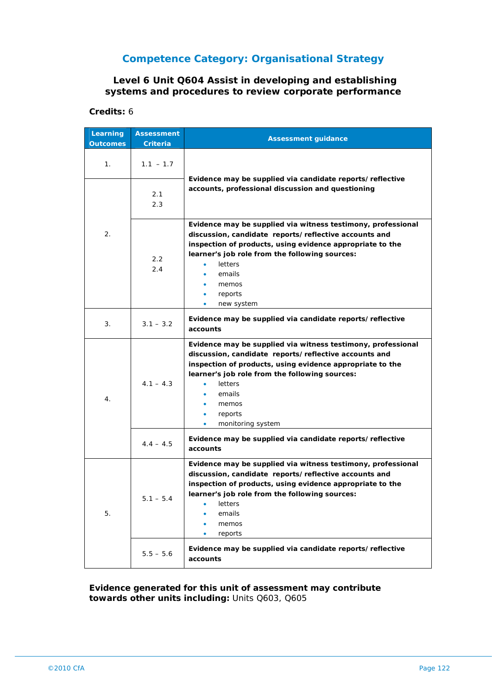#### **Level 6 Unit Q604 Assist in developing and establishing systems and procedures to review corporate performance**

#### **Credits:** 6

| Learning<br><b>Outcomes</b> | <b>Assessment</b><br>Criteria | <b>Assessment guidance</b>                                                                                                                                                                                                                                                                                        |
|-----------------------------|-------------------------------|-------------------------------------------------------------------------------------------------------------------------------------------------------------------------------------------------------------------------------------------------------------------------------------------------------------------|
| 1.                          | $1.1 - 1.7$                   |                                                                                                                                                                                                                                                                                                                   |
|                             | 2.1<br>2.3                    | Evidence may be supplied via candidate reports/reflective<br>accounts, professional discussion and questioning                                                                                                                                                                                                    |
| 2.                          | 2.2<br>2.4                    | Evidence may be supplied via witness testimony, professional<br>discussion, candidate reports/reflective accounts and<br>inspection of products, using evidence appropriate to the<br>learner's job role from the following sources:<br>letters<br>emails<br>memos<br>reports<br>۰<br>new system<br>$\bullet$     |
| 3.                          | $3.1 - 3.2$                   | Evidence may be supplied via candidate reports/reflective<br>accounts                                                                                                                                                                                                                                             |
| 4.                          | $4.1 - 4.3$                   | Evidence may be supplied via witness testimony, professional<br>discussion, candidate reports/reflective accounts and<br>inspection of products, using evidence appropriate to the<br>learner's job role from the following sources:<br>letters<br>٠<br>emails<br>memos<br>reports<br>۰<br>monitoring system<br>٠ |
|                             | $4.4 - 4.5$                   | Evidence may be supplied via candidate reports/reflective<br>accounts                                                                                                                                                                                                                                             |
| 5.                          | $5.1 - 5.4$                   | Evidence may be supplied via witness testimony, professional<br>discussion, candidate reports/reflective accounts and<br>inspection of products, using evidence appropriate to the<br>learner's job role from the following sources:<br>letters<br>emails<br>memos<br>reports                                     |
|                             | $5.5 - 5.6$                   | Evidence may be supplied via candidate reports/reflective<br>accounts                                                                                                                                                                                                                                             |

#### **Evidence generated for this unit of assessment may contribute towards other units including:** Units Q603, Q605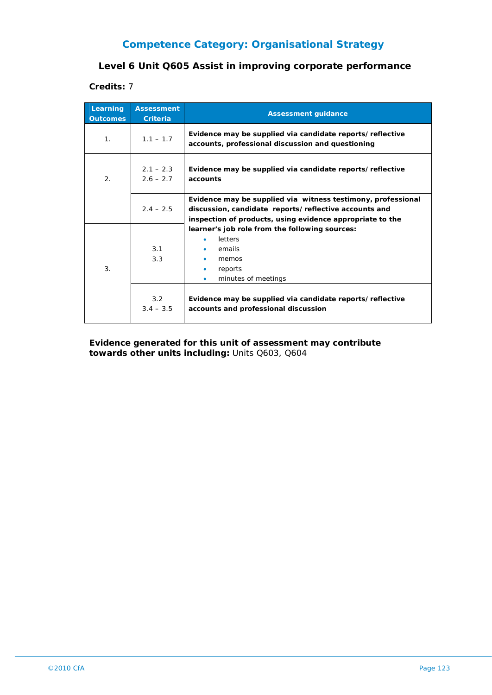#### **Level 6 Unit Q605 Assist in improving corporate performance**

#### **Credits:** 7

| Learning<br><b>Outcomes</b> | <b>Assessment</b><br><b>Criteria</b> | <b>Assessment guidance</b>                                                                                                                                                                                                       |
|-----------------------------|--------------------------------------|----------------------------------------------------------------------------------------------------------------------------------------------------------------------------------------------------------------------------------|
| 1 <sub>1</sub>              | $1.1 - 1.7$                          | Evidence may be supplied via candidate reports/reflective<br>accounts, professional discussion and questioning                                                                                                                   |
| 2.                          | $2.1 - 2.3$<br>$2.6 - 2.7$           | Evidence may be supplied via candidate reports/reflective<br>accounts                                                                                                                                                            |
|                             | $2.4 - 2.5$                          | Evidence may be supplied via witness testimony, professional<br>discussion, candidate reports/reflective accounts and<br>inspection of products, using evidence appropriate to the                                               |
| 3.                          | 3.1<br>3.3<br>3.2<br>$3.4 - 3.5$     | learner's job role from the following sources:<br>letters<br>emails<br>memos<br>reports<br>minutes of meetings<br>$\bullet$<br>Evidence may be supplied via candidate reports/reflective<br>accounts and professional discussion |

**Evidence generated for this unit of assessment may contribute towards other units including:** Units Q603, Q604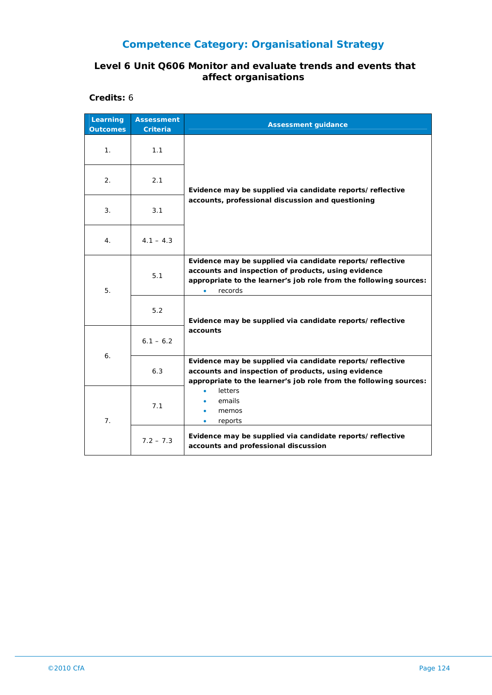#### **Level 6 Unit Q606 Monitor and evaluate trends and events that affect organisations**

**Credits:** 6

| Learning<br><b>Outcomes</b> | <b>Assessment</b><br>Criteria | <b>Assessment guidance</b>                                                                                                                                                                       |
|-----------------------------|-------------------------------|--------------------------------------------------------------------------------------------------------------------------------------------------------------------------------------------------|
| 1.                          | 1.1                           | Evidence may be supplied via candidate reports/reflective<br>accounts, professional discussion and questioning                                                                                   |
| 2.                          | 2.1                           |                                                                                                                                                                                                  |
| 3.                          | 3.1                           |                                                                                                                                                                                                  |
| 4.                          | $4.1 - 4.3$                   |                                                                                                                                                                                                  |
| 5.                          | 5.1                           | Evidence may be supplied via candidate reports/reflective<br>accounts and inspection of products, using evidence<br>appropriate to the learner's job role from the following sources:<br>records |
|                             | 5.2                           | Evidence may be supplied via candidate reports/reflective                                                                                                                                        |
| 6.                          | $6.1 - 6.2$                   | accounts                                                                                                                                                                                         |
|                             | 6.3                           | Evidence may be supplied via candidate reports/reflective<br>accounts and inspection of products, using evidence<br>appropriate to the learner's job role from the following sources:            |
| 7 <sub>1</sub>              | 7.1                           | letters<br>emails<br>memos<br>reports                                                                                                                                                            |
|                             | $7.2 - 7.3$                   | Evidence may be supplied via candidate reports/reflective<br>accounts and professional discussion                                                                                                |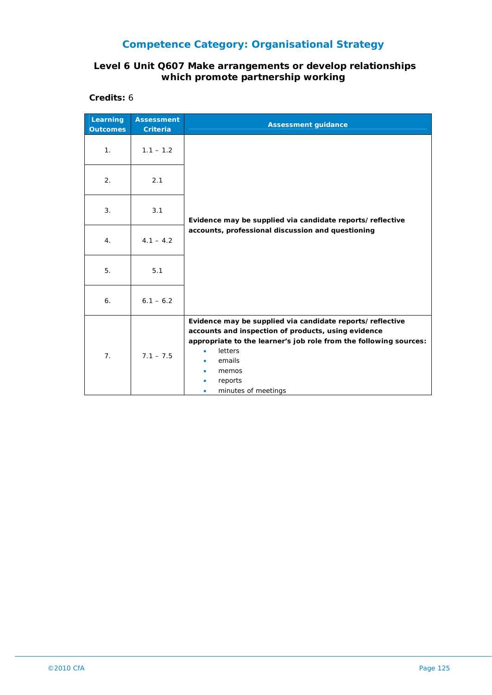#### **Level 6 Unit Q607 Make arrangements or develop relationships which promote partnership working**

**Credits:** 6

| Learning<br><b>Outcomes</b> | <b>Assessment</b><br><b>Criteria</b> | <b>Assessment guidance</b>                                                                                                                                                                                                                            |
|-----------------------------|--------------------------------------|-------------------------------------------------------------------------------------------------------------------------------------------------------------------------------------------------------------------------------------------------------|
| 1 <sub>1</sub>              | $1.1 - 1.2$                          |                                                                                                                                                                                                                                                       |
| 2.                          | 2.1                                  | Evidence may be supplied via candidate reports/reflective<br>accounts, professional discussion and questioning                                                                                                                                        |
| 3.                          | 3.1                                  |                                                                                                                                                                                                                                                       |
| 4.                          | $4.1 - 4.2$                          |                                                                                                                                                                                                                                                       |
| 5.                          | 5.1                                  |                                                                                                                                                                                                                                                       |
| 6.                          | $6.1 - 6.2$                          |                                                                                                                                                                                                                                                       |
| 7 <sub>1</sub>              | $7.1 - 7.5$                          | Evidence may be supplied via candidate reports/reflective<br>accounts and inspection of products, using evidence<br>appropriate to the learner's job role from the following sources:<br>letters<br>emails<br>memos<br>reports<br>minutes of meetings |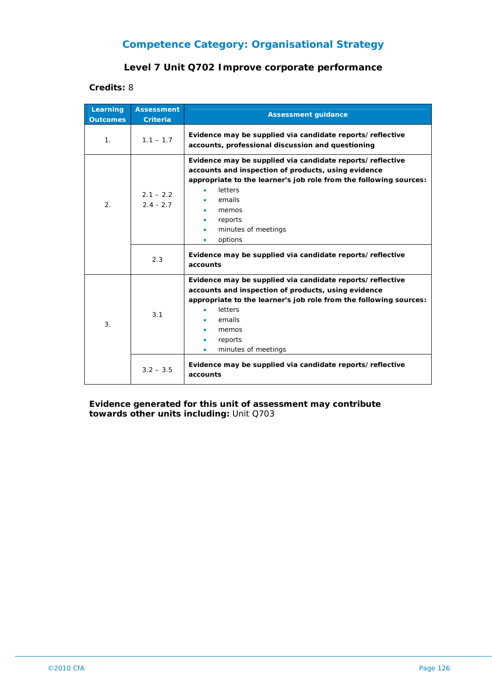#### **Level 7 Unit Q702 Improve corporate performance**

#### **Credits:** 8

| Learning<br><b>Outcomes</b> | <b>Assessment</b><br><b>Criteria</b> | <b>Assessment guidance</b>                                                                                                                                                                                                                                                                                         |
|-----------------------------|--------------------------------------|--------------------------------------------------------------------------------------------------------------------------------------------------------------------------------------------------------------------------------------------------------------------------------------------------------------------|
| $\mathbf{1}$ .              | $1.1 - 1.7$                          | Evidence may be supplied via candidate reports/reflective<br>accounts, professional discussion and questioning                                                                                                                                                                                                     |
| 2.                          | $2.1 - 2.2$<br>$2.4 - 2.7$           | Evidence may be supplied via candidate reports/reflective<br>accounts and inspection of products, using evidence<br>appropriate to the learner's job role from the following sources:<br>letters<br>emails<br>memos<br>reports<br>minutes of meetings<br>options<br>۰                                              |
|                             | 2.3                                  | Evidence may be supplied via candidate reports/reflective<br>accounts                                                                                                                                                                                                                                              |
| 3 <sub>1</sub>              | 3.1                                  | Evidence may be supplied via candidate reports/reflective<br>accounts and inspection of products, using evidence<br>appropriate to the learner's job role from the following sources:<br>letters<br>emails<br>memos<br>reports<br>minutes of meetings<br>Evidence may be supplied via candidate reports/reflective |
|                             | $3.2 - 3.5$                          | accounts                                                                                                                                                                                                                                                                                                           |

**Evidence generated for this unit of assessment may contribute towards other units including:** Unit Q703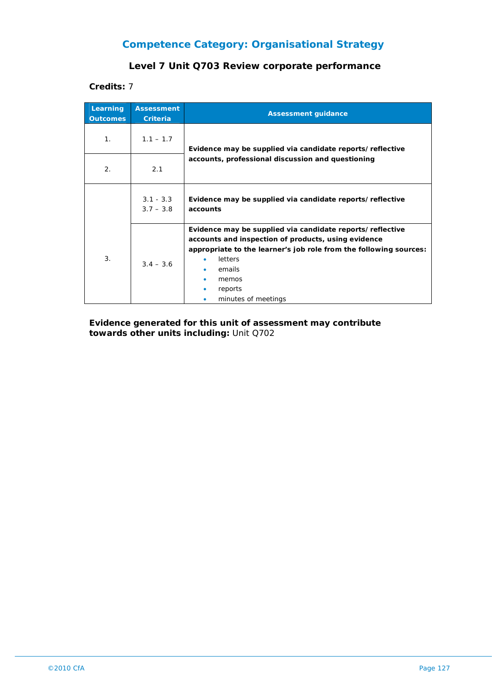#### **Level 7 Unit Q703 Review corporate performance**

**Credits:** 7

| Learning<br><b>Outcomes</b> | <b>Assessment</b><br><b>Criteria</b> | <b>Assessment guidance</b>                                                                                                                                                                                                                                   |
|-----------------------------|--------------------------------------|--------------------------------------------------------------------------------------------------------------------------------------------------------------------------------------------------------------------------------------------------------------|
| 1 <sub>1</sub>              | $1.1 - 1.7$                          | Evidence may be supplied via candidate reports/reflective<br>accounts, professional discussion and questioning                                                                                                                                               |
| 2.                          | 2.1                                  |                                                                                                                                                                                                                                                              |
|                             | $3.1 - 3.3$<br>$3.7 - 3.8$           | Evidence may be supplied via candidate reports/reflective<br>accounts                                                                                                                                                                                        |
| 3.                          | $3.4 - 3.6$                          | Evidence may be supplied via candidate reports/reflective<br>accounts and inspection of products, using evidence<br>appropriate to the learner's job role from the following sources:<br><b>letters</b><br>emails<br>memos<br>reports<br>minutes of meetings |

**Evidence generated for this unit of assessment may contribute towards other units including:** Unit Q702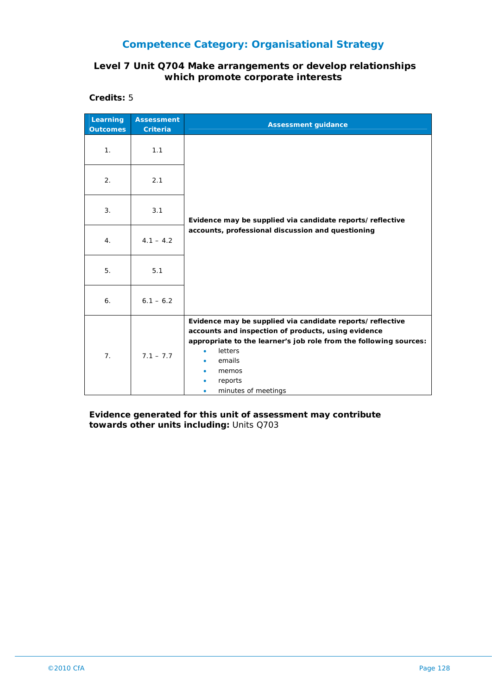#### **Level 7 Unit Q704 Make arrangements or develop relationships which promote corporate interests**

**Credits:** 5

| Learning<br><b>Outcomes</b> | <b>Assessment</b><br><b>Criteria</b> | <b>Assessment guidance</b>                                                                                                                                                                                                                            |
|-----------------------------|--------------------------------------|-------------------------------------------------------------------------------------------------------------------------------------------------------------------------------------------------------------------------------------------------------|
| 1.                          | 1.1                                  |                                                                                                                                                                                                                                                       |
| 2.                          | 2.1                                  | Evidence may be supplied via candidate reports/reflective<br>accounts, professional discussion and questioning                                                                                                                                        |
| 3.                          | 3.1                                  |                                                                                                                                                                                                                                                       |
| 4.                          | $4.1 - 4.2$                          |                                                                                                                                                                                                                                                       |
| 5.                          | 5.1                                  |                                                                                                                                                                                                                                                       |
| 6.                          | $6.1 - 6.2$                          |                                                                                                                                                                                                                                                       |
| 7 <sub>1</sub>              | $7.1 - 7.7$                          | Evidence may be supplied via candidate reports/reflective<br>accounts and inspection of products, using evidence<br>appropriate to the learner's job role from the following sources:<br>letters<br>emails<br>memos<br>reports<br>minutes of meetings |

**Evidence generated for this unit of assessment may contribute towards other units including:** Units Q703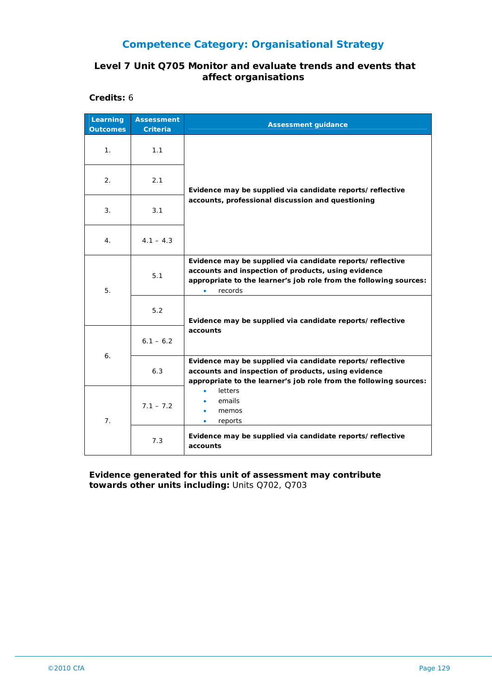#### **Level 7 Unit Q705 Monitor and evaluate trends and events that affect organisations**

**Credits:** 6

| Learning<br><b>Outcomes</b> | <b>Assessment</b><br><b>Criteria</b> | <b>Assessment guidance</b>                                                                                                                                                                       |
|-----------------------------|--------------------------------------|--------------------------------------------------------------------------------------------------------------------------------------------------------------------------------------------------|
| 1.                          | 1.1                                  | Evidence may be supplied via candidate reports/reflective<br>accounts, professional discussion and questioning                                                                                   |
| 2.                          | 2.1                                  |                                                                                                                                                                                                  |
| 3.                          | 3.1                                  |                                                                                                                                                                                                  |
| 4 <sup>1</sup>              | $4.1 - 4.3$                          |                                                                                                                                                                                                  |
| 5.                          | 5.1                                  | Evidence may be supplied via candidate reports/reflective<br>accounts and inspection of products, using evidence<br>appropriate to the learner's job role from the following sources:<br>records |
|                             | 5.2                                  | Evidence may be supplied via candidate reports/reflective                                                                                                                                        |
| 6.                          | $6.1 - 6.2$                          | accounts                                                                                                                                                                                         |
|                             | 6.3                                  | Evidence may be supplied via candidate reports/reflective<br>accounts and inspection of products, using evidence<br>appropriate to the learner's job role from the following sources:            |
| 7 <sub>1</sub>              | $7.1 - 7.2$                          | letters<br>emails<br>memos<br>reports<br>٠                                                                                                                                                       |
|                             | 7.3                                  | Evidence may be supplied via candidate reports/reflective<br>accounts                                                                                                                            |

**Evidence generated for this unit of assessment may contribute towards other units including:** Units Q702, Q703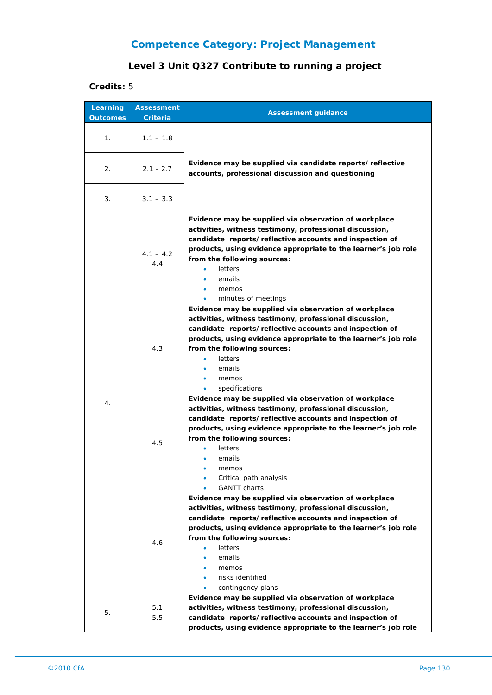## **Competence Category: Project Management**

## **Level 3 Unit Q327 Contribute to running a project**

#### **Credits:** 5

| Learning<br><b>Outcomes</b> | <b>Assessment</b><br>Criteria | <b>Assessment guidance</b>                                                                                                                                                                                                                                                                                                                                  |
|-----------------------------|-------------------------------|-------------------------------------------------------------------------------------------------------------------------------------------------------------------------------------------------------------------------------------------------------------------------------------------------------------------------------------------------------------|
| 1 <sub>1</sub>              | $1.1 - 1.8$                   |                                                                                                                                                                                                                                                                                                                                                             |
| 2.                          | $2.1 - 2.7$                   | Evidence may be supplied via candidate reports/reflective<br>accounts, professional discussion and questioning                                                                                                                                                                                                                                              |
| 3.                          | $3.1 - 3.3$                   |                                                                                                                                                                                                                                                                                                                                                             |
| 4.                          | $4.1 - 4.2$<br>4.4            | Evidence may be supplied via observation of workplace<br>activities, witness testimony, professional discussion,<br>candidate reports/reflective accounts and inspection of<br>products, using evidence appropriate to the learner's job role<br>from the following sources:<br>letters<br>emails<br>memos<br>minutes of meetings                           |
|                             | 4.3                           | Evidence may be supplied via observation of workplace<br>activities, witness testimony, professional discussion,<br>candidate reports/reflective accounts and inspection of<br>products, using evidence appropriate to the learner's job role<br>from the following sources:<br>letters<br>emails<br>memos<br>specifications<br>۰                           |
|                             | 4.5                           | Evidence may be supplied via observation of workplace<br>activities, witness testimony, professional discussion,<br>candidate reports/reflective accounts and inspection of<br>products, using evidence appropriate to the learner's job role<br>from the following sources:<br>letters<br>emails<br>memos<br>Critical path analysis<br><b>GANTT</b> charts |
|                             | 4.6                           | Evidence may be supplied via observation of workplace<br>activities, witness testimony, professional discussion,<br>candidate reports/reflective accounts and inspection of<br>products, using evidence appropriate to the learner's job role<br>from the following sources:<br>letters<br>emails<br>memos<br>risks identified<br>contingency plans         |
| 5.                          | 5.1<br>5.5                    | Evidence may be supplied via observation of workplace<br>activities, witness testimony, professional discussion,<br>candidate reports/reflective accounts and inspection of<br>products, using evidence appropriate to the learner's job role                                                                                                               |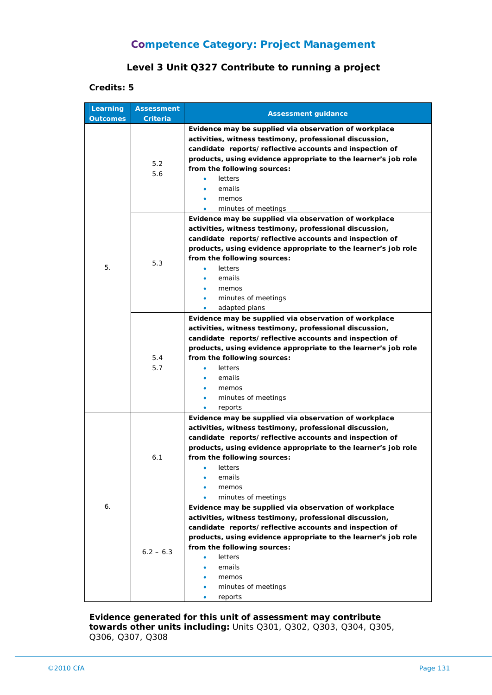## **Competence Category: Project Management**

#### **Level 3 Unit Q327 Contribute to running a project**

#### **Credits: 5**

| Learning        | <b>Assessment</b> | <b>Assessment guidance</b>                                                                                                                                                                                                                                                                                                                                       |
|-----------------|-------------------|------------------------------------------------------------------------------------------------------------------------------------------------------------------------------------------------------------------------------------------------------------------------------------------------------------------------------------------------------------------|
| <b>Outcomes</b> | <b>Criteria</b>   |                                                                                                                                                                                                                                                                                                                                                                  |
| 5.              | 5.2<br>5.6        | Evidence may be supplied via observation of workplace<br>activities, witness testimony, professional discussion,<br>candidate reports/reflective accounts and inspection of<br>products, using evidence appropriate to the learner's job role<br>from the following sources:<br>letters<br>emails<br>memos<br>minutes of meetings                                |
|                 | 5.3               | Evidence may be supplied via observation of workplace<br>activities, witness testimony, professional discussion,<br>candidate reports/reflective accounts and inspection of<br>products, using evidence appropriate to the learner's job role<br>from the following sources:<br>letters<br>emails<br>memos<br>minutes of meetings<br>adapted plans<br>$\bullet$  |
|                 | 5.4<br>5.7        | Evidence may be supplied via observation of workplace<br>activities, witness testimony, professional discussion,<br>candidate reports/reflective accounts and inspection of<br>products, using evidence appropriate to the learner's job role<br>from the following sources:<br>letters<br>emails<br>memos<br>minutes of meetings<br>reports<br>٠                |
| 6.              | 6.1               | Evidence may be supplied via observation of workplace<br>activities, witness testimony, professional discussion,<br>candidate reports/reflective accounts and inspection of<br>products, using evidence appropriate to the learner's job role<br>from the following sources:<br>letters<br>emails<br>memos<br>minutes of meetings                                |
|                 | $6.2 - 6.3$       | Evidence may be supplied via observation of workplace<br>activities, witness testimony, professional discussion,<br>candidate reports/reflective accounts and inspection of<br>products, using evidence appropriate to the learner's job role<br>from the following sources:<br><b>letters</b><br>emails<br>memos<br>minutes of meetings<br>reports<br>$\bullet$ |

**Evidence generated for this unit of assessment may contribute towards other units including:** Units Q301, Q302, Q303, Q304, Q305, Q306, Q307, Q308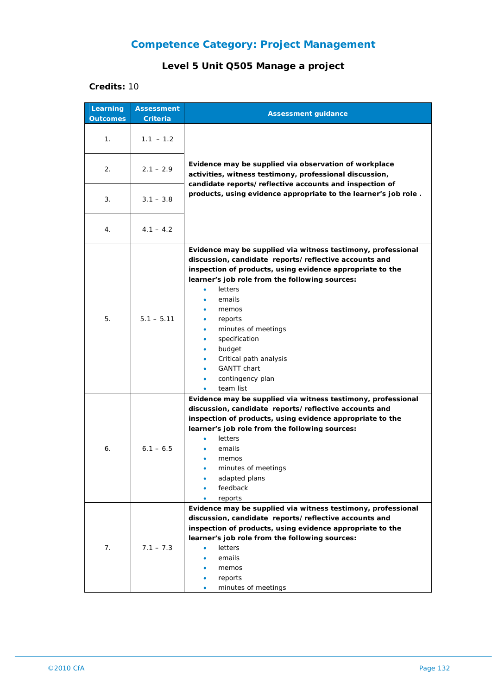## **Competence Category: Project Management**

## **Level 5 Unit Q505 Manage a project**

#### **Credits:** 10

| Learning<br><b>Outcomes</b> | <b>Assessment</b><br>Criteria | <b>Assessment guidance</b>                                                                                                                                                                                                                                                                                                                                                                                                                                                            |
|-----------------------------|-------------------------------|---------------------------------------------------------------------------------------------------------------------------------------------------------------------------------------------------------------------------------------------------------------------------------------------------------------------------------------------------------------------------------------------------------------------------------------------------------------------------------------|
| 1.                          | $1.1 - 1.2$                   |                                                                                                                                                                                                                                                                                                                                                                                                                                                                                       |
| 2.                          | $2.1 - 2.9$                   | Evidence may be supplied via observation of workplace<br>activities, witness testimony, professional discussion,<br>candidate reports/reflective accounts and inspection of                                                                                                                                                                                                                                                                                                           |
| 3.                          | $3.1 - 3.8$                   | products, using evidence appropriate to the learner's job role.                                                                                                                                                                                                                                                                                                                                                                                                                       |
| 4.                          | $4.1 - 4.2$                   |                                                                                                                                                                                                                                                                                                                                                                                                                                                                                       |
| 5.                          | $5.1 - 5.11$                  | Evidence may be supplied via witness testimony, professional<br>discussion, candidate reports/reflective accounts and<br>inspection of products, using evidence appropriate to the<br>learner's job role from the following sources:<br>letters<br>$\bullet$<br>emails<br>$\bullet$<br>memos<br>reports<br>٠<br>minutes of meetings<br>٠<br>specification<br>٠<br>budget<br>٠<br>Critical path analysis<br>٠<br><b>GANTT</b> chart<br>contingency plan<br>۰<br>team list<br>$\bullet$ |
| 6.                          | $6.1 - 6.5$                   | Evidence may be supplied via witness testimony, professional<br>discussion, candidate reports/reflective accounts and<br>inspection of products, using evidence appropriate to the<br>learner's job role from the following sources:<br>letters<br>emails<br>memos<br>minutes of meetings<br>adapted plans<br>feedback<br>reports                                                                                                                                                     |
| 7.                          | $7.1 - 7.3$                   | Evidence may be supplied via witness testimony, professional<br>discussion, candidate reports/reflective accounts and<br>inspection of products, using evidence appropriate to the<br>learner's job role from the following sources:<br>letters<br>٠<br>emails<br>memos<br>reports<br>minutes of meetings                                                                                                                                                                             |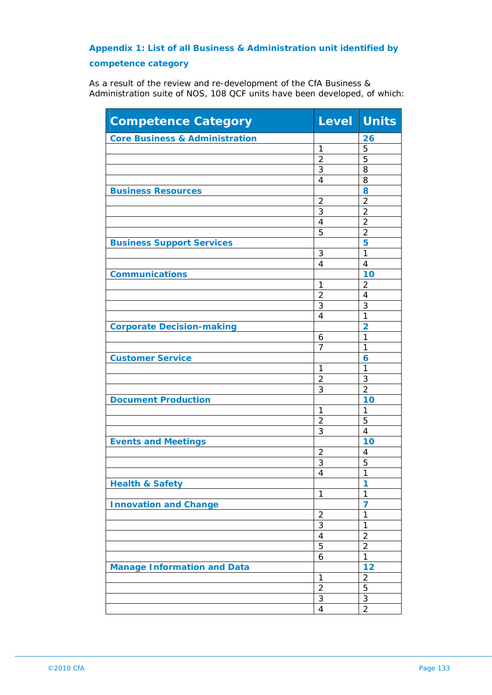## **Appendix 1: List of all Business & Administration unit identified by competence category**

As a result of the review and re-development of the CfA Business & Administration suite of NOS, 108 QCF units have been developed, of which:

| <b>Competence Category</b>                | Level Units    |                |
|-------------------------------------------|----------------|----------------|
| <b>Core Business &amp; Administration</b> |                | 26             |
|                                           | 1              | 5              |
|                                           | 2              | 5              |
|                                           | 3              | 8              |
|                                           | 4              | 8              |
| <b>Business Resources</b>                 |                | 8              |
|                                           | $\overline{2}$ | $\overline{2}$ |
|                                           | 3              | $\overline{2}$ |
|                                           | 4              | $\overline{2}$ |
|                                           | 5              | $\overline{2}$ |
| <b>Business Support Services</b>          |                | 5              |
|                                           | 3              | 1              |
|                                           | 4              | 4              |
| <b>Communications</b>                     |                | 10             |
|                                           | 1              | $\overline{2}$ |
|                                           | $\overline{2}$ | $\overline{4}$ |
|                                           | 3              | 3              |
|                                           | $\overline{4}$ | $\overline{1}$ |
| <b>Corporate Decision-making</b>          |                | $\overline{2}$ |
|                                           | 6              | 1              |
|                                           | 7              | 1              |
| <b>Customer Service</b>                   |                | 6              |
|                                           | 1              | $\mathbf{1}$   |
|                                           | $\overline{2}$ | 3              |
|                                           | 3              | $\overline{2}$ |
| <b>Document Production</b>                |                | 10             |
|                                           | 1              | 1              |
|                                           | $\overline{2}$ | 5              |
|                                           | 3              | 4              |
| <b>Events and Meetings</b>                |                | 10             |
|                                           | $\overline{2}$ | 4              |
|                                           | 3              | 5              |
|                                           | 4              | 1              |
| <b>Health &amp; Safety</b>                |                | 1              |
|                                           | $\mathbf{1}$   | $\mathbf{1}$   |
| <b>Innovation and Change</b>              |                | $\overline{7}$ |
|                                           | $\overline{2}$ | 1              |
|                                           | 3              | 1              |
|                                           | $\overline{4}$ | $\overline{2}$ |
|                                           | 5              | $\overline{2}$ |
|                                           | 6              | $\mathbf{1}$   |
| <b>Manage Information and Data</b>        |                | 12             |
|                                           | 1              | $\overline{2}$ |
|                                           | $\overline{2}$ | 5              |
|                                           | $\sqrt{3}$     | 3              |
|                                           | $\overline{4}$ | $\overline{2}$ |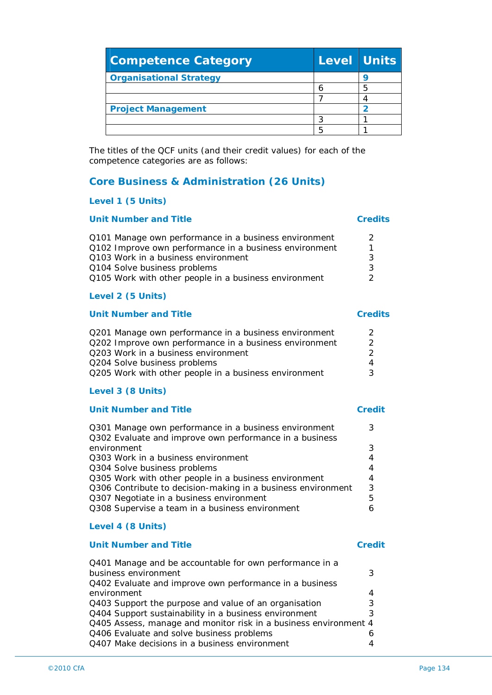| the contract of the contract of the<br>©2010 CfA | 34 |
|--------------------------------------------------|----|

| environment                                                      |   |
|------------------------------------------------------------------|---|
| Q403 Support the purpose and value of an organisation            | 3 |
| Q404 Support sustainability in a business environment            |   |
| Q405 Assess, manage and monitor risk in a business environment 4 |   |

| (8 UNITS) |  |
|-----------|--|
|           |  |

#### Q301 Manage own performance in a business environment 3 Q302 Evaluate and improve own performance in a business environment 3 Q303 Work in a business environment 4 Q304 Solve business problems 4 Q305 Work with other people in a business environment 4 Q306 Contribute to decision-making in a business environment 3 Q307 Negotiate in a business environment 5 Q308 Supervise a team in a business environment 6 **Level 4 (8 Units)**

Q401 Manage and be accountable for own performance in a

Q402 Evaluate and improve own performance in a business

business environment 3

Q406 Evaluate and solve business problems 6 Q407 Make decisions in a business environment 4

#### **Unit Number and Title Credit**

# **Level 3 (8 Units)**

| Q201 Manage own performance in a business environment  | 2 |
|--------------------------------------------------------|---|
| Q202 Improve own performance in a business environment | 2 |
| Q203 Work in a business environment                    | 2 |
| Q204 Solve business problems                           | 4 |
| Q205 Work with other people in a business environment  | 3 |
|                                                        |   |

## **Unit Number and Title Credits**

| Q101 Manage own performance in a business environment  | $\mathcal{P}$ |
|--------------------------------------------------------|---------------|
| Q102 Improve own performance in a business environment | 1             |
| Q103 Work in a business environment                    | 3             |
| Q104 Solve business problems                           | 3             |
| Q105 Work with other people in a business environment  | 2             |
|                                                        |               |
| Level 2 (5 Units)                                      |               |

# **Core Business & Administration (26 Units)**

|  | Level 1 (5 Units) |
|--|-------------------|

### **Unit Number and Title Credits**

| <b>Project Management</b>                                                                                      |  |
|----------------------------------------------------------------------------------------------------------------|--|
|                                                                                                                |  |
|                                                                                                                |  |
| The titles of the QCF units (and their credit values) for each of the<br>competence categories are as follows: |  |

**Organisational Strategy Properties** 

**Competence Category Level Units**

 $\begin{array}{|c|c|c|}\n\hline\n6 & 5 \\
\hline\n7 & 4\n\end{array}$ 

### **Unit Number and Title Credit**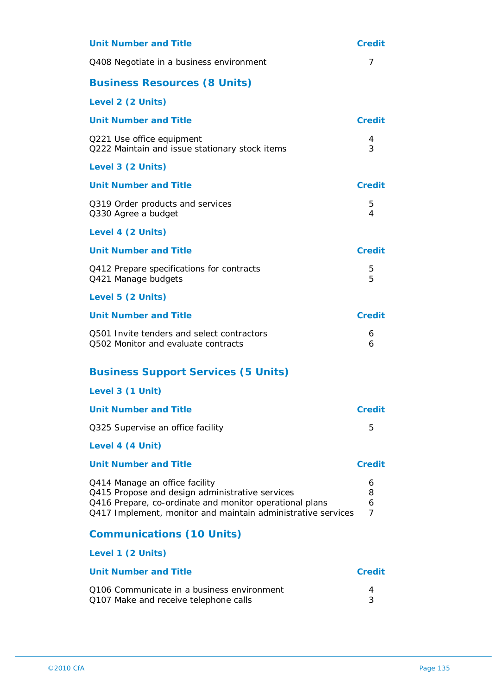| <b>Unit Number and Title</b>                                                                                                                                                                                 | <b>Credit</b>    |
|--------------------------------------------------------------------------------------------------------------------------------------------------------------------------------------------------------------|------------------|
| Q408 Negotiate in a business environment                                                                                                                                                                     | 7                |
| <b>Business Resources (8 Units)</b>                                                                                                                                                                          |                  |
| Level 2 (2 Units)                                                                                                                                                                                            |                  |
| <b>Unit Number and Title</b>                                                                                                                                                                                 | <b>Credit</b>    |
| Q221 Use office equipment<br>Q222 Maintain and issue stationary stock items                                                                                                                                  | 4<br>3           |
| Level 3 (2 Units)                                                                                                                                                                                            |                  |
| <b>Unit Number and Title</b>                                                                                                                                                                                 | <b>Credit</b>    |
| Q319 Order products and services<br>Q330 Agree a budget                                                                                                                                                      | 5<br>4           |
| Level 4 (2 Units)                                                                                                                                                                                            |                  |
| <b>Unit Number and Title</b>                                                                                                                                                                                 | <b>Credit</b>    |
| Q412 Prepare specifications for contracts<br>Q421 Manage budgets                                                                                                                                             | 5<br>5           |
| Level 5 (2 Units)                                                                                                                                                                                            |                  |
| <b>Unit Number and Title</b>                                                                                                                                                                                 | <b>Credit</b>    |
| 0501 Invite tenders and select contractors<br>Q502 Monitor and evaluate contracts                                                                                                                            | 6<br>6           |
| <b>Business Support Services (5 Units)</b>                                                                                                                                                                   |                  |
| Level 3 (1 Unit)                                                                                                                                                                                             |                  |
| <b>Unit Number and Title</b>                                                                                                                                                                                 | <b>Credit</b>    |
| Q325 Supervise an office facility                                                                                                                                                                            | 5                |
| Level 4 (4 Unit)                                                                                                                                                                                             |                  |
| <b>Unit Number and Title</b>                                                                                                                                                                                 | <b>Credit</b>    |
| Q414 Manage an office facility<br>Q415 Propose and design administrative services<br>Q416 Prepare, co-ordinate and monitor operational plans<br>Q417 Implement, monitor and maintain administrative services | 6<br>8<br>6<br>7 |
| <b>Communications (10 Units)</b>                                                                                                                                                                             |                  |
| Level 1 (2 Units)                                                                                                                                                                                            |                  |
| <b>Unit Number and Title</b>                                                                                                                                                                                 | <b>Credit</b>    |
| Q106 Communicate in a business environment<br>Q107 Make and receive telephone calls                                                                                                                          | 4<br>3           |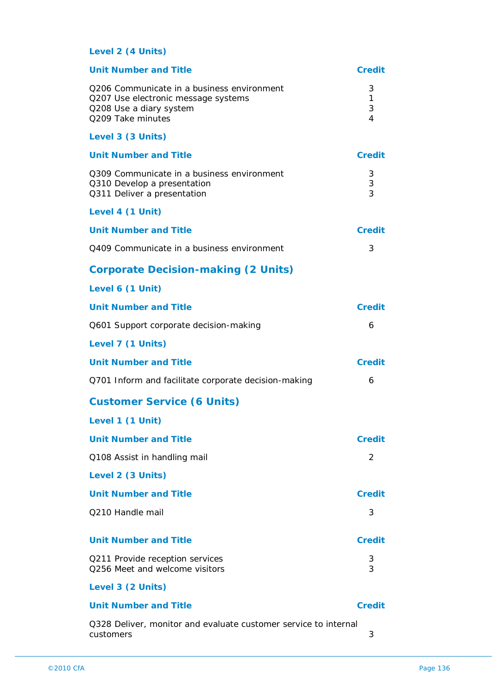### **Level 2 (4 Units)**

| <b>Unit Number and Title</b>                                                                                                      | <b>Credit</b>    |
|-----------------------------------------------------------------------------------------------------------------------------------|------------------|
| Q206 Communicate in a business environment<br>Q207 Use electronic message systems<br>Q208 Use a diary system<br>Q209 Take minutes | 3<br>1<br>3<br>4 |
| Level 3 (3 Units)                                                                                                                 |                  |
| <b>Unit Number and Title</b>                                                                                                      | <b>Credit</b>    |
| 0309 Communicate in a business environment<br>Q310 Develop a presentation<br>Q311 Deliver a presentation                          | 3<br>3<br>3      |
| Level 4 (1 Unit)                                                                                                                  |                  |
| <b>Unit Number and Title</b>                                                                                                      | Credit           |
| Q409 Communicate in a business environment                                                                                        | 3                |
| <b>Corporate Decision-making (2 Units)</b>                                                                                        |                  |
| Level 6 (1 Unit)                                                                                                                  |                  |
| <b>Unit Number and Title</b>                                                                                                      | Credit           |
| Q601 Support corporate decision-making                                                                                            | 6                |
| Level 7 (1 Units)                                                                                                                 |                  |
| <b>Unit Number and Title</b>                                                                                                      | <b>Credit</b>    |
| Q701 Inform and facilitate corporate decision-making                                                                              | 6                |
| <b>Customer Service (6 Units)</b>                                                                                                 |                  |
| Level 1 (1 Unit)                                                                                                                  |                  |
| <b>Unit Number and Title</b>                                                                                                      | <b>Credit</b>    |
| Q108 Assist in handling mail                                                                                                      | 2                |
| Level 2 (3 Units)                                                                                                                 |                  |
| <b>Unit Number and Title</b>                                                                                                      | <b>Credit</b>    |
| Q210 Handle mail                                                                                                                  | 3                |
| <b>Unit Number and Title</b>                                                                                                      | <b>Credit</b>    |
| Q211 Provide reception services<br>Q256 Meet and welcome visitors                                                                 | 3<br>3           |
| Level 3 (2 Units)                                                                                                                 |                  |
| <b>Unit Number and Title</b>                                                                                                      | <b>Credit</b>    |
| Q328 Deliver, monitor and evaluate customer service to internal<br>customers                                                      | 3                |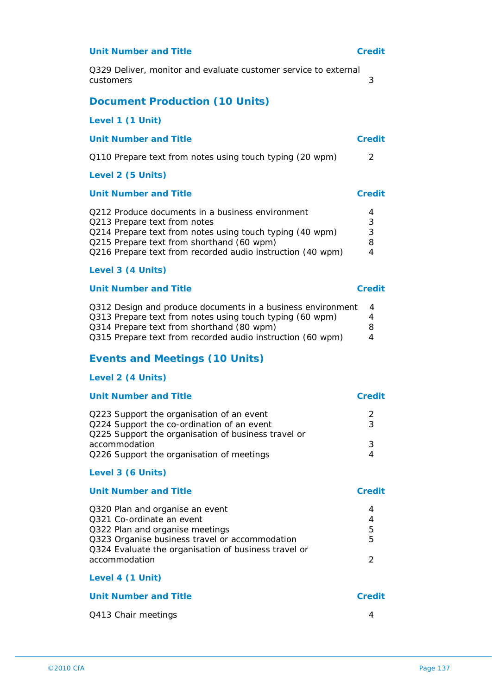#### **Unit Number and Title Credit**

Q329 Deliver, monitor and evaluate customer service to external customers 3

#### **Document Production (10 Units)**

**Level 1 (1 Unit)**

#### **Unit Number and Title Credit**

Q110 Prepare text from notes using touch typing (20 wpm) 2

#### **Level 2 (5 Units)**

#### **Unit Number and Title Credit**

| Q212 Produce documents in a business environment           | 4 |
|------------------------------------------------------------|---|
| Q213 Prepare text from notes                               | 3 |
| Q214 Prepare text from notes using touch typing (40 wpm)   | 3 |
| Q215 Prepare text from shorthand (60 wpm)                  | 8 |
| Q216 Prepare text from recorded audio instruction (40 wpm) | 4 |

#### **Level 3 (4 Units)**

#### **Unit Number and Title Credit**

| Q312 Design and produce documents in a business environment | $\overline{4}$ |
|-------------------------------------------------------------|----------------|
| Q313 Prepare text from notes using touch typing (60 wpm)    | 4              |
| Q314 Prepare text from shorthand (80 wpm)                   | 8              |
| Q315 Prepare text from recorded audio instruction (60 wpm)  | 4              |

#### **Events and Meetings (10 Units)**

#### **Level 2 (4 Units)**

| <b>Unit Number and Title</b>                                                                      | Credit |
|---------------------------------------------------------------------------------------------------|--------|
| Q223 Support the organisation of an event                                                         |        |
| Q224 Support the co-ordination of an event<br>Q225 Support the organisation of business travel or | 3      |
| accommodation                                                                                     |        |
| Q226 Support the organisation of meetings                                                         |        |

#### **Level 3 (6 Units)**

**Level 4 (1 Unit)**

#### **Unit Number and Title <b>Credit Credit** Q320 Plan and organise an event 4 Q321 Co-ordinate an event 4 Q322 Plan and organise meetings **5** Q323 Organise business travel or accommodation 5 Q324 Evaluate the organisation of business travel or accommodation 2

# **Unit Number and Title Credit** Q413 Chair meetings 4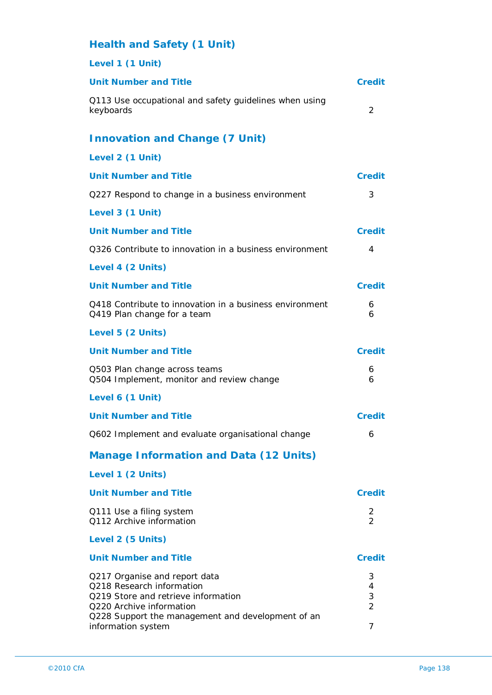| <b>Health and Safety (1 Unit)</b>                                                                                                                                                  |                              |
|------------------------------------------------------------------------------------------------------------------------------------------------------------------------------------|------------------------------|
| Level 1 (1 Unit)                                                                                                                                                                   |                              |
| <b>Unit Number and Title</b>                                                                                                                                                       | Credit                       |
| Q113 Use occupational and safety guidelines when using<br>keyboards                                                                                                                | 2                            |
| <b>Innovation and Change (7 Unit)</b>                                                                                                                                              |                              |
| Level 2 (1 Unit)                                                                                                                                                                   |                              |
| <b>Unit Number and Title</b>                                                                                                                                                       | <b>Credit</b>                |
| Q227 Respond to change in a business environment                                                                                                                                   | 3                            |
| Level 3 (1 Unit)                                                                                                                                                                   |                              |
| <b>Unit Number and Title</b>                                                                                                                                                       | <b>Credit</b>                |
| Q326 Contribute to innovation in a business environment                                                                                                                            | 4                            |
| Level 4 (2 Units)                                                                                                                                                                  |                              |
| <b>Unit Number and Title</b>                                                                                                                                                       | <b>Credit</b>                |
| Q418 Contribute to innovation in a business environment<br>Q419 Plan change for a team                                                                                             | 6<br>6                       |
| Level 5 (2 Units)                                                                                                                                                                  |                              |
| <b>Unit Number and Title</b>                                                                                                                                                       | <b>Credit</b>                |
| Q503 Plan change across teams<br>Q504 Implement, monitor and review change                                                                                                         | 6<br>6                       |
| Level 6 (1 Unit)                                                                                                                                                                   |                              |
| <b>Unit Number and Title</b>                                                                                                                                                       | <b>Credit</b>                |
| Q602 Implement and evaluate organisational change                                                                                                                                  | 6                            |
| <b>Manage Information and Data (12 Units)</b>                                                                                                                                      |                              |
| Level 1 (2 Units)                                                                                                                                                                  |                              |
| <b>Unit Number and Title</b>                                                                                                                                                       | <b>Credit</b>                |
| Q111 Use a filing system<br>Q112 Archive information                                                                                                                               | 2<br>$\overline{2}$          |
| Level 2 (5 Units)                                                                                                                                                                  |                              |
| <b>Unit Number and Title</b>                                                                                                                                                       | <b>Credit</b>                |
| Q217 Organise and report data<br>Q218 Research information<br>Q219 Store and retrieve information<br>Q220 Archive information<br>Q228 Support the management and development of an | 3<br>4<br>3<br>$\mathcal{P}$ |
| information system                                                                                                                                                                 | 7                            |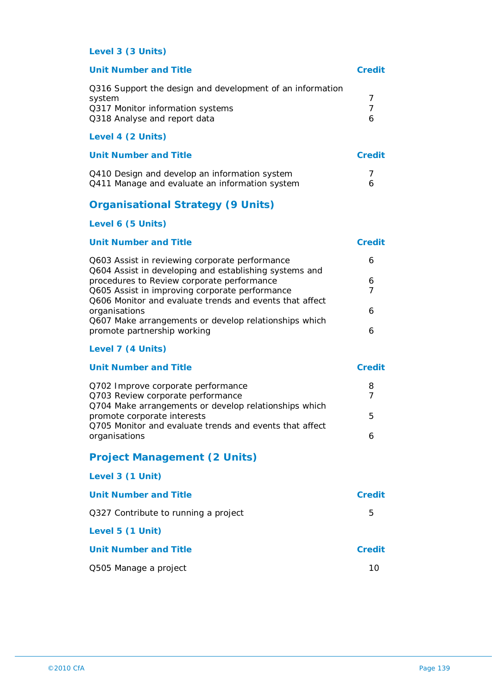#### **Level 3 (3 Units)**

| <b>Unit Number and Title</b>                                                                                                            | Credit |
|-----------------------------------------------------------------------------------------------------------------------------------------|--------|
| Q316 Support the design and development of an information<br>system<br>Q317 Monitor information systems<br>Q318 Analyse and report data | 7<br>6 |
| Level 4 (2 Units)                                                                                                                       |        |
| Unit Number and Title                                                                                                                   | Credit |
| Q410 Design and develop an information system                                                                                           |        |

Q411 Manage and evaluate an information system  $\qquad \qquad 6$ 

## **Organisational Strategy (9 Units)**

#### **Level 6 (5 Units)**

| <b>Unit Number and Title</b>                            | Credit |
|---------------------------------------------------------|--------|
| Q603 Assist in reviewing corporate performance          |        |
| Q604 Assist in developing and establishing systems and  |        |
| procedures to Review corporate performance              |        |
| Q605 Assist in improving corporate performance          |        |
| Q606 Monitor and evaluate trends and events that affect |        |
| organisations                                           |        |
| Q607 Make arrangements or develop relationships which   |        |
| promote partnership working                             |        |
|                                                         |        |

#### **Level 7 (4 Units)**

| <b>Unit Number and Title</b>                            | Credit |
|---------------------------------------------------------|--------|
| Q702 Improve corporate performance                      | 8      |
| Q703 Review corporate performance                       |        |
| Q704 Make arrangements or develop relationships which   |        |
| promote corporate interests                             | b.     |
| Q705 Monitor and evaluate trends and events that affect |        |
| organisations                                           |        |

## **Project Management (2 Units)**

| Level 3 (1 Unit)                     |        |
|--------------------------------------|--------|
| Unit Number and Title                | Credit |
| Q327 Contribute to running a project | 5      |
| Level 5 (1 Unit)                     |        |
| Unit Number and Title                | Credit |
| Q505 Manage a project                | 10     |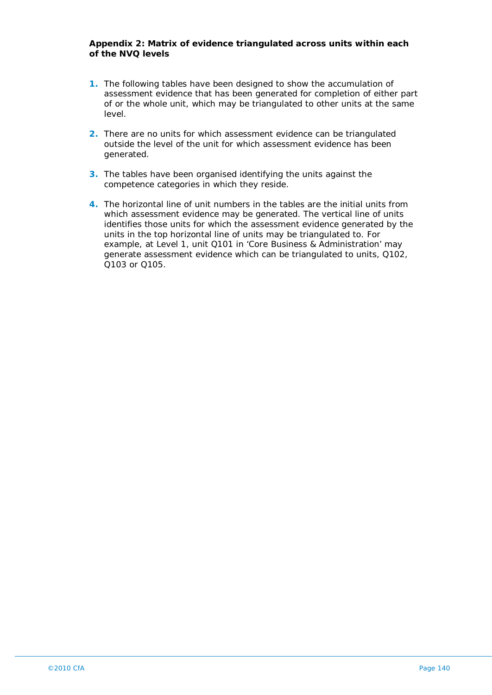#### **Appendix 2: Matrix of evidence triangulated across units within each of the NVQ levels**

- **1.** The following tables have been designed to show the accumulation of assessment evidence that has been generated for completion of either part of or the whole unit, which may be triangulated to other units at the same level.
- **2.** There are no units for which assessment evidence can be triangulated outside the level of the unit for which assessment evidence has been generated.
- **3.** The tables have been organised identifying the units against the competence categories in which they reside.
- **4.** The horizontal line of unit numbers in the tables are the initial units from which assessment evidence may be generated. The vertical line of units identifies those units for which the assessment evidence generated by the units in the top horizontal line of units may be triangulated to. For example, at Level 1, unit Q101 in 'Core Business & Administration' may generate assessment evidence which can be triangulated to units, Q102, Q103 or Q105.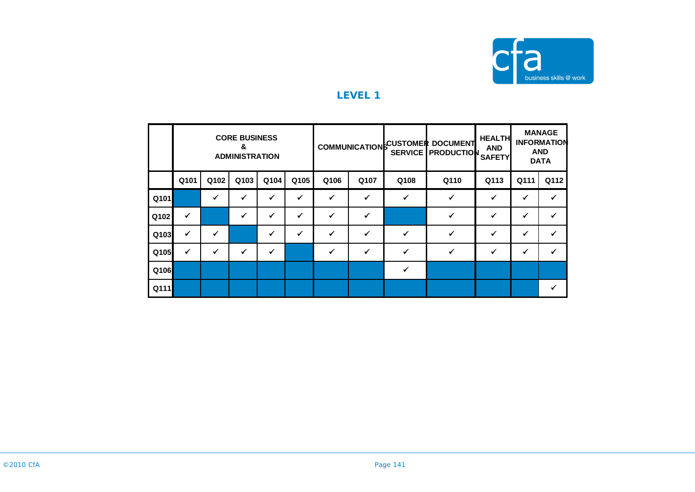

|      |      |      | <b>CORE BUSINESS</b><br>&<br><b>ADMINISTRATION</b> |      |      |              |      |      | COMMUNICATION CUSTOMER DOCUMENT<br><b>SERVICE PRODUCTION</b> | <b>HEALTH</b><br><b>AND</b><br><b>SAFETY</b> |      | <b>MANAGE</b><br><b>INFORMATION</b><br><b>AND</b><br><b>DATA</b> |
|------|------|------|----------------------------------------------------|------|------|--------------|------|------|--------------------------------------------------------------|----------------------------------------------|------|------------------------------------------------------------------|
|      | Q101 | Q102 | Q103                                               | Q104 | Q105 | Q106         | Q107 | Q108 | Q110                                                         | Q113                                         | Q111 | Q112                                                             |
| Q101 |      | ✔    | √                                                  | ✔    |      | ✓            |      | ✓    | $\checkmark$                                                 | ✓                                            | √    | ✓                                                                |
| Q102 | ✓    |      |                                                    | ✓    |      | ✓            |      |      |                                                              |                                              |      |                                                                  |
| Q103 | ✔    | ✔    |                                                    | ✔    |      | ✓            | ✔    | ✓    | ✔                                                            | ✓                                            | ✔    | ✔                                                                |
| Q105 | ✔    | ✔    | ✔                                                  | ✔    |      | $\checkmark$ | ✓    |      |                                                              | ✓                                            | ✔    | $\checkmark$                                                     |
| Q106 |      |      |                                                    |      |      |              |      |      |                                                              |                                              |      |                                                                  |
| Q111 |      |      |                                                    |      |      |              |      |      |                                                              |                                              |      |                                                                  |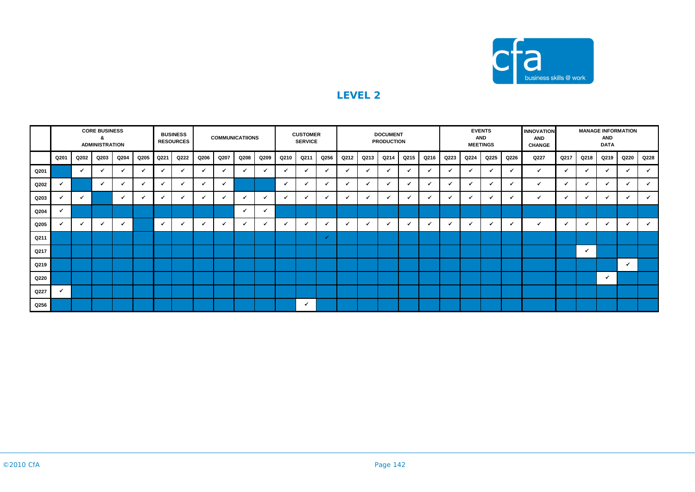

|      |      |              | <b>CORE BUSINESS</b><br>&<br><b>ADMINISTRATION</b> |              |      |              | <b>BUSINESS</b><br><b>RESOURCES</b> |      | <b>COMMUNICATIIONS</b>   |      |              |              | <b>CUSTOMER</b><br><b>SERVICE</b> |      |      |              | <b>DOCUMENT</b><br><b>PRODUCTION</b> |                          |                          |                          |      | <b>EVENTS</b><br><b>AND</b><br><b>MEETINGS</b> |              | <b>INNOVATION</b><br><b>AND</b><br><b>CHANGE</b> |      |      | <b>AND</b><br><b>DATA</b> | <b>MANAGE INFORMATION</b> |      |  |
|------|------|--------------|----------------------------------------------------|--------------|------|--------------|-------------------------------------|------|--------------------------|------|--------------|--------------|-----------------------------------|------|------|--------------|--------------------------------------|--------------------------|--------------------------|--------------------------|------|------------------------------------------------|--------------|--------------------------------------------------|------|------|---------------------------|---------------------------|------|--|
|      | Q201 | Q202         | Q203                                               | Q204         | Q205 | Q221         | Q222                                | Q206 | Q207                     | Q208 | Q209         | Q210         | Q211                              | Q256 | Q212 | Q213         | Q214                                 | Q215                     | Q216                     | Q223                     | Q224 | Q225                                           | Q226         | Q227                                             | Q217 | Q218 | Q219                      | Q220                      | Q228 |  |
| Q201 |      | $\checkmark$ |                                                    | $\checkmark$ |      |              | $\checkmark$                        | ٠    | ✔                        |      | $\checkmark$ | $\mathbf{v}$ |                                   | ✓    |      | ✓            |                                      | $\checkmark$             | $\overline{\phantom{a}}$ |                          |      |                                                | $\checkmark$ | ✓                                                |      | ✓    |                           | $\checkmark$              |      |  |
| Q202 |      |              | ✓                                                  | ✓            | ✓    |              | ✓                                   |      | ٠                        |      |              | √            | $\checkmark$                      | ✓    |      | $\checkmark$ |                                      | $\checkmark$             | √                        | $\checkmark$             | ر.   |                                                | $\checkmark$ | ✓                                                |      | ✓    |                           | $\checkmark$              |      |  |
| Q203 |      | ✔            |                                                    | $\epsilon$   | ◢    |              | ✓                                   |      | $\overline{\mathcal{L}}$ |      | $\checkmark$ |              |                                   | ✓    |      | ◢            |                                      | $\overline{\mathcal{L}}$ | $\overline{\mathbf{v}}$  |                          |      |                                                | ✓            | $\checkmark$                                     |      | ✔    |                           | $\checkmark$              |      |  |
| Q204 |      |              |                                                    |              |      |              |                                     |      |                          | ◢    | ✓            |              |                                   |      |      |              |                                      |                          |                          |                          |      |                                                |              |                                                  |      |      |                           |                           |      |  |
| Q205 |      | ✓            |                                                    | ◢            |      | $\checkmark$ | $\checkmark$                        |      | ✔                        |      | $\checkmark$ |              |                                   | ✔    |      | $\checkmark$ |                                      | $\checkmark$             | √                        | $\overline{\mathcal{L}}$ | -    | ✓                                              | ✓            | $\checkmark$                                     |      | ◢    |                           | ✓                         |      |  |
| Q211 |      |              |                                                    |              |      |              |                                     |      |                          |      |              |              |                                   | ✓    |      |              |                                      |                          |                          |                          |      |                                                |              |                                                  |      |      |                           |                           |      |  |
| Q217 |      |              |                                                    |              |      |              |                                     |      |                          |      |              |              |                                   |      |      |              |                                      |                          |                          |                          |      |                                                |              |                                                  |      | ٧    |                           |                           |      |  |
| Q219 |      |              |                                                    |              |      |              |                                     |      |                          |      |              |              |                                   |      |      |              |                                      |                          |                          |                          |      |                                                |              |                                                  |      |      |                           | $\checkmark$              |      |  |
| Q220 |      |              |                                                    |              |      |              |                                     |      |                          |      |              |              |                                   |      |      |              |                                      |                          |                          |                          |      |                                                |              |                                                  |      |      | ✓                         |                           |      |  |
| Q227 |      |              |                                                    |              |      |              |                                     |      |                          |      |              |              |                                   |      |      |              |                                      |                          |                          |                          |      |                                                |              |                                                  |      |      |                           |                           |      |  |
| Q256 |      |              |                                                    |              |      |              |                                     |      |                          |      |              |              | $\checkmark$                      |      |      |              |                                      |                          |                          |                          |      |                                                |              |                                                  |      |      |                           |                           |      |  |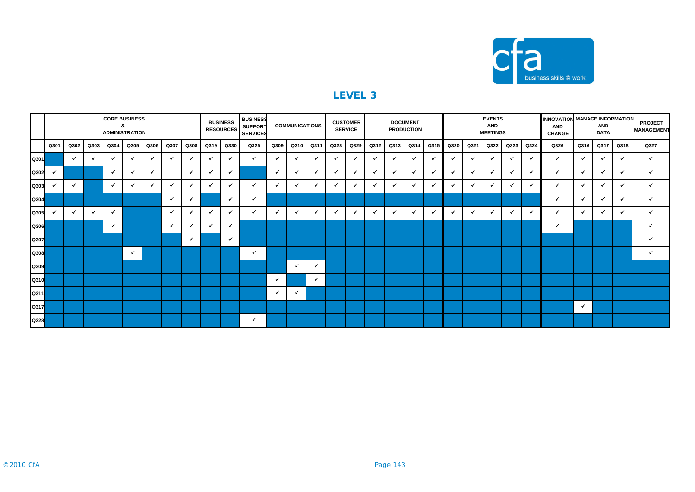

|           |              |              |      |      | <b>CORE BUSINESS</b><br>&<br><b>ADMINISTRATION</b> |              |      |              |              | <b>BUSINESS</b><br><b>RESOURCES</b> | <b>BUSINESS</b><br><b>SUPPORT</b><br><b>SERVICES</b> |              | <b>COMMUNICATIONS</b> |              |      | <b>CUSTOMER</b><br><b>SERVICE</b> |              |              | <b>DOCUMENT</b><br><b>PRODUCTION</b> |              | INNOVATION MANAGE INFORMATION<br><b>EVENTS</b><br><b>AND</b><br><b>AND</b><br><b>MEETINGS</b><br><b>CHANGE</b> |      |              |      |      |              | <b>AND</b><br><b>DATA</b> | <b>PROJECT</b><br><b>MANAGEMENT</b> |              |              |
|-----------|--------------|--------------|------|------|----------------------------------------------------|--------------|------|--------------|--------------|-------------------------------------|------------------------------------------------------|--------------|-----------------------|--------------|------|-----------------------------------|--------------|--------------|--------------------------------------|--------------|----------------------------------------------------------------------------------------------------------------|------|--------------|------|------|--------------|---------------------------|-------------------------------------|--------------|--------------|
|           | Q301         | Q302         | Q303 | Q304 | Q305                                               | Q306         | Q307 | Q308         | Q319         | Q330                                | Q325                                                 | Q309         | Q310                  | Q311         | Q328 | Q329                              | Q312         | Q313         | Q314                                 | Q315         | Q320                                                                                                           | Q321 | Q322         | Q323 | Q324 | Q326         | Q316                      | Q317                                | Q318         | Q327         |
| Q301      |              | $\checkmark$ | ✔    | ✔    | $\checkmark$                                       | $\checkmark$ | ✓    | $\checkmark$ | $\checkmark$ | $\checkmark$                        | $\checkmark$                                         | $\checkmark$ | $\checkmark$          | $\checkmark$ |      | ✓                                 | $\checkmark$ | $\checkmark$ | ✓                                    | $\epsilon$   | ✓                                                                                                              | ✔    | ✓            | ✓    | ✓    | $\checkmark$ | $\checkmark$              | $\checkmark$                        | $\checkmark$ | $\checkmark$ |
| Q302      | $\checkmark$ |              |      | ✓    | ✓                                                  | ✓            |      | ✓            | $\checkmark$ | ✓                                   |                                                      | $\checkmark$ | $\checkmark$          | ✓            |      | ✔                                 | ✔            | ✓            |                                      | $\epsilon$   | $\checkmark$                                                                                                   |      | $\checkmark$ | ✓    | ✔    | $\checkmark$ |                           | ✓                                   | ✓            |              |
| Q303      | $\cdot$      | $\checkmark$ |      | ✓    | $\checkmark$                                       | ✔            | - 4  | $\checkmark$ | $\checkmark$ | ✓                                   | $\checkmark$                                         | ✓            | $\checkmark$          | ✓            | ✓    | ✓                                 | $\checkmark$ | ✓            | ✓                                    | $\checkmark$ | ✓                                                                                                              | ✔    | ✓            | ✓    | ✓    | ✓            | $\epsilon$                | $\checkmark$                        | $\checkmark$ | ✔            |
| Q304      |              |              |      |      |                                                    |              | ×    | ✔            |              | ✔                                   | $\checkmark$                                         |              |                       |              |      |                                   |              |              |                                      |              |                                                                                                                |      |              |      |      | ✓            | ✔                         |                                     | ✔            | ✔            |
| Q305      |              | $\checkmark$ | ✔    | ✔    |                                                    |              | ✔    | ✔            | $\checkmark$ | $\checkmark$                        | $\checkmark$                                         |              | $\checkmark$          | $\checkmark$ |      | ✓                                 | $\checkmark$ | $\checkmark$ | ✓                                    | $\checkmark$ | $\checkmark$                                                                                                   |      | ✔            | ✓    | ✓    | $\checkmark$ |                           | ✔                                   | ✓            |              |
| Q306      |              |              |      | ✓    |                                                    |              | ✔    | ✓            | $\checkmark$ | ✓                                   |                                                      |              |                       |              |      |                                   |              |              |                                      |              |                                                                                                                |      |              |      |      | ✓            |                           |                                     |              | ✓            |
| ۳<br>Q307 |              |              |      |      |                                                    |              |      | $\checkmark$ |              | ◢                                   |                                                      |              |                       |              |      |                                   |              |              |                                      |              |                                                                                                                |      |              |      |      |              |                           |                                     |              | ✓            |
| Q308      |              |              |      |      | ✓                                                  |              |      |              |              |                                     | ✓                                                    |              |                       |              |      |                                   |              |              |                                      |              |                                                                                                                |      |              |      |      |              |                           |                                     |              |              |
| Q309      |              |              |      |      |                                                    |              |      |              |              |                                     |                                                      |              | $\checkmark$          | ✓            |      |                                   |              |              |                                      |              |                                                                                                                |      |              |      |      |              |                           |                                     |              |              |
| Q310      |              |              |      |      |                                                    |              |      |              |              |                                     |                                                      | ✓            |                       | ✔            |      |                                   |              |              |                                      |              |                                                                                                                |      |              |      |      |              |                           |                                     |              |              |
| Q311      |              |              |      |      |                                                    |              |      |              |              |                                     |                                                      | $\checkmark$ | ◢                     |              |      |                                   |              |              |                                      |              |                                                                                                                |      |              |      |      |              |                           |                                     |              |              |
| Q317      |              |              |      |      |                                                    |              |      |              |              |                                     |                                                      |              |                       |              |      |                                   |              |              |                                      |              |                                                                                                                |      |              |      |      |              | ✓                         |                                     |              |              |
| Q328      |              |              |      |      |                                                    |              |      |              |              |                                     | ✓                                                    |              |                       |              |      |                                   |              |              |                                      |              |                                                                                                                |      |              |      |      |              |                           |                                     |              |              |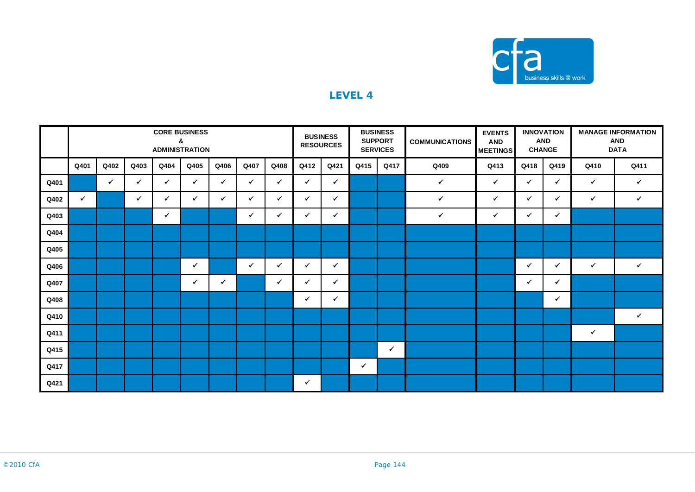

|      |              |              |              |              | <b>CORE BUSINESS</b><br>&<br><b>ADMINISTRATION</b> |              |              |              |              | <b>BUSINESS</b><br><b>RESOURCES</b> |              | <b>BUSINESS</b><br><b>SUPPORT</b><br><b>SERVICES</b> | <b>COMMUNICATIONS</b> | <b>EVENTS</b><br><b>AND</b><br><b>MEETINGS</b> |              | <b>INNOVATION</b><br><b>AND</b><br><b>CHANGE</b> | <b>MANAGE INFORMATION</b><br><b>AND</b><br><b>DATA</b> |              |  |
|------|--------------|--------------|--------------|--------------|----------------------------------------------------|--------------|--------------|--------------|--------------|-------------------------------------|--------------|------------------------------------------------------|-----------------------|------------------------------------------------|--------------|--------------------------------------------------|--------------------------------------------------------|--------------|--|
|      | Q401         | Q402         | Q403         | Q404         | Q405                                               | Q406         | Q407         | Q408         | Q412         | Q421                                | Q415         | Q417                                                 | Q409                  | Q413                                           | Q418         | Q419                                             | Q410                                                   | Q411         |  |
| Q401 |              | $\checkmark$ | ✓            | $\checkmark$ | ✓                                                  | $\checkmark$ | ✓            | ✔            | ✔            | $\checkmark$                        |              |                                                      | $\checkmark$          | $\checkmark$                                   | $\checkmark$ | $\checkmark$                                     | ✔                                                      | $\checkmark$ |  |
| Q402 | $\checkmark$ |              | $\checkmark$ | $\checkmark$ | $\checkmark$                                       | ✓            | ✓            | $\checkmark$ | ✔            | $\checkmark$                        |              |                                                      | $\checkmark$          | ✓                                              | $\checkmark$ | ✓                                                | ✓                                                      | $\checkmark$ |  |
| Q403 |              |              |              | $\checkmark$ |                                                    |              | ✔            | $\checkmark$ | ✓            | $\checkmark$                        |              |                                                      | $\checkmark$          | $\checkmark$                                   | ✓            | ✓                                                |                                                        |              |  |
| Q404 |              |              |              |              |                                                    |              |              |              |              |                                     |              |                                                      |                       |                                                |              |                                                  |                                                        |              |  |
| Q405 |              |              |              |              |                                                    |              |              |              |              |                                     |              |                                                      |                       |                                                |              |                                                  |                                                        |              |  |
| Q406 |              |              |              |              | $\checkmark$                                       |              | $\checkmark$ | $\checkmark$ | ✓            | $\checkmark$                        |              |                                                      |                       |                                                | $\checkmark$ | ✓                                                | $\checkmark$                                           | $\checkmark$ |  |
| Q407 |              |              |              |              | $\checkmark$                                       | $\checkmark$ |              | $\checkmark$ | ✓            | $\checkmark$                        |              |                                                      |                       |                                                | $\checkmark$ | ✓                                                |                                                        |              |  |
| Q408 |              |              |              |              |                                                    |              |              |              | ✓            | $\checkmark$                        |              |                                                      |                       |                                                |              | $\checkmark$                                     |                                                        |              |  |
| Q410 |              |              |              |              |                                                    |              |              |              |              |                                     |              |                                                      |                       |                                                |              |                                                  |                                                        | $\checkmark$ |  |
| Q411 |              |              |              |              |                                                    |              |              |              |              |                                     |              |                                                      |                       |                                                |              |                                                  | ✓                                                      |              |  |
| Q415 |              |              |              |              |                                                    |              |              |              |              |                                     |              | $\checkmark$                                         |                       |                                                |              |                                                  |                                                        |              |  |
| Q417 |              |              |              |              |                                                    |              |              |              |              |                                     | $\checkmark$ |                                                      |                       |                                                |              |                                                  |                                                        |              |  |
| Q421 |              |              |              |              |                                                    |              |              |              | $\checkmark$ |                                     |              |                                                      |                       |                                                |              |                                                  |                                                        |              |  |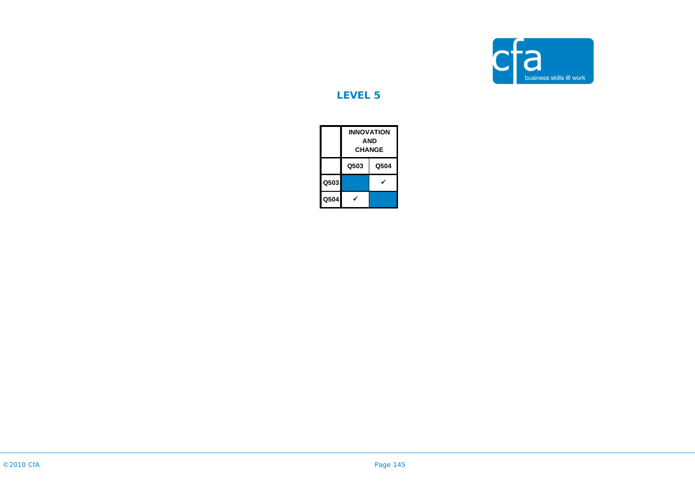

## **LEVEL 5**

|      | <b>INNOVATION</b><br><b>AND</b><br><b>CHANGE</b> |      |  |
|------|--------------------------------------------------|------|--|
|      | Q503                                             | Q504 |  |
| Q503 |                                                  |      |  |
| Q504 |                                                  |      |  |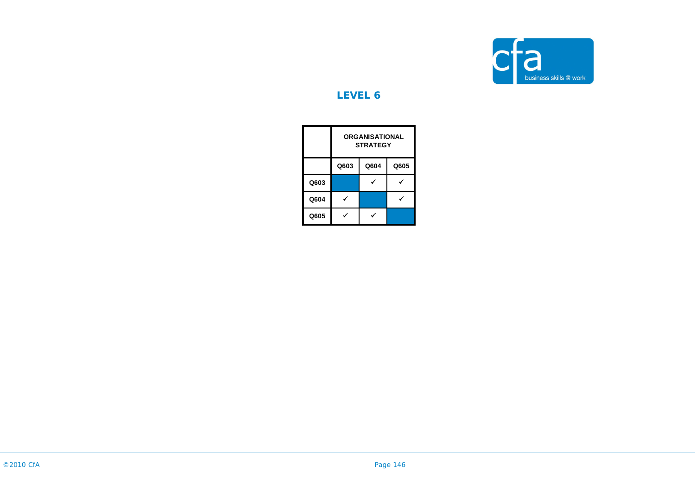

## **LEVEL 6**

|      | <b>ORGANISATIONAL</b><br><b>STRATEGY</b> |      |      |  |  |
|------|------------------------------------------|------|------|--|--|
|      | Q603                                     | Q604 | Q605 |  |  |
| Q603 |                                          |      |      |  |  |
| Q604 |                                          |      |      |  |  |
| Q605 |                                          |      |      |  |  |